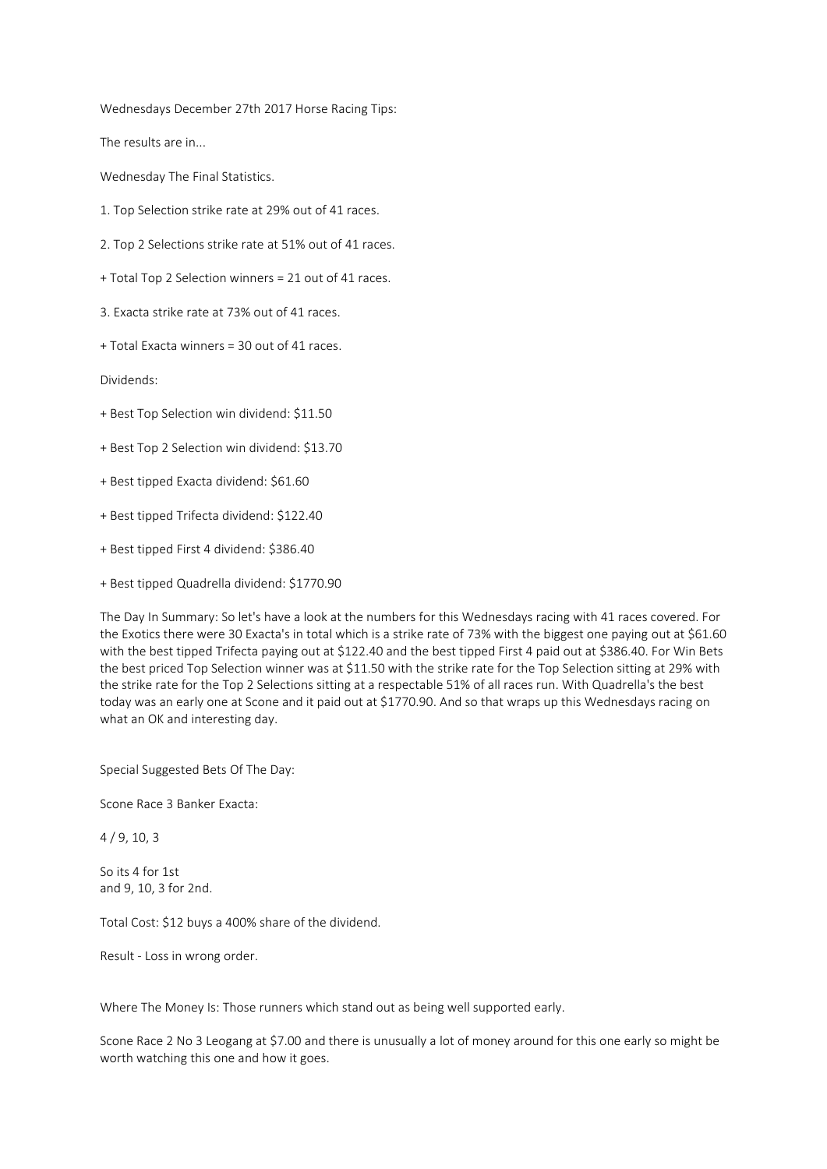Wednesdays December 27th 2017 Horse Racing Tips:

The results are in...

Wednesday The Final Statistics.

- 1. Top Selection strike rate at 29% out of 41 races.
- 2. Top 2 Selections strike rate at 51% out of 41 races.
- + Total Top 2 Selection winners = 21 out of 41 races.

3. Exacta strike rate at 73% out of 41 races.

+ Total Exacta winners = 30 out of 41 races.

Dividends:

- + Best Top Selection win dividend: \$11.50
- + Best Top 2 Selection win dividend: \$13.70
- + Best tipped Exacta dividend: \$61.60
- + Best tipped Trifecta dividend: \$122.40
- + Best tipped First 4 dividend: \$386.40
- + Best tipped Quadrella dividend: \$1770.90

The Day In Summary: So let's have a look at the numbers for this Wednesdays racing with 41 races covered. For the Exotics there were 30 Exacta's in total which is a strike rate of 73% with the biggest one paying out at \$61.60 with the best tipped Trifecta paying out at \$122.40 and the best tipped First 4 paid out at \$386.40. For Win Bets the best priced Top Selection winner was at \$11.50 with the strike rate for the Top Selection sitting at 29% with the strike rate for the Top 2 Selections sitting at a respectable 51% of all races run. With Quadrella's the best today was an early one at Scone and it paid out at \$1770.90. And so that wraps up this Wednesdays racing on what an OK and interesting day.

Special Suggested Bets Of The Day:

Scone Race 3 Banker Exacta:

4 / 9, 10, 3

So its 4 for 1st and 9, 10, 3 for 2nd.

Total Cost: \$12 buys a 400% share of the dividend.

Result - Loss in wrong order.

Where The Money Is: Those runners which stand out as being well supported early.

Scone Race 2 No 3 Leogang at \$7.00 and there is unusually a lot of money around for this one early so might be worth watching this one and how it goes.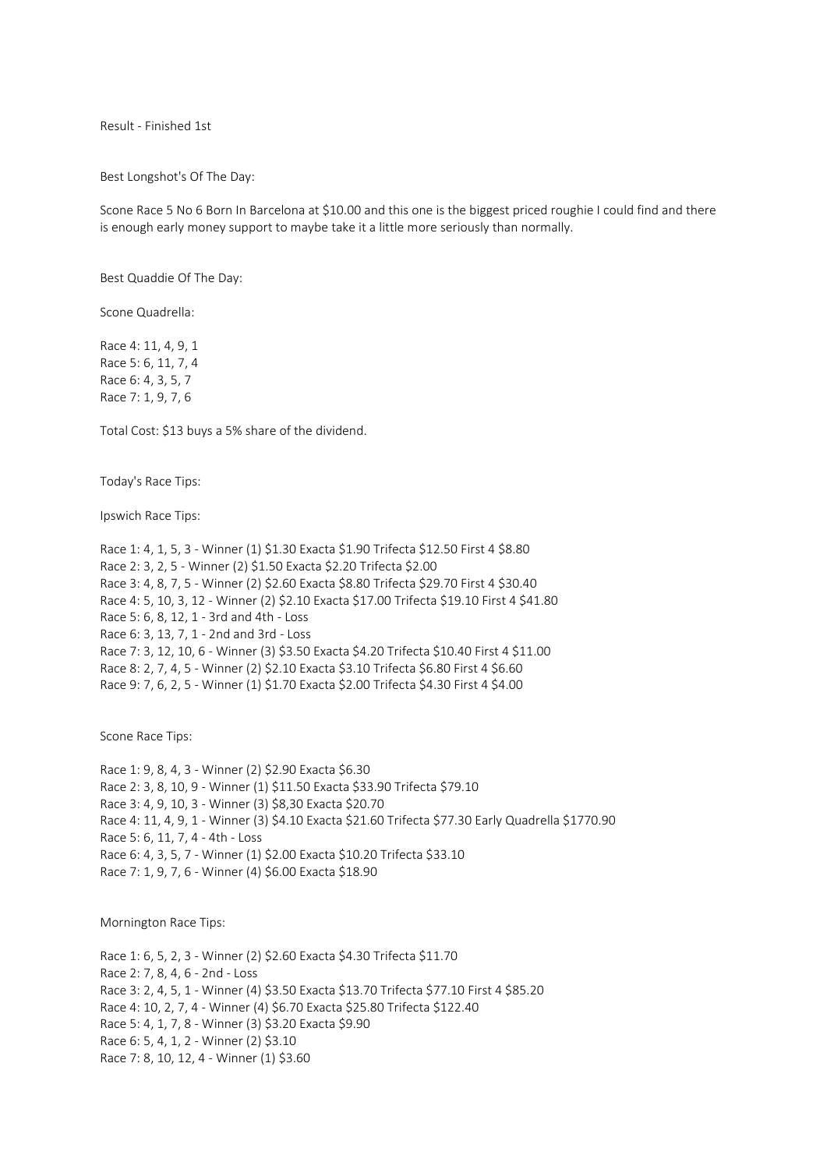Result - Finished 1st

Best Longshot's Of The Day:

Scone Race 5 No 6 Born In Barcelona at \$10.00 and this one is the biggest priced roughie I could find and there is enough early money support to maybe take it a little more seriously than normally.

Best Quaddie Of The Day:

Scone Quadrella:

Race 4: 11, 4, 9, 1 Race 5: 6, 11, 7, 4 Race 6: 4, 3, 5, 7 Race 7: 1, 9, 7, 6

Total Cost: \$13 buys a 5% share of the dividend.

Today's Race Tips:

Ipswich Race Tips:

Race 1: 4, 1, 5, 3 - Winner (1) \$1.30 Exacta \$1.90 Trifecta \$12.50 First 4 \$8.80 Race 2: 3, 2, 5 - Winner (2) \$1.50 Exacta \$2.20 Trifecta \$2.00 Race 3: 4, 8, 7, 5 - Winner (2) \$2.60 Exacta \$8.80 Trifecta \$29.70 First 4 \$30.40 Race 4: 5, 10, 3, 12 - Winner (2) \$2.10 Exacta \$17.00 Trifecta \$19.10 First 4 \$41.80 Race 5: 6, 8, 12, 1 - 3rd and 4th - Loss Race 6: 3, 13, 7, 1 - 2nd and 3rd - Loss Race 7: 3, 12, 10, 6 - Winner (3) \$3.50 Exacta \$4.20 Trifecta \$10.40 First 4 \$11.00 Race 8: 2, 7, 4, 5 - Winner (2) \$2.10 Exacta \$3.10 Trifecta \$6.80 First 4 \$6.60 Race 9: 7, 6, 2, 5 - Winner (1) \$1.70 Exacta \$2.00 Trifecta \$4.30 First 4 \$4.00

Scone Race Tips:

Race 1: 9, 8, 4, 3 - Winner (2) \$2.90 Exacta \$6.30 Race 2: 3, 8, 10, 9 - Winner (1) \$11.50 Exacta \$33.90 Trifecta \$79.10 Race 3: 4, 9, 10, 3 - Winner (3) \$8,30 Exacta \$20.70 Race 4: 11, 4, 9, 1 - Winner (3) \$4.10 Exacta \$21.60 Trifecta \$77.30 Early Quadrella \$1770.90 Race 5: 6, 11, 7, 4 - 4th - Loss Race 6: 4, 3, 5, 7 - Winner (1) \$2.00 Exacta \$10.20 Trifecta \$33.10 Race 7: 1, 9, 7, 6 - Winner (4) \$6.00 Exacta \$18.90

Mornington Race Tips:

Race 1: 6, 5, 2, 3 - Winner (2) \$2.60 Exacta \$4.30 Trifecta \$11.70 Race 2: 7, 8, 4, 6 - 2nd - Loss Race 3: 2, 4, 5, 1 - Winner (4) \$3.50 Exacta \$13.70 Trifecta \$77.10 First 4 \$85.20 Race 4: 10, 2, 7, 4 - Winner (4) \$6.70 Exacta \$25.80 Trifecta \$122.40 Race 5: 4, 1, 7, 8 - Winner (3) \$3.20 Exacta \$9.90 Race 6: 5, 4, 1, 2 - Winner (2) \$3.10 Race 7: 8, 10, 12, 4 - Winner (1) \$3.60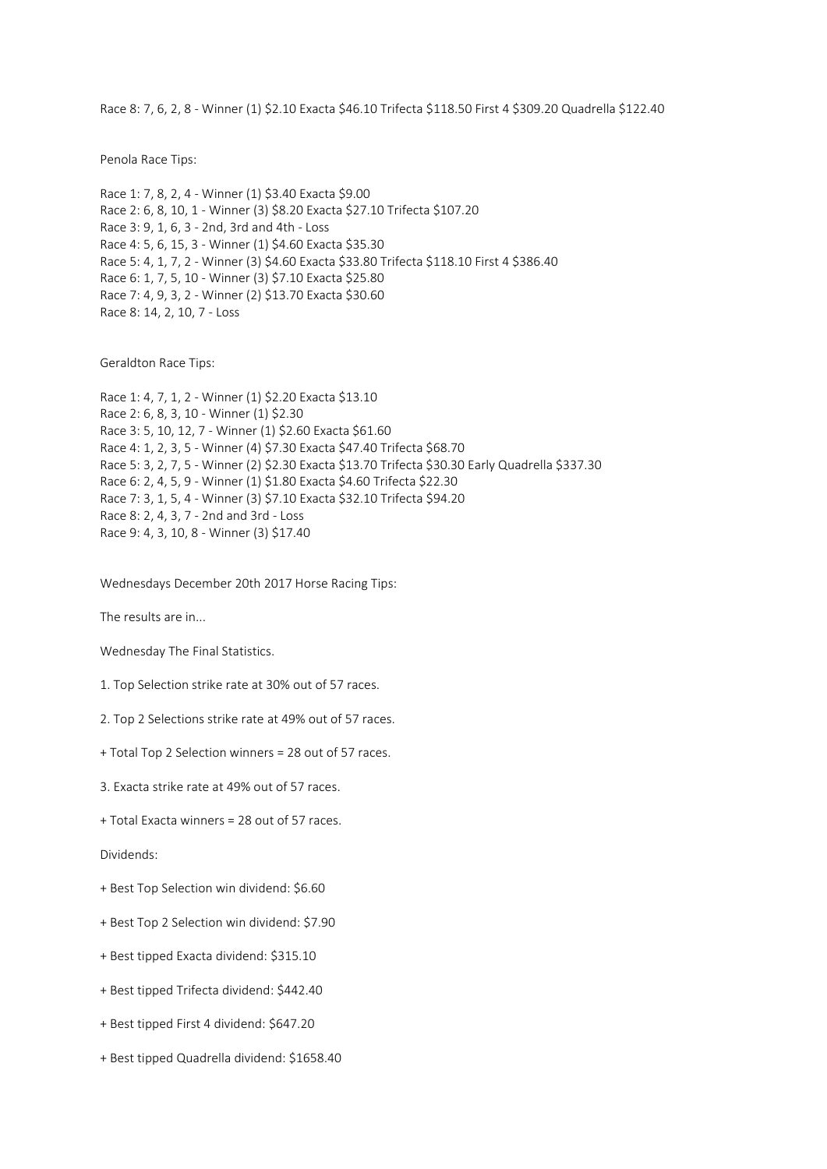Race 8: 7, 6, 2, 8 - Winner (1) \$2.10 Exacta \$46.10 Trifecta \$118.50 First 4 \$309.20 Quadrella \$122.40

Penola Race Tips:

```
Race 1: 7, 8, 2, 4 - Winner (1) $3.40 Exacta $9.00
Race 2: 6, 8, 10, 1 - Winner (3) $8.20 Exacta $27.10 Trifecta $107.20
Race 3: 9, 1, 6, 3 - 2nd, 3rd and 4th - Loss
Race 4: 5, 6, 15, 3 - Winner (1) $4.60 Exacta $35.30
Race 5: 4, 1, 7, 2 - Winner (3) $4.60 Exacta $33.80 Trifecta $118.10 First 4 $386.40
Race 6: 1, 7, 5, 10 - Winner (3) $7.10 Exacta $25.80
Race 7: 4, 9, 3, 2 - Winner (2) $13.70 Exacta $30.60
Race 8: 14, 2, 10, 7 - Loss
```
Geraldton Race Tips:

Race 1: 4, 7, 1, 2 - Winner (1) \$2.20 Exacta \$13.10 Race 2: 6, 8, 3, 10 - Winner (1) \$2.30 Race 3: 5, 10, 12, 7 - Winner (1) \$2.60 Exacta \$61.60 Race 4: 1, 2, 3, 5 - Winner (4) \$7.30 Exacta \$47.40 Trifecta \$68.70 Race 5: 3, 2, 7, 5 - Winner (2) \$2.30 Exacta \$13.70 Trifecta \$30.30 Early Quadrella \$337.30 Race 6: 2, 4, 5, 9 - Winner (1) \$1.80 Exacta \$4.60 Trifecta \$22.30 Race 7: 3, 1, 5, 4 - Winner (3) \$7.10 Exacta \$32.10 Trifecta \$94.20 Race 8: 2, 4, 3, 7 - 2nd and 3rd - Loss Race 9: 4, 3, 10, 8 - Winner (3) \$17.40

Wednesdays December 20th 2017 Horse Racing Tips:

The results are in...

Wednesday The Final Statistics.

- 1. Top Selection strike rate at 30% out of 57 races.
- 2. Top 2 Selections strike rate at 49% out of 57 races.
- + Total Top 2 Selection winners = 28 out of 57 races.
- 3. Exacta strike rate at 49% out of 57 races.
- + Total Exacta winners = 28 out of 57 races.

Dividends:

- + Best Top Selection win dividend: \$6.60
- + Best Top 2 Selection win dividend: \$7.90
- + Best tipped Exacta dividend: \$315.10
- + Best tipped Trifecta dividend: \$442.40
- + Best tipped First 4 dividend: \$647.20
- + Best tipped Quadrella dividend: \$1658.40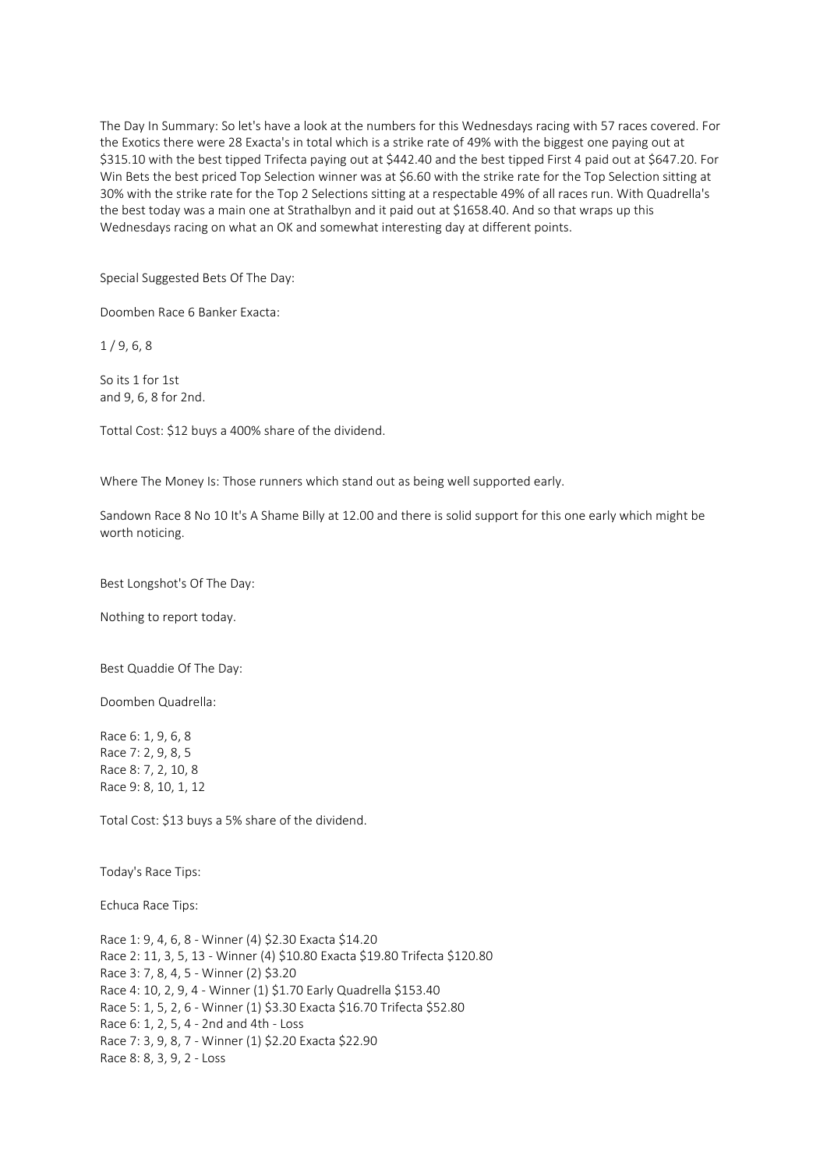The Day In Summary: So let's have a look at the numbers for this Wednesdays racing with 57 races covered. For the Exotics there were 28 Exacta's in total which is a strike rate of 49% with the biggest one paying out at \$315.10 with the best tipped Trifecta paying out at \$442.40 and the best tipped First 4 paid out at \$647.20. For Win Bets the best priced Top Selection winner was at \$6.60 with the strike rate for the Top Selection sitting at 30% with the strike rate for the Top 2 Selections sitting at a respectable 49% of all races run. With Quadrella's the best today was a main one at Strathalbyn and it paid out at \$1658.40. And so that wraps up this Wednesdays racing on what an OK and somewhat interesting day at different points.

Special Suggested Bets Of The Day:

Doomben Race 6 Banker Exacta:

 $1/9, 6, 8$ 

So its 1 for 1st and 9, 6, 8 for 2nd.

Tottal Cost: \$12 buys a 400% share of the dividend.

Where The Money Is: Those runners which stand out as being well supported early.

Sandown Race 8 No 10 It's A Shame Billy at 12.00 and there is solid support for this one early which might be worth noticing.

Best Longshot's Of The Day:

Nothing to report today.

Best Quaddie Of The Day:

Doomben Quadrella:

Race 6: 1, 9, 6, 8 Race 7: 2, 9, 8, 5 Race 8: 7, 2, 10, 8 Race 9: 8, 10, 1, 12

Total Cost: \$13 buys a 5% share of the dividend.

Today's Race Tips:

Echuca Race Tips:

Race 1: 9, 4, 6, 8 - Winner (4) \$2.30 Exacta \$14.20 Race 2: 11, 3, 5, 13 - Winner (4) \$10.80 Exacta \$19.80 Trifecta \$120.80 Race 3: 7, 8, 4, 5 - Winner (2) \$3.20 Race 4: 10, 2, 9, 4 - Winner (1) \$1.70 Early Quadrella \$153.40 Race 5: 1, 5, 2, 6 - Winner (1) \$3.30 Exacta \$16.70 Trifecta \$52.80 Race 6: 1, 2, 5, 4 - 2nd and 4th - Loss Race 7: 3, 9, 8, 7 - Winner (1) \$2.20 Exacta \$22.90 Race 8: 8, 3, 9, 2 - Loss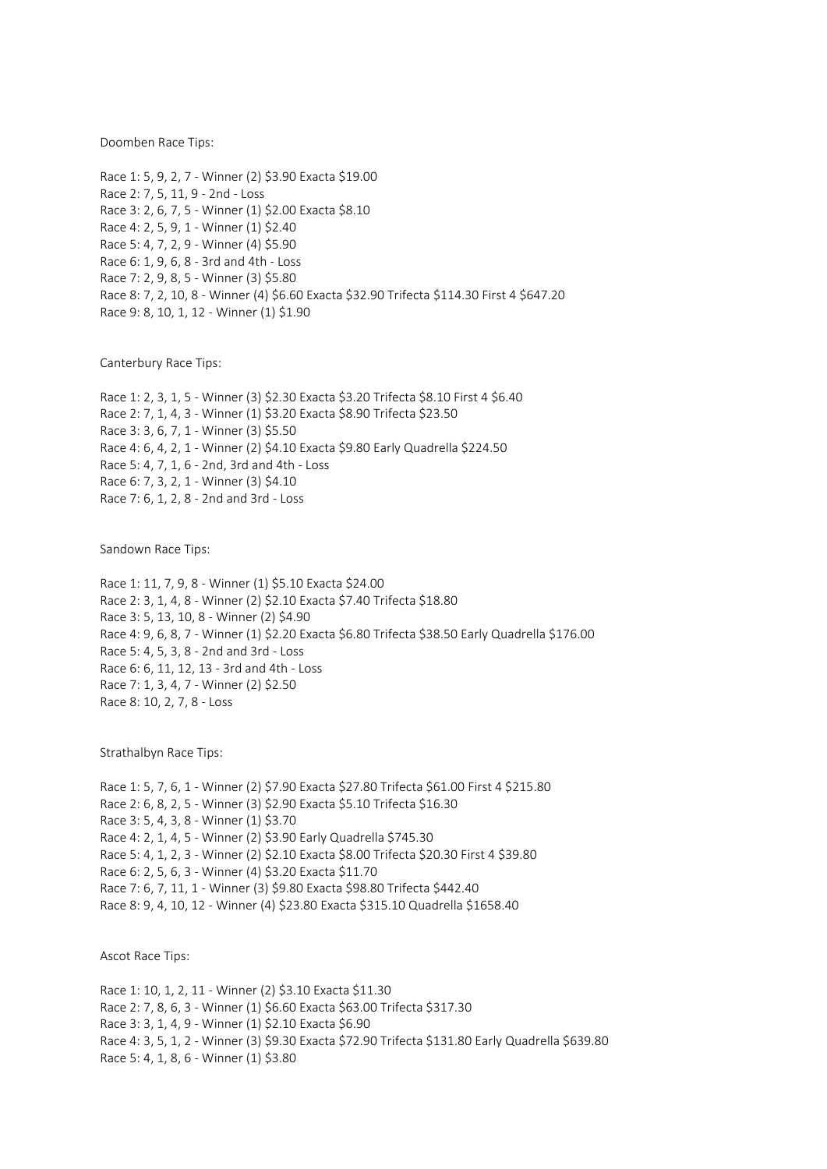Doomben Race Tips:

Race 1: 5, 9, 2, 7 - Winner (2) \$3.90 Exacta \$19.00 Race 2: 7, 5, 11, 9 - 2nd - Loss Race 3: 2, 6, 7, 5 - Winner (1) \$2.00 Exacta \$8.10 Race 4: 2, 5, 9, 1 - Winner (1) \$2.40 Race 5: 4, 7, 2, 9 - Winner (4) \$5.90 Race 6: 1, 9, 6, 8 - 3rd and 4th - Loss Race 7: 2, 9, 8, 5 - Winner (3) \$5.80 Race 8: 7, 2, 10, 8 - Winner (4) \$6.60 Exacta \$32.90 Trifecta \$114.30 First 4 \$647.20 Race 9: 8, 10, 1, 12 - Winner (1) \$1.90

Canterbury Race Tips:

Race 1: 2, 3, 1, 5 - Winner (3) \$2.30 Exacta \$3.20 Trifecta \$8.10 First 4 \$6.40 Race 2: 7, 1, 4, 3 - Winner (1) \$3.20 Exacta \$8.90 Trifecta \$23.50 Race 3: 3, 6, 7, 1 - Winner (3) \$5.50 Race 4: 6, 4, 2, 1 - Winner (2) \$4.10 Exacta \$9.80 Early Quadrella \$224.50 Race 5: 4, 7, 1, 6 - 2nd, 3rd and 4th - Loss Race 6: 7, 3, 2, 1 - Winner (3) \$4.10 Race 7: 6, 1, 2, 8 - 2nd and 3rd - Loss

Sandown Race Tips:

Race 1: 11, 7, 9, 8 - Winner (1) \$5.10 Exacta \$24.00 Race 2: 3, 1, 4, 8 - Winner (2) \$2.10 Exacta \$7.40 Trifecta \$18.80 Race 3: 5, 13, 10, 8 - Winner (2) \$4.90 Race 4: 9, 6, 8, 7 - Winner (1) \$2.20 Exacta \$6.80 Trifecta \$38.50 Early Quadrella \$176.00 Race 5: 4, 5, 3, 8 - 2nd and 3rd - Loss Race 6: 6, 11, 12, 13 - 3rd and 4th - Loss Race 7: 1, 3, 4, 7 - Winner (2) \$2.50 Race 8: 10, 2, 7, 8 - Loss

Strathalbyn Race Tips:

Race 1: 5, 7, 6, 1 - Winner (2) \$7.90 Exacta \$27.80 Trifecta \$61.00 First 4 \$215.80 Race 2: 6, 8, 2, 5 - Winner (3) \$2.90 Exacta \$5.10 Trifecta \$16.30 Race 3: 5, 4, 3, 8 - Winner (1) \$3.70 Race 4: 2, 1, 4, 5 - Winner (2) \$3.90 Early Quadrella \$745.30 Race 5: 4, 1, 2, 3 - Winner (2) \$2.10 Exacta \$8.00 Trifecta \$20.30 First 4 \$39.80 Race 6: 2, 5, 6, 3 - Winner (4) \$3.20 Exacta \$11.70 Race 7: 6, 7, 11, 1 - Winner (3) \$9.80 Exacta \$98.80 Trifecta \$442.40 Race 8: 9, 4, 10, 12 - Winner (4) \$23.80 Exacta \$315.10 Quadrella \$1658.40

Ascot Race Tips:

Race 1: 10, 1, 2, 11 - Winner (2) \$3.10 Exacta \$11.30 Race 2: 7, 8, 6, 3 - Winner (1) \$6.60 Exacta \$63.00 Trifecta \$317.30 Race 3: 3, 1, 4, 9 - Winner (1) \$2.10 Exacta \$6.90 Race 4: 3, 5, 1, 2 - Winner (3) \$9.30 Exacta \$72.90 Trifecta \$131.80 Early Quadrella \$639.80 Race 5: 4, 1, 8, 6 - Winner (1) \$3.80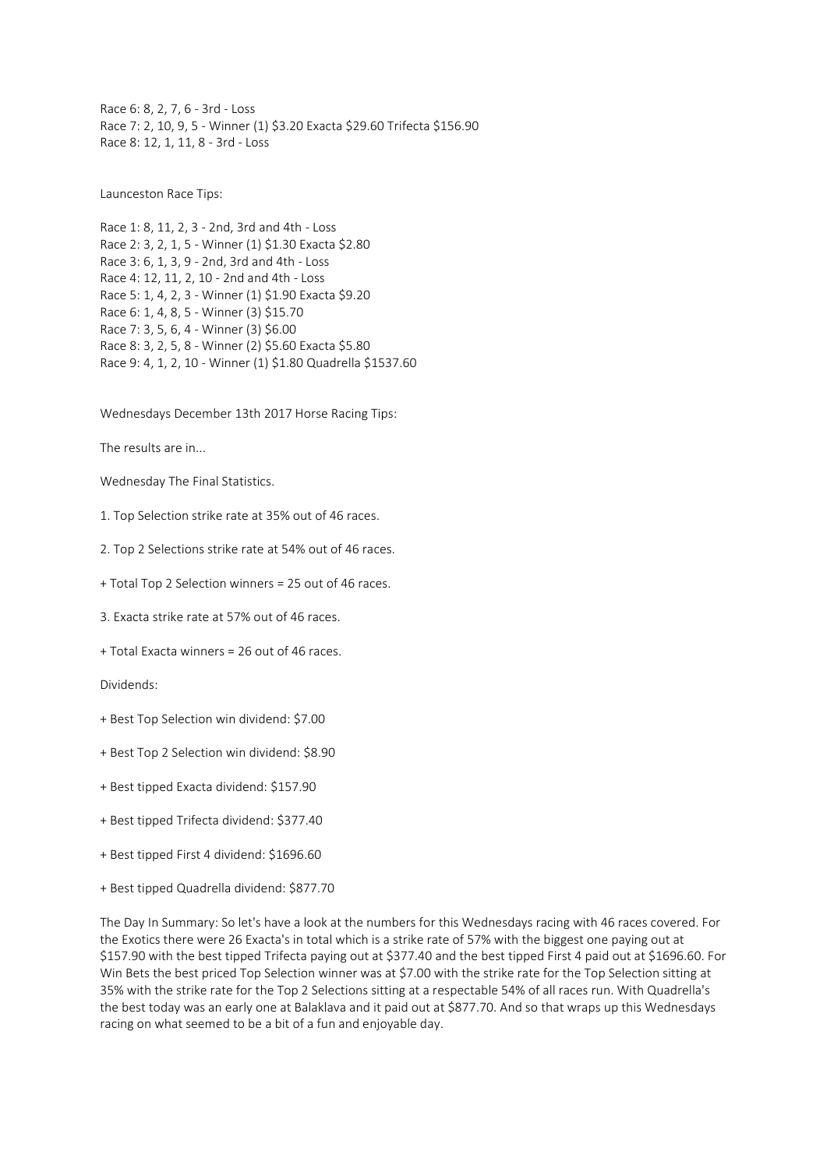Race 6: 8, 2, 7, 6 - 3rd - Loss Race 7: 2, 10, 9, 5 - Winner (1) \$3.20 Exacta \$29.60 Trifecta \$156.90 Race 8: 12, 1, 11, 8 - 3rd - Loss

Launceston Race Tips:

Race 1: 8, 11, 2, 3 - 2nd, 3rd and 4th - Loss Race 2: 3, 2, 1, 5 - Winner (1) \$1.30 Exacta \$2.80 Race 3: 6, 1, 3, 9 - 2nd, 3rd and 4th - Loss Race 4: 12, 11, 2, 10 - 2nd and 4th - Loss Race 5: 1, 4, 2, 3 - Winner (1) \$1.90 Exacta \$9.20 Race 6: 1, 4, 8, 5 - Winner (3) \$15.70 Race 7: 3, 5, 6, 4 - Winner (3) \$6.00 Race 8: 3, 2, 5, 8 - Winner (2) \$5.60 Exacta \$5.80 Race 9: 4, 1, 2, 10 - Winner (1) \$1.80 Quadrella \$1537.60

Wednesdays December 13th 2017 Horse Racing Tips:

The results are in...

Wednesday The Final Statistics.

1. Top Selection strike rate at 35% out of 46 races.

2. Top 2 Selections strike rate at 54% out of 46 races.

+ Total Top 2 Selection winners = 25 out of 46 races.

3. Exacta strike rate at 57% out of 46 races.

+ Total Exacta winners = 26 out of 46 races.

Dividends:

- + Best Top Selection win dividend: \$7.00
- + Best Top 2 Selection win dividend: \$8.90
- + Best tipped Exacta dividend: \$157.90
- + Best tipped Trifecta dividend: \$377.40
- + Best tipped First 4 dividend: \$1696.60
- + Best tipped Quadrella dividend: \$877.70

The Day In Summary: So let's have a look at the numbers for this Wednesdays racing with 46 races covered. For the Exotics there were 26 Exacta's in total which is a strike rate of 57% with the biggest one paying out at \$157.90 with the best tipped Trifecta paying out at \$377.40 and the best tipped First 4 paid out at \$1696.60. For Win Bets the best priced Top Selection winner was at \$7.00 with the strike rate for the Top Selection sitting at 35% with the strike rate for the Top 2 Selections sitting at a respectable 54% of all races run. With Quadrella's the best today was an early one at Balaklava and it paid out at \$877.70. And so that wraps up this Wednesdays racing on what seemed to be a bit of a fun and enjoyable day.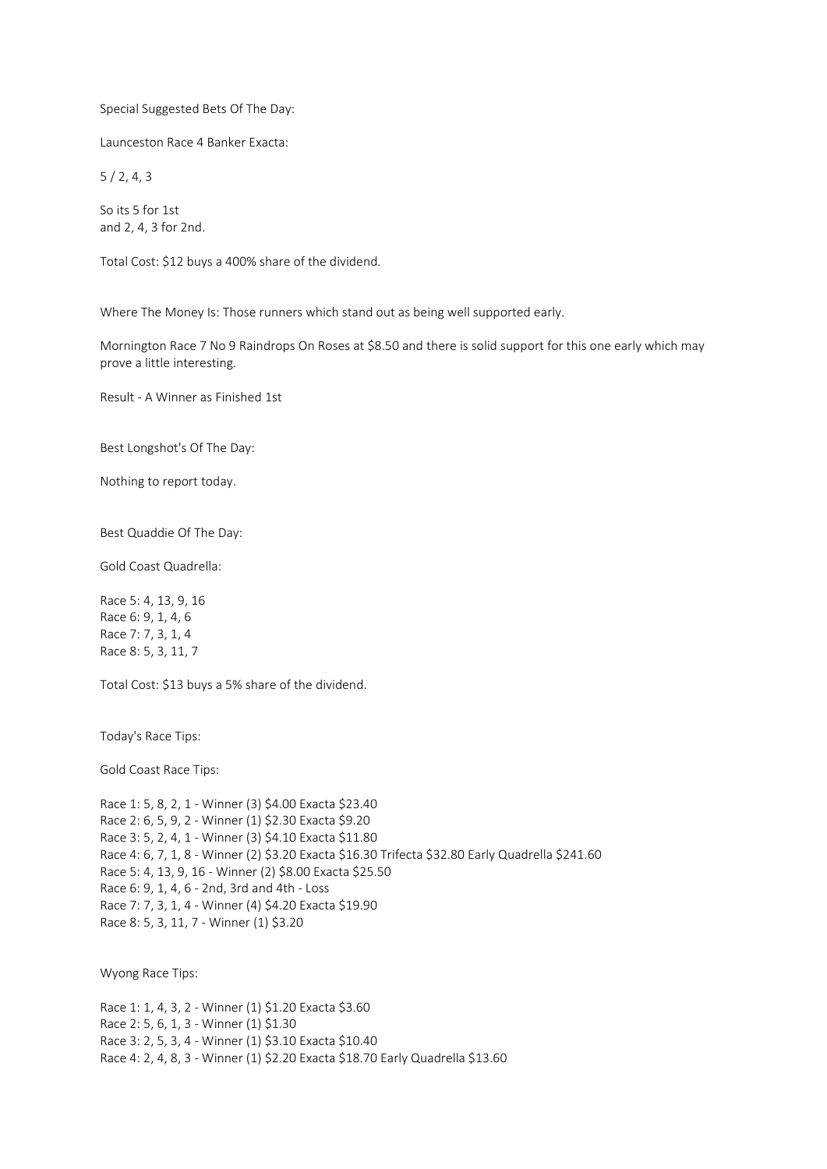Special Suggested Bets Of The Day:

Launceston Race 4 Banker Exacta:

5 / 2, 4, 3

So its 5 for 1st and 2, 4, 3 for 2nd.

Total Cost: \$12 buys a 400% share of the dividend.

Where The Money Is: Those runners which stand out as being well supported early.

Mornington Race 7 No 9 Raindrops On Roses at \$8.50 and there is solid support for this one early which may prove a little interesting.

Result - A Winner as Finished 1st

Best Longshot's Of The Day:

Nothing to report today.

Best Quaddie Of The Day:

Gold Coast Quadrella:

Race 5: 4, 13, 9, 16 Race 6: 9, 1, 4, 6 Race 7: 7, 3, 1, 4 Race 8: 5, 3, 11, 7

Total Cost: \$13 buys a 5% share of the dividend.

Today's Race Tips:

Gold Coast Race Tips:

Race 1: 5, 8, 2, 1 - Winner (3) \$4.00 Exacta \$23.40 Race 2: 6, 5, 9, 2 - Winner (1) \$2.30 Exacta \$9.20 Race 3: 5, 2, 4, 1 - Winner (3) \$4.10 Exacta \$11.80 Race 4: 6, 7, 1, 8 - Winner (2) \$3.20 Exacta \$16.30 Trifecta \$32.80 Early Quadrella \$241.60 Race 5: 4, 13, 9, 16 - Winner (2) \$8.00 Exacta \$25.50 Race 6: 9, 1, 4, 6 - 2nd, 3rd and 4th - Loss Race 7: 7, 3, 1, 4 - Winner (4) \$4.20 Exacta \$19.90 Race 8: 5, 3, 11, 7 - Winner (1) \$3.20

Wyong Race Tips:

Race 1: 1, 4, 3, 2 - Winner (1) \$1.20 Exacta \$3.60 Race 2: 5, 6, 1, 3 - Winner (1) \$1.30 Race 3: 2, 5, 3, 4 - Winner (1) \$3.10 Exacta \$10.40 Race 4: 2, 4, 8, 3 - Winner (1) \$2.20 Exacta \$18.70 Early Quadrella \$13.60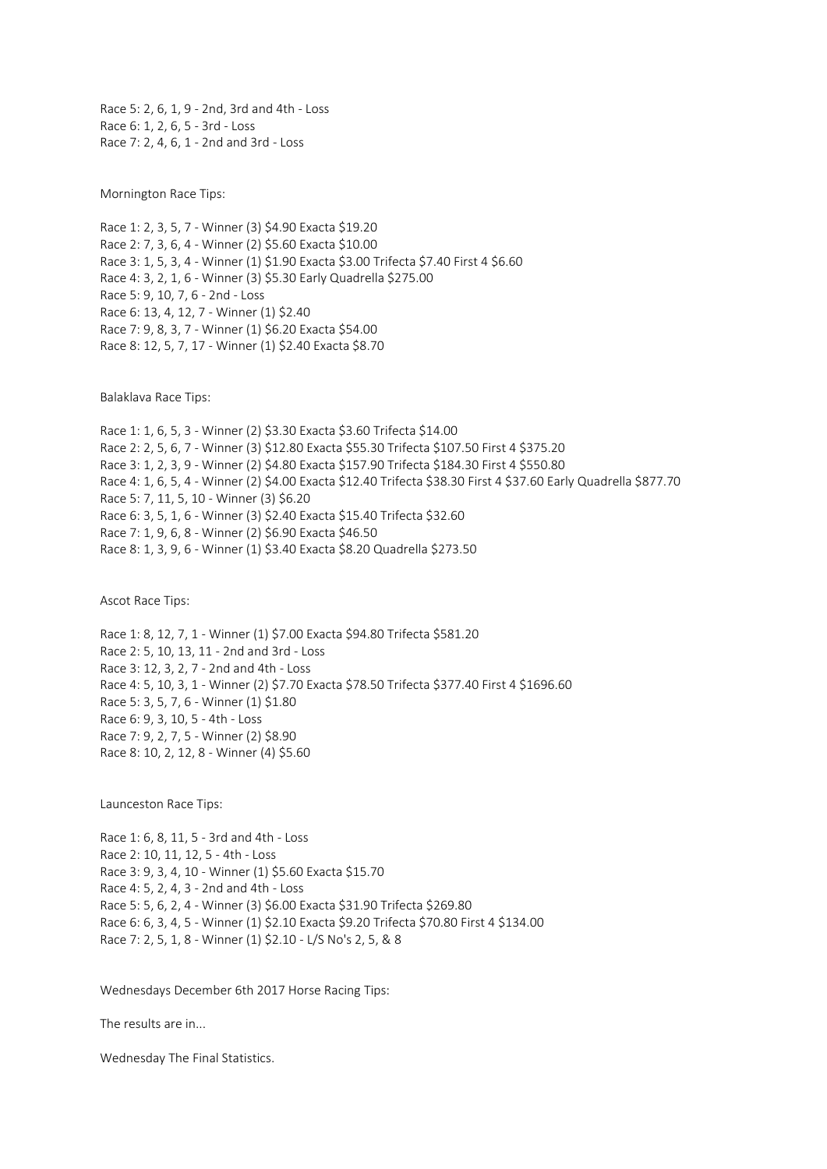Race 5: 2, 6, 1, 9 - 2nd, 3rd and 4th - Loss Race 6: 1, 2, 6, 5 - 3rd - Loss Race 7: 2, 4, 6, 1 - 2nd and 3rd - Loss

Mornington Race Tips:

Race 1: 2, 3, 5, 7 - Winner (3) \$4.90 Exacta \$19.20 Race 2: 7, 3, 6, 4 - Winner (2) \$5.60 Exacta \$10.00 Race 3: 1, 5, 3, 4 - Winner (1) \$1.90 Exacta \$3.00 Trifecta \$7.40 First 4 \$6.60 Race 4: 3, 2, 1, 6 - Winner (3) \$5.30 Early Quadrella \$275.00 Race 5: 9, 10, 7, 6 - 2nd - Loss Race 6: 13, 4, 12, 7 - Winner (1) \$2.40 Race 7: 9, 8, 3, 7 - Winner (1) \$6.20 Exacta \$54.00 Race 8: 12, 5, 7, 17 - Winner (1) \$2.40 Exacta \$8.70

Balaklava Race Tips:

Race 1: 1, 6, 5, 3 - Winner (2) \$3.30 Exacta \$3.60 Trifecta \$14.00 Race 2: 2, 5, 6, 7 - Winner (3) \$12.80 Exacta \$55.30 Trifecta \$107.50 First 4 \$375.20 Race 3: 1, 2, 3, 9 - Winner (2) \$4.80 Exacta \$157.90 Trifecta \$184.30 First 4 \$550.80 Race 4: 1, 6, 5, 4 - Winner (2) \$4.00 Exacta \$12.40 Trifecta \$38.30 First 4 \$37.60 Early Quadrella \$877.70 Race 5: 7, 11, 5, 10 - Winner (3) \$6.20 Race 6: 3, 5, 1, 6 - Winner (3) \$2.40 Exacta \$15.40 Trifecta \$32.60 Race 7: 1, 9, 6, 8 - Winner (2) \$6.90 Exacta \$46.50 Race 8: 1, 3, 9, 6 - Winner (1) \$3.40 Exacta \$8.20 Quadrella \$273.50

Ascot Race Tips:

Race 1: 8, 12, 7, 1 - Winner (1) \$7.00 Exacta \$94.80 Trifecta \$581.20 Race 2: 5, 10, 13, 11 - 2nd and 3rd - Loss Race 3: 12, 3, 2, 7 - 2nd and 4th - Loss Race 4: 5, 10, 3, 1 - Winner (2) \$7.70 Exacta \$78.50 Trifecta \$377.40 First 4 \$1696.60 Race 5: 3, 5, 7, 6 - Winner (1) \$1.80 Race 6: 9, 3, 10, 5 - 4th - Loss Race 7: 9, 2, 7, 5 - Winner (2) \$8.90 Race 8: 10, 2, 12, 8 - Winner (4) \$5.60

Launceston Race Tips:

Race 1: 6, 8, 11, 5 - 3rd and 4th - Loss Race 2: 10, 11, 12, 5 - 4th - Loss Race 3: 9, 3, 4, 10 - Winner (1) \$5.60 Exacta \$15.70 Race 4: 5, 2, 4, 3 - 2nd and 4th - Loss Race 5: 5, 6, 2, 4 - Winner (3) \$6.00 Exacta \$31.90 Trifecta \$269.80 Race 6: 6, 3, 4, 5 - Winner (1) \$2.10 Exacta \$9.20 Trifecta \$70.80 First 4 \$134.00 Race 7: 2, 5, 1, 8 - Winner (1) \$2.10 - L/S No's 2, 5, & 8

Wednesdays December 6th 2017 Horse Racing Tips:

The results are in...

Wednesday The Final Statistics.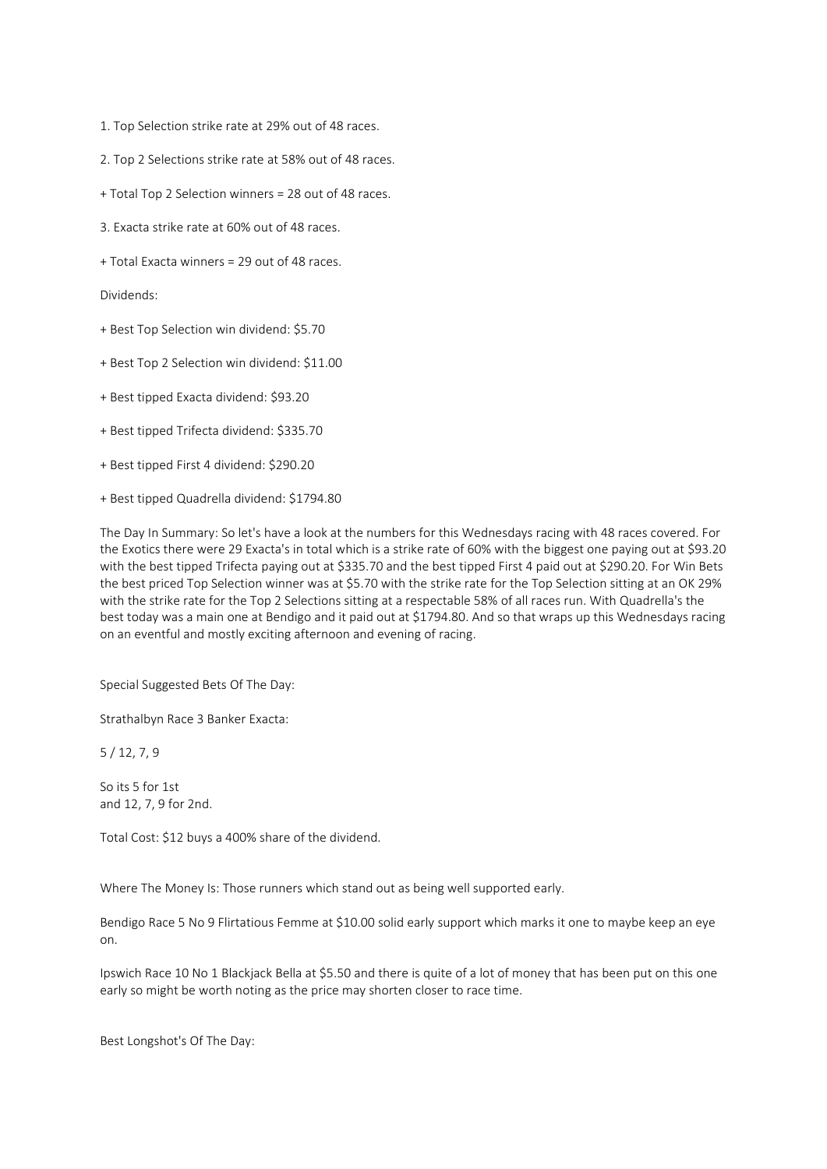- 1. Top Selection strike rate at 29% out of 48 races.
- 2. Top 2 Selections strike rate at 58% out of 48 races.
- + Total Top 2 Selection winners = 28 out of 48 races.
- 3. Exacta strike rate at 60% out of 48 races.
- + Total Exacta winners = 29 out of 48 races.

Dividends:

- + Best Top Selection win dividend: \$5.70
- + Best Top 2 Selection win dividend: \$11.00
- + Best tipped Exacta dividend: \$93.20
- + Best tipped Trifecta dividend: \$335.70
- + Best tipped First 4 dividend: \$290.20
- + Best tipped Quadrella dividend: \$1794.80

The Day In Summary: So let's have a look at the numbers for this Wednesdays racing with 48 races covered. For the Exotics there were 29 Exacta's in total which is a strike rate of 60% with the biggest one paying out at \$93.20 with the best tipped Trifecta paying out at \$335.70 and the best tipped First 4 paid out at \$290.20. For Win Bets the best priced Top Selection winner was at \$5.70 with the strike rate for the Top Selection sitting at an OK 29% with the strike rate for the Top 2 Selections sitting at a respectable 58% of all races run. With Quadrella's the best today was a main one at Bendigo and it paid out at \$1794.80. And so that wraps up this Wednesdays racing on an eventful and mostly exciting afternoon and evening of racing.

Special Suggested Bets Of The Day:

Strathalbyn Race 3 Banker Exacta:

5 / 12, 7, 9

So its 5 for 1st and 12, 7, 9 for 2nd.

Total Cost: \$12 buys a 400% share of the dividend.

Where The Money Is: Those runners which stand out as being well supported early.

Bendigo Race 5 No 9 Flirtatious Femme at \$10.00 solid early support which marks it one to maybe keep an eye on.

Ipswich Race 10 No 1 Blackjack Bella at \$5.50 and there is quite of a lot of money that has been put on this one early so might be worth noting as the price may shorten closer to race time.

Best Longshot's Of The Day: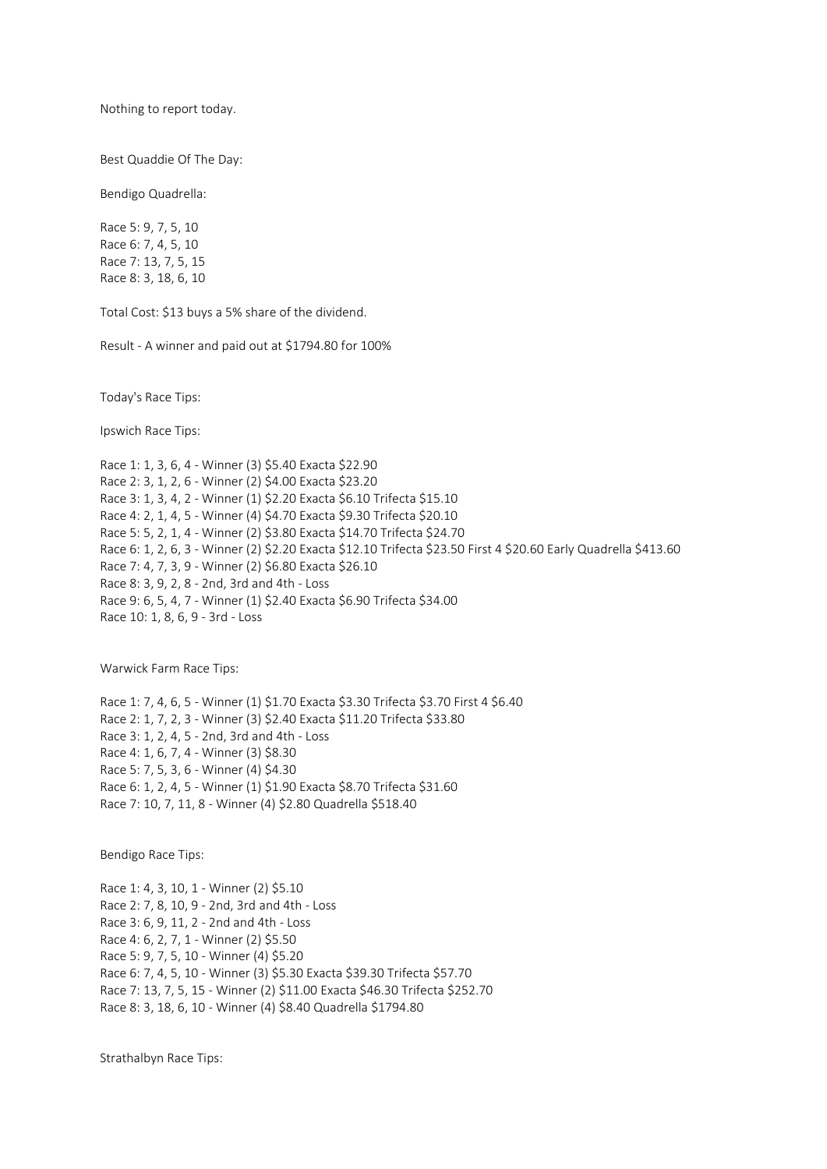Nothing to report today.

Best Quaddie Of The Day:

Bendigo Quadrella:

Race 5: 9, 7, 5, 10 Race 6: 7, 4, 5, 10 Race 7: 13, 7, 5, 15 Race 8: 3, 18, 6, 10

Total Cost: \$13 buys a 5% share of the dividend.

Result - A winner and paid out at \$1794.80 for 100%

Today's Race Tips:

Ipswich Race Tips:

Race 1: 1, 3, 6, 4 - Winner (3) \$5.40 Exacta \$22.90 Race 2: 3, 1, 2, 6 - Winner (2) \$4.00 Exacta \$23.20 Race 3: 1, 3, 4, 2 - Winner (1) \$2.20 Exacta \$6.10 Trifecta \$15.10 Race 4: 2, 1, 4, 5 - Winner (4) \$4.70 Exacta \$9.30 Trifecta \$20.10 Race 5: 5, 2, 1, 4 - Winner (2) \$3.80 Exacta \$14.70 Trifecta \$24.70 Race 6: 1, 2, 6, 3 - Winner (2) \$2.20 Exacta \$12.10 Trifecta \$23.50 First 4 \$20.60 Early Quadrella \$413.60 Race 7: 4, 7, 3, 9 - Winner (2) \$6.80 Exacta \$26.10 Race 8: 3, 9, 2, 8 - 2nd, 3rd and 4th - Loss Race 9: 6, 5, 4, 7 - Winner (1) \$2.40 Exacta \$6.90 Trifecta \$34.00 Race 10: 1, 8, 6, 9 - 3rd - Loss

Warwick Farm Race Tips:

Race 1: 7, 4, 6, 5 - Winner (1) \$1.70 Exacta \$3.30 Trifecta \$3.70 First 4 \$6.40 Race 2: 1, 7, 2, 3 - Winner (3) \$2.40 Exacta \$11.20 Trifecta \$33.80 Race 3: 1, 2, 4, 5 - 2nd, 3rd and 4th - Loss Race 4: 1, 6, 7, 4 - Winner (3) \$8.30 Race 5: 7, 5, 3, 6 - Winner (4) \$4.30 Race 6: 1, 2, 4, 5 - Winner (1) \$1.90 Exacta \$8.70 Trifecta \$31.60 Race 7: 10, 7, 11, 8 - Winner (4) \$2.80 Quadrella \$518.40

Bendigo Race Tips:

Race 1: 4, 3, 10, 1 - Winner (2) \$5.10 Race 2: 7, 8, 10, 9 - 2nd, 3rd and 4th - Loss Race 3: 6, 9, 11, 2 - 2nd and 4th - Loss Race 4: 6, 2, 7, 1 - Winner (2) \$5.50 Race 5: 9, 7, 5, 10 - Winner (4) \$5.20 Race 6: 7, 4, 5, 10 - Winner (3) \$5.30 Exacta \$39.30 Trifecta \$57.70 Race 7: 13, 7, 5, 15 - Winner (2) \$11.00 Exacta \$46.30 Trifecta \$252.70 Race 8: 3, 18, 6, 10 - Winner (4) \$8.40 Quadrella \$1794.80

Strathalbyn Race Tips: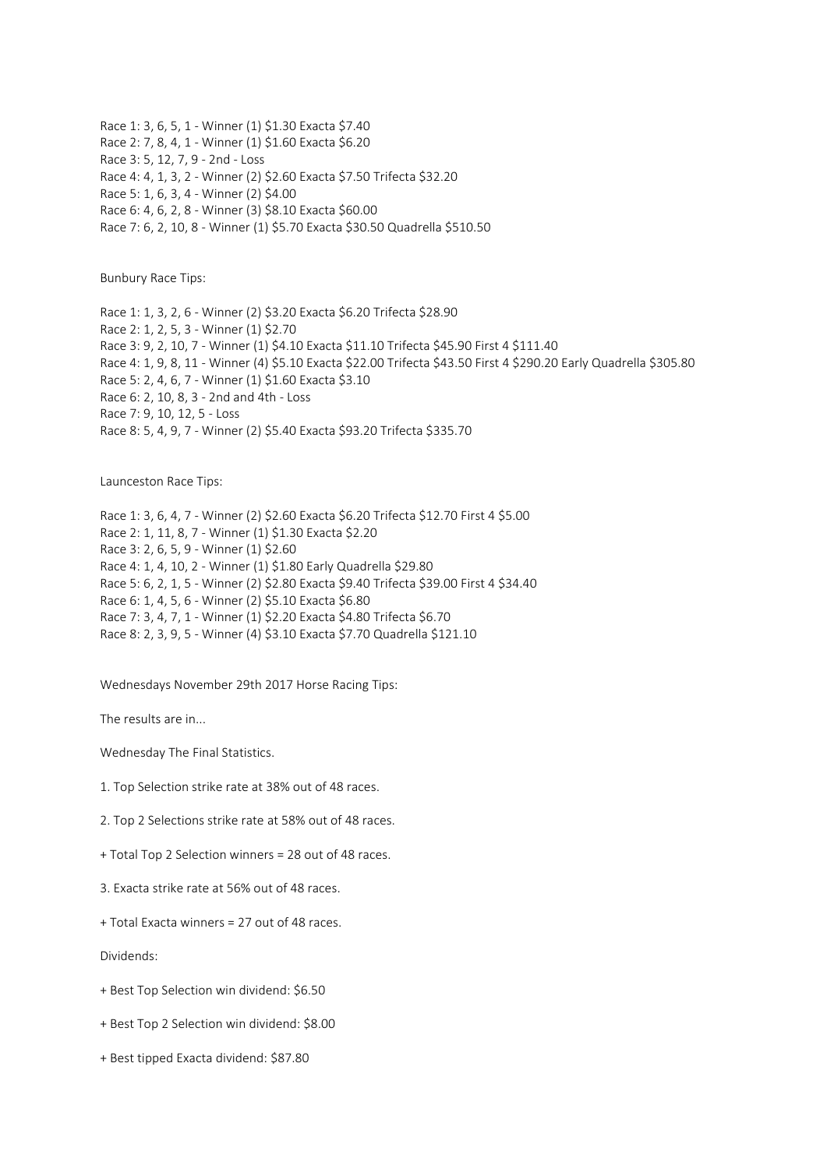Race 1: 3, 6, 5, 1 - Winner (1) \$1.30 Exacta \$7.40 Race 2: 7, 8, 4, 1 - Winner (1) \$1.60 Exacta \$6.20 Race 3: 5, 12, 7, 9 - 2nd - Loss Race 4: 4, 1, 3, 2 - Winner (2) \$2.60 Exacta \$7.50 Trifecta \$32.20 Race 5: 1, 6, 3, 4 - Winner (2) \$4.00 Race 6: 4, 6, 2, 8 - Winner (3) \$8.10 Exacta \$60.00 Race 7: 6, 2, 10, 8 - Winner (1) \$5.70 Exacta \$30.50 Quadrella \$510.50

Bunbury Race Tips:

Race 1: 1, 3, 2, 6 - Winner (2) \$3.20 Exacta \$6.20 Trifecta \$28.90 Race 2: 1, 2, 5, 3 - Winner (1) \$2.70 Race 3: 9, 2, 10, 7 - Winner (1) \$4.10 Exacta \$11.10 Trifecta \$45.90 First 4 \$111.40 Race 4: 1, 9, 8, 11 - Winner (4) \$5.10 Exacta \$22.00 Trifecta \$43.50 First 4 \$290.20 Early Quadrella \$305.80 Race 5: 2, 4, 6, 7 - Winner (1) \$1.60 Exacta \$3.10 Race 6: 2, 10, 8, 3 - 2nd and 4th - Loss Race 7: 9, 10, 12, 5 - Loss Race 8: 5, 4, 9, 7 - Winner (2) \$5.40 Exacta \$93.20 Trifecta \$335.70

Launceston Race Tips:

Race 1: 3, 6, 4, 7 - Winner (2) \$2.60 Exacta \$6.20 Trifecta \$12.70 First 4 \$5.00 Race 2: 1, 11, 8, 7 - Winner (1) \$1.30 Exacta \$2.20 Race 3: 2, 6, 5, 9 - Winner (1) \$2.60 Race 4: 1, 4, 10, 2 - Winner (1) \$1.80 Early Quadrella \$29.80 Race 5: 6, 2, 1, 5 - Winner (2) \$2.80 Exacta \$9.40 Trifecta \$39.00 First 4 \$34.40 Race 6: 1, 4, 5, 6 - Winner (2) \$5.10 Exacta \$6.80 Race 7: 3, 4, 7, 1 - Winner (1) \$2.20 Exacta \$4.80 Trifecta \$6.70 Race 8: 2, 3, 9, 5 - Winner (4) \$3.10 Exacta \$7.70 Quadrella \$121.10

Wednesdays November 29th 2017 Horse Racing Tips:

The results are in...

Wednesday The Final Statistics.

1. Top Selection strike rate at 38% out of 48 races.

2. Top 2 Selections strike rate at 58% out of 48 races.

+ Total Top 2 Selection winners = 28 out of 48 races.

3. Exacta strike rate at 56% out of 48 races.

+ Total Exacta winners = 27 out of 48 races.

Dividends:

- + Best Top Selection win dividend: \$6.50
- + Best Top 2 Selection win dividend: \$8.00
- + Best tipped Exacta dividend: \$87.80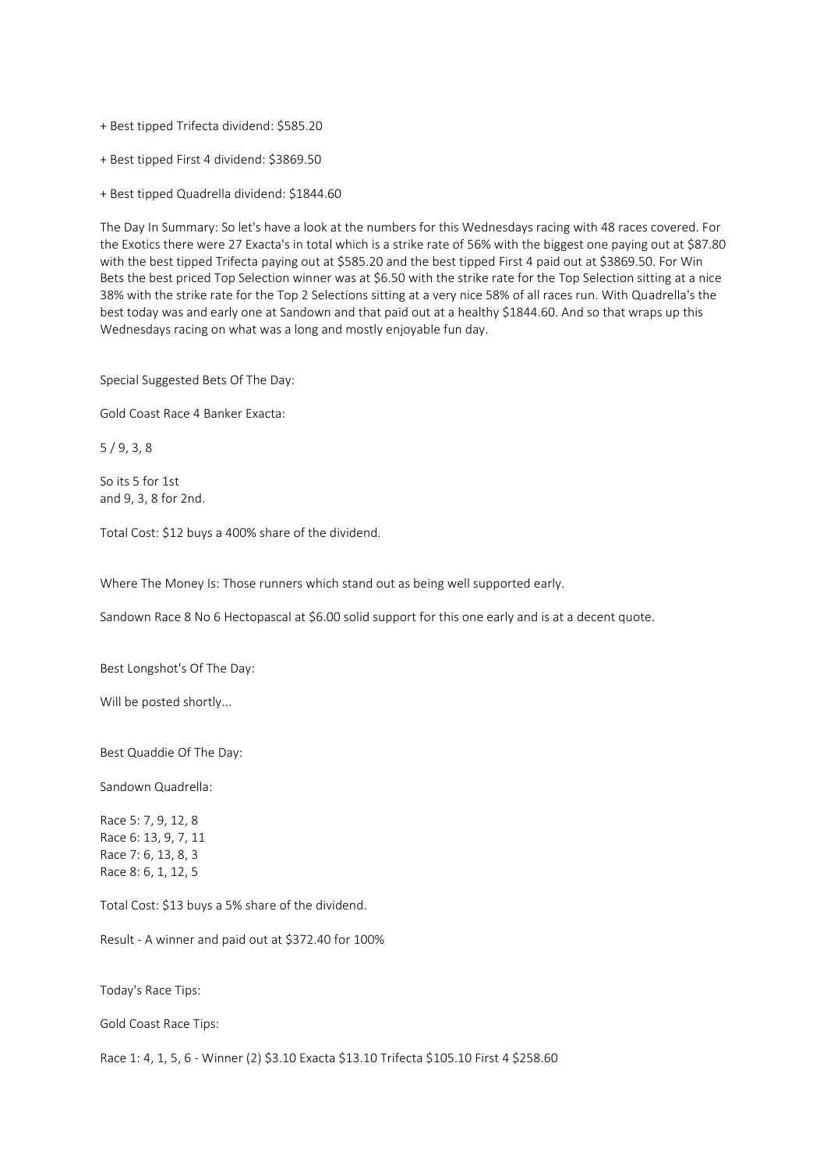+ Best tipped Trifecta dividend: \$585.20

+ Best tipped First 4 dividend: \$3869.50

+ Best tipped Quadrella dividend: \$1844.60

The Day In Summary: So let's have a look at the numbers for this Wednesdays racing with 48 races covered. For the Exotics there were 27 Exacta's in total which is a strike rate of 56% with the biggest one paying out at \$87.80 with the best tipped Trifecta paying out at \$585.20 and the best tipped First 4 paid out at \$3869.50. For Win Bets the best priced Top Selection winner was at \$6.50 with the strike rate for the Top Selection sitting at a nice 38% with the strike rate for the Top 2 Selections sitting at a very nice 58% of all races run. With Quadrella's the best today was and early one at Sandown and that paid out at a healthy \$1844.60. And so that wraps up this Wednesdays racing on what was a long and mostly enjoyable fun day.

Special Suggested Bets Of The Day:

Gold Coast Race 4 Banker Exacta:

5 / 9, 3, 8

So its 5 for 1st and 9, 3, 8 for 2nd.

Total Cost: \$12 buys a 400% share of the dividend.

Where The Money Is: Those runners which stand out as being well supported early.

Sandown Race 8 No 6 Hectopascal at \$6.00 solid support for this one early and is at a decent quote.

Best Longshot's Of The Day:

Will be posted shortly...

Best Quaddie Of The Day:

Sandown Quadrella:

Race 5: 7, 9, 12, 8 Race 6: 13, 9, 7, 11 Race 7: 6, 13, 8, 3 Race 8: 6, 1, 12, 5

Total Cost: \$13 buys a 5% share of the dividend.

Result - A winner and paid out at \$372.40 for 100%

Today's Race Tips:

Gold Coast Race Tips:

Race 1: 4, 1, 5, 6 - Winner (2) \$3.10 Exacta \$13.10 Trifecta \$105.10 First 4 \$258.60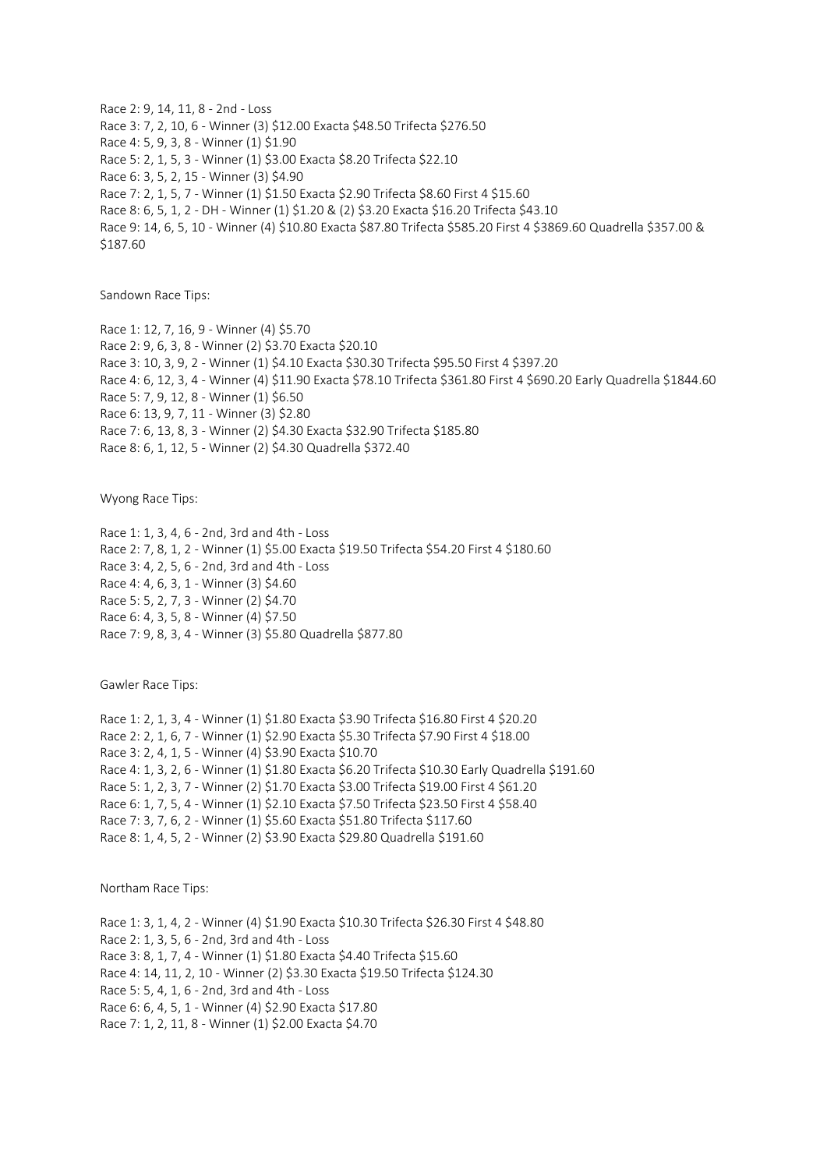Race 2: 9, 14, 11, 8 - 2nd - Loss Race 3: 7, 2, 10, 6 - Winner (3) \$12.00 Exacta \$48.50 Trifecta \$276.50 Race 4: 5, 9, 3, 8 - Winner (1) \$1.90 Race 5: 2, 1, 5, 3 - Winner (1) \$3.00 Exacta \$8.20 Trifecta \$22.10 Race 6: 3, 5, 2, 15 - Winner (3) \$4.90 Race 7: 2, 1, 5, 7 - Winner (1) \$1.50 Exacta \$2.90 Trifecta \$8.60 First 4 \$15.60 Race 8: 6, 5, 1, 2 - DH - Winner (1) \$1.20 & (2) \$3.20 Exacta \$16.20 Trifecta \$43.10 Race 9: 14, 6, 5, 10 - Winner (4) \$10.80 Exacta \$87.80 Trifecta \$585.20 First 4 \$3869.60 Quadrella \$357.00 & \$187.60

Sandown Race Tips:

Race 1: 12, 7, 16, 9 - Winner (4) \$5.70 Race 2: 9, 6, 3, 8 - Winner (2) \$3.70 Exacta \$20.10 Race 3: 10, 3, 9, 2 - Winner (1) \$4.10 Exacta \$30.30 Trifecta \$95.50 First 4 \$397.20 Race 4: 6, 12, 3, 4 - Winner (4) \$11.90 Exacta \$78.10 Trifecta \$361.80 First 4 \$690.20 Early Quadrella \$1844.60 Race 5: 7, 9, 12, 8 - Winner (1) \$6.50 Race 6: 13, 9, 7, 11 - Winner (3) \$2.80 Race 7: 6, 13, 8, 3 - Winner (2) \$4.30 Exacta \$32.90 Trifecta \$185.80 Race 8: 6, 1, 12, 5 - Winner (2) \$4.30 Quadrella \$372.40

Wyong Race Tips:

Race 1: 1, 3, 4, 6 - 2nd, 3rd and 4th - Loss Race 2: 7, 8, 1, 2 - Winner (1) \$5.00 Exacta \$19.50 Trifecta \$54.20 First 4 \$180.60 Race 3: 4, 2, 5, 6 - 2nd, 3rd and 4th - Loss Race 4: 4, 6, 3, 1 - Winner (3) \$4.60 Race 5: 5, 2, 7, 3 - Winner (2) \$4.70 Race 6: 4, 3, 5, 8 - Winner (4) \$7.50 Race 7: 9, 8, 3, 4 - Winner (3) \$5.80 Quadrella \$877.80

Gawler Race Tips:

Race 1: 2, 1, 3, 4 - Winner (1) \$1.80 Exacta \$3.90 Trifecta \$16.80 First 4 \$20.20 Race 2: 2, 1, 6, 7 - Winner (1) \$2.90 Exacta \$5.30 Trifecta \$7.90 First 4 \$18.00 Race 3: 2, 4, 1, 5 - Winner (4) \$3.90 Exacta \$10.70 Race 4: 1, 3, 2, 6 - Winner (1) \$1.80 Exacta \$6.20 Trifecta \$10.30 Early Quadrella \$191.60 Race 5: 1, 2, 3, 7 - Winner (2) \$1.70 Exacta \$3.00 Trifecta \$19.00 First 4 \$61.20 Race 6: 1, 7, 5, 4 - Winner (1) \$2.10 Exacta \$7.50 Trifecta \$23.50 First 4 \$58.40 Race 7: 3, 7, 6, 2 - Winner (1) \$5.60 Exacta \$51.80 Trifecta \$117.60 Race 8: 1, 4, 5, 2 - Winner (2) \$3.90 Exacta \$29.80 Quadrella \$191.60

Northam Race Tips:

Race 1: 3, 1, 4, 2 - Winner (4) \$1.90 Exacta \$10.30 Trifecta \$26.30 First 4 \$48.80 Race 2: 1, 3, 5, 6 - 2nd, 3rd and 4th - Loss Race 3: 8, 1, 7, 4 - Winner (1) \$1.80 Exacta \$4.40 Trifecta \$15.60 Race 4: 14, 11, 2, 10 - Winner (2) \$3.30 Exacta \$19.50 Trifecta \$124.30 Race 5: 5, 4, 1, 6 - 2nd, 3rd and 4th - Loss Race 6: 6, 4, 5, 1 - Winner (4) \$2.90 Exacta \$17.80 Race 7: 1, 2, 11, 8 - Winner (1) \$2.00 Exacta \$4.70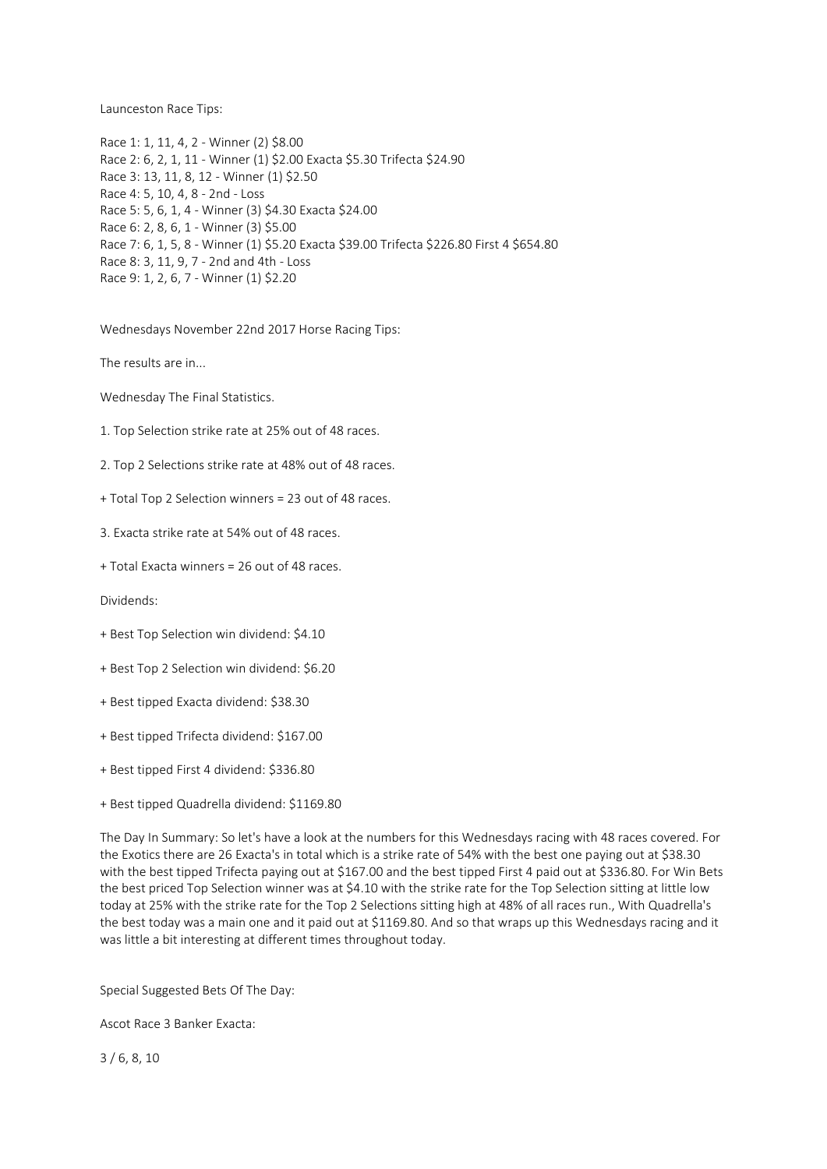Launceston Race Tips:

Race 1: 1, 11, 4, 2 - Winner (2) \$8.00 Race 2: 6, 2, 1, 11 - Winner (1) \$2.00 Exacta \$5.30 Trifecta \$24.90 Race 3: 13, 11, 8, 12 - Winner (1) \$2.50 Race 4: 5, 10, 4, 8 - 2nd - Loss Race 5: 5, 6, 1, 4 - Winner (3) \$4.30 Exacta \$24.00 Race 6: 2, 8, 6, 1 - Winner (3) \$5.00 Race 7: 6, 1, 5, 8 - Winner (1) \$5.20 Exacta \$39.00 Trifecta \$226.80 First 4 \$654.80 Race 8: 3, 11, 9, 7 - 2nd and 4th - Loss Race 9: 1, 2, 6, 7 - Winner (1) \$2.20

Wednesdays November 22nd 2017 Horse Racing Tips:

The results are in...

Wednesday The Final Statistics.

1. Top Selection strike rate at 25% out of 48 races.

2. Top 2 Selections strike rate at 48% out of 48 races.

+ Total Top 2 Selection winners = 23 out of 48 races.

3. Exacta strike rate at 54% out of 48 races.

+ Total Exacta winners = 26 out of 48 races.

Dividends:

- + Best Top Selection win dividend: \$4.10
- + Best Top 2 Selection win dividend: \$6.20
- + Best tipped Exacta dividend: \$38.30
- + Best tipped Trifecta dividend: \$167.00
- + Best tipped First 4 dividend: \$336.80
- + Best tipped Quadrella dividend: \$1169.80

The Day In Summary: So let's have a look at the numbers for this Wednesdays racing with 48 races covered. For the Exotics there are 26 Exacta's in total which is a strike rate of 54% with the best one paying out at \$38.30 with the best tipped Trifecta paying out at \$167.00 and the best tipped First 4 paid out at \$336.80. For Win Bets the best priced Top Selection winner was at \$4.10 with the strike rate for the Top Selection sitting at little low today at 25% with the strike rate for the Top 2 Selections sitting high at 48% of all races run., With Quadrella's the best today was a main one and it paid out at \$1169.80. And so that wraps up this Wednesdays racing and it was little a bit interesting at different times throughout today.

Special Suggested Bets Of The Day:

Ascot Race 3 Banker Exacta:

3 / 6, 8, 10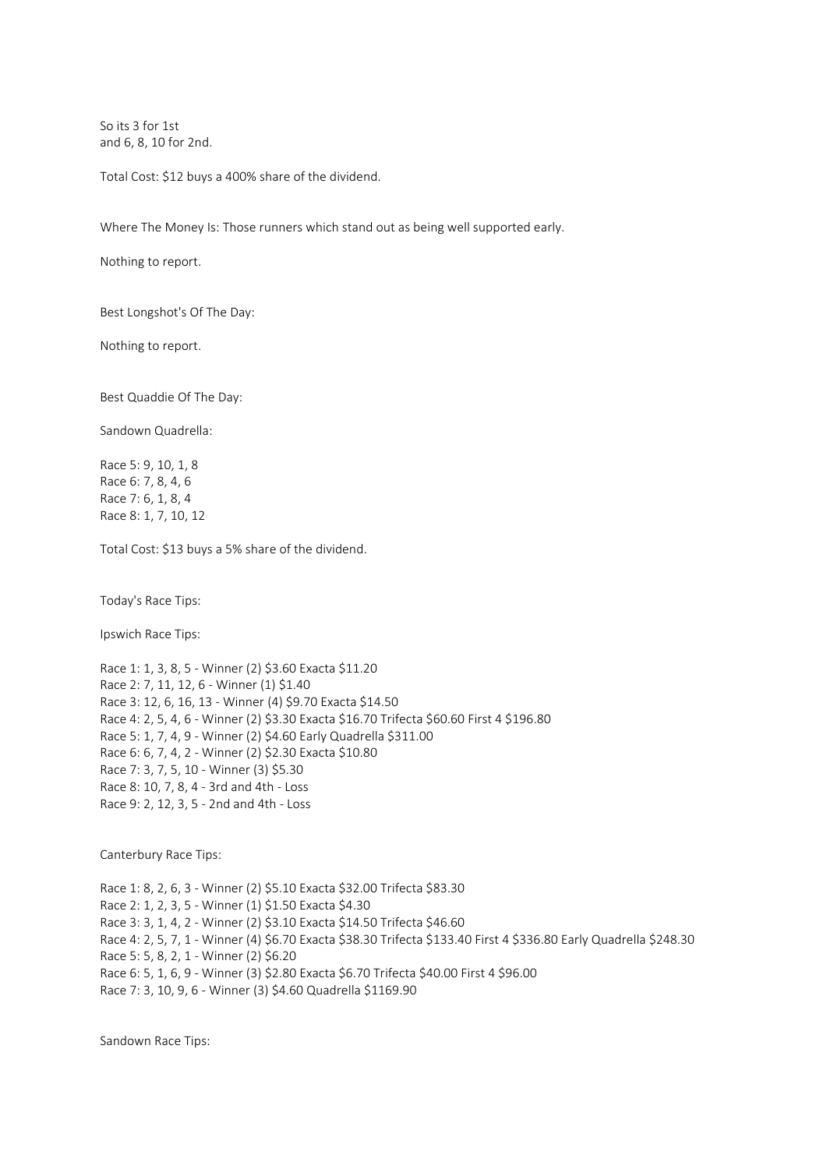So its 3 for 1st and 6, 8, 10 for 2nd.

Total Cost: \$12 buys a 400% share of the dividend.

Where The Money Is: Those runners which stand out as being well supported early.

Nothing to report.

Best Longshot's Of The Day:

Nothing to report.

Best Quaddie Of The Day:

Sandown Quadrella:

Race 5: 9, 10, 1, 8 Race 6: 7, 8, 4, 6 Race 7: 6, 1, 8, 4 Race 8: 1, 7, 10, 12

Total Cost: \$13 buys a 5% share of the dividend.

Today's Race Tips:

Ipswich Race Tips:

Race 1: 1, 3, 8, 5 - Winner (2) \$3.60 Exacta \$11.20 Race 2: 7, 11, 12, 6 - Winner (1) \$1.40 Race 3: 12, 6, 16, 13 - Winner (4) \$9.70 Exacta \$14.50 Race 4: 2, 5, 4, 6 - Winner (2) \$3.30 Exacta \$16.70 Trifecta \$60.60 First 4 \$196.80 Race 5: 1, 7, 4, 9 - Winner (2) \$4.60 Early Quadrella \$311.00 Race 6: 6, 7, 4, 2 - Winner (2) \$2.30 Exacta \$10.80 Race 7: 3, 7, 5, 10 - Winner (3) \$5.30 Race 8: 10, 7, 8, 4 - 3rd and 4th - Loss Race 9: 2, 12, 3, 5 - 2nd and 4th - Loss

Canterbury Race Tips:

Race 1: 8, 2, 6, 3 - Winner (2) \$5.10 Exacta \$32.00 Trifecta \$83.30 Race 2: 1, 2, 3, 5 - Winner (1) \$1.50 Exacta \$4.30 Race 3: 3, 1, 4, 2 - Winner (2) \$3.10 Exacta \$14.50 Trifecta \$46.60 Race 4: 2, 5, 7, 1 - Winner (4) \$6.70 Exacta \$38.30 Trifecta \$133.40 First 4 \$336.80 Early Quadrella \$248.30 Race 5: 5, 8, 2, 1 - Winner (2) \$6.20 Race 6: 5, 1, 6, 9 - Winner (3) \$2.80 Exacta \$6.70 Trifecta \$40.00 First 4 \$96.00 Race 7: 3, 10, 9, 6 - Winner (3) \$4.60 Quadrella \$1169.90

Sandown Race Tips: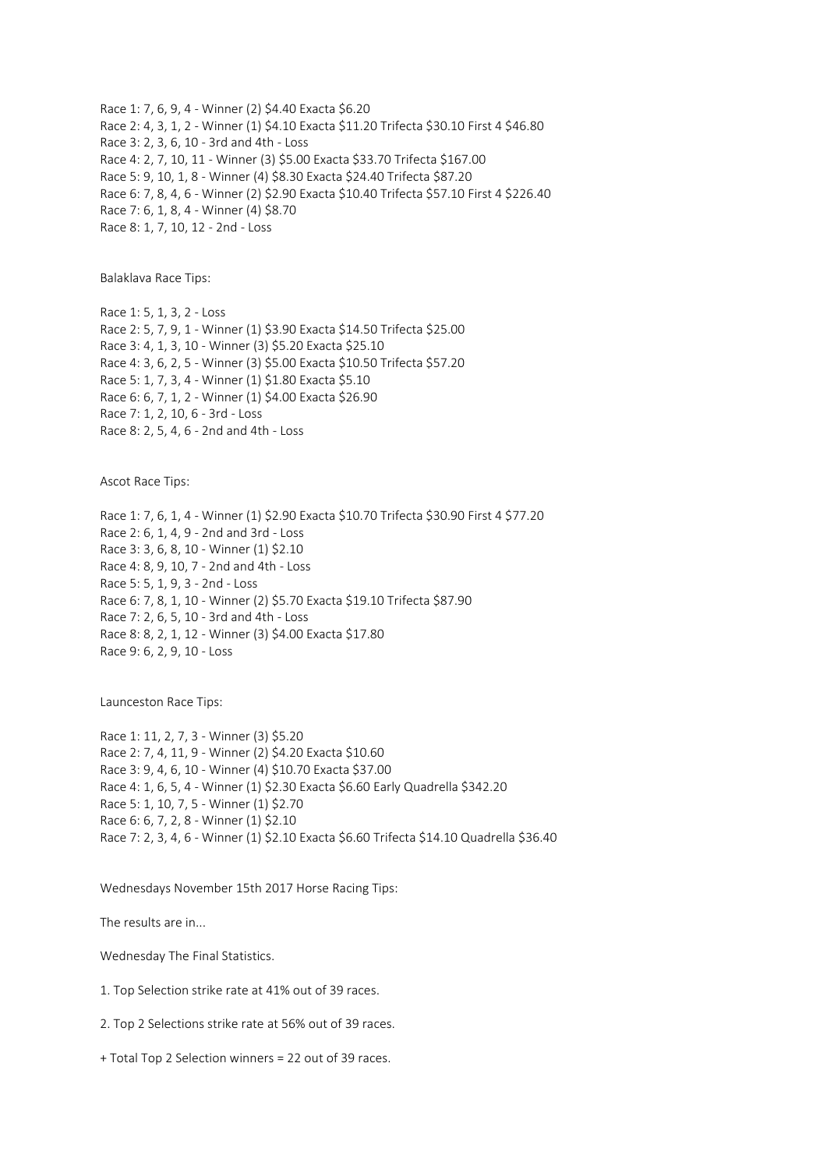Race 1: 7, 6, 9, 4 - Winner (2) \$4.40 Exacta \$6.20 Race 2: 4, 3, 1, 2 - Winner (1) \$4.10 Exacta \$11.20 Trifecta \$30.10 First 4 \$46.80 Race 3: 2, 3, 6, 10 - 3rd and 4th - Loss Race 4: 2, 7, 10, 11 - Winner (3) \$5.00 Exacta \$33.70 Trifecta \$167.00 Race 5: 9, 10, 1, 8 - Winner (4) \$8.30 Exacta \$24.40 Trifecta \$87.20 Race 6: 7, 8, 4, 6 - Winner (2) \$2.90 Exacta \$10.40 Trifecta \$57.10 First 4 \$226.40 Race 7: 6, 1, 8, 4 - Winner (4) \$8.70 Race 8: 1, 7, 10, 12 - 2nd - Loss

Balaklava Race Tips:

Race 1: 5, 1, 3, 2 - Loss Race 2: 5, 7, 9, 1 - Winner (1) \$3.90 Exacta \$14.50 Trifecta \$25.00 Race 3: 4, 1, 3, 10 - Winner (3) \$5.20 Exacta \$25.10 Race 4: 3, 6, 2, 5 - Winner (3) \$5.00 Exacta \$10.50 Trifecta \$57.20 Race 5: 1, 7, 3, 4 - Winner (1) \$1.80 Exacta \$5.10 Race 6: 6, 7, 1, 2 - Winner (1) \$4.00 Exacta \$26.90 Race 7: 1, 2, 10, 6 - 3rd - Loss Race 8: 2, 5, 4, 6 - 2nd and 4th - Loss

Ascot Race Tips:

Race 1: 7, 6, 1, 4 - Winner (1) \$2.90 Exacta \$10.70 Trifecta \$30.90 First 4 \$77.20 Race 2: 6, 1, 4, 9 - 2nd and 3rd - Loss Race 3: 3, 6, 8, 10 - Winner (1) \$2.10 Race 4: 8, 9, 10, 7 - 2nd and 4th - Loss Race 5: 5, 1, 9, 3 - 2nd - Loss Race 6: 7, 8, 1, 10 - Winner (2) \$5.70 Exacta \$19.10 Trifecta \$87.90 Race 7: 2, 6, 5, 10 - 3rd and 4th - Loss Race 8: 8, 2, 1, 12 - Winner (3) \$4.00 Exacta \$17.80 Race 9: 6, 2, 9, 10 - Loss

Launceston Race Tips:

Race 1: 11, 2, 7, 3 - Winner (3) \$5.20 Race 2: 7, 4, 11, 9 - Winner (2) \$4.20 Exacta \$10.60 Race 3: 9, 4, 6, 10 - Winner (4) \$10.70 Exacta \$37.00 Race 4: 1, 6, 5, 4 - Winner (1) \$2.30 Exacta \$6.60 Early Quadrella \$342.20 Race 5: 1, 10, 7, 5 - Winner (1) \$2.70 Race 6: 6, 7, 2, 8 - Winner (1) \$2.10 Race 7: 2, 3, 4, 6 - Winner (1) \$2.10 Exacta \$6.60 Trifecta \$14.10 Quadrella \$36.40

Wednesdays November 15th 2017 Horse Racing Tips:

The results are in...

Wednesday The Final Statistics.

1. Top Selection strike rate at 41% out of 39 races.

2. Top 2 Selections strike rate at 56% out of 39 races.

+ Total Top 2 Selection winners = 22 out of 39 races.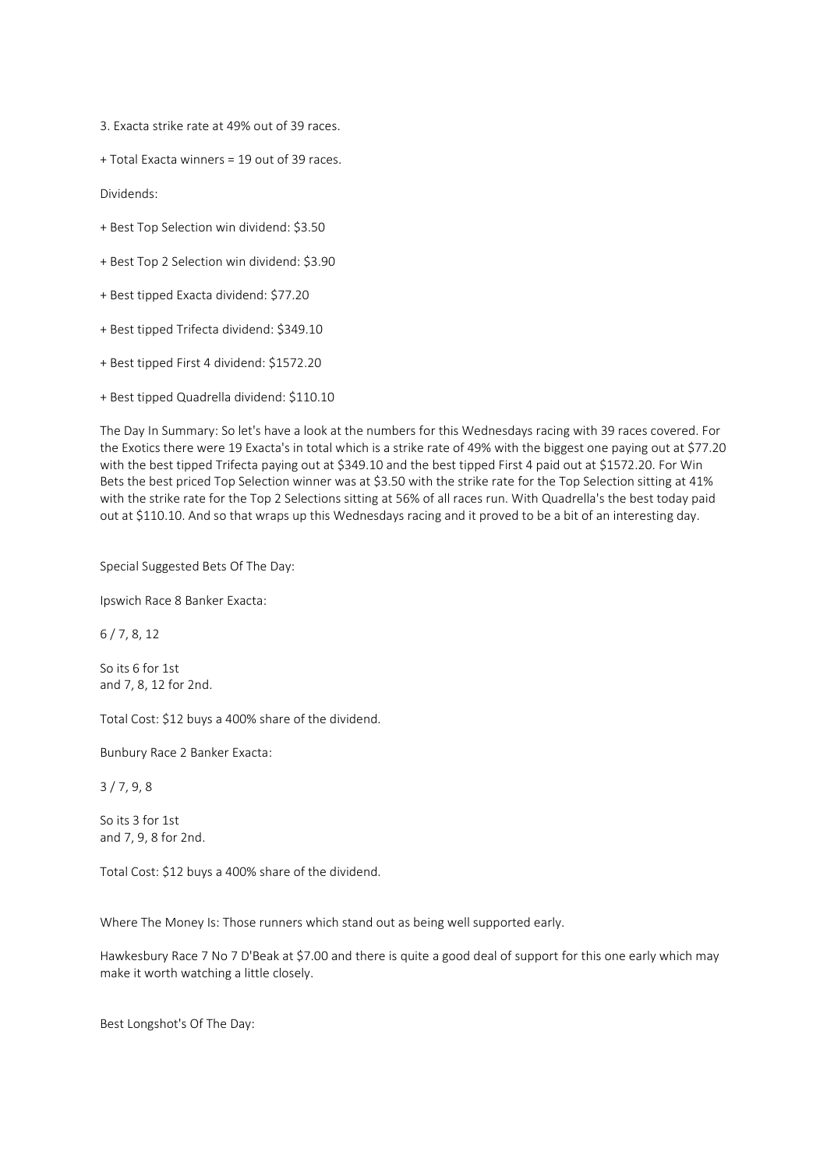3. Exacta strike rate at 49% out of 39 races.

+ Total Exacta winners = 19 out of 39 races.

Dividends:

- + Best Top Selection win dividend: \$3.50
- + Best Top 2 Selection win dividend: \$3.90
- + Best tipped Exacta dividend: \$77.20
- + Best tipped Trifecta dividend: \$349.10
- + Best tipped First 4 dividend: \$1572.20
- + Best tipped Quadrella dividend: \$110.10

The Day In Summary: So let's have a look at the numbers for this Wednesdays racing with 39 races covered. For the Exotics there were 19 Exacta's in total which is a strike rate of 49% with the biggest one paying out at \$77.20 with the best tipped Trifecta paying out at \$349.10 and the best tipped First 4 paid out at \$1572.20. For Win Bets the best priced Top Selection winner was at \$3.50 with the strike rate for the Top Selection sitting at 41% with the strike rate for the Top 2 Selections sitting at 56% of all races run. With Quadrella's the best today paid out at \$110.10. And so that wraps up this Wednesdays racing and it proved to be a bit of an interesting day.

Special Suggested Bets Of The Day:

Ipswich Race 8 Banker Exacta:

6 / 7, 8, 12

So its 6 for 1st and 7, 8, 12 for 2nd.

Total Cost: \$12 buys a 400% share of the dividend.

Bunbury Race 2 Banker Exacta:

3 / 7, 9, 8

So its 3 for 1st and 7, 9, 8 for 2nd.

Total Cost: \$12 buys a 400% share of the dividend.

Where The Money Is: Those runners which stand out as being well supported early.

Hawkesbury Race 7 No 7 D'Beak at \$7.00 and there is quite a good deal of support for this one early which may make it worth watching a little closely.

Best Longshot's Of The Day: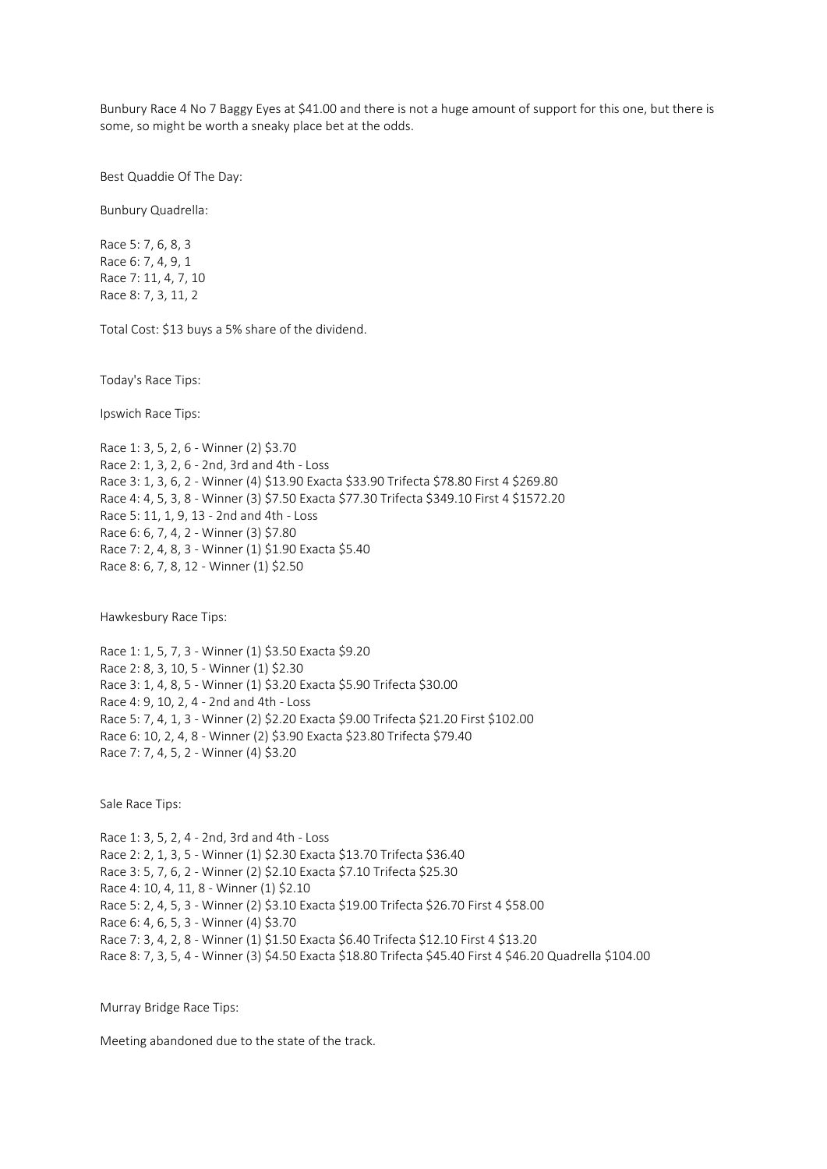Bunbury Race 4 No 7 Baggy Eyes at \$41.00 and there is not a huge amount of support for this one, but there is some, so might be worth a sneaky place bet at the odds.

Best Quaddie Of The Day:

Bunbury Quadrella:

Race 5: 7, 6, 8, 3 Race 6: 7, 4, 9, 1 Race 7: 11, 4, 7, 10 Race 8: 7, 3, 11, 2

Total Cost: \$13 buys a 5% share of the dividend.

Today's Race Tips:

Ipswich Race Tips:

Race 1: 3, 5, 2, 6 - Winner (2) \$3.70 Race 2: 1, 3, 2, 6 - 2nd, 3rd and 4th - Loss Race 3: 1, 3, 6, 2 - Winner (4) \$13.90 Exacta \$33.90 Trifecta \$78.80 First 4 \$269.80 Race 4: 4, 5, 3, 8 - Winner (3) \$7.50 Exacta \$77.30 Trifecta \$349.10 First 4 \$1572.20 Race 5: 11, 1, 9, 13 - 2nd and 4th - Loss Race 6: 6, 7, 4, 2 - Winner (3) \$7.80 Race 7: 2, 4, 8, 3 - Winner (1) \$1.90 Exacta \$5.40 Race 8: 6, 7, 8, 12 - Winner (1) \$2.50

Hawkesbury Race Tips:

Race 1: 1, 5, 7, 3 - Winner (1) \$3.50 Exacta \$9.20 Race 2: 8, 3, 10, 5 - Winner (1) \$2.30 Race 3: 1, 4, 8, 5 - Winner (1) \$3.20 Exacta \$5.90 Trifecta \$30.00 Race 4: 9, 10, 2, 4 - 2nd and 4th - Loss Race 5: 7, 4, 1, 3 - Winner (2) \$2.20 Exacta \$9.00 Trifecta \$21.20 First \$102.00 Race 6: 10, 2, 4, 8 - Winner (2) \$3.90 Exacta \$23.80 Trifecta \$79.40 Race 7: 7, 4, 5, 2 - Winner (4) \$3.20

Sale Race Tips:

Race 1: 3, 5, 2, 4 - 2nd, 3rd and 4th - Loss Race 2: 2, 1, 3, 5 - Winner (1) \$2.30 Exacta \$13.70 Trifecta \$36.40 Race 3: 5, 7, 6, 2 - Winner (2) \$2.10 Exacta \$7.10 Trifecta \$25.30 Race 4: 10, 4, 11, 8 - Winner (1) \$2.10 Race 5: 2, 4, 5, 3 - Winner (2) \$3.10 Exacta \$19.00 Trifecta \$26.70 First 4 \$58.00 Race 6: 4, 6, 5, 3 - Winner (4) \$3.70 Race 7: 3, 4, 2, 8 - Winner (1) \$1.50 Exacta \$6.40 Trifecta \$12.10 First 4 \$13.20 Race 8: 7, 3, 5, 4 - Winner (3) \$4.50 Exacta \$18.80 Trifecta \$45.40 First 4 \$46.20 Quadrella \$104.00

Murray Bridge Race Tips:

Meeting abandoned due to the state of the track.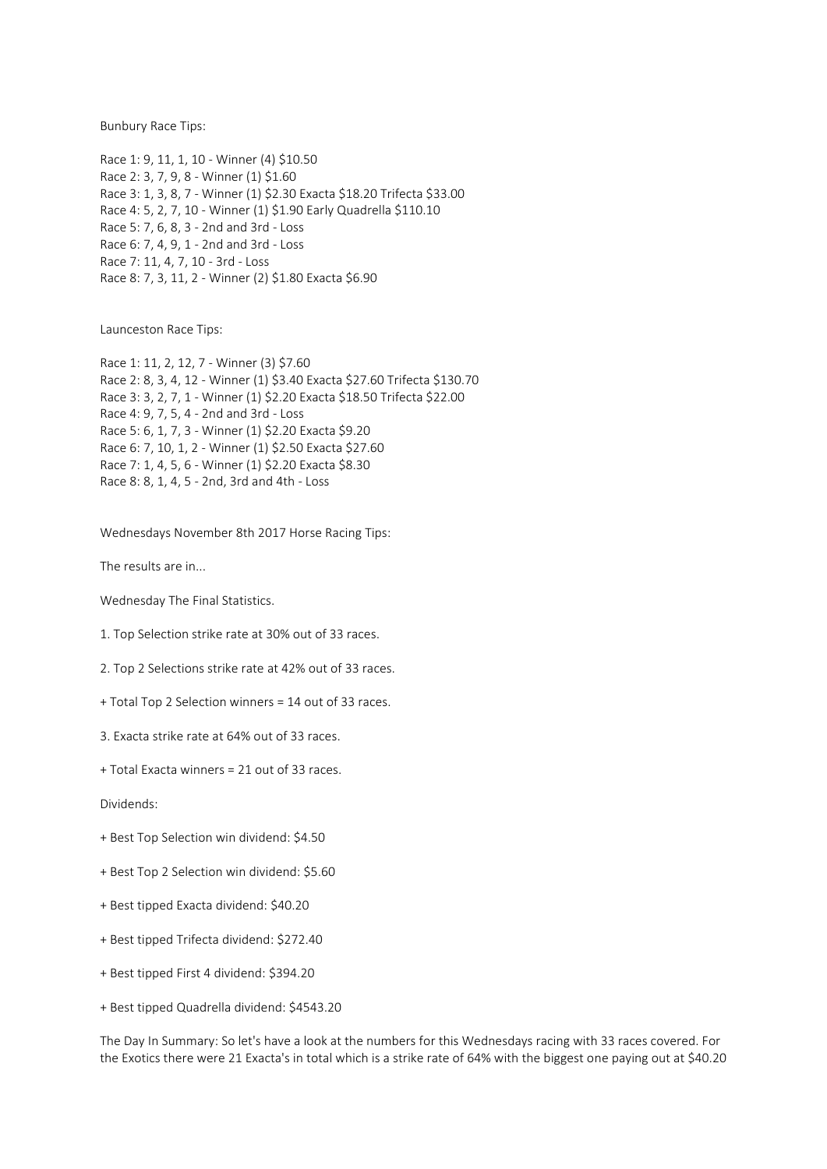Bunbury Race Tips:

Race 1: 9, 11, 1, 10 - Winner (4) \$10.50 Race 2: 3, 7, 9, 8 - Winner (1) \$1.60 Race 3: 1, 3, 8, 7 - Winner (1) \$2.30 Exacta \$18.20 Trifecta \$33.00 Race 4: 5, 2, 7, 10 - Winner (1) \$1.90 Early Quadrella \$110.10 Race 5: 7, 6, 8, 3 - 2nd and 3rd - Loss Race 6: 7, 4, 9, 1 - 2nd and 3rd - Loss Race 7: 11, 4, 7, 10 - 3rd - Loss Race 8: 7, 3, 11, 2 - Winner (2) \$1.80 Exacta \$6.90

Launceston Race Tips:

Race 1: 11, 2, 12, 7 - Winner (3) \$7.60 Race 2: 8, 3, 4, 12 - Winner (1) \$3.40 Exacta \$27.60 Trifecta \$130.70 Race 3: 3, 2, 7, 1 - Winner (1) \$2.20 Exacta \$18.50 Trifecta \$22.00 Race 4: 9, 7, 5, 4 - 2nd and 3rd - Loss Race 5: 6, 1, 7, 3 - Winner (1) \$2.20 Exacta \$9.20 Race 6: 7, 10, 1, 2 - Winner (1) \$2.50 Exacta \$27.60 Race 7: 1, 4, 5, 6 - Winner (1) \$2.20 Exacta \$8.30 Race 8: 8, 1, 4, 5 - 2nd, 3rd and 4th - Loss

Wednesdays November 8th 2017 Horse Racing Tips:

The results are in...

Wednesday The Final Statistics.

1. Top Selection strike rate at 30% out of 33 races.

2. Top 2 Selections strike rate at 42% out of 33 races.

+ Total Top 2 Selection winners = 14 out of 33 races.

3. Exacta strike rate at 64% out of 33 races.

+ Total Exacta winners = 21 out of 33 races.

Dividends:

- + Best Top Selection win dividend: \$4.50
- + Best Top 2 Selection win dividend: \$5.60
- + Best tipped Exacta dividend: \$40.20
- + Best tipped Trifecta dividend: \$272.40
- + Best tipped First 4 dividend: \$394.20
- + Best tipped Quadrella dividend: \$4543.20

The Day In Summary: So let's have a look at the numbers for this Wednesdays racing with 33 races covered. For the Exotics there were 21 Exacta's in total which is a strike rate of 64% with the biggest one paying out at \$40.20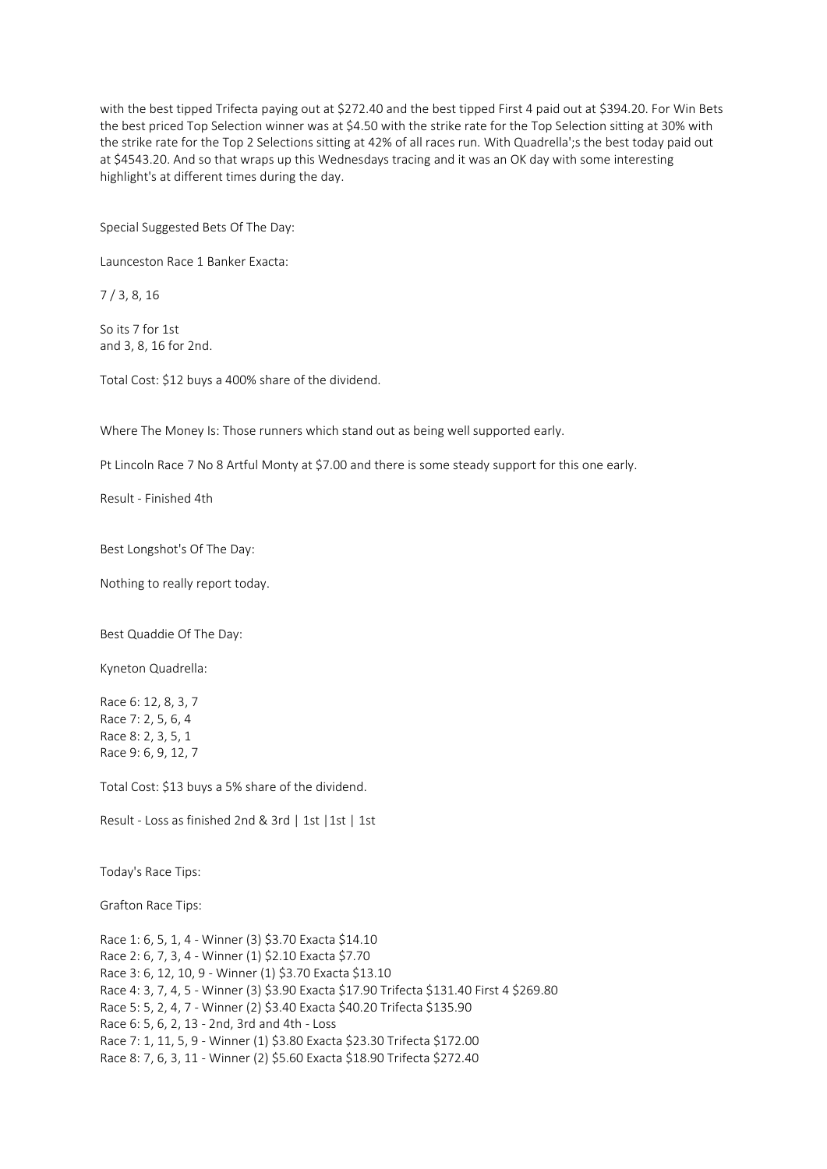with the best tipped Trifecta paying out at \$272.40 and the best tipped First 4 paid out at \$394.20. For Win Bets the best priced Top Selection winner was at \$4.50 with the strike rate for the Top Selection sitting at 30% with the strike rate for the Top 2 Selections sitting at 42% of all races run. With Quadrella';s the best today paid out at \$4543.20. And so that wraps up this Wednesdays tracing and it was an OK day with some interesting highlight's at different times during the day.

Special Suggested Bets Of The Day:

Launceston Race 1 Banker Exacta:

7 / 3, 8, 16

So its 7 for 1st and 3, 8, 16 for 2nd.

Total Cost: \$12 buys a 400% share of the dividend.

Where The Money Is: Those runners which stand out as being well supported early.

Pt Lincoln Race 7 No 8 Artful Monty at \$7.00 and there is some steady support for this one early.

Result - Finished 4th

Best Longshot's Of The Day:

Nothing to really report today.

Best Quaddie Of The Day:

Kyneton Quadrella:

Race 6: 12, 8, 3, 7 Race 7: 2, 5, 6, 4 Race 8: 2, 3, 5, 1 Race 9: 6, 9, 12, 7

Total Cost: \$13 buys a 5% share of the dividend.

Result - Loss as finished 2nd & 3rd | 1st |1st | 1st

Today's Race Tips:

Grafton Race Tips:

Race 1: 6, 5, 1, 4 - Winner (3) \$3.70 Exacta \$14.10 Race 2: 6, 7, 3, 4 - Winner (1) \$2.10 Exacta \$7.70 Race 3: 6, 12, 10, 9 - Winner (1) \$3.70 Exacta \$13.10 Race 4: 3, 7, 4, 5 - Winner (3) \$3.90 Exacta \$17.90 Trifecta \$131.40 First 4 \$269.80 Race 5: 5, 2, 4, 7 - Winner (2) \$3.40 Exacta \$40.20 Trifecta \$135.90 Race 6: 5, 6, 2, 13 - 2nd, 3rd and 4th - Loss Race 7: 1, 11, 5, 9 - Winner (1) \$3.80 Exacta \$23.30 Trifecta \$172.00 Race 8: 7, 6, 3, 11 - Winner (2) \$5.60 Exacta \$18.90 Trifecta \$272.40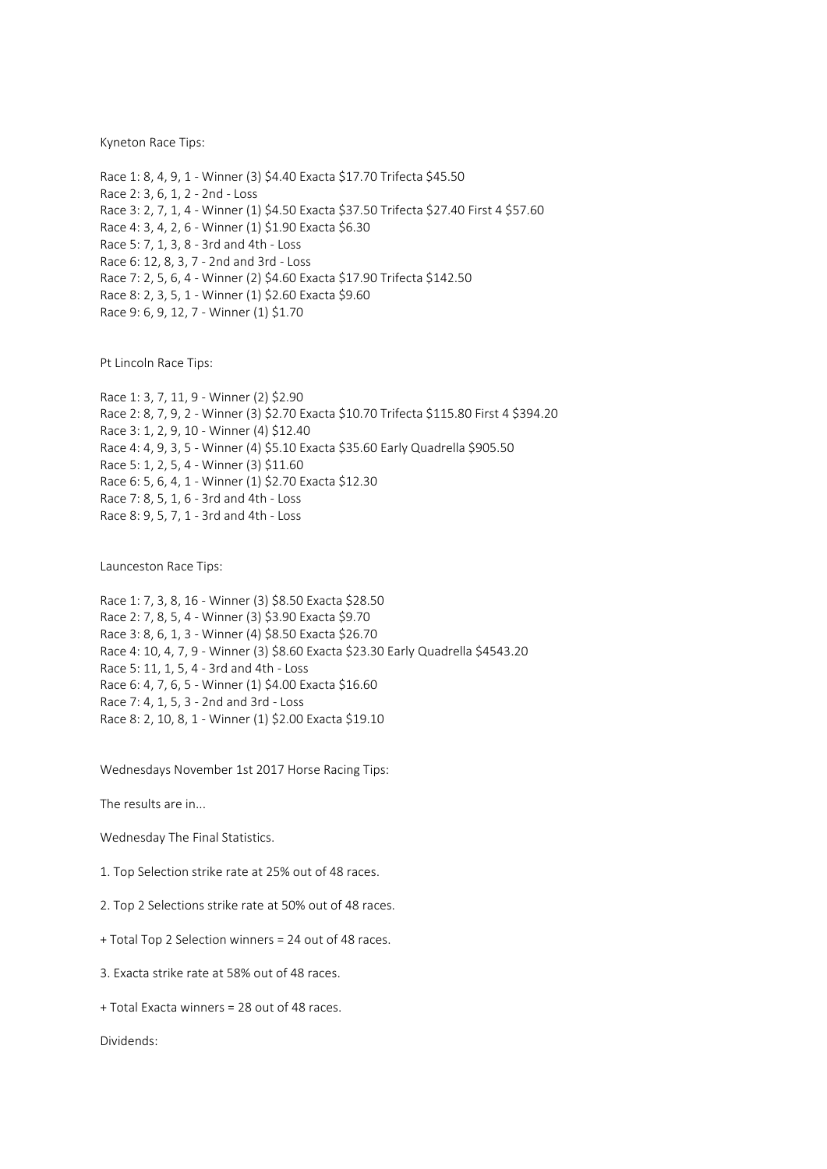Kyneton Race Tips:

Race 1: 8, 4, 9, 1 - Winner (3) \$4.40 Exacta \$17.70 Trifecta \$45.50 Race 2: 3, 6, 1, 2 - 2nd - Loss Race 3: 2, 7, 1, 4 - Winner (1) \$4.50 Exacta \$37.50 Trifecta \$27.40 First 4 \$57.60 Race 4: 3, 4, 2, 6 - Winner (1) \$1.90 Exacta \$6.30 Race 5: 7, 1, 3, 8 - 3rd and 4th - Loss Race 6: 12, 8, 3, 7 - 2nd and 3rd - Loss Race 7: 2, 5, 6, 4 - Winner (2) \$4.60 Exacta \$17.90 Trifecta \$142.50 Race 8: 2, 3, 5, 1 - Winner (1) \$2.60 Exacta \$9.60 Race 9: 6, 9, 12, 7 - Winner (1) \$1.70

Pt Lincoln Race Tips:

Race 1: 3, 7, 11, 9 - Winner (2) \$2.90 Race 2: 8, 7, 9, 2 - Winner (3) \$2.70 Exacta \$10.70 Trifecta \$115.80 First 4 \$394.20 Race 3: 1, 2, 9, 10 - Winner (4) \$12.40 Race 4: 4, 9, 3, 5 - Winner (4) \$5.10 Exacta \$35.60 Early Quadrella \$905.50 Race 5: 1, 2, 5, 4 - Winner (3) \$11.60 Race 6: 5, 6, 4, 1 - Winner (1) \$2.70 Exacta \$12.30 Race 7: 8, 5, 1, 6 - 3rd and 4th - Loss Race 8: 9, 5, 7, 1 - 3rd and 4th - Loss

Launceston Race Tips:

Race 1: 7, 3, 8, 16 - Winner (3) \$8.50 Exacta \$28.50 Race 2: 7, 8, 5, 4 - Winner (3) \$3.90 Exacta \$9.70 Race 3: 8, 6, 1, 3 - Winner (4) \$8.50 Exacta \$26.70 Race 4: 10, 4, 7, 9 - Winner (3) \$8.60 Exacta \$23.30 Early Quadrella \$4543.20 Race 5: 11, 1, 5, 4 - 3rd and 4th - Loss Race 6: 4, 7, 6, 5 - Winner (1) \$4.00 Exacta \$16.60 Race 7: 4, 1, 5, 3 - 2nd and 3rd - Loss Race 8: 2, 10, 8, 1 - Winner (1) \$2.00 Exacta \$19.10

Wednesdays November 1st 2017 Horse Racing Tips:

The results are in...

Wednesday The Final Statistics.

1. Top Selection strike rate at 25% out of 48 races.

2. Top 2 Selections strike rate at 50% out of 48 races.

+ Total Top 2 Selection winners = 24 out of 48 races.

3. Exacta strike rate at 58% out of 48 races.

+ Total Exacta winners = 28 out of 48 races.

Dividends: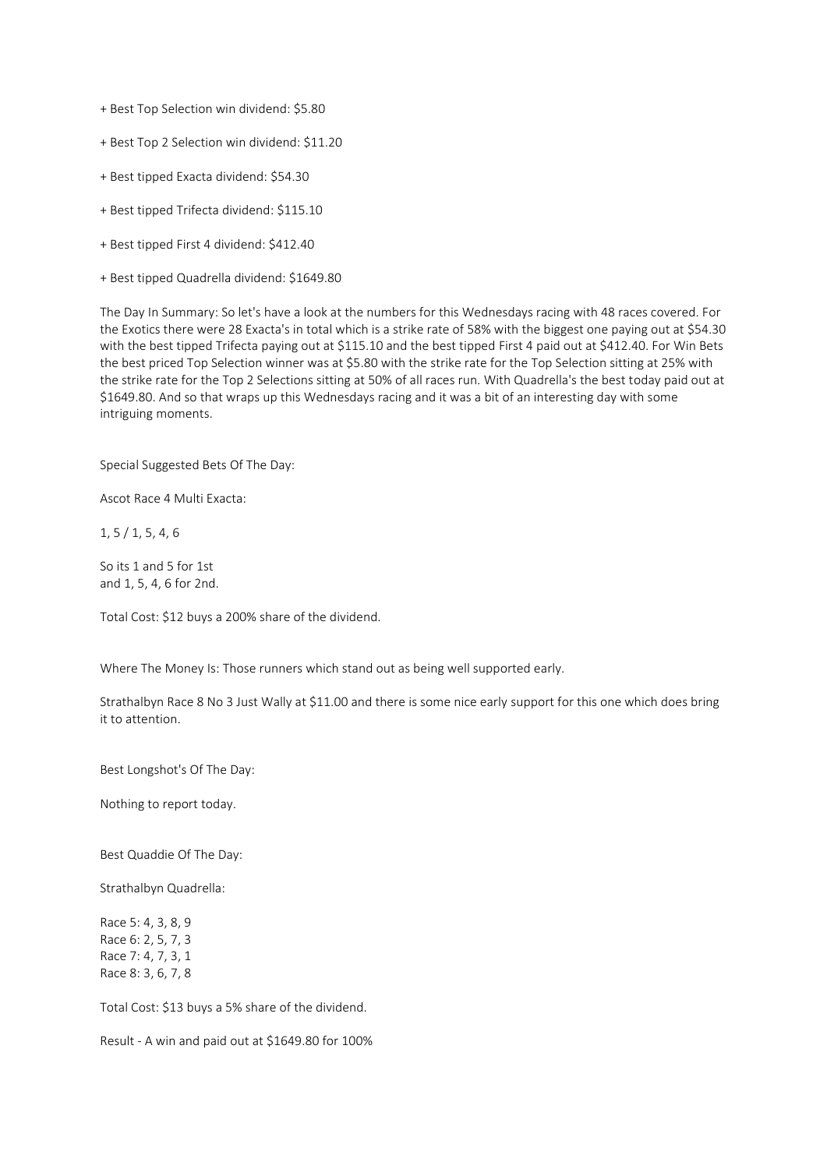- + Best Top Selection win dividend: \$5.80
- + Best Top 2 Selection win dividend: \$11.20
- + Best tipped Exacta dividend: \$54.30
- + Best tipped Trifecta dividend: \$115.10
- + Best tipped First 4 dividend: \$412.40
- + Best tipped Quadrella dividend: \$1649.80

The Day In Summary: So let's have a look at the numbers for this Wednesdays racing with 48 races covered. For the Exotics there were 28 Exacta's in total which is a strike rate of 58% with the biggest one paying out at \$54.30 with the best tipped Trifecta paying out at \$115.10 and the best tipped First 4 paid out at \$412.40. For Win Bets the best priced Top Selection winner was at \$5.80 with the strike rate for the Top Selection sitting at 25% with the strike rate for the Top 2 Selections sitting at 50% of all races run. With Quadrella's the best today paid out at \$1649.80. And so that wraps up this Wednesdays racing and it was a bit of an interesting day with some intriguing moments.

Special Suggested Bets Of The Day:

Ascot Race 4 Multi Exacta:

1, 5 / 1, 5, 4, 6

So its 1 and 5 for 1st and 1, 5, 4, 6 for 2nd.

Total Cost: \$12 buys a 200% share of the dividend.

Where The Money Is: Those runners which stand out as being well supported early.

Strathalbyn Race 8 No 3 Just Wally at \$11.00 and there is some nice early support for this one which does bring it to attention.

Best Longshot's Of The Day:

Nothing to report today.

Best Quaddie Of The Day:

Strathalbyn Quadrella:

Race 5: 4, 3, 8, 9 Race 6: 2, 5, 7, 3 Race 7: 4, 7, 3, 1 Race 8: 3, 6, 7, 8

Total Cost: \$13 buys a 5% share of the dividend.

Result - A win and paid out at \$1649.80 for 100%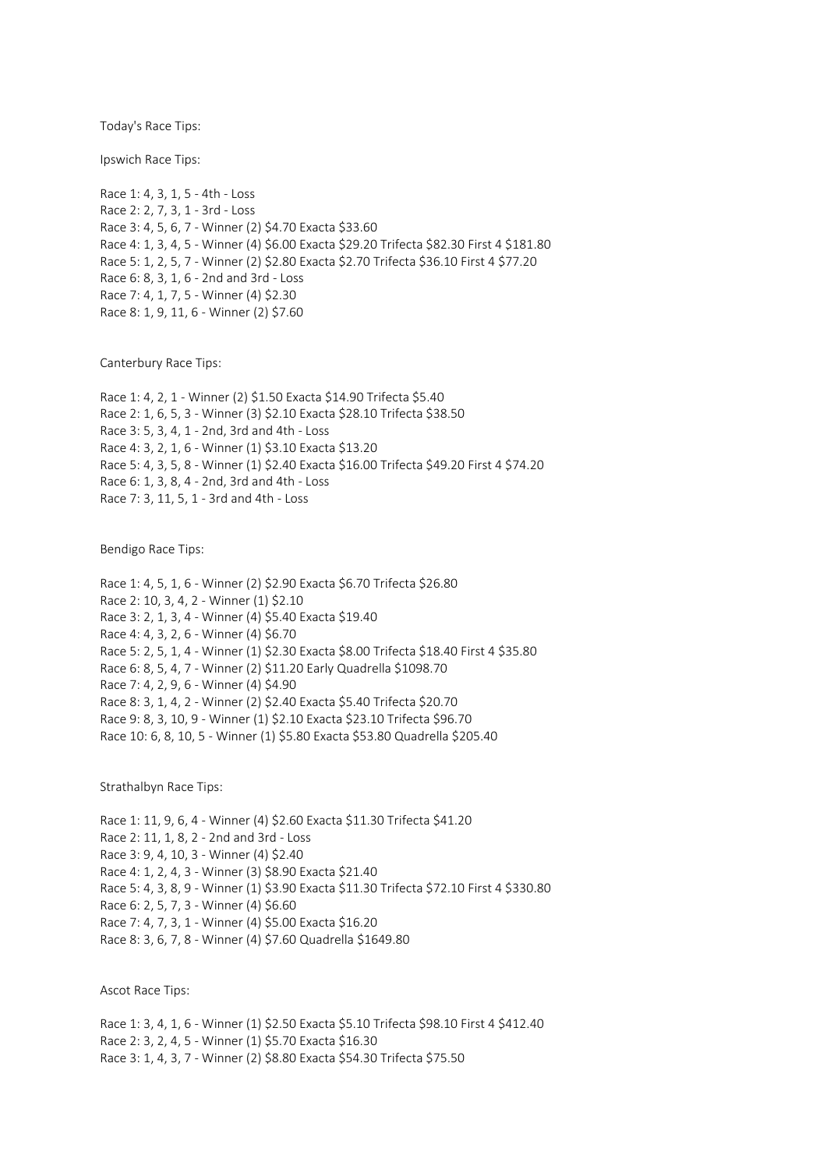Today's Race Tips:

Ipswich Race Tips:

Race 1: 4, 3, 1, 5 - 4th - Loss Race 2: 2, 7, 3, 1 - 3rd - Loss Race 3: 4, 5, 6, 7 - Winner (2) \$4.70 Exacta \$33.60 Race 4: 1, 3, 4, 5 - Winner (4) \$6.00 Exacta \$29.20 Trifecta \$82.30 First 4 \$181.80 Race 5: 1, 2, 5, 7 - Winner (2) \$2.80 Exacta \$2.70 Trifecta \$36.10 First 4 \$77.20 Race 6: 8, 3, 1, 6 - 2nd and 3rd - Loss Race 7: 4, 1, 7, 5 - Winner (4) \$2.30 Race 8: 1, 9, 11, 6 - Winner (2) \$7.60

Canterbury Race Tips:

Race 1: 4, 2, 1 - Winner (2) \$1.50 Exacta \$14.90 Trifecta \$5.40 Race 2: 1, 6, 5, 3 - Winner (3) \$2.10 Exacta \$28.10 Trifecta \$38.50 Race 3: 5, 3, 4, 1 - 2nd, 3rd and 4th - Loss Race 4: 3, 2, 1, 6 - Winner (1) \$3.10 Exacta \$13.20 Race 5: 4, 3, 5, 8 - Winner (1) \$2.40 Exacta \$16.00 Trifecta \$49.20 First 4 \$74.20 Race 6: 1, 3, 8, 4 - 2nd, 3rd and 4th - Loss Race 7: 3, 11, 5, 1 - 3rd and 4th - Loss

Bendigo Race Tips:

Race 1: 4, 5, 1, 6 - Winner (2) \$2.90 Exacta \$6.70 Trifecta \$26.80 Race 2: 10, 3, 4, 2 - Winner (1) \$2.10 Race 3: 2, 1, 3, 4 - Winner (4) \$5.40 Exacta \$19.40 Race 4: 4, 3, 2, 6 - Winner (4) \$6.70 Race 5: 2, 5, 1, 4 - Winner (1) \$2.30 Exacta \$8.00 Trifecta \$18.40 First 4 \$35.80 Race 6: 8, 5, 4, 7 - Winner (2) \$11.20 Early Quadrella \$1098.70 Race 7: 4, 2, 9, 6 - Winner (4) \$4.90 Race 8: 3, 1, 4, 2 - Winner (2) \$2.40 Exacta \$5.40 Trifecta \$20.70 Race 9: 8, 3, 10, 9 - Winner (1) \$2.10 Exacta \$23.10 Trifecta \$96.70 Race 10: 6, 8, 10, 5 - Winner (1) \$5.80 Exacta \$53.80 Quadrella \$205.40

Strathalbyn Race Tips:

Race 1: 11, 9, 6, 4 - Winner (4) \$2.60 Exacta \$11.30 Trifecta \$41.20 Race 2: 11, 1, 8, 2 - 2nd and 3rd - Loss Race 3: 9, 4, 10, 3 - Winner (4) \$2.40 Race 4: 1, 2, 4, 3 - Winner (3) \$8.90 Exacta \$21.40 Race 5: 4, 3, 8, 9 - Winner (1) \$3.90 Exacta \$11.30 Trifecta \$72.10 First 4 \$330.80 Race 6: 2, 5, 7, 3 - Winner (4) \$6.60 Race 7: 4, 7, 3, 1 - Winner (4) \$5.00 Exacta \$16.20 Race 8: 3, 6, 7, 8 - Winner (4) \$7.60 Quadrella \$1649.80

Ascot Race Tips:

Race 1: 3, 4, 1, 6 - Winner (1) \$2.50 Exacta \$5.10 Trifecta \$98.10 First 4 \$412.40 Race 2: 3, 2, 4, 5 - Winner (1) \$5.70 Exacta \$16.30 Race 3: 1, 4, 3, 7 - Winner (2) \$8.80 Exacta \$54.30 Trifecta \$75.50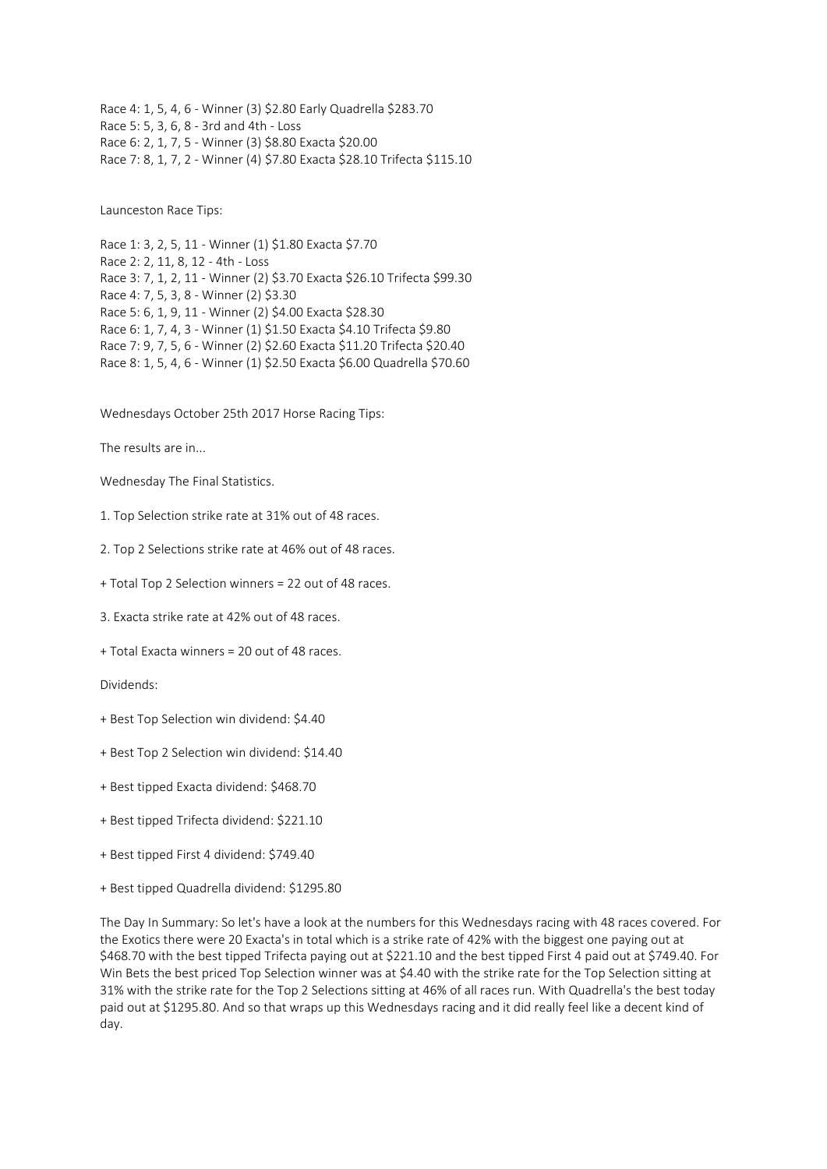Race 4: 1, 5, 4, 6 - Winner (3) \$2.80 Early Quadrella \$283.70 Race 5: 5, 3, 6, 8 - 3rd and 4th - Loss Race 6: 2, 1, 7, 5 - Winner (3) \$8.80 Exacta \$20.00 Race 7: 8, 1, 7, 2 - Winner (4) \$7.80 Exacta \$28.10 Trifecta \$115.10

Launceston Race Tips:

Race 1: 3, 2, 5, 11 - Winner (1) \$1.80 Exacta \$7.70 Race 2: 2, 11, 8, 12 - 4th - Loss Race 3: 7, 1, 2, 11 - Winner (2) \$3.70 Exacta \$26.10 Trifecta \$99.30 Race 4: 7, 5, 3, 8 - Winner (2) \$3.30 Race 5: 6, 1, 9, 11 - Winner (2) \$4.00 Exacta \$28.30 Race 6: 1, 7, 4, 3 - Winner (1) \$1.50 Exacta \$4.10 Trifecta \$9.80 Race 7: 9, 7, 5, 6 - Winner (2) \$2.60 Exacta \$11.20 Trifecta \$20.40 Race 8: 1, 5, 4, 6 - Winner (1) \$2.50 Exacta \$6.00 Quadrella \$70.60

Wednesdays October 25th 2017 Horse Racing Tips:

The results are in...

Wednesday The Final Statistics.

1. Top Selection strike rate at 31% out of 48 races.

2. Top 2 Selections strike rate at 46% out of 48 races.

+ Total Top 2 Selection winners = 22 out of 48 races.

3. Exacta strike rate at 42% out of 48 races.

+ Total Exacta winners = 20 out of 48 races.

Dividends:

- + Best Top Selection win dividend: \$4.40
- + Best Top 2 Selection win dividend: \$14.40
- + Best tipped Exacta dividend: \$468.70
- + Best tipped Trifecta dividend: \$221.10
- + Best tipped First 4 dividend: \$749.40
- + Best tipped Quadrella dividend: \$1295.80

The Day In Summary: So let's have a look at the numbers for this Wednesdays racing with 48 races covered. For the Exotics there were 20 Exacta's in total which is a strike rate of 42% with the biggest one paying out at \$468.70 with the best tipped Trifecta paying out at \$221.10 and the best tipped First 4 paid out at \$749.40. For Win Bets the best priced Top Selection winner was at \$4.40 with the strike rate for the Top Selection sitting at 31% with the strike rate for the Top 2 Selections sitting at 46% of all races run. With Quadrella's the best today paid out at \$1295.80. And so that wraps up this Wednesdays racing and it did really feel like a decent kind of day.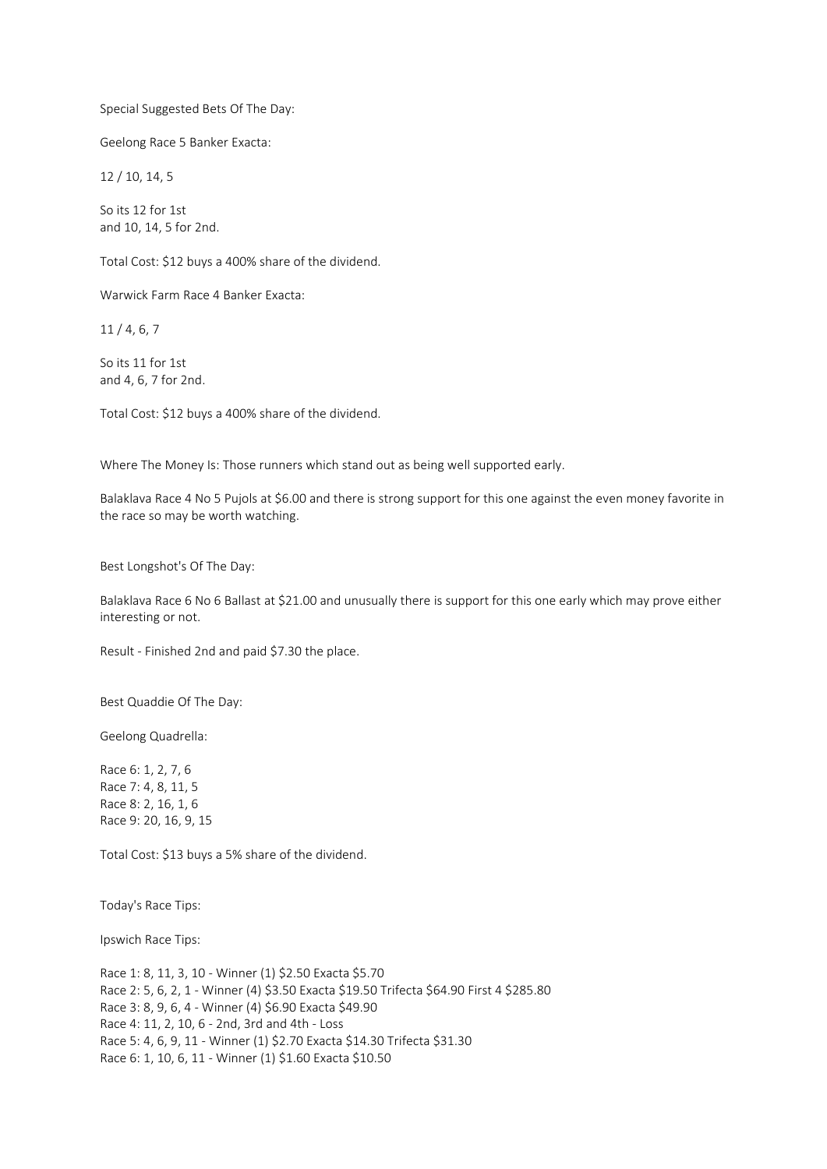Special Suggested Bets Of The Day:

Geelong Race 5 Banker Exacta:

12 / 10, 14, 5

So its 12 for 1st and 10, 14, 5 for 2nd.

Total Cost: \$12 buys a 400% share of the dividend.

Warwick Farm Race 4 Banker Exacta:

11 / 4, 6, 7

So its 11 for 1st and 4, 6, 7 for 2nd.

Total Cost: \$12 buys a 400% share of the dividend.

Where The Money Is: Those runners which stand out as being well supported early.

Balaklava Race 4 No 5 Pujols at \$6.00 and there is strong support for this one against the even money favorite in the race so may be worth watching.

Best Longshot's Of The Day:

Balaklava Race 6 No 6 Ballast at \$21.00 and unusually there is support for this one early which may prove either interesting or not.

Result - Finished 2nd and paid \$7.30 the place.

Best Quaddie Of The Day:

Geelong Quadrella:

Race 6: 1, 2, 7, 6 Race 7: 4, 8, 11, 5 Race 8: 2, 16, 1, 6 Race 9: 20, 16, 9, 15

Total Cost: \$13 buys a 5% share of the dividend.

Today's Race Tips:

Ipswich Race Tips:

Race 1: 8, 11, 3, 10 - Winner (1) \$2.50 Exacta \$5.70 Race 2: 5, 6, 2, 1 - Winner (4) \$3.50 Exacta \$19.50 Trifecta \$64.90 First 4 \$285.80 Race 3: 8, 9, 6, 4 - Winner (4) \$6.90 Exacta \$49.90 Race 4: 11, 2, 10, 6 - 2nd, 3rd and 4th - Loss Race 5: 4, 6, 9, 11 - Winner (1) \$2.70 Exacta \$14.30 Trifecta \$31.30 Race 6: 1, 10, 6, 11 - Winner (1) \$1.60 Exacta \$10.50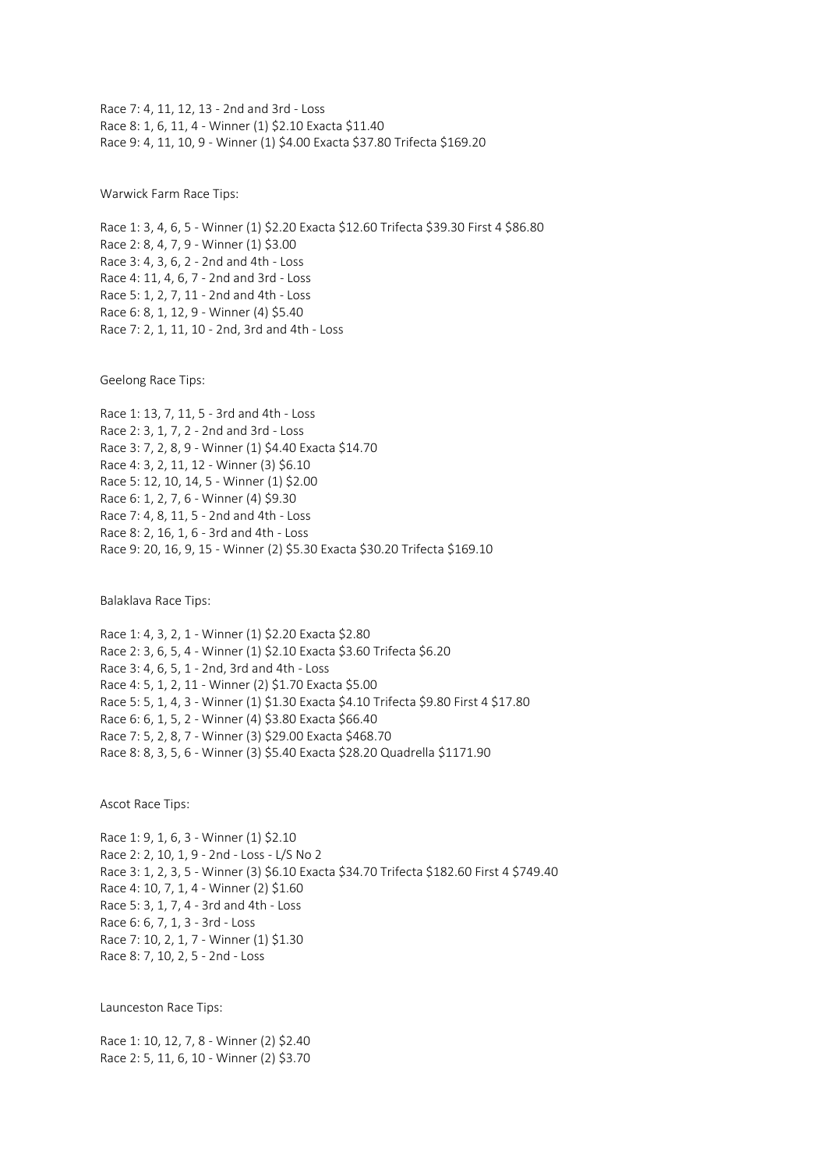Race 7: 4, 11, 12, 13 - 2nd and 3rd - Loss Race 8: 1, 6, 11, 4 - Winner (1) \$2.10 Exacta \$11.40 Race 9: 4, 11, 10, 9 - Winner (1) \$4.00 Exacta \$37.80 Trifecta \$169.20

Warwick Farm Race Tips:

Race 1: 3, 4, 6, 5 - Winner (1) \$2.20 Exacta \$12.60 Trifecta \$39.30 First 4 \$86.80 Race 2: 8, 4, 7, 9 - Winner (1) \$3.00 Race 3: 4, 3, 6, 2 - 2nd and 4th - Loss Race 4: 11, 4, 6, 7 - 2nd and 3rd - Loss Race 5: 1, 2, 7, 11 - 2nd and 4th - Loss Race 6: 8, 1, 12, 9 - Winner (4) \$5.40 Race 7: 2, 1, 11, 10 - 2nd, 3rd and 4th - Loss

Geelong Race Tips:

Race 1: 13, 7, 11, 5 - 3rd and 4th - Loss Race 2: 3, 1, 7, 2 - 2nd and 3rd - Loss Race 3: 7, 2, 8, 9 - Winner (1) \$4.40 Exacta \$14.70 Race 4: 3, 2, 11, 12 - Winner (3) \$6.10 Race 5: 12, 10, 14, 5 - Winner (1) \$2.00 Race 6: 1, 2, 7, 6 - Winner (4) \$9.30 Race 7: 4, 8, 11, 5 - 2nd and 4th - Loss Race 8: 2, 16, 1, 6 - 3rd and 4th - Loss Race 9: 20, 16, 9, 15 - Winner (2) \$5.30 Exacta \$30.20 Trifecta \$169.10

Balaklava Race Tips:

Race 1: 4, 3, 2, 1 - Winner (1) \$2.20 Exacta \$2.80 Race 2: 3, 6, 5, 4 - Winner (1) \$2.10 Exacta \$3.60 Trifecta \$6.20 Race 3: 4, 6, 5, 1 - 2nd, 3rd and 4th - Loss Race 4: 5, 1, 2, 11 - Winner (2) \$1.70 Exacta \$5.00 Race 5: 5, 1, 4, 3 - Winner (1) \$1.30 Exacta \$4.10 Trifecta \$9.80 First 4 \$17.80 Race 6: 6, 1, 5, 2 - Winner (4) \$3.80 Exacta \$66.40 Race 7: 5, 2, 8, 7 - Winner (3) \$29.00 Exacta \$468.70 Race 8: 8, 3, 5, 6 - Winner (3) \$5.40 Exacta \$28.20 Quadrella \$1171.90

Ascot Race Tips:

Race 1: 9, 1, 6, 3 - Winner (1) \$2.10 Race 2: 2, 10, 1, 9 - 2nd - Loss - L/S No 2 Race 3: 1, 2, 3, 5 - Winner (3) \$6.10 Exacta \$34.70 Trifecta \$182.60 First 4 \$749.40 Race 4: 10, 7, 1, 4 - Winner (2) \$1.60 Race 5: 3, 1, 7, 4 - 3rd and 4th - Loss Race 6: 6, 7, 1, 3 - 3rd - Loss Race 7: 10, 2, 1, 7 - Winner (1) \$1.30 Race 8: 7, 10, 2, 5 - 2nd - Loss

Launceston Race Tips:

Race 1: 10, 12, 7, 8 - Winner (2) \$2.40 Race 2: 5, 11, 6, 10 - Winner (2) \$3.70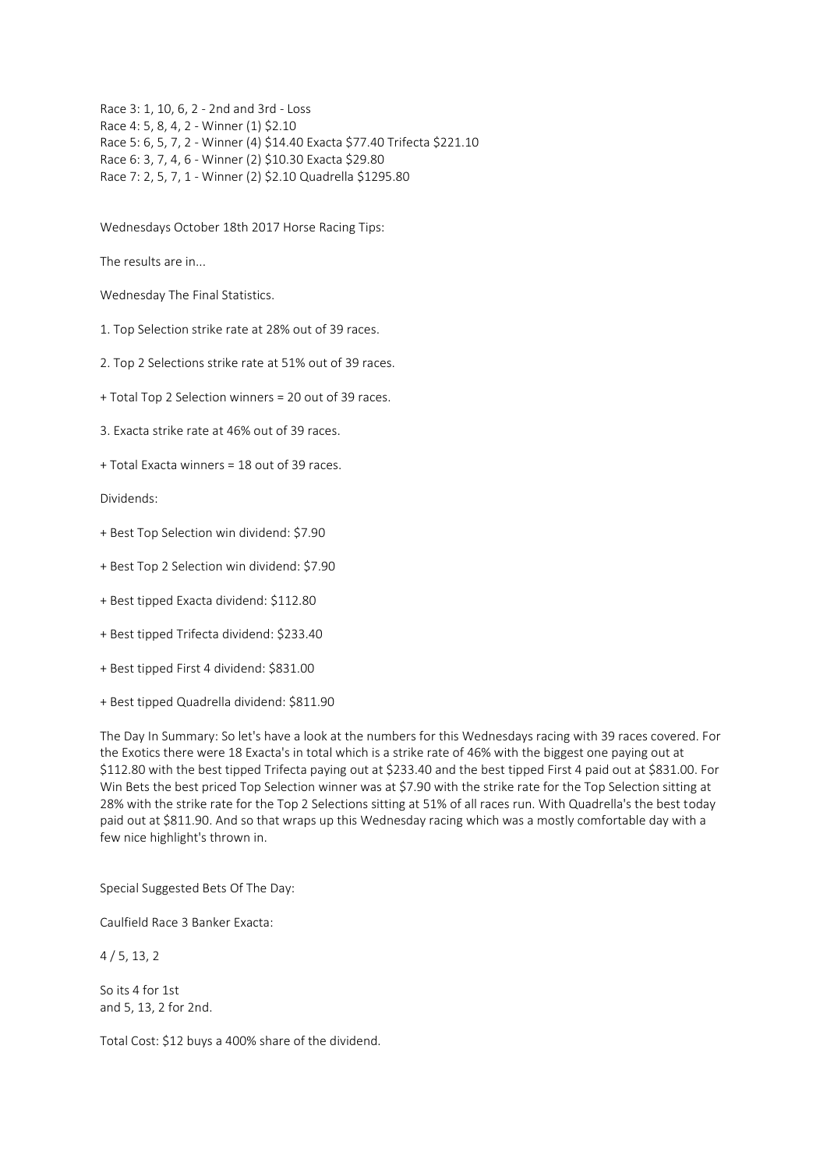Race 3: 1, 10, 6, 2 - 2nd and 3rd - Loss Race 4: 5, 8, 4, 2 - Winner (1) \$2.10 Race 5: 6, 5, 7, 2 - Winner (4) \$14.40 Exacta \$77.40 Trifecta \$221.10 Race 6: 3, 7, 4, 6 - Winner (2) \$10.30 Exacta \$29.80 Race 7: 2, 5, 7, 1 - Winner (2) \$2.10 Quadrella \$1295.80

Wednesdays October 18th 2017 Horse Racing Tips:

The results are in...

Wednesday The Final Statistics.

1. Top Selection strike rate at 28% out of 39 races.

2. Top 2 Selections strike rate at 51% out of 39 races.

+ Total Top 2 Selection winners = 20 out of 39 races.

3. Exacta strike rate at 46% out of 39 races.

+ Total Exacta winners = 18 out of 39 races.

Dividends:

- + Best Top Selection win dividend: \$7.90
- + Best Top 2 Selection win dividend: \$7.90
- + Best tipped Exacta dividend: \$112.80
- + Best tipped Trifecta dividend: \$233.40
- + Best tipped First 4 dividend: \$831.00
- + Best tipped Quadrella dividend: \$811.90

The Day In Summary: So let's have a look at the numbers for this Wednesdays racing with 39 races covered. For the Exotics there were 18 Exacta's in total which is a strike rate of 46% with the biggest one paying out at \$112.80 with the best tipped Trifecta paying out at \$233.40 and the best tipped First 4 paid out at \$831.00. For Win Bets the best priced Top Selection winner was at \$7.90 with the strike rate for the Top Selection sitting at 28% with the strike rate for the Top 2 Selections sitting at 51% of all races run. With Quadrella's the best today paid out at \$811.90. And so that wraps up this Wednesday racing which was a mostly comfortable day with a few nice highlight's thrown in.

Special Suggested Bets Of The Day:

Caulfield Race 3 Banker Exacta:

4 / 5, 13, 2

So its 4 for 1st and 5, 13, 2 for 2nd.

Total Cost: \$12 buys a 400% share of the dividend.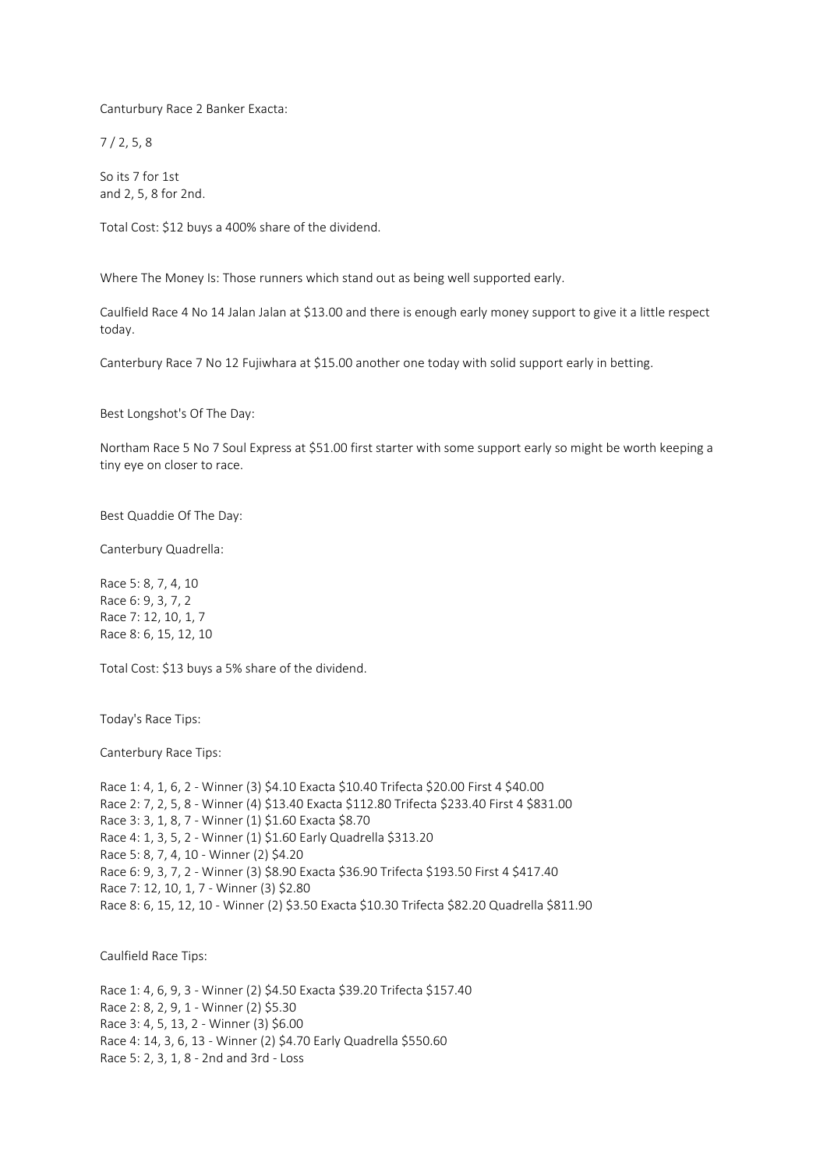Canturbury Race 2 Banker Exacta:

7 / 2, 5, 8

So its 7 for 1st and 2, 5, 8 for 2nd.

Total Cost: \$12 buys a 400% share of the dividend.

Where The Money Is: Those runners which stand out as being well supported early.

Caulfield Race 4 No 14 Jalan Jalan at \$13.00 and there is enough early money support to give it a little respect today.

Canterbury Race 7 No 12 Fujiwhara at \$15.00 another one today with solid support early in betting.

Best Longshot's Of The Day:

Northam Race 5 No 7 Soul Express at \$51.00 first starter with some support early so might be worth keeping a tiny eye on closer to race.

Best Quaddie Of The Day:

Canterbury Quadrella:

Race 5: 8, 7, 4, 10 Race 6: 9, 3, 7, 2 Race 7: 12, 10, 1, 7 Race 8: 6, 15, 12, 10

Total Cost: \$13 buys a 5% share of the dividend.

Today's Race Tips:

Canterbury Race Tips:

Race 1: 4, 1, 6, 2 - Winner (3) \$4.10 Exacta \$10.40 Trifecta \$20.00 First 4 \$40.00 Race 2: 7, 2, 5, 8 - Winner (4) \$13.40 Exacta \$112.80 Trifecta \$233.40 First 4 \$831.00 Race 3: 3, 1, 8, 7 - Winner (1) \$1.60 Exacta \$8.70 Race 4: 1, 3, 5, 2 - Winner (1) \$1.60 Early Quadrella \$313.20 Race 5: 8, 7, 4, 10 - Winner (2) \$4.20 Race 6: 9, 3, 7, 2 - Winner (3) \$8.90 Exacta \$36.90 Trifecta \$193.50 First 4 \$417.40 Race 7: 12, 10, 1, 7 - Winner (3) \$2.80 Race 8: 6, 15, 12, 10 - Winner (2) \$3.50 Exacta \$10.30 Trifecta \$82.20 Quadrella \$811.90

Caulfield Race Tips:

Race 1: 4, 6, 9, 3 - Winner (2) \$4.50 Exacta \$39.20 Trifecta \$157.40 Race 2: 8, 2, 9, 1 - Winner (2) \$5.30 Race 3: 4, 5, 13, 2 - Winner (3) \$6.00 Race 4: 14, 3, 6, 13 - Winner (2) \$4.70 Early Quadrella \$550.60 Race 5: 2, 3, 1, 8 - 2nd and 3rd - Loss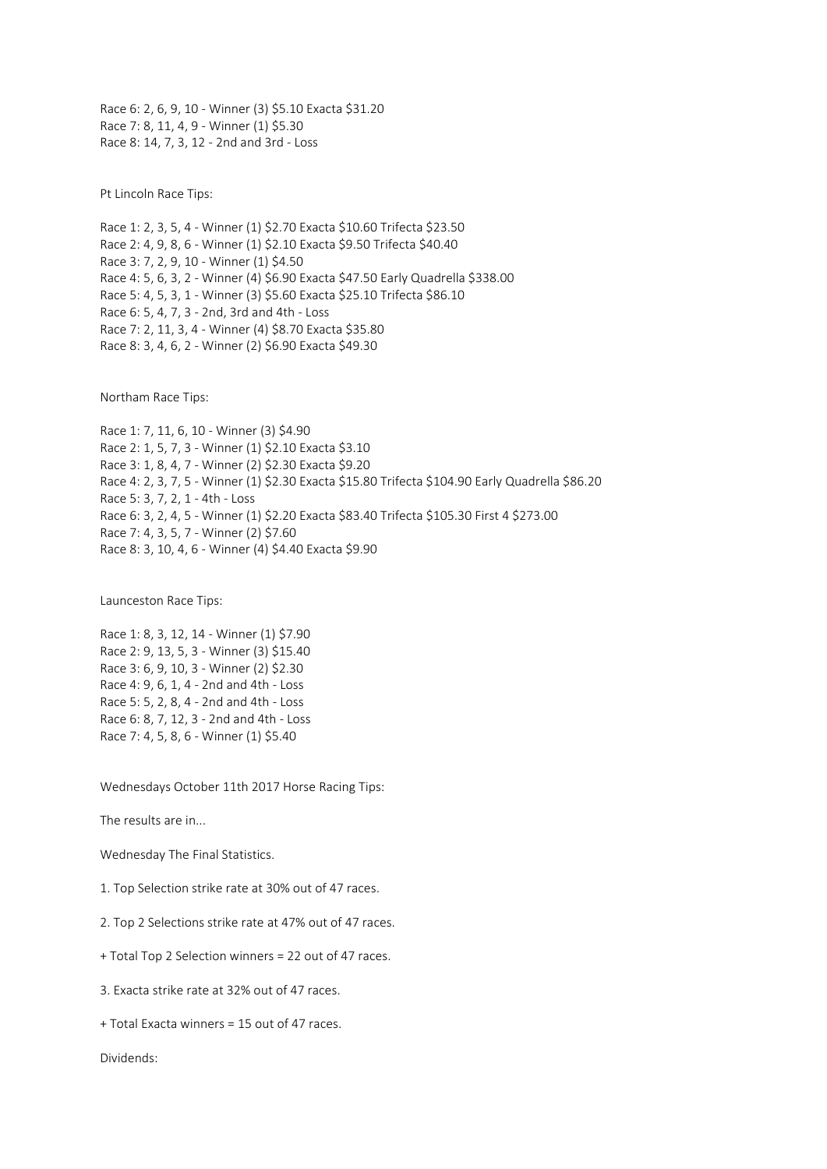Race 6: 2, 6, 9, 10 - Winner (3) \$5.10 Exacta \$31.20 Race 7: 8, 11, 4, 9 - Winner (1) \$5.30 Race 8: 14, 7, 3, 12 - 2nd and 3rd - Loss

Pt Lincoln Race Tips:

Race 1: 2, 3, 5, 4 - Winner (1) \$2.70 Exacta \$10.60 Trifecta \$23.50 Race 2: 4, 9, 8, 6 - Winner (1) \$2.10 Exacta \$9.50 Trifecta \$40.40 Race 3: 7, 2, 9, 10 - Winner (1) \$4.50 Race 4: 5, 6, 3, 2 - Winner (4) \$6.90 Exacta \$47.50 Early Quadrella \$338.00 Race 5: 4, 5, 3, 1 - Winner (3) \$5.60 Exacta \$25.10 Trifecta \$86.10 Race 6: 5, 4, 7, 3 - 2nd, 3rd and 4th - Loss Race 7: 2, 11, 3, 4 - Winner (4) \$8.70 Exacta \$35.80 Race 8: 3, 4, 6, 2 - Winner (2) \$6.90 Exacta \$49.30

Northam Race Tips:

Race 1: 7, 11, 6, 10 - Winner (3) \$4.90 Race 2: 1, 5, 7, 3 - Winner (1) \$2.10 Exacta \$3.10 Race 3: 1, 8, 4, 7 - Winner (2) \$2.30 Exacta \$9.20 Race 4: 2, 3, 7, 5 - Winner (1) \$2.30 Exacta \$15.80 Trifecta \$104.90 Early Quadrella \$86.20 Race 5: 3, 7, 2, 1 - 4th - Loss Race 6: 3, 2, 4, 5 - Winner (1) \$2.20 Exacta \$83.40 Trifecta \$105.30 First 4 \$273.00 Race 7: 4, 3, 5, 7 - Winner (2) \$7.60 Race 8: 3, 10, 4, 6 - Winner (4) \$4.40 Exacta \$9.90

Launceston Race Tips:

Race 1: 8, 3, 12, 14 - Winner (1) \$7.90 Race 2: 9, 13, 5, 3 - Winner (3) \$15.40 Race 3: 6, 9, 10, 3 - Winner (2) \$2.30 Race 4: 9, 6, 1, 4 - 2nd and 4th - Loss Race 5: 5, 2, 8, 4 - 2nd and 4th - Loss Race 6: 8, 7, 12, 3 - 2nd and 4th - Loss Race 7: 4, 5, 8, 6 - Winner (1) \$5.40

Wednesdays October 11th 2017 Horse Racing Tips:

The results are in...

Wednesday The Final Statistics.

1. Top Selection strike rate at 30% out of 47 races.

2. Top 2 Selections strike rate at 47% out of 47 races.

+ Total Top 2 Selection winners = 22 out of 47 races.

3. Exacta strike rate at 32% out of 47 races.

+ Total Exacta winners = 15 out of 47 races.

Dividends: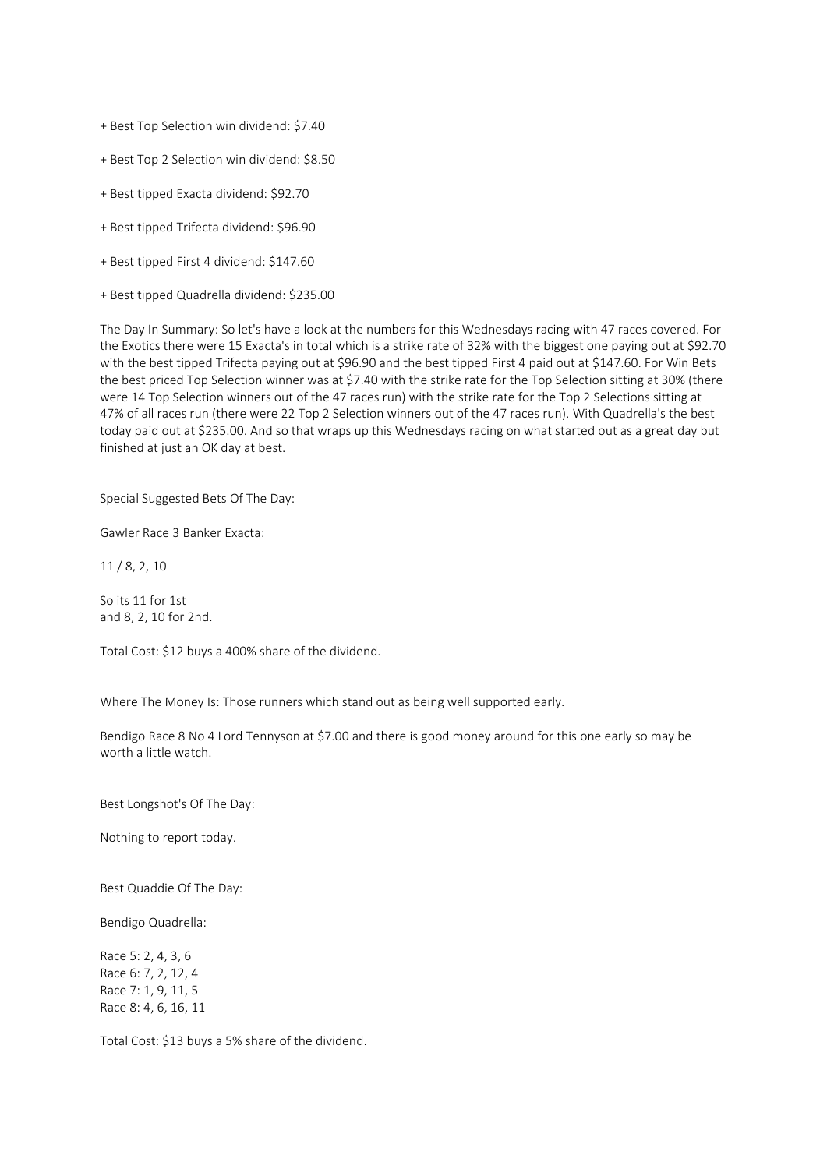- + Best Top Selection win dividend: \$7.40
- + Best Top 2 Selection win dividend: \$8.50
- + Best tipped Exacta dividend: \$92.70
- + Best tipped Trifecta dividend: \$96.90
- + Best tipped First 4 dividend: \$147.60
- + Best tipped Quadrella dividend: \$235.00

The Day In Summary: So let's have a look at the numbers for this Wednesdays racing with 47 races covered. For the Exotics there were 15 Exacta's in total which is a strike rate of 32% with the biggest one paying out at \$92.70 with the best tipped Trifecta paying out at \$96.90 and the best tipped First 4 paid out at \$147.60. For Win Bets the best priced Top Selection winner was at \$7.40 with the strike rate for the Top Selection sitting at 30% (there were 14 Top Selection winners out of the 47 races run) with the strike rate for the Top 2 Selections sitting at 47% of all races run (there were 22 Top 2 Selection winners out of the 47 races run). With Quadrella's the best today paid out at \$235.00. And so that wraps up this Wednesdays racing on what started out as a great day but finished at just an OK day at best.

Special Suggested Bets Of The Day:

Gawler Race 3 Banker Exacta:

11 / 8, 2, 10

So its 11 for 1st and 8, 2, 10 for 2nd.

Total Cost: \$12 buys a 400% share of the dividend.

Where The Money Is: Those runners which stand out as being well supported early.

Bendigo Race 8 No 4 Lord Tennyson at \$7.00 and there is good money around for this one early so may be worth a little watch.

Best Longshot's Of The Day:

Nothing to report today.

Best Quaddie Of The Day:

Bendigo Quadrella:

Race 5: 2, 4, 3, 6 Race 6: 7, 2, 12, 4 Race 7: 1, 9, 11, 5 Race 8: 4, 6, 16, 11

Total Cost: \$13 buys a 5% share of the dividend.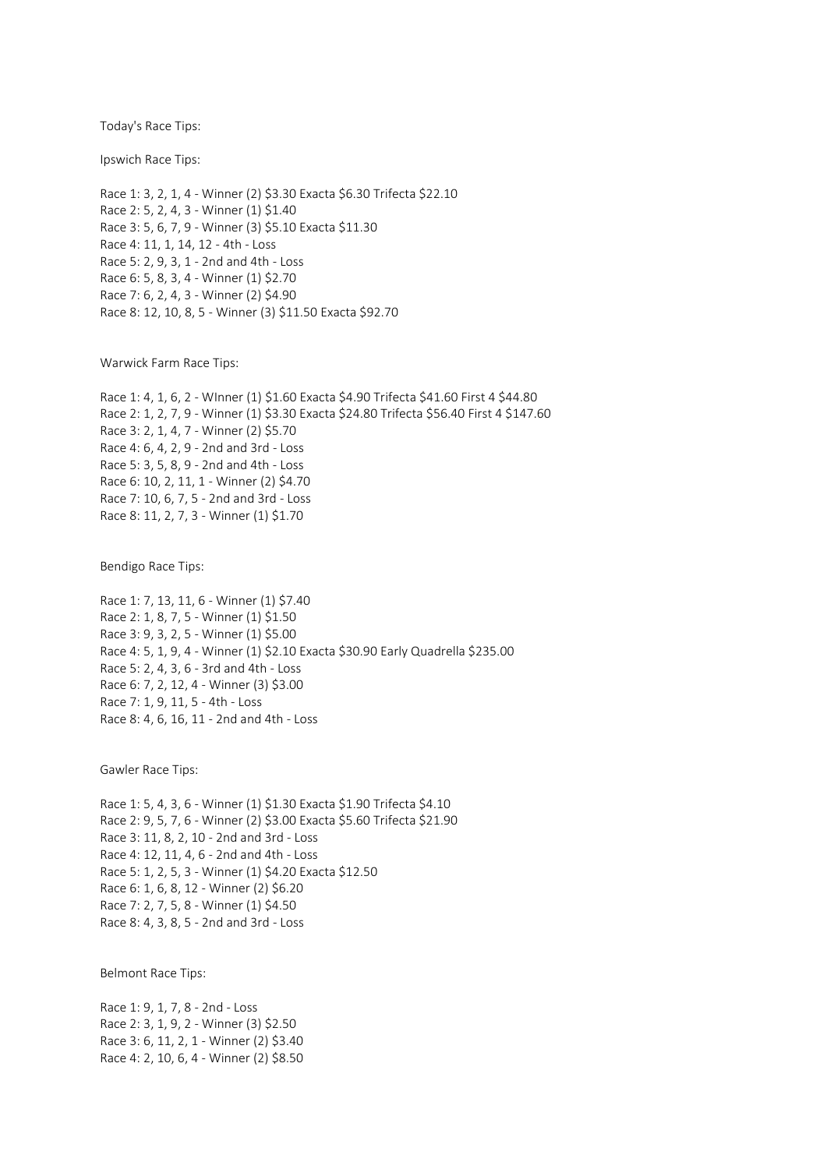Today's Race Tips:

Ipswich Race Tips:

Race 1: 3, 2, 1, 4 - Winner (2) \$3.30 Exacta \$6.30 Trifecta \$22.10 Race 2: 5, 2, 4, 3 - Winner (1) \$1.40 Race 3: 5, 6, 7, 9 - Winner (3) \$5.10 Exacta \$11.30 Race 4: 11, 1, 14, 12 - 4th - Loss Race 5: 2, 9, 3, 1 - 2nd and 4th - Loss Race 6: 5, 8, 3, 4 - Winner (1) \$2.70 Race 7: 6, 2, 4, 3 - Winner (2) \$4.90 Race 8: 12, 10, 8, 5 - Winner (3) \$11.50 Exacta \$92.70

Warwick Farm Race Tips:

Race 1: 4, 1, 6, 2 - WInner (1) \$1.60 Exacta \$4.90 Trifecta \$41.60 First 4 \$44.80 Race 2: 1, 2, 7, 9 - Winner (1) \$3.30 Exacta \$24.80 Trifecta \$56.40 First 4 \$147.60 Race 3: 2, 1, 4, 7 - Winner (2) \$5.70 Race 4: 6, 4, 2, 9 - 2nd and 3rd - Loss Race 5: 3, 5, 8, 9 - 2nd and 4th - Loss Race 6: 10, 2, 11, 1 - Winner (2) \$4.70 Race 7: 10, 6, 7, 5 - 2nd and 3rd - Loss Race 8: 11, 2, 7, 3 - Winner (1) \$1.70

Bendigo Race Tips:

Race 1: 7, 13, 11, 6 - Winner (1) \$7.40 Race 2: 1, 8, 7, 5 - Winner (1) \$1.50 Race 3: 9, 3, 2, 5 - Winner (1) \$5.00 Race 4: 5, 1, 9, 4 - Winner (1) \$2.10 Exacta \$30.90 Early Quadrella \$235.00 Race 5: 2, 4, 3, 6 - 3rd and 4th - Loss Race 6: 7, 2, 12, 4 - Winner (3) \$3.00 Race 7: 1, 9, 11, 5 - 4th - Loss Race 8: 4, 6, 16, 11 - 2nd and 4th - Loss

Gawler Race Tips:

Race 1: 5, 4, 3, 6 - Winner (1) \$1.30 Exacta \$1.90 Trifecta \$4.10 Race 2: 9, 5, 7, 6 - Winner (2) \$3.00 Exacta \$5.60 Trifecta \$21.90 Race 3: 11, 8, 2, 10 - 2nd and 3rd - Loss Race 4: 12, 11, 4, 6 - 2nd and 4th - Loss Race 5: 1, 2, 5, 3 - Winner (1) \$4.20 Exacta \$12.50 Race 6: 1, 6, 8, 12 - Winner (2) \$6.20 Race 7: 2, 7, 5, 8 - Winner (1) \$4.50 Race 8: 4, 3, 8, 5 - 2nd and 3rd - Loss

Belmont Race Tips:

Race 1: 9, 1, 7, 8 - 2nd - Loss Race 2: 3, 1, 9, 2 - Winner (3) \$2.50 Race 3: 6, 11, 2, 1 - Winner (2) \$3.40 Race 4: 2, 10, 6, 4 - Winner (2) \$8.50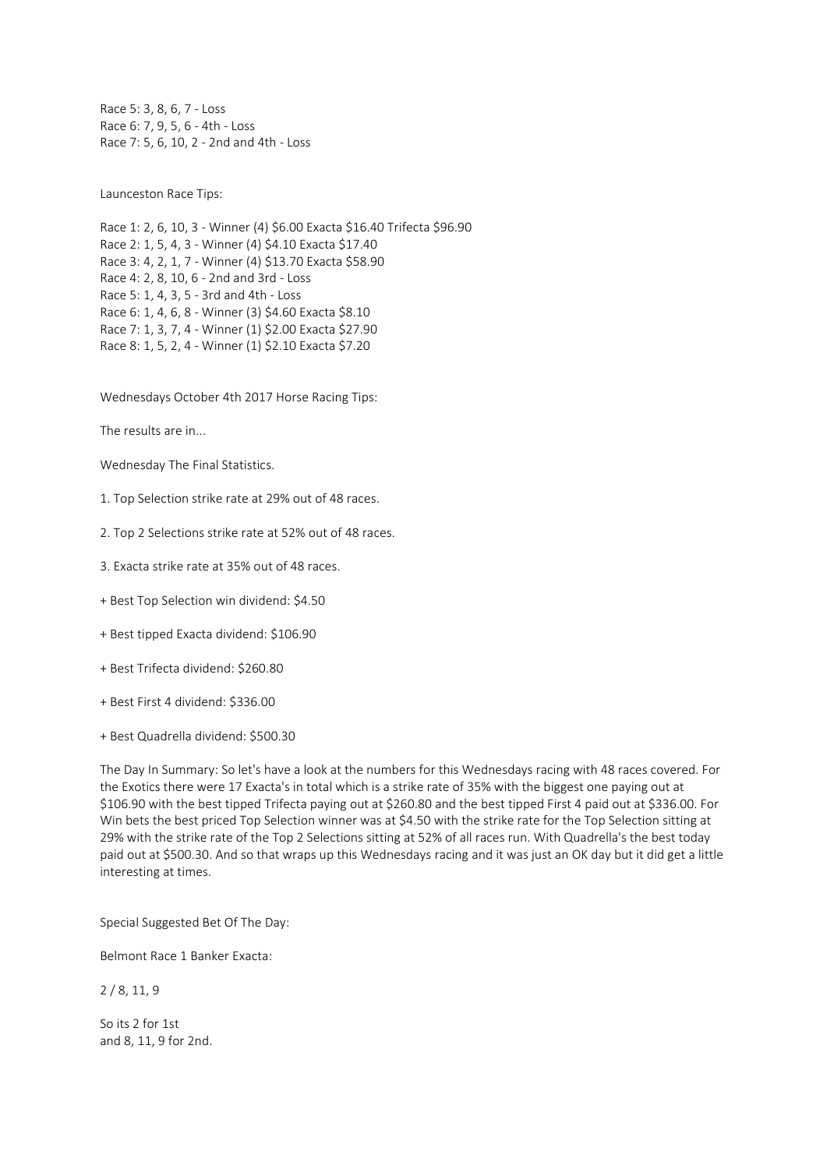Race 5: 3, 8, 6, 7 - Loss Race 6: 7, 9, 5, 6 - 4th - Loss Race 7: 5, 6, 10, 2 - 2nd and 4th - Loss

Launceston Race Tips:

Race 1: 2, 6, 10, 3 - Winner (4) \$6.00 Exacta \$16.40 Trifecta \$96.90 Race 2: 1, 5, 4, 3 - Winner (4) \$4.10 Exacta \$17.40 Race 3: 4, 2, 1, 7 - Winner (4) \$13.70 Exacta \$58.90 Race 4: 2, 8, 10, 6 - 2nd and 3rd - Loss Race 5: 1, 4, 3, 5 - 3rd and 4th - Loss Race 6: 1, 4, 6, 8 - Winner (3) \$4.60 Exacta \$8.10 Race 7: 1, 3, 7, 4 - Winner (1) \$2.00 Exacta \$27.90 Race 8: 1, 5, 2, 4 - Winner (1) \$2.10 Exacta \$7.20

Wednesdays October 4th 2017 Horse Racing Tips:

The results are in...

Wednesday The Final Statistics.

1. Top Selection strike rate at 29% out of 48 races.

2. Top 2 Selections strike rate at 52% out of 48 races.

3. Exacta strike rate at 35% out of 48 races.

+ Best Top Selection win dividend: \$4.50

+ Best tipped Exacta dividend: \$106.90

+ Best Trifecta dividend: \$260.80

+ Best First 4 dividend: \$336.00

+ Best Quadrella dividend: \$500.30

The Day In Summary: So let's have a look at the numbers for this Wednesdays racing with 48 races covered. For the Exotics there were 17 Exacta's in total which is a strike rate of 35% with the biggest one paying out at \$106.90 with the best tipped Trifecta paying out at \$260.80 and the best tipped First 4 paid out at \$336.00. For Win bets the best priced Top Selection winner was at \$4.50 with the strike rate for the Top Selection sitting at 29% with the strike rate of the Top 2 Selections sitting at 52% of all races run. With Quadrella's the best today paid out at \$500.30. And so that wraps up this Wednesdays racing and it was just an OK day but it did get a little interesting at times.

Special Suggested Bet Of The Day:

Belmont Race 1 Banker Exacta:

2 / 8, 11, 9

So its 2 for 1st and 8, 11, 9 for 2nd.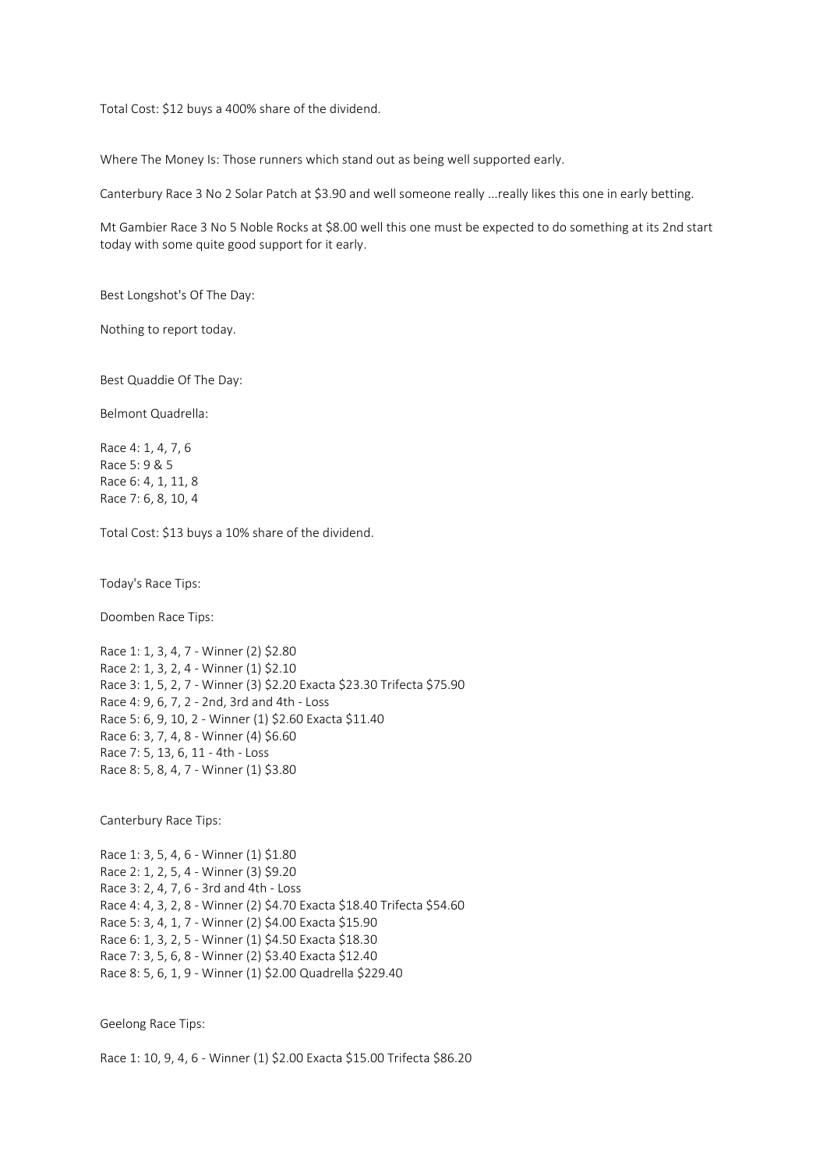Total Cost: \$12 buys a 400% share of the dividend.

Where The Money Is: Those runners which stand out as being well supported early.

Canterbury Race 3 No 2 Solar Patch at \$3.90 and well someone really ...really likes this one in early betting.

Mt Gambier Race 3 No 5 Noble Rocks at \$8.00 well this one must be expected to do something at its 2nd start today with some quite good support for it early.

Best Longshot's Of The Day:

Nothing to report today.

Best Quaddie Of The Day:

Belmont Quadrella:

Race 4: 1, 4, 7, 6 Race 5: 9 & 5 Race 6: 4, 1, 11, 8 Race 7: 6, 8, 10, 4

Total Cost: \$13 buys a 10% share of the dividend.

Today's Race Tips:

Doomben Race Tips:

Race 1: 1, 3, 4, 7 - Winner (2) \$2.80 Race 2: 1, 3, 2, 4 - Winner (1) \$2.10 Race 3: 1, 5, 2, 7 - Winner (3) \$2.20 Exacta \$23.30 Trifecta \$75.90 Race 4: 9, 6, 7, 2 - 2nd, 3rd and 4th - Loss Race 5: 6, 9, 10, 2 - Winner (1) \$2.60 Exacta \$11.40 Race 6: 3, 7, 4, 8 - Winner (4) \$6.60 Race 7: 5, 13, 6, 11 - 4th - Loss Race 8: 5, 8, 4, 7 - Winner (1) \$3.80

Canterbury Race Tips:

Race 1: 3, 5, 4, 6 - Winner (1) \$1.80 Race 2: 1, 2, 5, 4 - Winner (3) \$9.20 Race 3: 2, 4, 7, 6 - 3rd and 4th - Loss Race 4: 4, 3, 2, 8 - Winner (2) \$4.70 Exacta \$18.40 Trifecta \$54.60 Race 5: 3, 4, 1, 7 - Winner (2) \$4.00 Exacta \$15.90 Race 6: 1, 3, 2, 5 - Winner (1) \$4.50 Exacta \$18.30 Race 7: 3, 5, 6, 8 - Winner (2) \$3.40 Exacta \$12.40 Race 8: 5, 6, 1, 9 - Winner (1) \$2.00 Quadrella \$229.40

Geelong Race Tips:

Race 1: 10, 9, 4, 6 - Winner (1) \$2.00 Exacta \$15.00 Trifecta \$86.20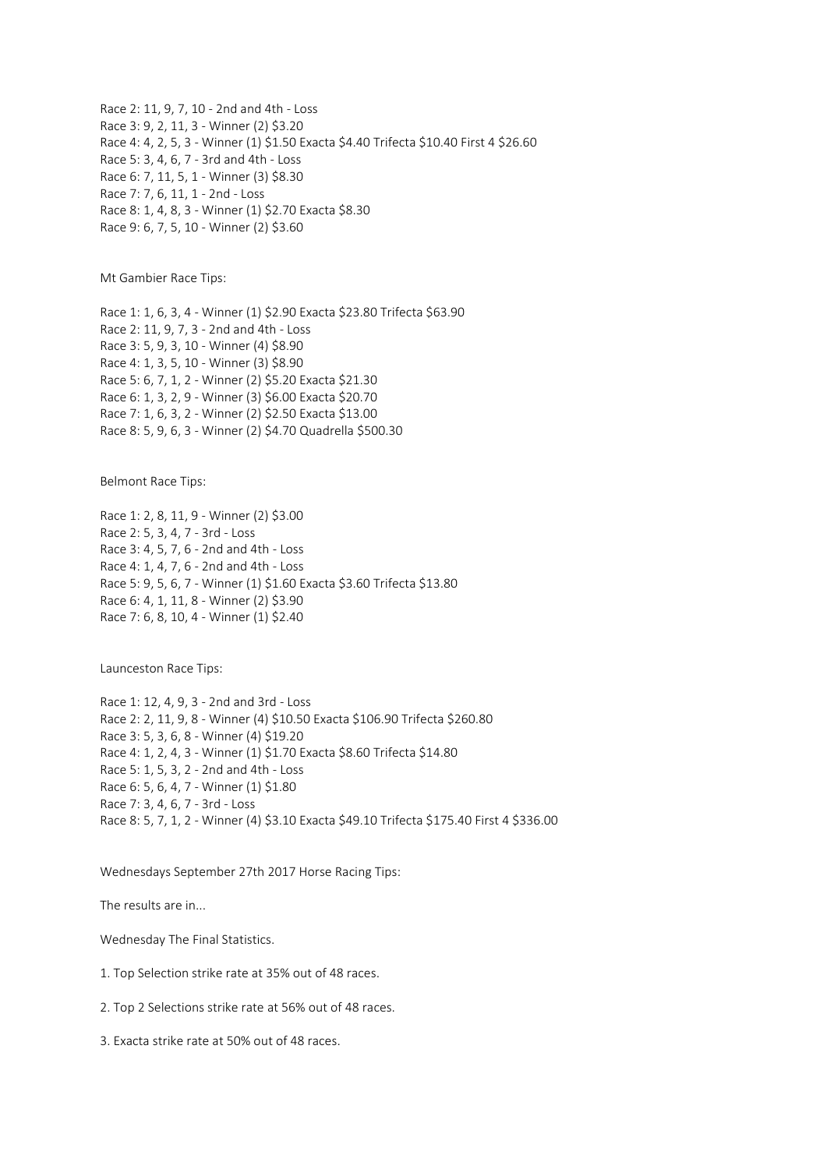Race 2: 11, 9, 7, 10 - 2nd and 4th - Loss Race 3: 9, 2, 11, 3 - Winner (2) \$3.20 Race 4: 4, 2, 5, 3 - Winner (1) \$1.50 Exacta \$4.40 Trifecta \$10.40 First 4 \$26.60 Race 5: 3, 4, 6, 7 - 3rd and 4th - Loss Race 6: 7, 11, 5, 1 - Winner (3) \$8.30 Race 7: 7, 6, 11, 1 - 2nd - Loss Race 8: 1, 4, 8, 3 - Winner (1) \$2.70 Exacta \$8.30 Race 9: 6, 7, 5, 10 - Winner (2) \$3.60

Mt Gambier Race Tips:

Race 1: 1, 6, 3, 4 - Winner (1) \$2.90 Exacta \$23.80 Trifecta \$63.90 Race 2: 11, 9, 7, 3 - 2nd and 4th - Loss Race 3: 5, 9, 3, 10 - Winner (4) \$8.90 Race 4: 1, 3, 5, 10 - Winner (3) \$8.90 Race 5: 6, 7, 1, 2 - Winner (2) \$5.20 Exacta \$21.30 Race 6: 1, 3, 2, 9 - Winner (3) \$6.00 Exacta \$20.70 Race 7: 1, 6, 3, 2 - Winner (2) \$2.50 Exacta \$13.00 Race 8: 5, 9, 6, 3 - Winner (2) \$4.70 Quadrella \$500.30

Belmont Race Tips:

Race 1: 2, 8, 11, 9 - Winner (2) \$3.00 Race 2: 5, 3, 4, 7 - 3rd - Loss Race 3: 4, 5, 7, 6 - 2nd and 4th - Loss Race 4: 1, 4, 7, 6 - 2nd and 4th - Loss Race 5: 9, 5, 6, 7 - Winner (1) \$1.60 Exacta \$3.60 Trifecta \$13.80 Race 6: 4, 1, 11, 8 - Winner (2) \$3.90 Race 7: 6, 8, 10, 4 - Winner (1) \$2.40

Launceston Race Tips:

Race 1: 12, 4, 9, 3 - 2nd and 3rd - Loss Race 2: 2, 11, 9, 8 - Winner (4) \$10.50 Exacta \$106.90 Trifecta \$260.80 Race 3: 5, 3, 6, 8 - Winner (4) \$19.20 Race 4: 1, 2, 4, 3 - Winner (1) \$1.70 Exacta \$8.60 Trifecta \$14.80 Race 5: 1, 5, 3, 2 - 2nd and 4th - Loss Race 6: 5, 6, 4, 7 - Winner (1) \$1.80 Race 7: 3, 4, 6, 7 - 3rd - Loss Race 8: 5, 7, 1, 2 - Winner (4) \$3.10 Exacta \$49.10 Trifecta \$175.40 First 4 \$336.00

Wednesdays September 27th 2017 Horse Racing Tips:

The results are in...

Wednesday The Final Statistics.

- 1. Top Selection strike rate at 35% out of 48 races.
- 2. Top 2 Selections strike rate at 56% out of 48 races.
- 3. Exacta strike rate at 50% out of 48 races.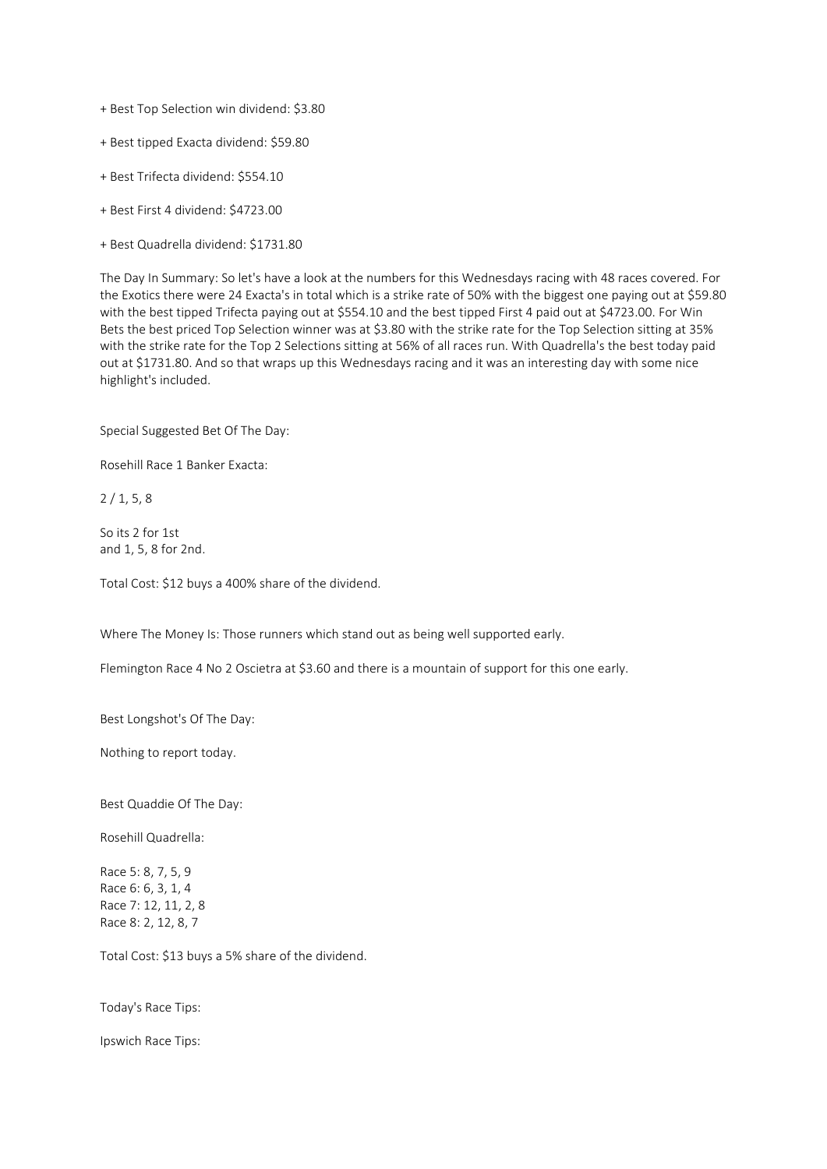- + Best Top Selection win dividend: \$3.80
- + Best tipped Exacta dividend: \$59.80
- + Best Trifecta dividend: \$554.10
- + Best First 4 dividend: \$4723.00
- + Best Quadrella dividend: \$1731.80

The Day In Summary: So let's have a look at the numbers for this Wednesdays racing with 48 races covered. For the Exotics there were 24 Exacta's in total which is a strike rate of 50% with the biggest one paying out at \$59.80 with the best tipped Trifecta paying out at \$554.10 and the best tipped First 4 paid out at \$4723.00. For Win Bets the best priced Top Selection winner was at \$3.80 with the strike rate for the Top Selection sitting at 35% with the strike rate for the Top 2 Selections sitting at 56% of all races run. With Quadrella's the best today paid out at \$1731.80. And so that wraps up this Wednesdays racing and it was an interesting day with some nice highlight's included.

Special Suggested Bet Of The Day:

Rosehill Race 1 Banker Exacta:

 $2/1.5.8$ 

So its 2 for 1st and 1, 5, 8 for 2nd.

Total Cost: \$12 buys a 400% share of the dividend.

Where The Money Is: Those runners which stand out as being well supported early.

Flemington Race 4 No 2 Oscietra at \$3.60 and there is a mountain of support for this one early.

Best Longshot's Of The Day:

Nothing to report today.

Best Quaddie Of The Day:

Rosehill Quadrella:

Race 5: 8, 7, 5, 9 Race 6: 6, 3, 1, 4 Race 7: 12, 11, 2, 8 Race 8: 2, 12, 8, 7

Total Cost: \$13 buys a 5% share of the dividend.

Today's Race Tips:

Ipswich Race Tips: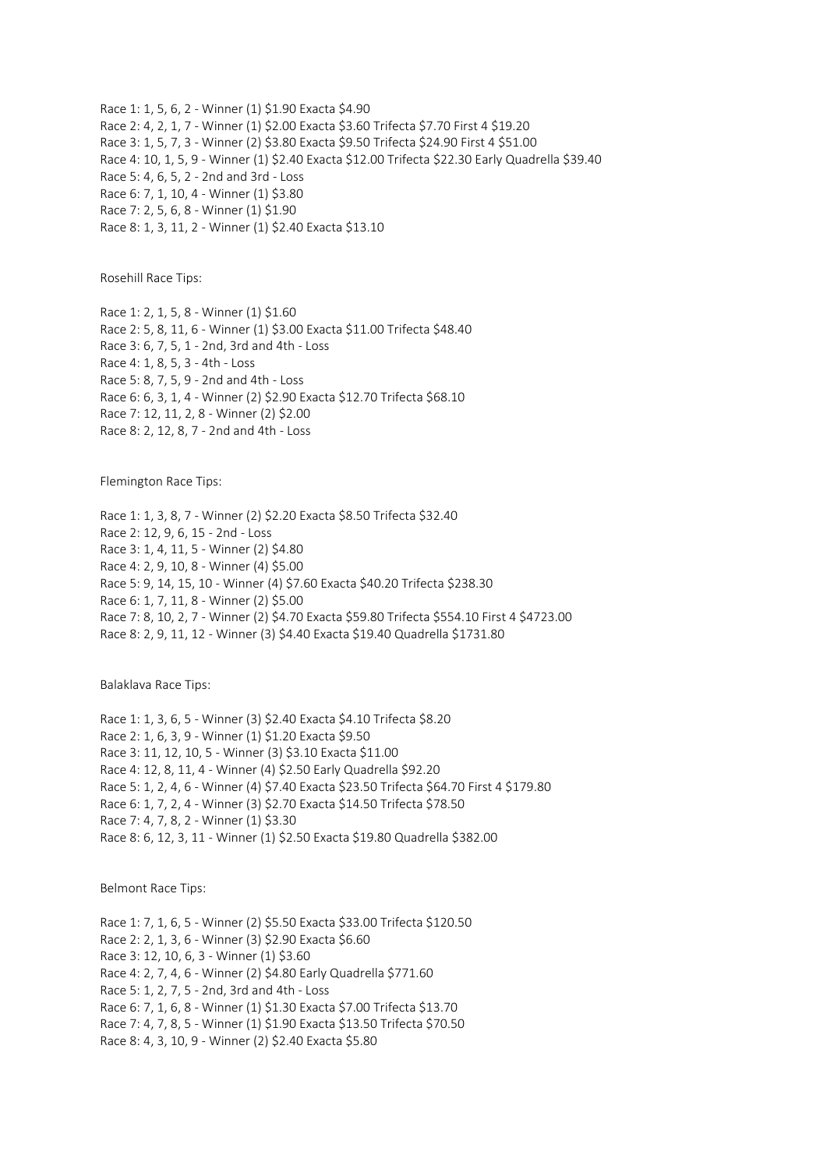Race 1: 1, 5, 6, 2 - Winner (1) \$1.90 Exacta \$4.90 Race 2: 4, 2, 1, 7 - Winner (1) \$2.00 Exacta \$3.60 Trifecta \$7.70 First 4 \$19.20 Race 3: 1, 5, 7, 3 - Winner (2) \$3.80 Exacta \$9.50 Trifecta \$24.90 First 4 \$51.00 Race 4: 10, 1, 5, 9 - Winner (1) \$2.40 Exacta \$12.00 Trifecta \$22.30 Early Quadrella \$39.40 Race 5: 4, 6, 5, 2 - 2nd and 3rd - Loss Race 6: 7, 1, 10, 4 - Winner (1) \$3.80 Race 7: 2, 5, 6, 8 - Winner (1) \$1.90 Race 8: 1, 3, 11, 2 - Winner (1) \$2.40 Exacta \$13.10

Rosehill Race Tips:

Race 1: 2, 1, 5, 8 - Winner (1) \$1.60 Race 2: 5, 8, 11, 6 - Winner (1) \$3.00 Exacta \$11.00 Trifecta \$48.40 Race 3: 6, 7, 5, 1 - 2nd, 3rd and 4th - Loss Race 4: 1, 8, 5, 3 - 4th - Loss Race 5: 8, 7, 5, 9 - 2nd and 4th - Loss Race 6: 6, 3, 1, 4 - Winner (2) \$2.90 Exacta \$12.70 Trifecta \$68.10 Race 7: 12, 11, 2, 8 - Winner (2) \$2.00 Race 8: 2, 12, 8, 7 - 2nd and 4th - Loss

Flemington Race Tips:

Race 1: 1, 3, 8, 7 - Winner (2) \$2.20 Exacta \$8.50 Trifecta \$32.40 Race 2: 12, 9, 6, 15 - 2nd - Loss Race 3: 1, 4, 11, 5 - Winner (2) \$4.80 Race 4: 2, 9, 10, 8 - Winner (4) \$5.00 Race 5: 9, 14, 15, 10 - Winner (4) \$7.60 Exacta \$40.20 Trifecta \$238.30 Race 6: 1, 7, 11, 8 - Winner (2) \$5.00 Race 7: 8, 10, 2, 7 - Winner (2) \$4.70 Exacta \$59.80 Trifecta \$554.10 First 4 \$4723.00 Race 8: 2, 9, 11, 12 - Winner (3) \$4.40 Exacta \$19.40 Quadrella \$1731.80

Balaklava Race Tips:

Race 1: 1, 3, 6, 5 - Winner (3) \$2.40 Exacta \$4.10 Trifecta \$8.20 Race 2: 1, 6, 3, 9 - Winner (1) \$1.20 Exacta \$9.50 Race 3: 11, 12, 10, 5 - Winner (3) \$3.10 Exacta \$11.00 Race 4: 12, 8, 11, 4 - Winner (4) \$2.50 Early Quadrella \$92.20 Race 5: 1, 2, 4, 6 - Winner (4) \$7.40 Exacta \$23.50 Trifecta \$64.70 First 4 \$179.80 Race 6: 1, 7, 2, 4 - Winner (3) \$2.70 Exacta \$14.50 Trifecta \$78.50 Race 7: 4, 7, 8, 2 - Winner (1) \$3.30 Race 8: 6, 12, 3, 11 - Winner (1) \$2.50 Exacta \$19.80 Quadrella \$382.00

Belmont Race Tips:

Race 1: 7, 1, 6, 5 - Winner (2) \$5.50 Exacta \$33.00 Trifecta \$120.50 Race 2: 2, 1, 3, 6 - Winner (3) \$2.90 Exacta \$6.60 Race 3: 12, 10, 6, 3 - Winner (1) \$3.60 Race 4: 2, 7, 4, 6 - Winner (2) \$4.80 Early Quadrella \$771.60 Race 5: 1, 2, 7, 5 - 2nd, 3rd and 4th - Loss Race 6: 7, 1, 6, 8 - Winner (1) \$1.30 Exacta \$7.00 Trifecta \$13.70 Race 7: 4, 7, 8, 5 - Winner (1) \$1.90 Exacta \$13.50 Trifecta \$70.50 Race 8: 4, 3, 10, 9 - Winner (2) \$2.40 Exacta \$5.80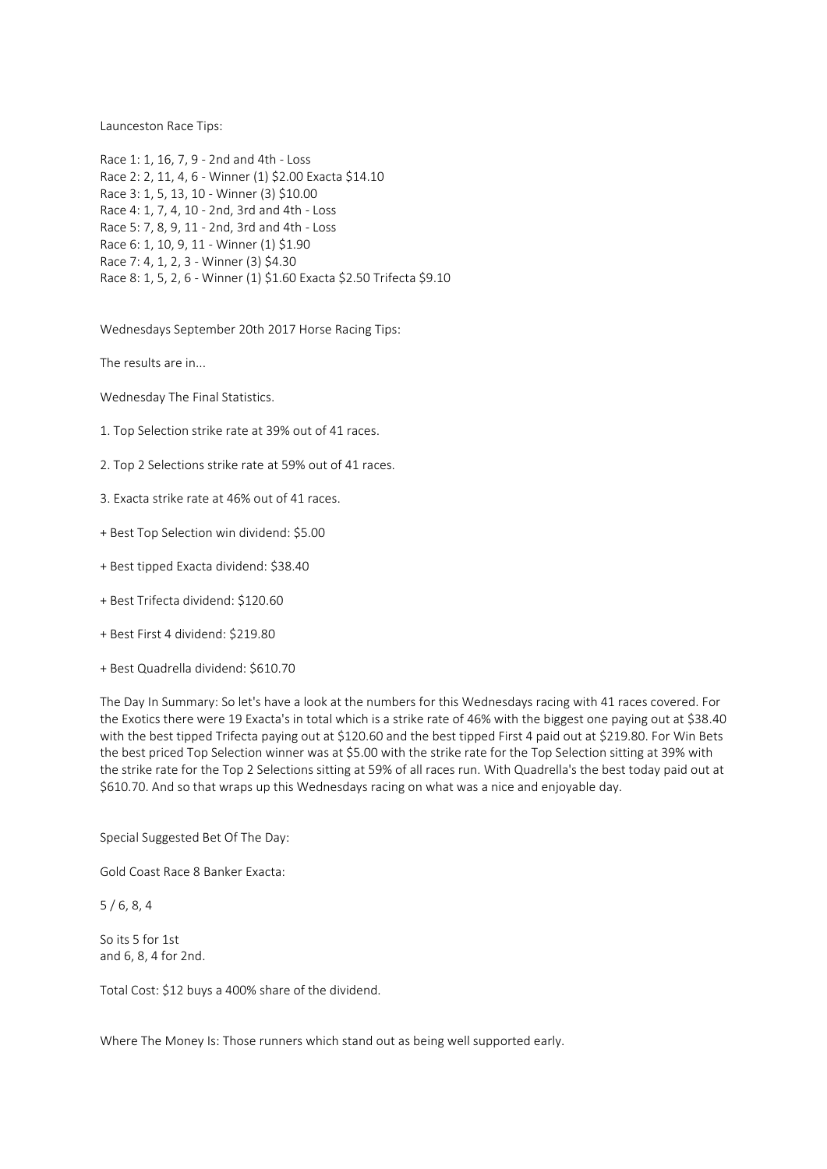Launceston Race Tips:

Race 1: 1, 16, 7, 9 - 2nd and 4th - Loss Race 2: 2, 11, 4, 6 - Winner (1) \$2.00 Exacta \$14.10 Race 3: 1, 5, 13, 10 - Winner (3) \$10.00 Race 4: 1, 7, 4, 10 - 2nd, 3rd and 4th - Loss Race 5: 7, 8, 9, 11 - 2nd, 3rd and 4th - Loss Race 6: 1, 10, 9, 11 - Winner (1) \$1.90 Race 7: 4, 1, 2, 3 - Winner (3) \$4.30 Race 8: 1, 5, 2, 6 - Winner (1) \$1.60 Exacta \$2.50 Trifecta \$9.10

Wednesdays September 20th 2017 Horse Racing Tips:

The results are in...

Wednesday The Final Statistics.

- 1. Top Selection strike rate at 39% out of 41 races.
- 2. Top 2 Selections strike rate at 59% out of 41 races.
- 3. Exacta strike rate at 46% out of 41 races.
- + Best Top Selection win dividend: \$5.00
- + Best tipped Exacta dividend: \$38.40
- + Best Trifecta dividend: \$120.60
- + Best First 4 dividend: \$219.80
- + Best Quadrella dividend: \$610.70

The Day In Summary: So let's have a look at the numbers for this Wednesdays racing with 41 races covered. For the Exotics there were 19 Exacta's in total which is a strike rate of 46% with the biggest one paying out at \$38.40 with the best tipped Trifecta paying out at \$120.60 and the best tipped First 4 paid out at \$219.80. For Win Bets the best priced Top Selection winner was at \$5.00 with the strike rate for the Top Selection sitting at 39% with the strike rate for the Top 2 Selections sitting at 59% of all races run. With Quadrella's the best today paid out at \$610.70. And so that wraps up this Wednesdays racing on what was a nice and enjoyable day.

Special Suggested Bet Of The Day:

Gold Coast Race 8 Banker Exacta:

5 / 6, 8, 4

So its 5 for 1st and 6, 8, 4 for 2nd.

Total Cost: \$12 buys a 400% share of the dividend.

Where The Money Is: Those runners which stand out as being well supported early.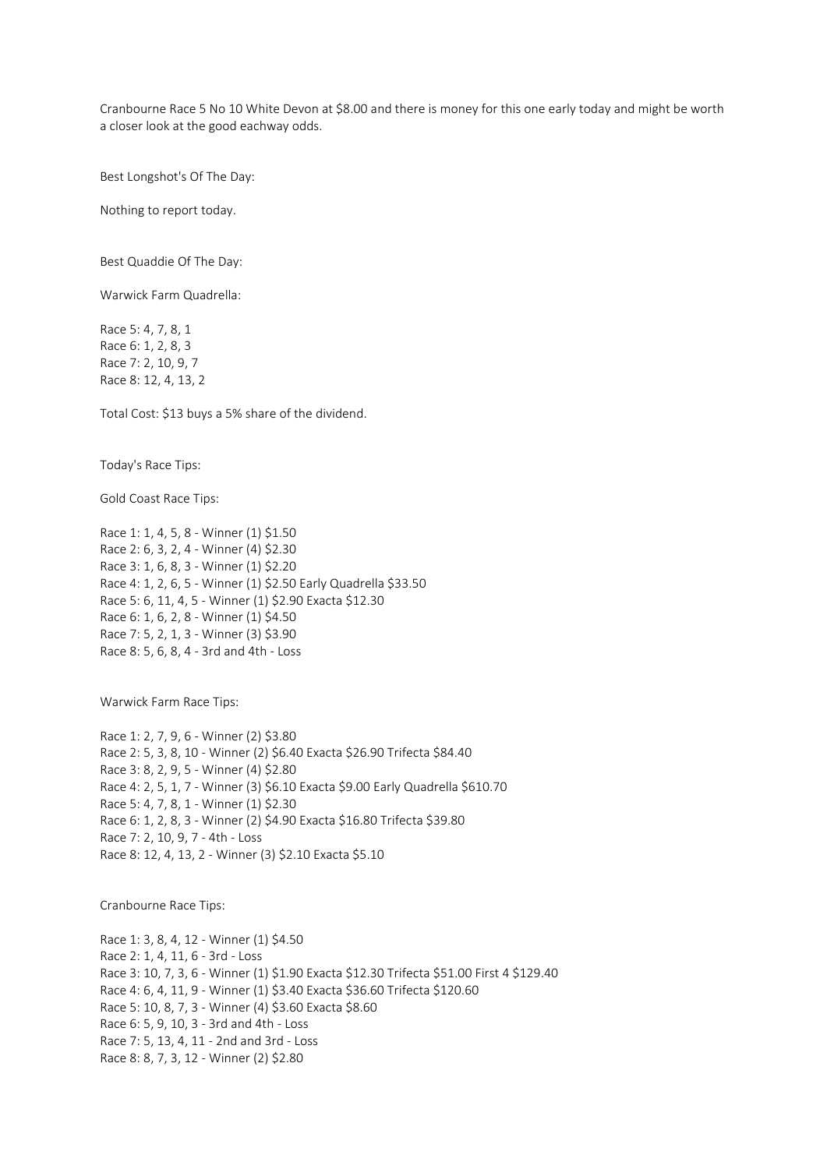Cranbourne Race 5 No 10 White Devon at \$8.00 and there is money for this one early today and might be worth a closer look at the good eachway odds.

Best Longshot's Of The Day:

Nothing to report today.

Best Quaddie Of The Day:

Warwick Farm Quadrella:

Race 5: 4, 7, 8, 1 Race 6: 1, 2, 8, 3 Race 7: 2, 10, 9, 7 Race 8: 12, 4, 13, 2

Total Cost: \$13 buys a 5% share of the dividend.

Today's Race Tips:

Gold Coast Race Tips:

Race 1: 1, 4, 5, 8 - Winner (1) \$1.50 Race 2: 6, 3, 2, 4 - Winner (4) \$2.30 Race 3: 1, 6, 8, 3 - Winner (1) \$2.20 Race 4: 1, 2, 6, 5 - Winner (1) \$2.50 Early Quadrella \$33.50 Race 5: 6, 11, 4, 5 - Winner (1) \$2.90 Exacta \$12.30 Race 6: 1, 6, 2, 8 - Winner (1) \$4.50 Race 7: 5, 2, 1, 3 - Winner (3) \$3.90 Race 8: 5, 6, 8, 4 - 3rd and 4th - Loss

Warwick Farm Race Tips:

Race 1: 2, 7, 9, 6 - Winner (2) \$3.80 Race 2: 5, 3, 8, 10 - Winner (2) \$6.40 Exacta \$26.90 Trifecta \$84.40 Race 3: 8, 2, 9, 5 - Winner (4) \$2.80 Race 4: 2, 5, 1, 7 - Winner (3) \$6.10 Exacta \$9.00 Early Quadrella \$610.70 Race 5: 4, 7, 8, 1 - Winner (1) \$2.30 Race 6: 1, 2, 8, 3 - Winner (2) \$4.90 Exacta \$16.80 Trifecta \$39.80 Race 7: 2, 10, 9, 7 - 4th - Loss Race 8: 12, 4, 13, 2 - Winner (3) \$2.10 Exacta \$5.10

Cranbourne Race Tips:

Race 1: 3, 8, 4, 12 - Winner (1) \$4.50 Race 2: 1, 4, 11, 6 - 3rd - Loss Race 3: 10, 7, 3, 6 - Winner (1) \$1.90 Exacta \$12.30 Trifecta \$51.00 First 4 \$129.40 Race 4: 6, 4, 11, 9 - Winner (1) \$3.40 Exacta \$36.60 Trifecta \$120.60 Race 5: 10, 8, 7, 3 - Winner (4) \$3.60 Exacta \$8.60 Race 6: 5, 9, 10, 3 - 3rd and 4th - Loss Race 7: 5, 13, 4, 11 - 2nd and 3rd - Loss Race 8: 8, 7, 3, 12 - Winner (2) \$2.80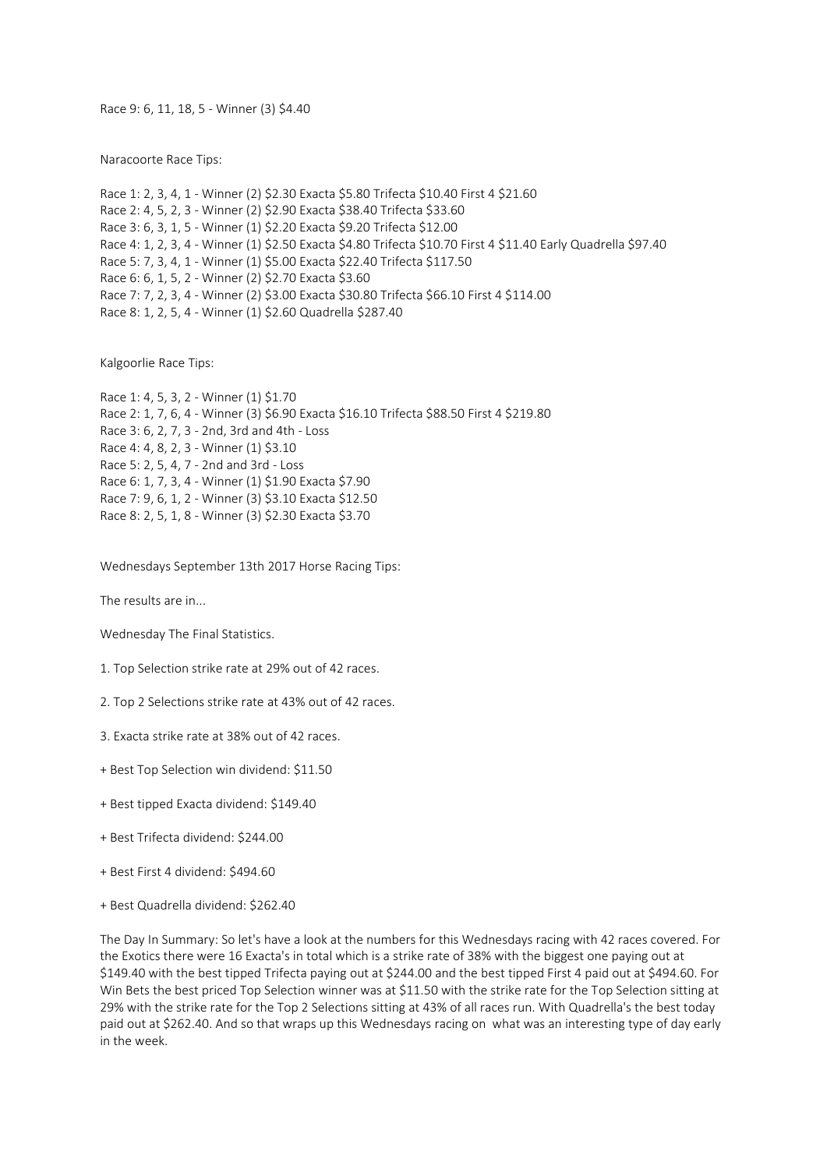Race 9: 6, 11, 18, 5 - Winner (3) \$4.40

Naracoorte Race Tips:

Race 1: 2, 3, 4, 1 - Winner (2) \$2.30 Exacta \$5.80 Trifecta \$10.40 First 4 \$21.60 Race 2: 4, 5, 2, 3 - Winner (2) \$2.90 Exacta \$38.40 Trifecta \$33.60 Race 3: 6, 3, 1, 5 - Winner (1) \$2.20 Exacta \$9.20 Trifecta \$12.00 Race 4: 1, 2, 3, 4 - Winner (1) \$2.50 Exacta \$4.80 Trifecta \$10.70 First 4 \$11.40 Early Quadrella \$97.40 Race 5: 7, 3, 4, 1 - Winner (1) \$5.00 Exacta \$22.40 Trifecta \$117.50 Race 6: 6, 1, 5, 2 - Winner (2) \$2.70 Exacta \$3.60 Race 7: 7, 2, 3, 4 - Winner (2) \$3.00 Exacta \$30.80 Trifecta \$66.10 First 4 \$114.00 Race 8: 1, 2, 5, 4 - Winner (1) \$2.60 Quadrella \$287.40

Kalgoorlie Race Tips:

Race 1: 4, 5, 3, 2 - Winner (1) \$1.70 Race 2: 1, 7, 6, 4 - Winner (3) \$6.90 Exacta \$16.10 Trifecta \$88.50 First 4 \$219.80 Race 3: 6, 2, 7, 3 - 2nd, 3rd and 4th - Loss Race 4: 4, 8, 2, 3 - Winner (1) \$3.10 Race 5: 2, 5, 4, 7 - 2nd and 3rd - Loss Race 6: 1, 7, 3, 4 - Winner (1) \$1.90 Exacta \$7.90 Race 7: 9, 6, 1, 2 - Winner (3) \$3.10 Exacta \$12.50 Race 8: 2, 5, 1, 8 - Winner (3) \$2.30 Exacta \$3.70

Wednesdays September 13th 2017 Horse Racing Tips:

The results are in...

Wednesday The Final Statistics.

- 1. Top Selection strike rate at 29% out of 42 races.
- 2. Top 2 Selections strike rate at 43% out of 42 races.
- 3. Exacta strike rate at 38% out of 42 races.
- + Best Top Selection win dividend: \$11.50
- + Best tipped Exacta dividend: \$149.40
- + Best Trifecta dividend: \$244.00
- + Best First 4 dividend: \$494.60
- + Best Quadrella dividend: \$262.40

The Day In Summary: So let's have a look at the numbers for this Wednesdays racing with 42 races covered. For the Exotics there were 16 Exacta's in total which is a strike rate of 38% with the biggest one paying out at \$149.40 with the best tipped Trifecta paying out at \$244.00 and the best tipped First 4 paid out at \$494.60. For Win Bets the best priced Top Selection winner was at \$11.50 with the strike rate for the Top Selection sitting at 29% with the strike rate for the Top 2 Selections sitting at 43% of all races run. With Quadrella's the best today paid out at \$262.40. And so that wraps up this Wednesdays racing on what was an interesting type of day early in the week.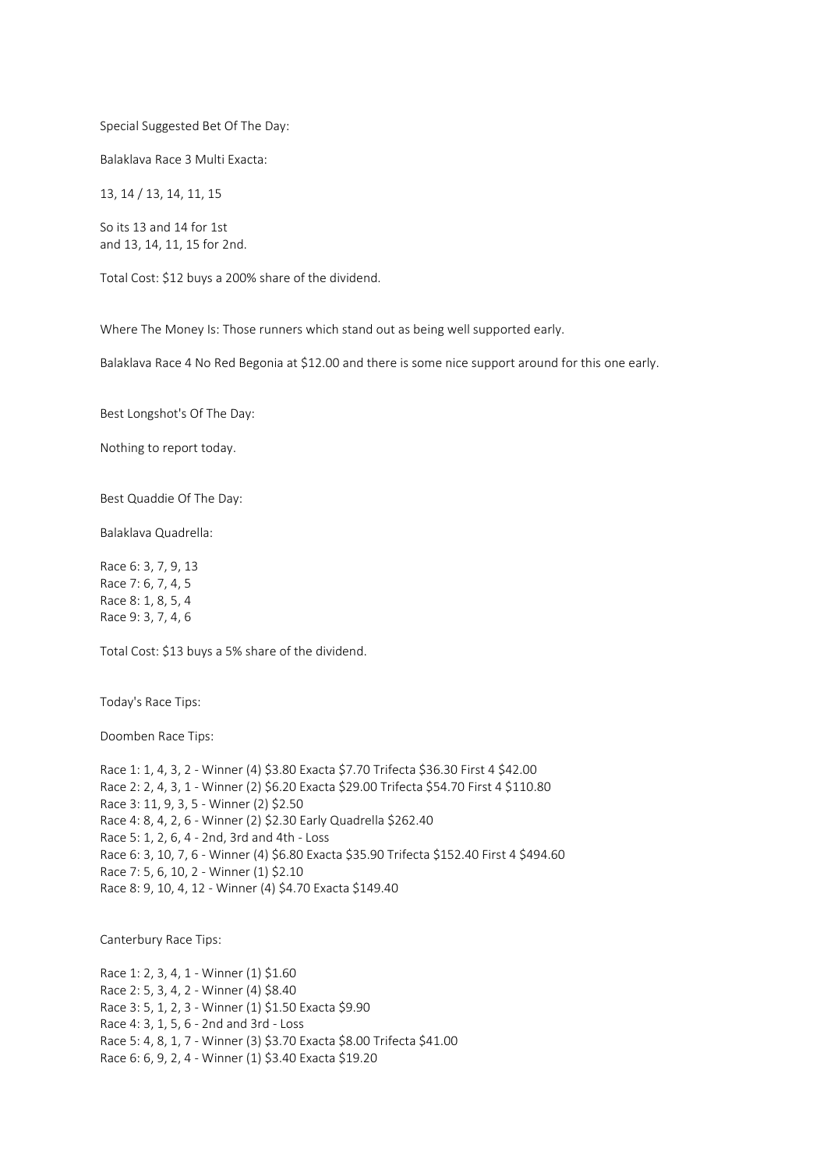## Special Suggested Bet Of The Day:

Balaklava Race 3 Multi Exacta:

13, 14 / 13, 14, 11, 15

So its 13 and 14 for 1st and 13, 14, 11, 15 for 2nd.

Total Cost: \$12 buys a 200% share of the dividend.

Where The Money Is: Those runners which stand out as being well supported early.

Balaklava Race 4 No Red Begonia at \$12.00 and there is some nice support around for this one early.

Best Longshot's Of The Day:

Nothing to report today.

Best Quaddie Of The Day:

Balaklava Quadrella:

Race 6: 3, 7, 9, 13 Race 7: 6, 7, 4, 5 Race 8: 1, 8, 5, 4 Race 9: 3, 7, 4, 6

Total Cost: \$13 buys a 5% share of the dividend.

Today's Race Tips:

Doomben Race Tips:

Race 1: 1, 4, 3, 2 - Winner (4) \$3.80 Exacta \$7.70 Trifecta \$36.30 First 4 \$42.00 Race 2: 2, 4, 3, 1 - Winner (2) \$6.20 Exacta \$29.00 Trifecta \$54.70 First 4 \$110.80 Race 3: 11, 9, 3, 5 - Winner (2) \$2.50 Race 4: 8, 4, 2, 6 - Winner (2) \$2.30 Early Quadrella \$262.40 Race 5: 1, 2, 6, 4 - 2nd, 3rd and 4th - Loss Race 6: 3, 10, 7, 6 - Winner (4) \$6.80 Exacta \$35.90 Trifecta \$152.40 First 4 \$494.60 Race 7: 5, 6, 10, 2 - Winner (1) \$2.10 Race 8: 9, 10, 4, 12 - Winner (4) \$4.70 Exacta \$149.40

Canterbury Race Tips:

Race 1: 2, 3, 4, 1 - Winner (1) \$1.60 Race 2: 5, 3, 4, 2 - Winner (4) \$8.40 Race 3: 5, 1, 2, 3 - Winner (1) \$1.50 Exacta \$9.90 Race 4: 3, 1, 5, 6 - 2nd and 3rd - Loss Race 5: 4, 8, 1, 7 - Winner (3) \$3.70 Exacta \$8.00 Trifecta \$41.00 Race 6: 6, 9, 2, 4 - Winner (1) \$3.40 Exacta \$19.20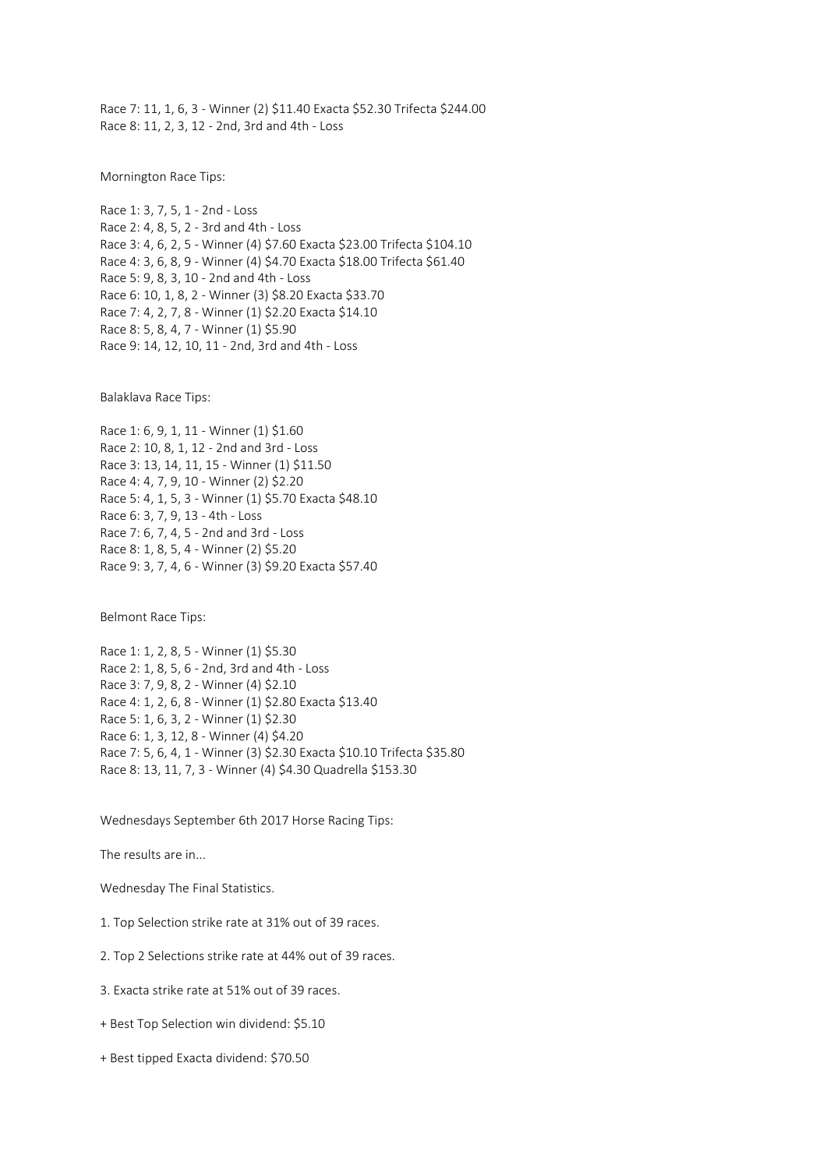Race 7: 11, 1, 6, 3 - Winner (2) \$11.40 Exacta \$52.30 Trifecta \$244.00 Race 8: 11, 2, 3, 12 - 2nd, 3rd and 4th - Loss

Mornington Race Tips:

Race 1: 3, 7, 5, 1 - 2nd - Loss Race 2: 4, 8, 5, 2 - 3rd and 4th - Loss Race 3: 4, 6, 2, 5 - Winner (4) \$7.60 Exacta \$23.00 Trifecta \$104.10 Race 4: 3, 6, 8, 9 - Winner (4) \$4.70 Exacta \$18.00 Trifecta \$61.40 Race 5: 9, 8, 3, 10 - 2nd and 4th - Loss Race 6: 10, 1, 8, 2 - Winner (3) \$8.20 Exacta \$33.70 Race 7: 4, 2, 7, 8 - Winner (1) \$2.20 Exacta \$14.10 Race 8: 5, 8, 4, 7 - Winner (1) \$5.90 Race 9: 14, 12, 10, 11 - 2nd, 3rd and 4th - Loss

Balaklava Race Tips:

Race 1: 6, 9, 1, 11 - Winner (1) \$1.60 Race 2: 10, 8, 1, 12 - 2nd and 3rd - Loss Race 3: 13, 14, 11, 15 - Winner (1) \$11.50 Race 4: 4, 7, 9, 10 - Winner (2) \$2.20 Race 5: 4, 1, 5, 3 - Winner (1) \$5.70 Exacta \$48.10 Race 6: 3, 7, 9, 13 - 4th - Loss Race 7: 6, 7, 4, 5 - 2nd and 3rd - Loss Race 8: 1, 8, 5, 4 - Winner (2) \$5.20 Race 9: 3, 7, 4, 6 - Winner (3) \$9.20 Exacta \$57.40

Belmont Race Tips:

Race 1: 1, 2, 8, 5 - Winner (1) \$5.30 Race 2: 1, 8, 5, 6 - 2nd, 3rd and 4th - Loss Race 3: 7, 9, 8, 2 - Winner (4) \$2.10 Race 4: 1, 2, 6, 8 - Winner (1) \$2.80 Exacta \$13.40 Race 5: 1, 6, 3, 2 - Winner (1) \$2.30 Race 6: 1, 3, 12, 8 - Winner (4) \$4.20 Race 7: 5, 6, 4, 1 - Winner (3) \$2.30 Exacta \$10.10 Trifecta \$35.80 Race 8: 13, 11, 7, 3 - Winner (4) \$4.30 Quadrella \$153.30

Wednesdays September 6th 2017 Horse Racing Tips:

The results are in...

Wednesday The Final Statistics.

- 1. Top Selection strike rate at 31% out of 39 races.
- 2. Top 2 Selections strike rate at 44% out of 39 races.
- 3. Exacta strike rate at 51% out of 39 races.
- + Best Top Selection win dividend: \$5.10
- + Best tipped Exacta dividend: \$70.50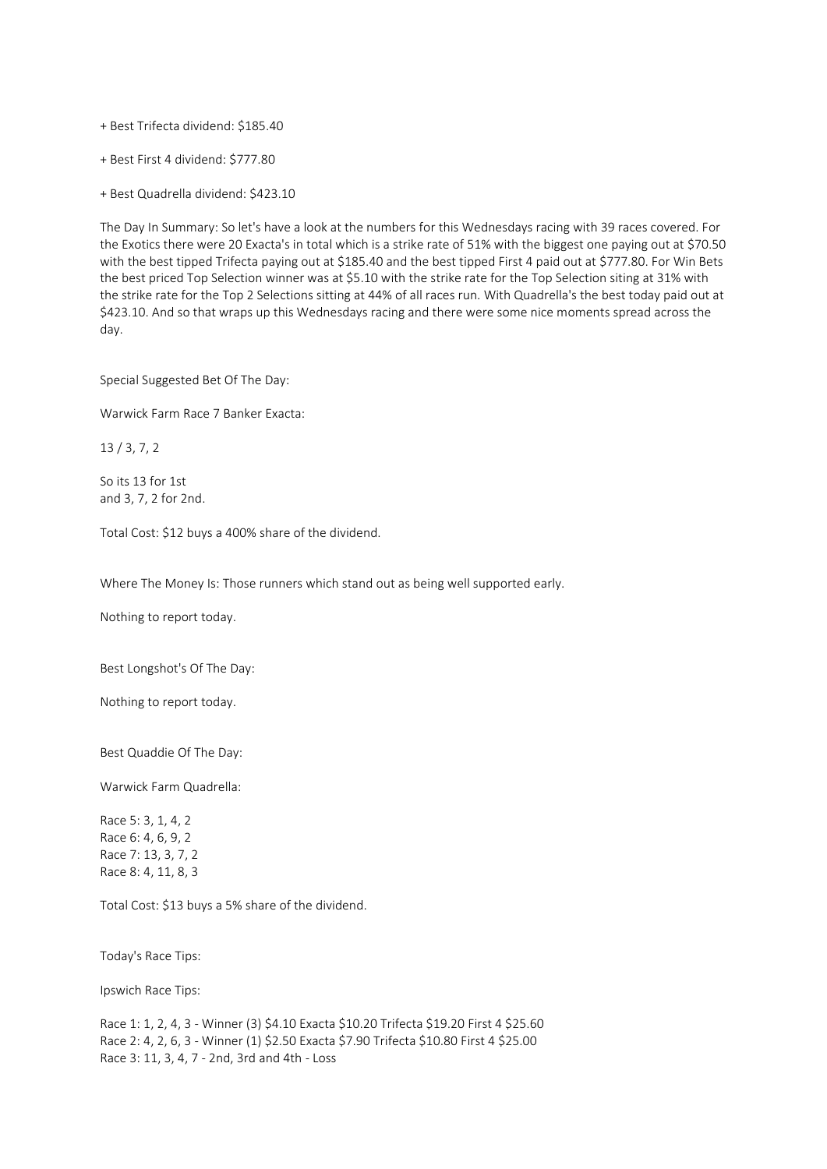+ Best Trifecta dividend: \$185.40

+ Best First 4 dividend: \$777.80

+ Best Quadrella dividend: \$423.10

The Day In Summary: So let's have a look at the numbers for this Wednesdays racing with 39 races covered. For the Exotics there were 20 Exacta's in total which is a strike rate of 51% with the biggest one paying out at \$70.50 with the best tipped Trifecta paying out at \$185.40 and the best tipped First 4 paid out at \$777.80. For Win Bets the best priced Top Selection winner was at \$5.10 with the strike rate for the Top Selection siting at 31% with the strike rate for the Top 2 Selections sitting at 44% of all races run. With Quadrella's the best today paid out at \$423.10. And so that wraps up this Wednesdays racing and there were some nice moments spread across the day.

Special Suggested Bet Of The Day:

Warwick Farm Race 7 Banker Exacta:

13 / 3, 7, 2

So its 13 for 1st and 3, 7, 2 for 2nd.

Total Cost: \$12 buys a 400% share of the dividend.

Where The Money Is: Those runners which stand out as being well supported early.

Nothing to report today.

Best Longshot's Of The Day:

Nothing to report today.

Best Quaddie Of The Day:

Warwick Farm Quadrella:

Race 5: 3, 1, 4, 2 Race 6: 4, 6, 9, 2 Race 7: 13, 3, 7, 2 Race 8: 4, 11, 8, 3

Total Cost: \$13 buys a 5% share of the dividend.

Today's Race Tips:

Ipswich Race Tips:

Race 1: 1, 2, 4, 3 - Winner (3) \$4.10 Exacta \$10.20 Trifecta \$19.20 First 4 \$25.60 Race 2: 4, 2, 6, 3 - Winner (1) \$2.50 Exacta \$7.90 Trifecta \$10.80 First 4 \$25.00 Race 3: 11, 3, 4, 7 - 2nd, 3rd and 4th - Loss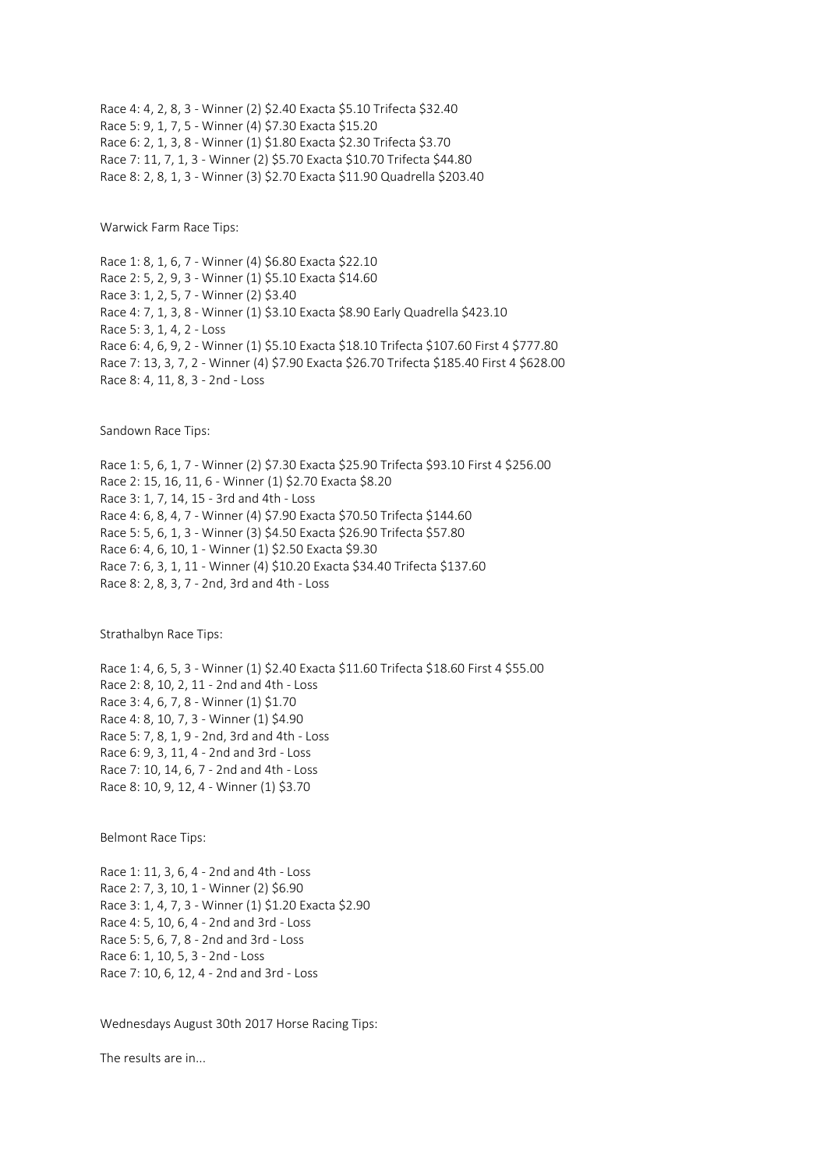Race 4: 4, 2, 8, 3 - Winner (2) \$2.40 Exacta \$5.10 Trifecta \$32.40 Race 5: 9, 1, 7, 5 - Winner (4) \$7.30 Exacta \$15.20 Race 6: 2, 1, 3, 8 - Winner (1) \$1.80 Exacta \$2.30 Trifecta \$3.70 Race 7: 11, 7, 1, 3 - Winner (2) \$5.70 Exacta \$10.70 Trifecta \$44.80 Race 8: 2, 8, 1, 3 - Winner (3) \$2.70 Exacta \$11.90 Quadrella \$203.40

Warwick Farm Race Tips:

Race 1: 8, 1, 6, 7 - Winner (4) \$6.80 Exacta \$22.10 Race 2: 5, 2, 9, 3 - Winner (1) \$5.10 Exacta \$14.60 Race 3: 1, 2, 5, 7 - Winner (2) \$3.40 Race 4: 7, 1, 3, 8 - Winner (1) \$3.10 Exacta \$8.90 Early Quadrella \$423.10 Race 5: 3, 1, 4, 2 - Loss Race 6: 4, 6, 9, 2 - Winner (1) \$5.10 Exacta \$18.10 Trifecta \$107.60 First 4 \$777.80 Race 7: 13, 3, 7, 2 - Winner (4) \$7.90 Exacta \$26.70 Trifecta \$185.40 First 4 \$628.00 Race 8: 4, 11, 8, 3 - 2nd - Loss

Sandown Race Tips:

Race 1: 5, 6, 1, 7 - Winner (2) \$7.30 Exacta \$25.90 Trifecta \$93.10 First 4 \$256.00 Race 2: 15, 16, 11, 6 - Winner (1) \$2.70 Exacta \$8.20 Race 3: 1, 7, 14, 15 - 3rd and 4th - Loss Race 4: 6, 8, 4, 7 - Winner (4) \$7.90 Exacta \$70.50 Trifecta \$144.60 Race 5: 5, 6, 1, 3 - Winner (3) \$4.50 Exacta \$26.90 Trifecta \$57.80 Race 6: 4, 6, 10, 1 - Winner (1) \$2.50 Exacta \$9.30 Race 7: 6, 3, 1, 11 - Winner (4) \$10.20 Exacta \$34.40 Trifecta \$137.60 Race 8: 2, 8, 3, 7 - 2nd, 3rd and 4th - Loss

Strathalbyn Race Tips:

Race 1: 4, 6, 5, 3 - Winner (1) \$2.40 Exacta \$11.60 Trifecta \$18.60 First 4 \$55.00 Race 2: 8, 10, 2, 11 - 2nd and 4th - Loss Race 3: 4, 6, 7, 8 - Winner (1) \$1.70 Race 4: 8, 10, 7, 3 - Winner (1) \$4.90 Race 5: 7, 8, 1, 9 - 2nd, 3rd and 4th - Loss Race 6: 9, 3, 11, 4 - 2nd and 3rd - Loss Race 7: 10, 14, 6, 7 - 2nd and 4th - Loss Race 8: 10, 9, 12, 4 - Winner (1) \$3.70

Belmont Race Tips:

Race 1: 11, 3, 6, 4 - 2nd and 4th - Loss Race 2: 7, 3, 10, 1 - Winner (2) \$6.90 Race 3: 1, 4, 7, 3 - Winner (1) \$1.20 Exacta \$2.90 Race 4: 5, 10, 6, 4 - 2nd and 3rd - Loss Race 5: 5, 6, 7, 8 - 2nd and 3rd - Loss Race 6: 1, 10, 5, 3 - 2nd - Loss Race 7: 10, 6, 12, 4 - 2nd and 3rd - Loss

Wednesdays August 30th 2017 Horse Racing Tips:

The results are in...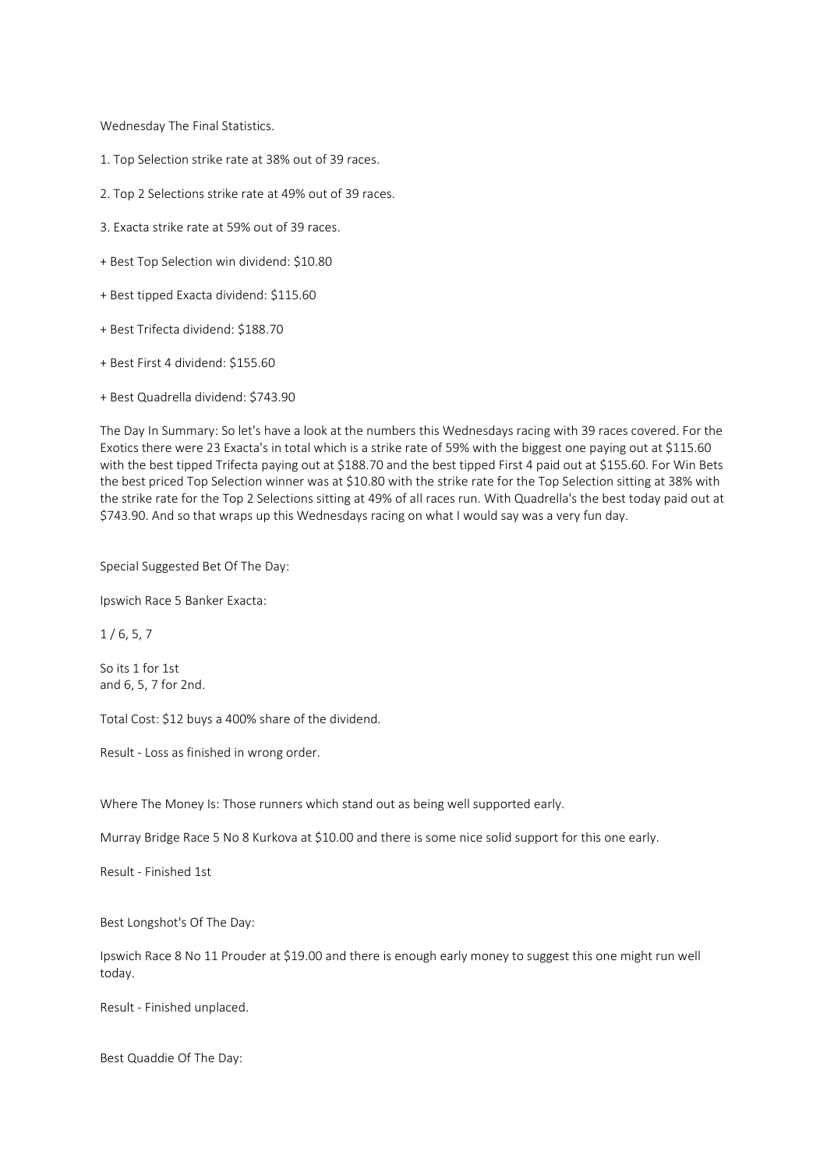Wednesday The Final Statistics.

- 1. Top Selection strike rate at 38% out of 39 races.
- 2. Top 2 Selections strike rate at 49% out of 39 races.
- 3. Exacta strike rate at 59% out of 39 races.
- + Best Top Selection win dividend: \$10.80
- + Best tipped Exacta dividend: \$115.60
- + Best Trifecta dividend: \$188.70
- + Best First 4 dividend: \$155.60
- + Best Quadrella dividend: \$743.90

The Day In Summary: So let's have a look at the numbers this Wednesdays racing with 39 races covered. For the Exotics there were 23 Exacta's in total which is a strike rate of 59% with the biggest one paying out at \$115.60 with the best tipped Trifecta paying out at \$188.70 and the best tipped First 4 paid out at \$155.60. For Win Bets the best priced Top Selection winner was at \$10.80 with the strike rate for the Top Selection sitting at 38% with the strike rate for the Top 2 Selections sitting at 49% of all races run. With Quadrella's the best today paid out at \$743.90. And so that wraps up this Wednesdays racing on what I would say was a very fun day.

Special Suggested Bet Of The Day:

Ipswich Race 5 Banker Exacta:

 $1/6, 5, 7$ 

So its 1 for 1st and 6, 5, 7 for 2nd.

Total Cost: \$12 buys a 400% share of the dividend.

Result - Loss as finished in wrong order.

Where The Money Is: Those runners which stand out as being well supported early.

Murray Bridge Race 5 No 8 Kurkova at \$10.00 and there is some nice solid support for this one early.

Result - Finished 1st

Best Longshot's Of The Day:

Ipswich Race 8 No 11 Prouder at \$19.00 and there is enough early money to suggest this one might run well today.

Result - Finished unplaced.

Best Quaddie Of The Day: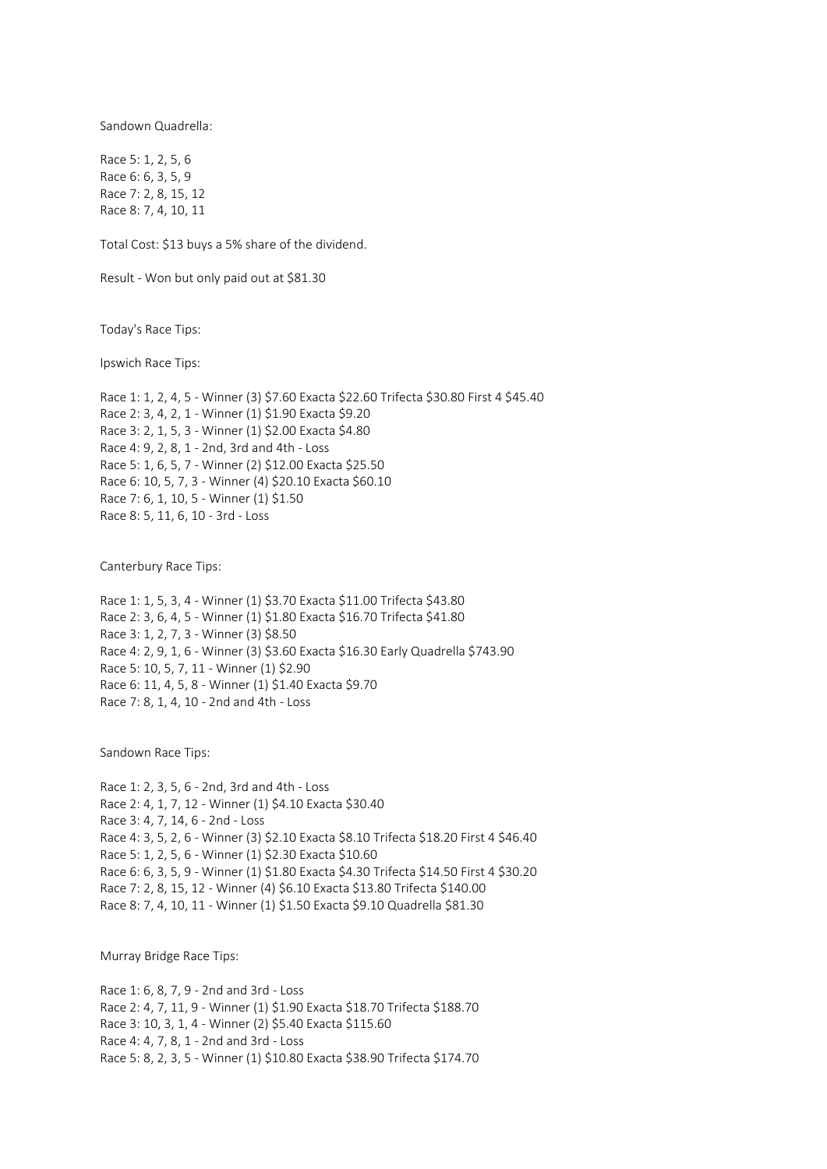Sandown Quadrella:

Race 5: 1, 2, 5, 6 Race 6: 6, 3, 5, 9 Race 7: 2, 8, 15, 12 Race 8: 7, 4, 10, 11

Total Cost: \$13 buys a 5% share of the dividend.

Result - Won but only paid out at \$81.30

Today's Race Tips:

Ipswich Race Tips:

Race 1: 1, 2, 4, 5 - Winner (3) \$7.60 Exacta \$22.60 Trifecta \$30.80 First 4 \$45.40 Race 2: 3, 4, 2, 1 - Winner (1) \$1.90 Exacta \$9.20 Race 3: 2, 1, 5, 3 - Winner (1) \$2.00 Exacta \$4.80 Race 4: 9, 2, 8, 1 - 2nd, 3rd and 4th - Loss Race 5: 1, 6, 5, 7 - Winner (2) \$12.00 Exacta \$25.50 Race 6: 10, 5, 7, 3 - Winner (4) \$20.10 Exacta \$60.10 Race 7: 6, 1, 10, 5 - Winner (1) \$1.50 Race 8: 5, 11, 6, 10 - 3rd - Loss

Canterbury Race Tips:

Race 1: 1, 5, 3, 4 - Winner (1) \$3.70 Exacta \$11.00 Trifecta \$43.80 Race 2: 3, 6, 4, 5 - Winner (1) \$1.80 Exacta \$16.70 Trifecta \$41.80 Race 3: 1, 2, 7, 3 - Winner (3) \$8.50 Race 4: 2, 9, 1, 6 - Winner (3) \$3.60 Exacta \$16.30 Early Quadrella \$743.90 Race 5: 10, 5, 7, 11 - Winner (1) \$2.90 Race 6: 11, 4, 5, 8 - Winner (1) \$1.40 Exacta \$9.70 Race 7: 8, 1, 4, 10 - 2nd and 4th - Loss

Sandown Race Tips:

Race 1: 2, 3, 5, 6 - 2nd, 3rd and 4th - Loss Race 2: 4, 1, 7, 12 - Winner (1) \$4.10 Exacta \$30.40 Race 3: 4, 7, 14, 6 - 2nd - Loss Race 4: 3, 5, 2, 6 - Winner (3) \$2.10 Exacta \$8.10 Trifecta \$18.20 First 4 \$46.40 Race 5: 1, 2, 5, 6 - Winner (1) \$2.30 Exacta \$10.60 Race 6: 6, 3, 5, 9 - Winner (1) \$1.80 Exacta \$4.30 Trifecta \$14.50 First 4 \$30.20 Race 7: 2, 8, 15, 12 - Winner (4) \$6.10 Exacta \$13.80 Trifecta \$140.00 Race 8: 7, 4, 10, 11 - Winner (1) \$1.50 Exacta \$9.10 Quadrella \$81.30

Murray Bridge Race Tips:

Race 1: 6, 8, 7, 9 - 2nd and 3rd - Loss Race 2: 4, 7, 11, 9 - Winner (1) \$1.90 Exacta \$18.70 Trifecta \$188.70 Race 3: 10, 3, 1, 4 - Winner (2) \$5.40 Exacta \$115.60 Race 4: 4, 7, 8, 1 - 2nd and 3rd - Loss Race 5: 8, 2, 3, 5 - Winner (1) \$10.80 Exacta \$38.90 Trifecta \$174.70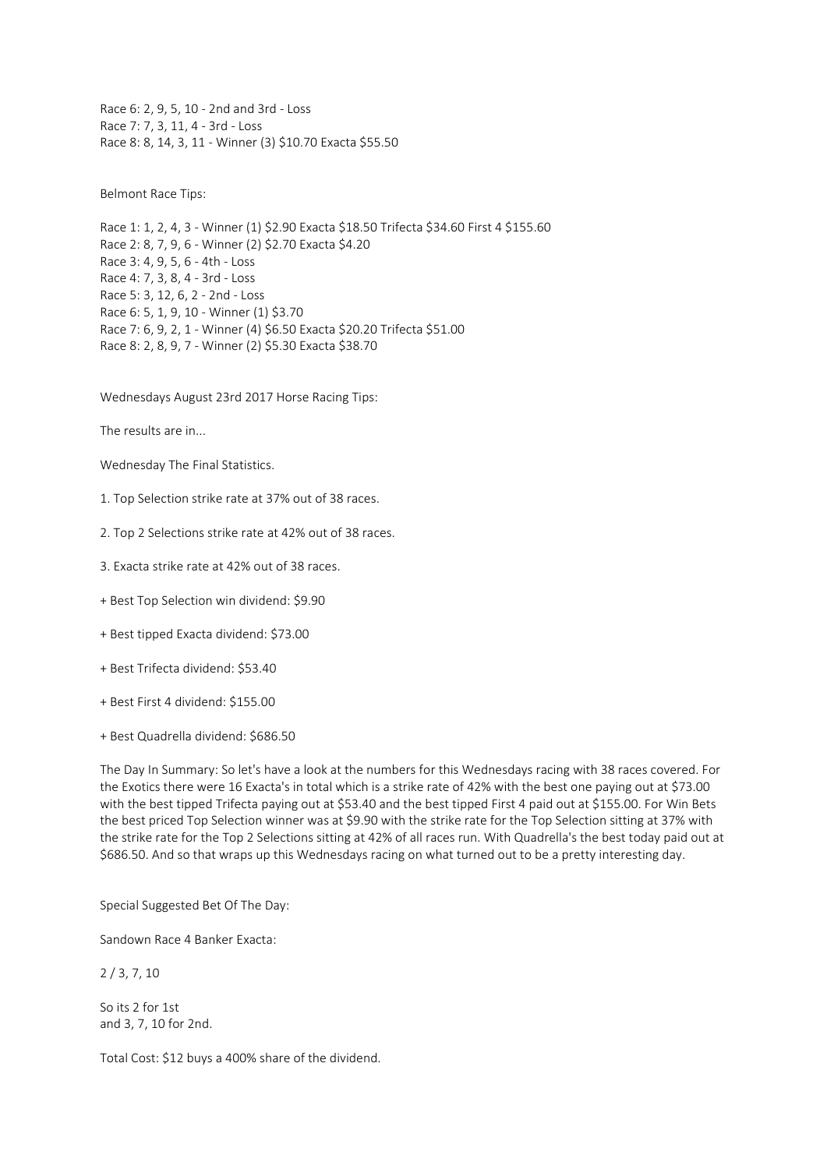Race 6: 2, 9, 5, 10 - 2nd and 3rd - Loss Race 7: 7, 3, 11, 4 - 3rd - Loss Race 8: 8, 14, 3, 11 - Winner (3) \$10.70 Exacta \$55.50

Belmont Race Tips:

Race 1: 1, 2, 4, 3 - Winner (1) \$2.90 Exacta \$18.50 Trifecta \$34.60 First 4 \$155.60 Race 2: 8, 7, 9, 6 - Winner (2) \$2.70 Exacta \$4.20 Race 3: 4, 9, 5, 6 - 4th - Loss Race 4: 7, 3, 8, 4 - 3rd - Loss Race 5: 3, 12, 6, 2 - 2nd - Loss Race 6: 5, 1, 9, 10 - Winner (1) \$3.70 Race 7: 6, 9, 2, 1 - Winner (4) \$6.50 Exacta \$20.20 Trifecta \$51.00 Race 8: 2, 8, 9, 7 - Winner (2) \$5.30 Exacta \$38.70

Wednesdays August 23rd 2017 Horse Racing Tips:

The results are in...

Wednesday The Final Statistics.

- 1. Top Selection strike rate at 37% out of 38 races.
- 2. Top 2 Selections strike rate at 42% out of 38 races.
- 3. Exacta strike rate at 42% out of 38 races.
- + Best Top Selection win dividend: \$9.90
- + Best tipped Exacta dividend: \$73.00
- + Best Trifecta dividend: \$53.40
- + Best First 4 dividend: \$155.00
- + Best Quadrella dividend: \$686.50

The Day In Summary: So let's have a look at the numbers for this Wednesdays racing with 38 races covered. For the Exotics there were 16 Exacta's in total which is a strike rate of 42% with the best one paying out at \$73.00 with the best tipped Trifecta paying out at \$53.40 and the best tipped First 4 paid out at \$155.00. For Win Bets the best priced Top Selection winner was at \$9.90 with the strike rate for the Top Selection sitting at 37% with the strike rate for the Top 2 Selections sitting at 42% of all races run. With Quadrella's the best today paid out at \$686.50. And so that wraps up this Wednesdays racing on what turned out to be a pretty interesting day.

Special Suggested Bet Of The Day:

Sandown Race 4 Banker Exacta:

2 / 3, 7, 10

So its 2 for 1st and 3, 7, 10 for 2nd.

Total Cost: \$12 buys a 400% share of the dividend.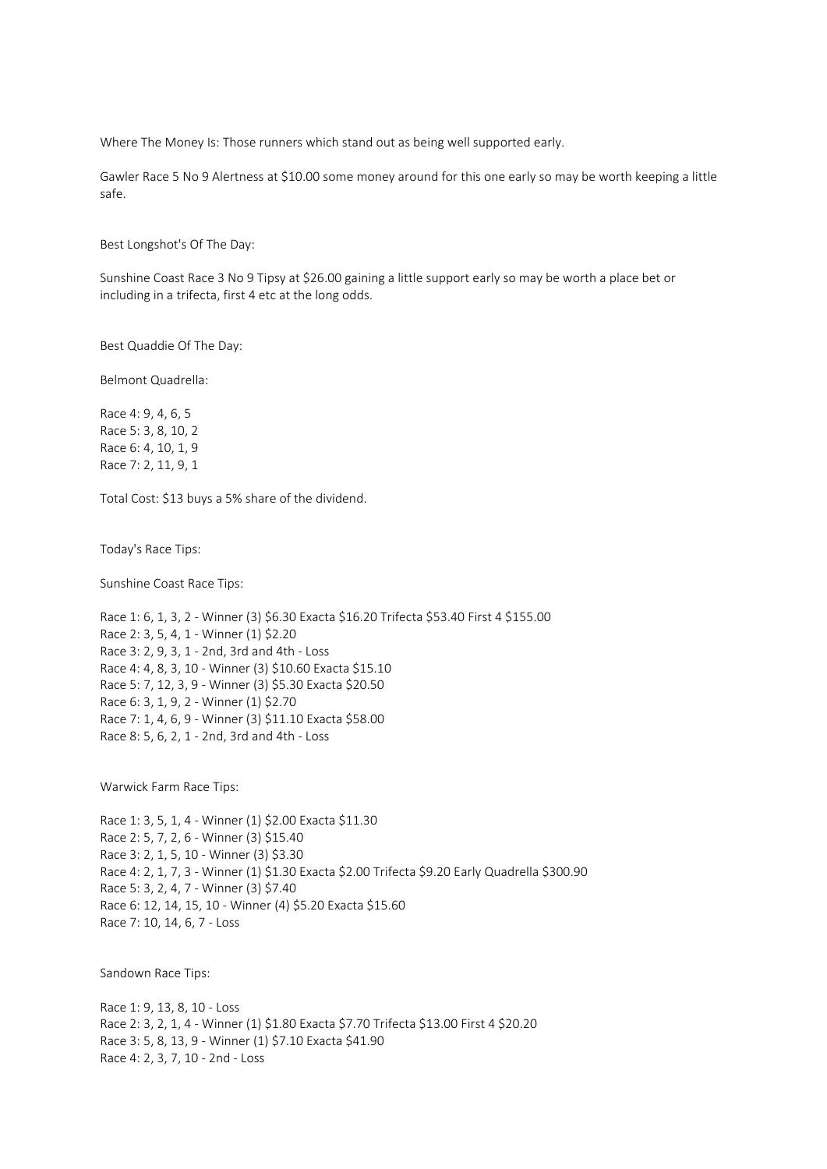Where The Money Is: Those runners which stand out as being well supported early.

Gawler Race 5 No 9 Alertness at \$10.00 some money around for this one early so may be worth keeping a little safe.

Best Longshot's Of The Day:

Sunshine Coast Race 3 No 9 Tipsy at \$26.00 gaining a little support early so may be worth a place bet or including in a trifecta, first 4 etc at the long odds.

Best Quaddie Of The Day:

Belmont Quadrella:

Race 4: 9, 4, 6, 5 Race 5: 3, 8, 10, 2 Race 6: 4, 10, 1, 9 Race 7: 2, 11, 9, 1

Total Cost: \$13 buys a 5% share of the dividend.

Today's Race Tips:

Sunshine Coast Race Tips:

Race 1: 6, 1, 3, 2 - Winner (3) \$6.30 Exacta \$16.20 Trifecta \$53.40 First 4 \$155.00 Race 2: 3, 5, 4, 1 - Winner (1) \$2.20 Race 3: 2, 9, 3, 1 - 2nd, 3rd and 4th - Loss Race 4: 4, 8, 3, 10 - Winner (3) \$10.60 Exacta \$15.10 Race 5: 7, 12, 3, 9 - Winner (3) \$5.30 Exacta \$20.50 Race 6: 3, 1, 9, 2 - Winner (1) \$2.70 Race 7: 1, 4, 6, 9 - Winner (3) \$11.10 Exacta \$58.00 Race 8: 5, 6, 2, 1 - 2nd, 3rd and 4th - Loss

Warwick Farm Race Tips:

Race 1: 3, 5, 1, 4 - Winner (1) \$2.00 Exacta \$11.30 Race 2: 5, 7, 2, 6 - Winner (3) \$15.40 Race 3: 2, 1, 5, 10 - Winner (3) \$3.30 Race 4: 2, 1, 7, 3 - Winner (1) \$1.30 Exacta \$2.00 Trifecta \$9.20 Early Quadrella \$300.90 Race 5: 3, 2, 4, 7 - Winner (3) \$7.40 Race 6: 12, 14, 15, 10 - Winner (4) \$5.20 Exacta \$15.60 Race 7: 10, 14, 6, 7 - Loss

Sandown Race Tips:

Race 1: 9, 13, 8, 10 - Loss Race 2: 3, 2, 1, 4 - Winner (1) \$1.80 Exacta \$7.70 Trifecta \$13.00 First 4 \$20.20 Race 3: 5, 8, 13, 9 - Winner (1) \$7.10 Exacta \$41.90 Race 4: 2, 3, 7, 10 - 2nd - Loss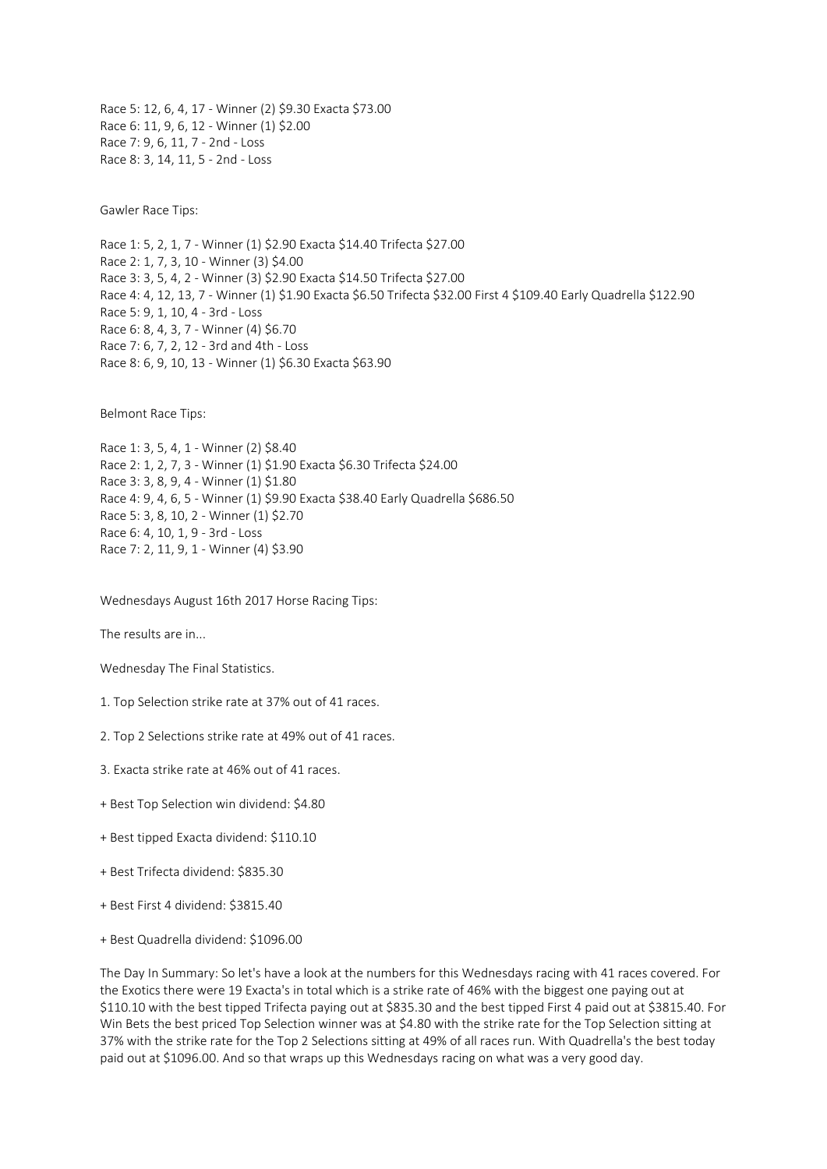Race 5: 12, 6, 4, 17 - Winner (2) \$9.30 Exacta \$73.00 Race 6: 11, 9, 6, 12 - Winner (1) \$2.00 Race 7: 9, 6, 11, 7 - 2nd - Loss Race 8: 3, 14, 11, 5 - 2nd - Loss

Gawler Race Tips:

Race 1: 5, 2, 1, 7 - Winner (1) \$2.90 Exacta \$14.40 Trifecta \$27.00 Race 2: 1, 7, 3, 10 - Winner (3) \$4.00 Race 3: 3, 5, 4, 2 - Winner (3) \$2.90 Exacta \$14.50 Trifecta \$27.00 Race 4: 4, 12, 13, 7 - Winner (1) \$1.90 Exacta \$6.50 Trifecta \$32.00 First 4 \$109.40 Early Quadrella \$122.90 Race 5: 9, 1, 10, 4 - 3rd - Loss Race 6: 8, 4, 3, 7 - Winner (4) \$6.70 Race 7: 6, 7, 2, 12 - 3rd and 4th - Loss Race 8: 6, 9, 10, 13 - Winner (1) \$6.30 Exacta \$63.90

Belmont Race Tips:

Race 1: 3, 5, 4, 1 - Winner (2) \$8.40 Race 2: 1, 2, 7, 3 - Winner (1) \$1.90 Exacta \$6.30 Trifecta \$24.00 Race 3: 3, 8, 9, 4 - Winner (1) \$1.80 Race 4: 9, 4, 6, 5 - Winner (1) \$9.90 Exacta \$38.40 Early Quadrella \$686.50 Race 5: 3, 8, 10, 2 - Winner (1) \$2.70 Race 6: 4, 10, 1, 9 - 3rd - Loss Race 7: 2, 11, 9, 1 - Winner (4) \$3.90

Wednesdays August 16th 2017 Horse Racing Tips:

The results are in...

Wednesday The Final Statistics.

- 1. Top Selection strike rate at 37% out of 41 races.
- 2. Top 2 Selections strike rate at 49% out of 41 races.
- 3. Exacta strike rate at 46% out of 41 races.
- + Best Top Selection win dividend: \$4.80
- + Best tipped Exacta dividend: \$110.10
- + Best Trifecta dividend: \$835.30
- + Best First 4 dividend: \$3815.40
- + Best Quadrella dividend: \$1096.00

The Day In Summary: So let's have a look at the numbers for this Wednesdays racing with 41 races covered. For the Exotics there were 19 Exacta's in total which is a strike rate of 46% with the biggest one paying out at \$110.10 with the best tipped Trifecta paying out at \$835.30 and the best tipped First 4 paid out at \$3815.40. For Win Bets the best priced Top Selection winner was at \$4.80 with the strike rate for the Top Selection sitting at 37% with the strike rate for the Top 2 Selections sitting at 49% of all races run. With Quadrella's the best today paid out at \$1096.00. And so that wraps up this Wednesdays racing on what was a very good day.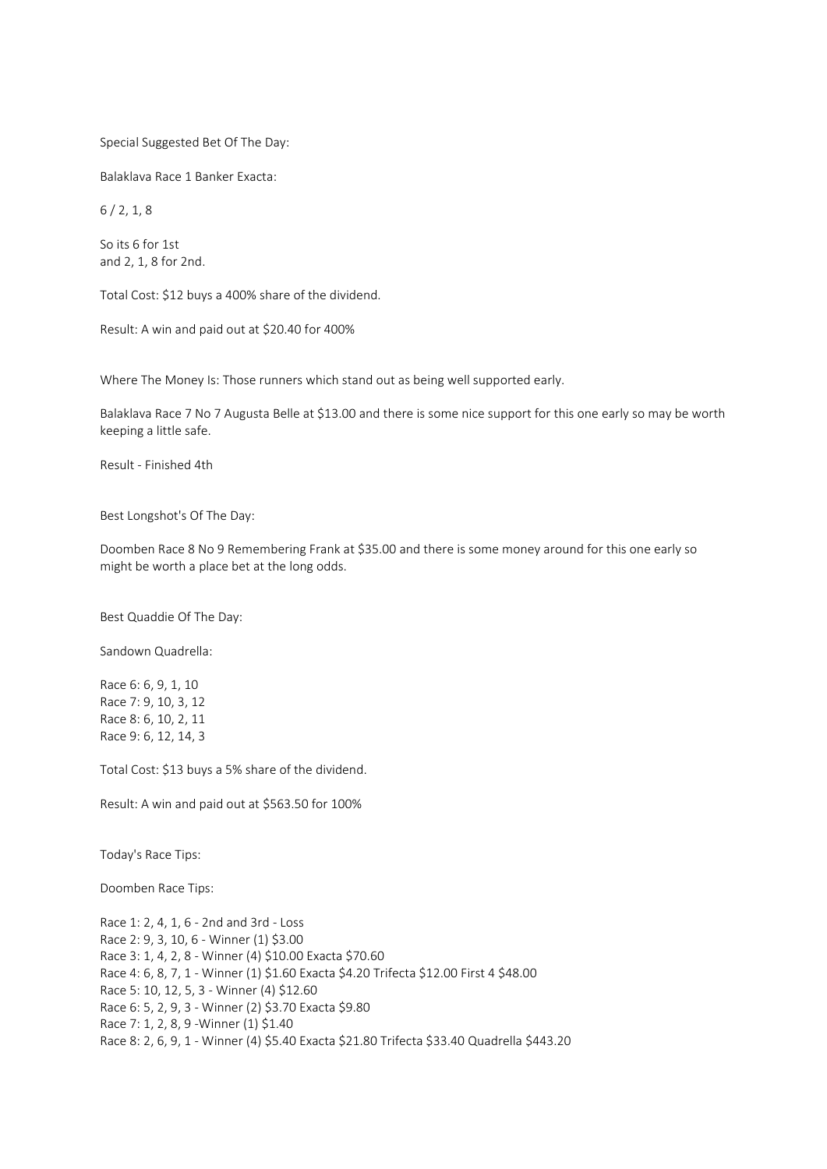Special Suggested Bet Of The Day:

Balaklava Race 1 Banker Exacta:

 $6/2.1.8$ 

So its 6 for 1st and 2, 1, 8 for 2nd.

Total Cost: \$12 buys a 400% share of the dividend.

Result: A win and paid out at \$20.40 for 400%

Where The Money Is: Those runners which stand out as being well supported early.

Balaklava Race 7 No 7 Augusta Belle at \$13.00 and there is some nice support for this one early so may be worth keeping a little safe.

Result - Finished 4th

Best Longshot's Of The Day:

Doomben Race 8 No 9 Remembering Frank at \$35.00 and there is some money around for this one early so might be worth a place bet at the long odds.

Best Quaddie Of The Day:

Sandown Quadrella:

Race 6: 6, 9, 1, 10 Race 7: 9, 10, 3, 12 Race 8: 6, 10, 2, 11 Race 9: 6, 12, 14, 3

Total Cost: \$13 buys a 5% share of the dividend.

Result: A win and paid out at \$563.50 for 100%

Today's Race Tips:

Doomben Race Tips:

Race 1: 2, 4, 1, 6 - 2nd and 3rd - Loss Race 2: 9, 3, 10, 6 - Winner (1) \$3.00 Race 3: 1, 4, 2, 8 - Winner (4) \$10.00 Exacta \$70.60 Race 4: 6, 8, 7, 1 - Winner (1) \$1.60 Exacta \$4.20 Trifecta \$12.00 First 4 \$48.00 Race 5: 10, 12, 5, 3 - Winner (4) \$12.60 Race 6: 5, 2, 9, 3 - Winner (2) \$3.70 Exacta \$9.80 Race 7: 1, 2, 8, 9 -Winner (1) \$1.40 Race 8: 2, 6, 9, 1 - Winner (4) \$5.40 Exacta \$21.80 Trifecta \$33.40 Quadrella \$443.20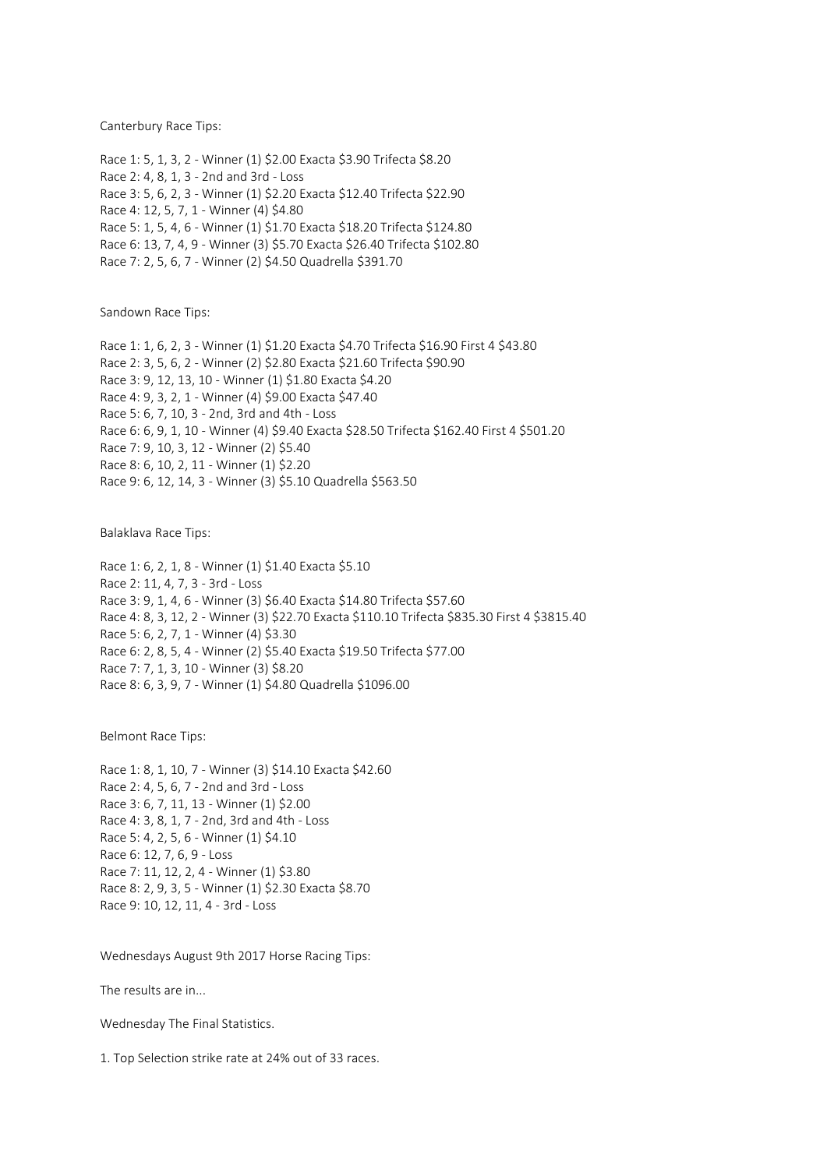Canterbury Race Tips:

Race 1: 5, 1, 3, 2 - Winner (1) \$2.00 Exacta \$3.90 Trifecta \$8.20 Race 2: 4, 8, 1, 3 - 2nd and 3rd - Loss Race 3: 5, 6, 2, 3 - Winner (1) \$2.20 Exacta \$12.40 Trifecta \$22.90 Race 4: 12, 5, 7, 1 - Winner (4) \$4.80 Race 5: 1, 5, 4, 6 - Winner (1) \$1.70 Exacta \$18.20 Trifecta \$124.80 Race 6: 13, 7, 4, 9 - Winner (3) \$5.70 Exacta \$26.40 Trifecta \$102.80 Race 7: 2, 5, 6, 7 - Winner (2) \$4.50 Quadrella \$391.70

Sandown Race Tips:

Race 1: 1, 6, 2, 3 - Winner (1) \$1.20 Exacta \$4.70 Trifecta \$16.90 First 4 \$43.80 Race 2: 3, 5, 6, 2 - Winner (2) \$2.80 Exacta \$21.60 Trifecta \$90.90 Race 3: 9, 12, 13, 10 - Winner (1) \$1.80 Exacta \$4.20 Race 4: 9, 3, 2, 1 - Winner (4) \$9.00 Exacta \$47.40 Race 5: 6, 7, 10, 3 - 2nd, 3rd and 4th - Loss Race 6: 6, 9, 1, 10 - Winner (4) \$9.40 Exacta \$28.50 Trifecta \$162.40 First 4 \$501.20 Race 7: 9, 10, 3, 12 - Winner (2) \$5.40 Race 8: 6, 10, 2, 11 - Winner (1) \$2.20 Race 9: 6, 12, 14, 3 - Winner (3) \$5.10 Quadrella \$563.50

Balaklava Race Tips:

Race 1: 6, 2, 1, 8 - Winner (1) \$1.40 Exacta \$5.10 Race 2: 11, 4, 7, 3 - 3rd - Loss Race 3: 9, 1, 4, 6 - Winner (3) \$6.40 Exacta \$14.80 Trifecta \$57.60 Race 4: 8, 3, 12, 2 - Winner (3) \$22.70 Exacta \$110.10 Trifecta \$835.30 First 4 \$3815.40 Race 5: 6, 2, 7, 1 - Winner (4) \$3.30 Race 6: 2, 8, 5, 4 - Winner (2) \$5.40 Exacta \$19.50 Trifecta \$77.00 Race 7: 7, 1, 3, 10 - Winner (3) \$8.20 Race 8: 6, 3, 9, 7 - Winner (1) \$4.80 Quadrella \$1096.00

Belmont Race Tips:

Race 1: 8, 1, 10, 7 - Winner (3) \$14.10 Exacta \$42.60 Race 2: 4, 5, 6, 7 - 2nd and 3rd - Loss Race 3: 6, 7, 11, 13 - Winner (1) \$2.00 Race 4: 3, 8, 1, 7 - 2nd, 3rd and 4th - Loss Race 5: 4, 2, 5, 6 - Winner (1) \$4.10 Race 6: 12, 7, 6, 9 - Loss Race 7: 11, 12, 2, 4 - Winner (1) \$3.80 Race 8: 2, 9, 3, 5 - Winner (1) \$2.30 Exacta \$8.70 Race 9: 10, 12, 11, 4 - 3rd - Loss

Wednesdays August 9th 2017 Horse Racing Tips:

The results are in...

Wednesday The Final Statistics.

1. Top Selection strike rate at 24% out of 33 races.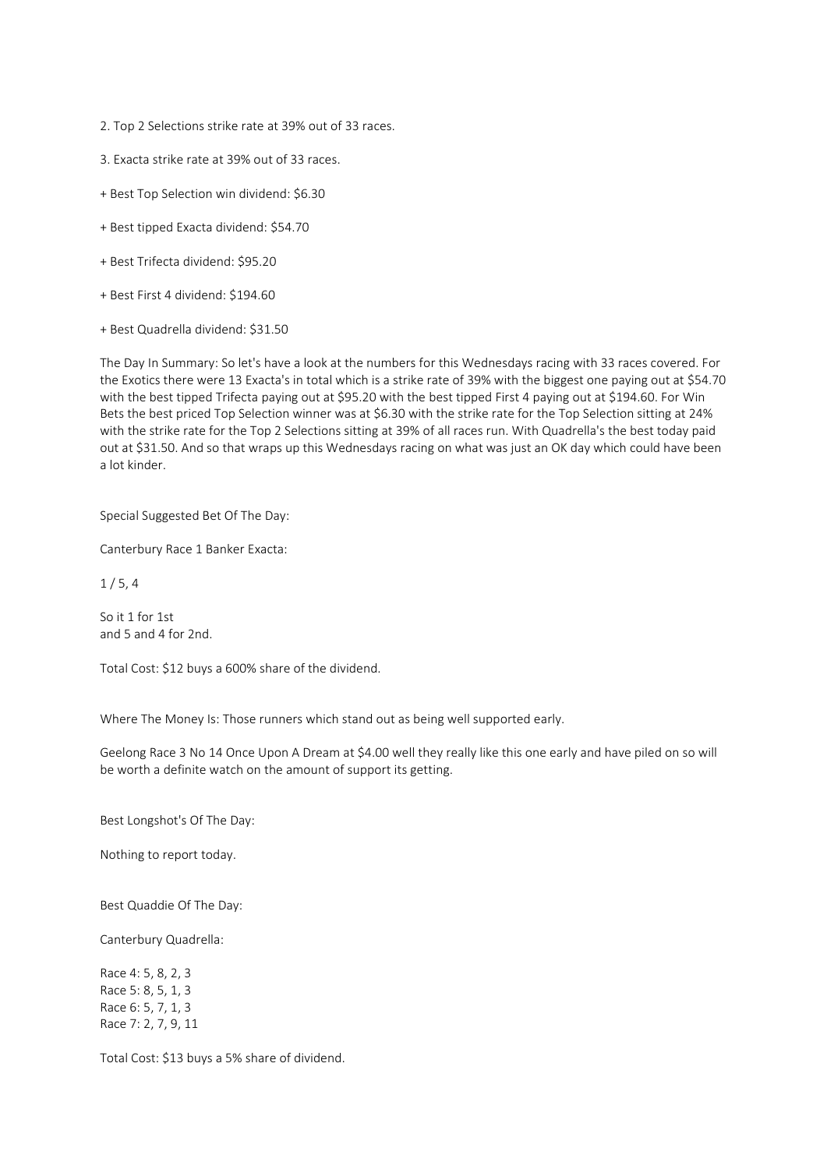2. Top 2 Selections strike rate at 39% out of 33 races.

- 3. Exacta strike rate at 39% out of 33 races.
- + Best Top Selection win dividend: \$6.30
- + Best tipped Exacta dividend: \$54.70
- + Best Trifecta dividend: \$95.20
- + Best First 4 dividend: \$194.60
- + Best Quadrella dividend: \$31.50

The Day In Summary: So let's have a look at the numbers for this Wednesdays racing with 33 races covered. For the Exotics there were 13 Exacta's in total which is a strike rate of 39% with the biggest one paying out at \$54.70 with the best tipped Trifecta paying out at \$95.20 with the best tipped First 4 paying out at \$194.60. For Win Bets the best priced Top Selection winner was at \$6.30 with the strike rate for the Top Selection sitting at 24% with the strike rate for the Top 2 Selections sitting at 39% of all races run. With Quadrella's the best today paid out at \$31.50. And so that wraps up this Wednesdays racing on what was just an OK day which could have been a lot kinder.

Special Suggested Bet Of The Day:

Canterbury Race 1 Banker Exacta:

 $1/5, 4$ 

So it 1 for 1st and 5 and 4 for 2nd.

Total Cost: \$12 buys a 600% share of the dividend.

Where The Money Is: Those runners which stand out as being well supported early.

Geelong Race 3 No 14 Once Upon A Dream at \$4.00 well they really like this one early and have piled on so will be worth a definite watch on the amount of support its getting.

Best Longshot's Of The Day:

Nothing to report today.

Best Quaddie Of The Day:

Canterbury Quadrella:

Race 4: 5, 8, 2, 3 Race 5: 8, 5, 1, 3 Race 6: 5, 7, 1, 3 Race 7: 2, 7, 9, 11

Total Cost: \$13 buys a 5% share of dividend.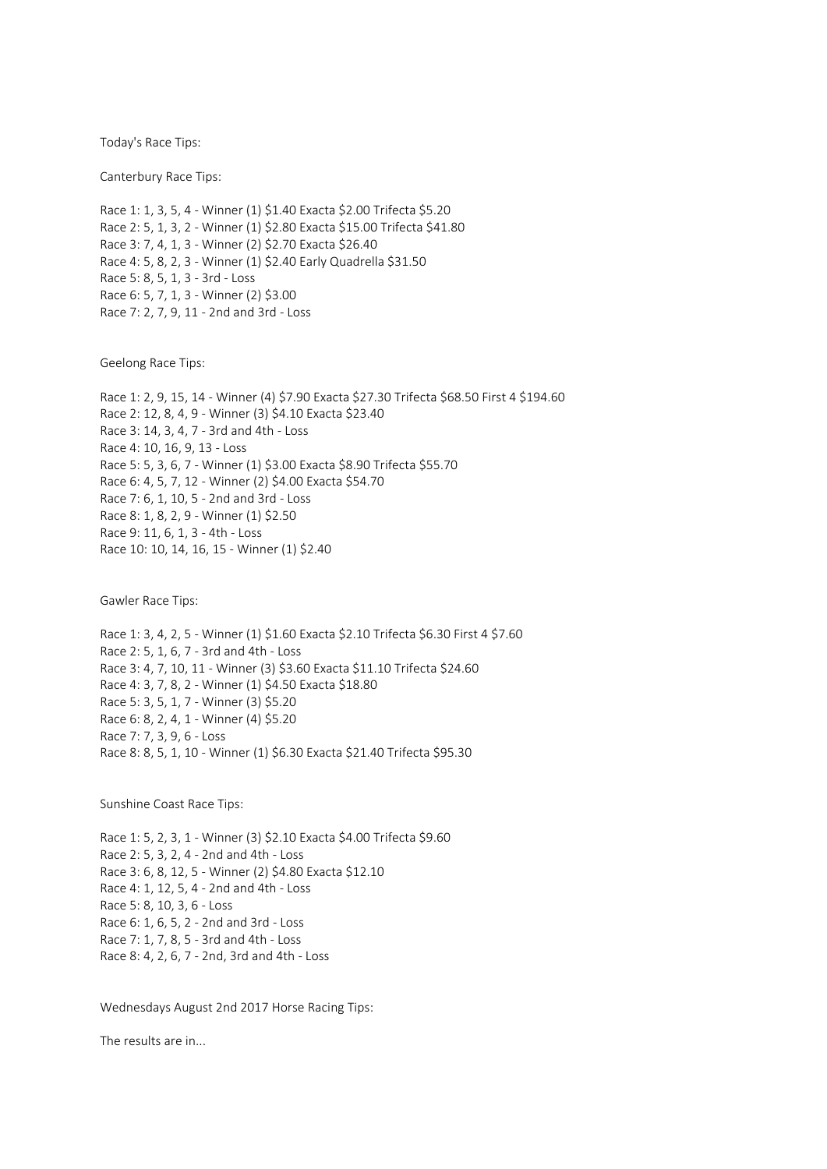Today's Race Tips:

Canterbury Race Tips:

Race 1: 1, 3, 5, 4 - Winner (1) \$1.40 Exacta \$2.00 Trifecta \$5.20 Race 2: 5, 1, 3, 2 - Winner (1) \$2.80 Exacta \$15.00 Trifecta \$41.80 Race 3: 7, 4, 1, 3 - Winner (2) \$2.70 Exacta \$26.40 Race 4: 5, 8, 2, 3 - Winner (1) \$2.40 Early Quadrella \$31.50 Race 5: 8, 5, 1, 3 - 3rd - Loss Race 6: 5, 7, 1, 3 - Winner (2) \$3.00 Race 7: 2, 7, 9, 11 - 2nd and 3rd - Loss

Geelong Race Tips:

Race 1: 2, 9, 15, 14 - Winner (4) \$7.90 Exacta \$27.30 Trifecta \$68.50 First 4 \$194.60 Race 2: 12, 8, 4, 9 - Winner (3) \$4.10 Exacta \$23.40 Race 3: 14, 3, 4, 7 - 3rd and 4th - Loss Race 4: 10, 16, 9, 13 - Loss Race 5: 5, 3, 6, 7 - Winner (1) \$3.00 Exacta \$8.90 Trifecta \$55.70 Race 6: 4, 5, 7, 12 - Winner (2) \$4.00 Exacta \$54.70 Race 7: 6, 1, 10, 5 - 2nd and 3rd - Loss Race 8: 1, 8, 2, 9 - Winner (1) \$2.50 Race 9: 11, 6, 1, 3 - 4th - Loss Race 10: 10, 14, 16, 15 - Winner (1) \$2.40

Gawler Race Tips:

Race 1: 3, 4, 2, 5 - Winner (1) \$1.60 Exacta \$2.10 Trifecta \$6.30 First 4 \$7.60 Race 2: 5, 1, 6, 7 - 3rd and 4th - Loss Race 3: 4, 7, 10, 11 - Winner (3) \$3.60 Exacta \$11.10 Trifecta \$24.60 Race 4: 3, 7, 8, 2 - Winner (1) \$4.50 Exacta \$18.80 Race 5: 3, 5, 1, 7 - Winner (3) \$5.20 Race 6: 8, 2, 4, 1 - Winner (4) \$5.20 Race 7: 7, 3, 9, 6 - Loss Race 8: 8, 5, 1, 10 - Winner (1) \$6.30 Exacta \$21.40 Trifecta \$95.30

Sunshine Coast Race Tips:

Race 1: 5, 2, 3, 1 - Winner (3) \$2.10 Exacta \$4.00 Trifecta \$9.60 Race 2: 5, 3, 2, 4 - 2nd and 4th - Loss Race 3: 6, 8, 12, 5 - Winner (2) \$4.80 Exacta \$12.10 Race 4: 1, 12, 5, 4 - 2nd and 4th - Loss Race 5: 8, 10, 3, 6 - Loss Race 6: 1, 6, 5, 2 - 2nd and 3rd - Loss Race 7: 1, 7, 8, 5 - 3rd and 4th - Loss Race 8: 4, 2, 6, 7 - 2nd, 3rd and 4th - Loss

Wednesdays August 2nd 2017 Horse Racing Tips:

The results are in...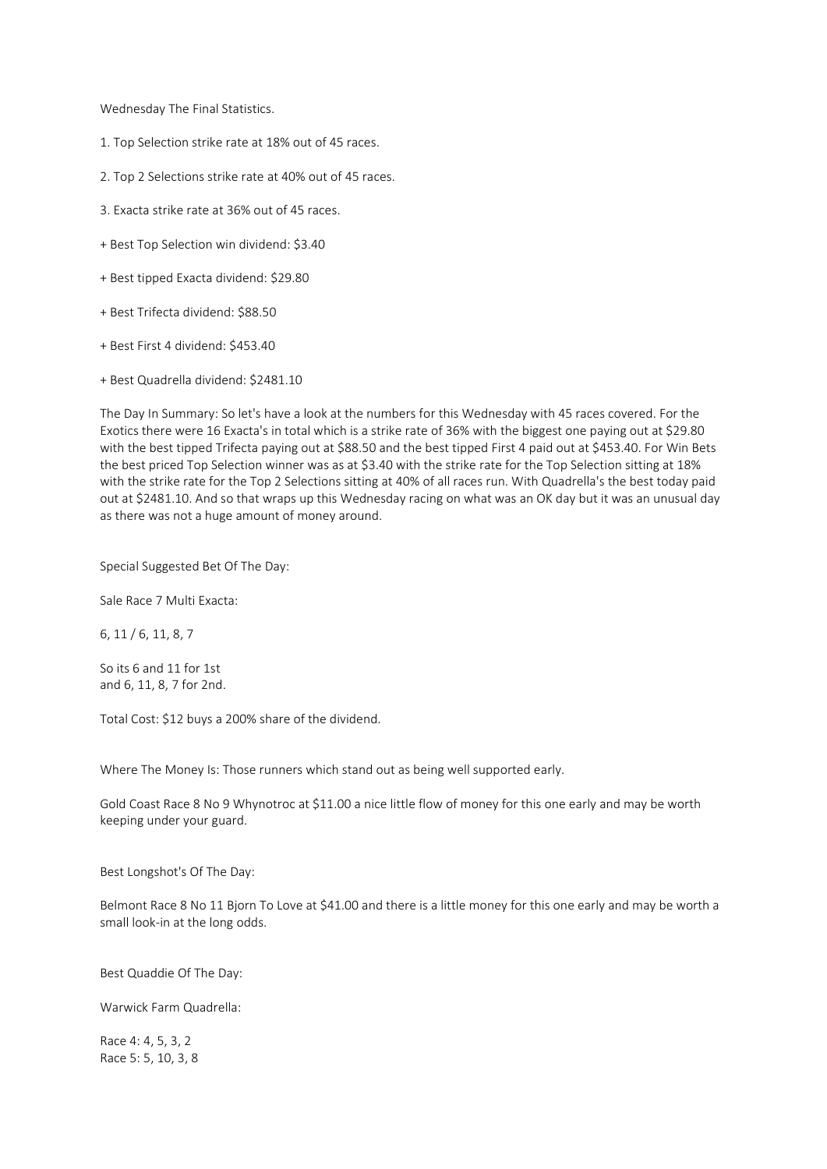Wednesday The Final Statistics.

- 1. Top Selection strike rate at 18% out of 45 races.
- 2. Top 2 Selections strike rate at 40% out of 45 races.
- 3. Exacta strike rate at 36% out of 45 races.
- + Best Top Selection win dividend: \$3.40
- + Best tipped Exacta dividend: \$29.80
- + Best Trifecta dividend: \$88.50
- + Best First 4 dividend: \$453.40
- + Best Quadrella dividend: \$2481.10

The Day In Summary: So let's have a look at the numbers for this Wednesday with 45 races covered. For the Exotics there were 16 Exacta's in total which is a strike rate of 36% with the biggest one paying out at \$29.80 with the best tipped Trifecta paying out at \$88.50 and the best tipped First 4 paid out at \$453.40. For Win Bets the best priced Top Selection winner was as at \$3.40 with the strike rate for the Top Selection sitting at 18% with the strike rate for the Top 2 Selections sitting at 40% of all races run. With Quadrella's the best today paid out at \$2481.10. And so that wraps up this Wednesday racing on what was an OK day but it was an unusual day as there was not a huge amount of money around.

Special Suggested Bet Of The Day:

Sale Race 7 Multi Exacta:

6, 11 / 6, 11, 8, 7

So its 6 and 11 for 1st and 6, 11, 8, 7 for 2nd.

Total Cost: \$12 buys a 200% share of the dividend.

Where The Money Is: Those runners which stand out as being well supported early.

Gold Coast Race 8 No 9 Whynotroc at \$11.00 a nice little flow of money for this one early and may be worth keeping under your guard.

Best Longshot's Of The Day:

Belmont Race 8 No 11 Bjorn To Love at \$41.00 and there is a little money for this one early and may be worth a small look-in at the long odds.

Best Quaddie Of The Day:

Warwick Farm Quadrella:

Race 4: 4, 5, 3, 2 Race 5: 5, 10, 3, 8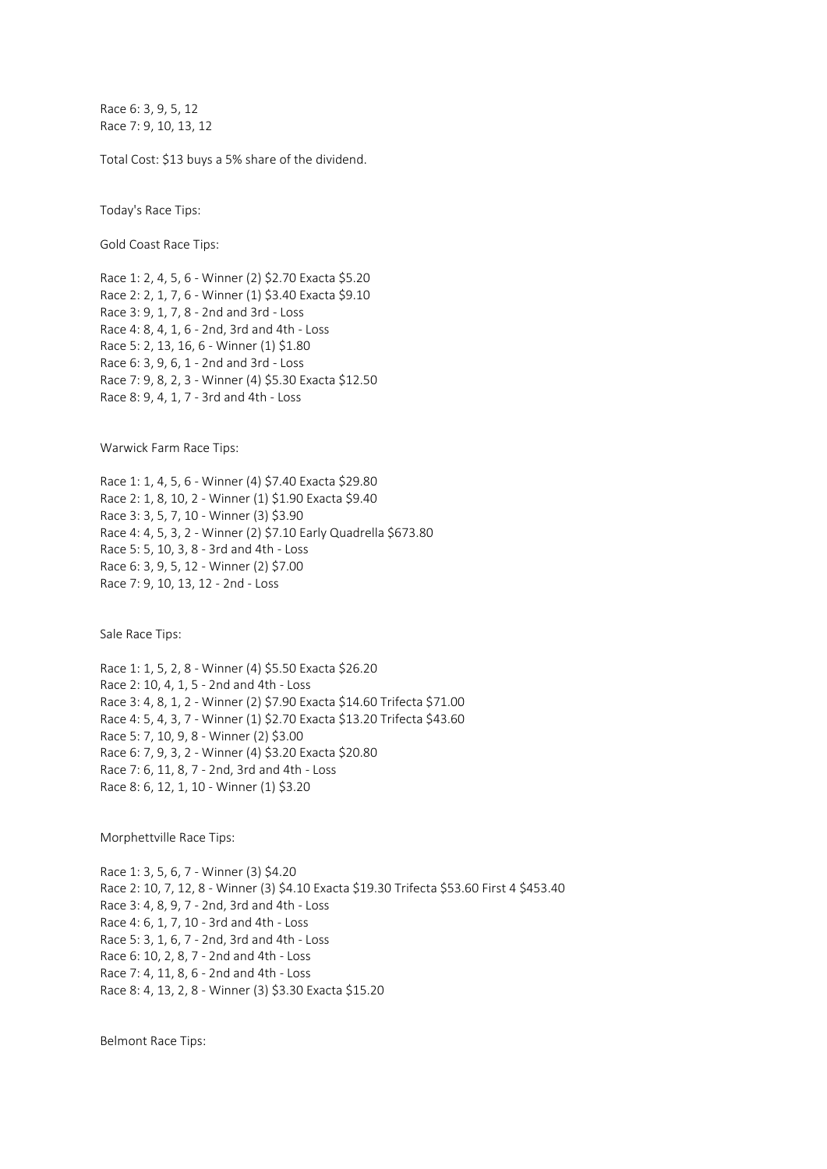Race 6: 3, 9, 5, 12 Race 7: 9, 10, 13, 12

Total Cost: \$13 buys a 5% share of the dividend.

Today's Race Tips:

Gold Coast Race Tips:

Race 1: 2, 4, 5, 6 - Winner (2) \$2.70 Exacta \$5.20 Race 2: 2, 1, 7, 6 - Winner (1) \$3.40 Exacta \$9.10 Race 3: 9, 1, 7, 8 - 2nd and 3rd - Loss Race 4: 8, 4, 1, 6 - 2nd, 3rd and 4th - Loss Race 5: 2, 13, 16, 6 - Winner (1) \$1.80 Race 6: 3, 9, 6, 1 - 2nd and 3rd - Loss Race 7: 9, 8, 2, 3 - Winner (4) \$5.30 Exacta \$12.50 Race 8: 9, 4, 1, 7 - 3rd and 4th - Loss

Warwick Farm Race Tips:

Race 1: 1, 4, 5, 6 - Winner (4) \$7.40 Exacta \$29.80 Race 2: 1, 8, 10, 2 - Winner (1) \$1.90 Exacta \$9.40 Race 3: 3, 5, 7, 10 - Winner (3) \$3.90 Race 4: 4, 5, 3, 2 - Winner (2) \$7.10 Early Quadrella \$673.80 Race 5: 5, 10, 3, 8 - 3rd and 4th - Loss Race 6: 3, 9, 5, 12 - Winner (2) \$7.00 Race 7: 9, 10, 13, 12 - 2nd - Loss

Sale Race Tips:

Race 1: 1, 5, 2, 8 - Winner (4) \$5.50 Exacta \$26.20 Race 2: 10, 4, 1, 5 - 2nd and 4th - Loss Race 3: 4, 8, 1, 2 - Winner (2) \$7.90 Exacta \$14.60 Trifecta \$71.00 Race 4: 5, 4, 3, 7 - Winner (1) \$2.70 Exacta \$13.20 Trifecta \$43.60 Race 5: 7, 10, 9, 8 - Winner (2) \$3.00 Race 6: 7, 9, 3, 2 - Winner (4) \$3.20 Exacta \$20.80 Race 7: 6, 11, 8, 7 - 2nd, 3rd and 4th - Loss Race 8: 6, 12, 1, 10 - Winner (1) \$3.20

Morphettville Race Tips:

Race 1: 3, 5, 6, 7 - Winner (3) \$4.20 Race 2: 10, 7, 12, 8 - Winner (3) \$4.10 Exacta \$19.30 Trifecta \$53.60 First 4 \$453.40 Race 3: 4, 8, 9, 7 - 2nd, 3rd and 4th - Loss Race 4: 6, 1, 7, 10 - 3rd and 4th - Loss Race 5: 3, 1, 6, 7 - 2nd, 3rd and 4th - Loss Race 6: 10, 2, 8, 7 - 2nd and 4th - Loss Race 7: 4, 11, 8, 6 - 2nd and 4th - Loss Race 8: 4, 13, 2, 8 - Winner (3) \$3.30 Exacta \$15.20

Belmont Race Tips: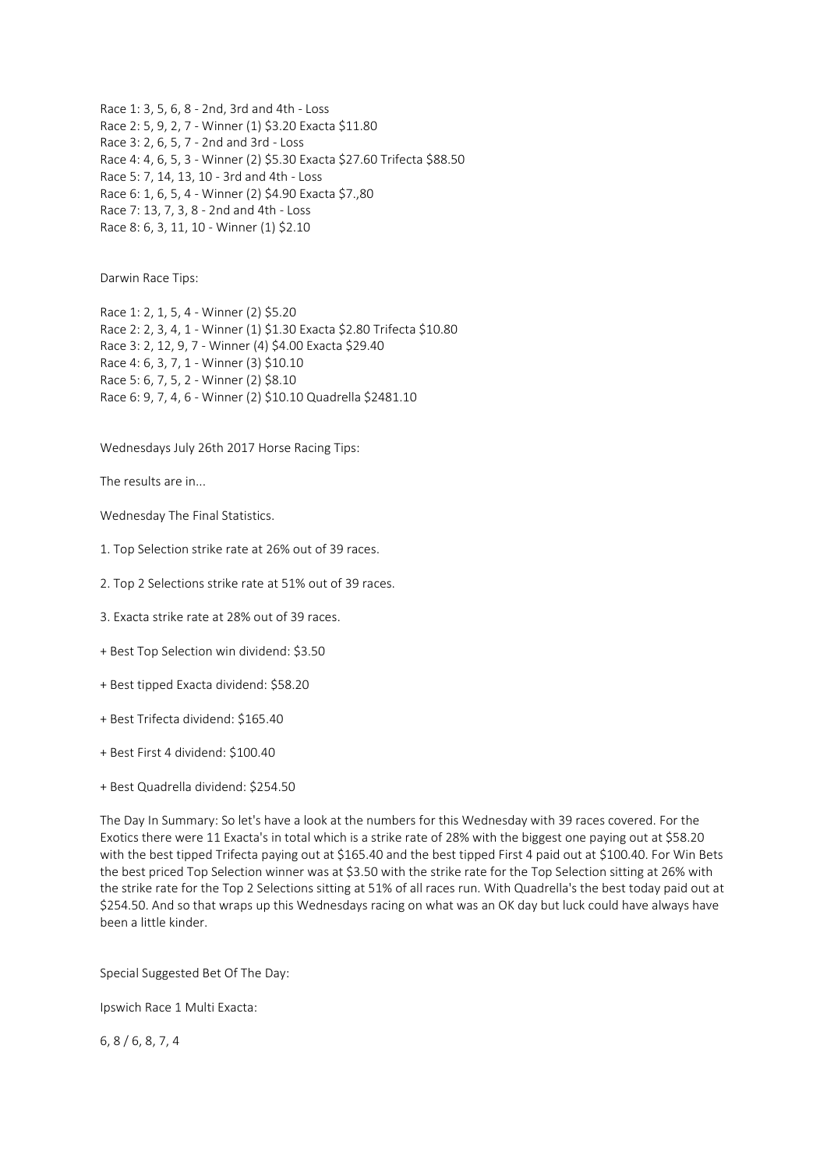Race 1: 3, 5, 6, 8 - 2nd, 3rd and 4th - Loss Race 2: 5, 9, 2, 7 - Winner (1) \$3.20 Exacta \$11.80 Race 3: 2, 6, 5, 7 - 2nd and 3rd - Loss Race 4: 4, 6, 5, 3 - Winner (2) \$5.30 Exacta \$27.60 Trifecta \$88.50 Race 5: 7, 14, 13, 10 - 3rd and 4th - Loss Race 6: 1, 6, 5, 4 - Winner (2) \$4.90 Exacta \$7.,80 Race 7: 13, 7, 3, 8 - 2nd and 4th - Loss Race 8: 6, 3, 11, 10 - Winner (1) \$2.10

Darwin Race Tips:

Race 1: 2, 1, 5, 4 - Winner (2) \$5.20 Race 2: 2, 3, 4, 1 - Winner (1) \$1.30 Exacta \$2.80 Trifecta \$10.80 Race 3: 2, 12, 9, 7 - Winner (4) \$4.00 Exacta \$29.40 Race 4: 6, 3, 7, 1 - Winner (3) \$10.10 Race 5: 6, 7, 5, 2 - Winner (2) \$8.10 Race 6: 9, 7, 4, 6 - Winner (2) \$10.10 Quadrella \$2481.10

Wednesdays July 26th 2017 Horse Racing Tips:

The results are in...

Wednesday The Final Statistics.

1. Top Selection strike rate at 26% out of 39 races.

2. Top 2 Selections strike rate at 51% out of 39 races.

3. Exacta strike rate at 28% out of 39 races.

+ Best Top Selection win dividend: \$3.50

+ Best tipped Exacta dividend: \$58.20

+ Best Trifecta dividend: \$165.40

+ Best First 4 dividend: \$100.40

+ Best Quadrella dividend: \$254.50

The Day In Summary: So let's have a look at the numbers for this Wednesday with 39 races covered. For the Exotics there were 11 Exacta's in total which is a strike rate of 28% with the biggest one paying out at \$58.20 with the best tipped Trifecta paying out at \$165.40 and the best tipped First 4 paid out at \$100.40. For Win Bets the best priced Top Selection winner was at \$3.50 with the strike rate for the Top Selection sitting at 26% with the strike rate for the Top 2 Selections sitting at 51% of all races run. With Quadrella's the best today paid out at \$254.50. And so that wraps up this Wednesdays racing on what was an OK day but luck could have always have been a little kinder.

Special Suggested Bet Of The Day:

Ipswich Race 1 Multi Exacta:

6, 8 / 6, 8, 7, 4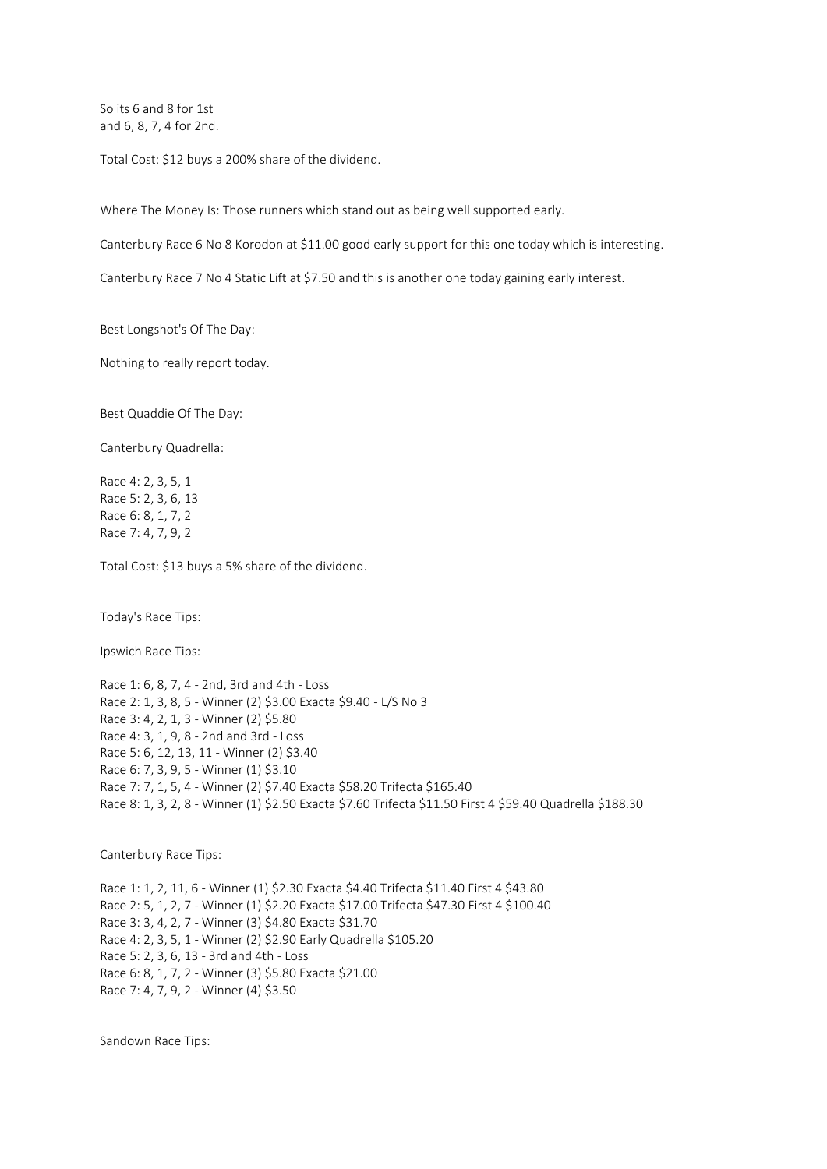So its 6 and 8 for 1st and 6, 8, 7, 4 for 2nd.

Total Cost: \$12 buys a 200% share of the dividend.

Where The Money Is: Those runners which stand out as being well supported early.

Canterbury Race 6 No 8 Korodon at \$11.00 good early support for this one today which is interesting.

Canterbury Race 7 No 4 Static Lift at \$7.50 and this is another one today gaining early interest.

Best Longshot's Of The Day:

Nothing to really report today.

Best Quaddie Of The Day:

Canterbury Quadrella:

Race 4: 2, 3, 5, 1 Race 5: 2, 3, 6, 13 Race 6: 8, 1, 7, 2 Race 7: 4, 7, 9, 2

Total Cost: \$13 buys a 5% share of the dividend.

Today's Race Tips:

Ipswich Race Tips:

Race 1: 6, 8, 7, 4 - 2nd, 3rd and 4th - Loss Race 2: 1, 3, 8, 5 - Winner (2) \$3.00 Exacta \$9.40 - L/S No 3 Race 3: 4, 2, 1, 3 - Winner (2) \$5.80 Race 4: 3, 1, 9, 8 - 2nd and 3rd - Loss Race 5: 6, 12, 13, 11 - Winner (2) \$3.40 Race 6: 7, 3, 9, 5 - Winner (1) \$3.10 Race 7: 7, 1, 5, 4 - Winner (2) \$7.40 Exacta \$58.20 Trifecta \$165.40 Race 8: 1, 3, 2, 8 - Winner (1) \$2.50 Exacta \$7.60 Trifecta \$11.50 First 4 \$59.40 Quadrella \$188.30

Canterbury Race Tips:

Race 1: 1, 2, 11, 6 - Winner (1) \$2.30 Exacta \$4.40 Trifecta \$11.40 First 4 \$43.80 Race 2: 5, 1, 2, 7 - Winner (1) \$2.20 Exacta \$17.00 Trifecta \$47.30 First 4 \$100.40 Race 3: 3, 4, 2, 7 - Winner (3) \$4.80 Exacta \$31.70 Race 4: 2, 3, 5, 1 - Winner (2) \$2.90 Early Quadrella \$105.20 Race 5: 2, 3, 6, 13 - 3rd and 4th - Loss Race 6: 8, 1, 7, 2 - Winner (3) \$5.80 Exacta \$21.00 Race 7: 4, 7, 9, 2 - Winner (4) \$3.50

Sandown Race Tips: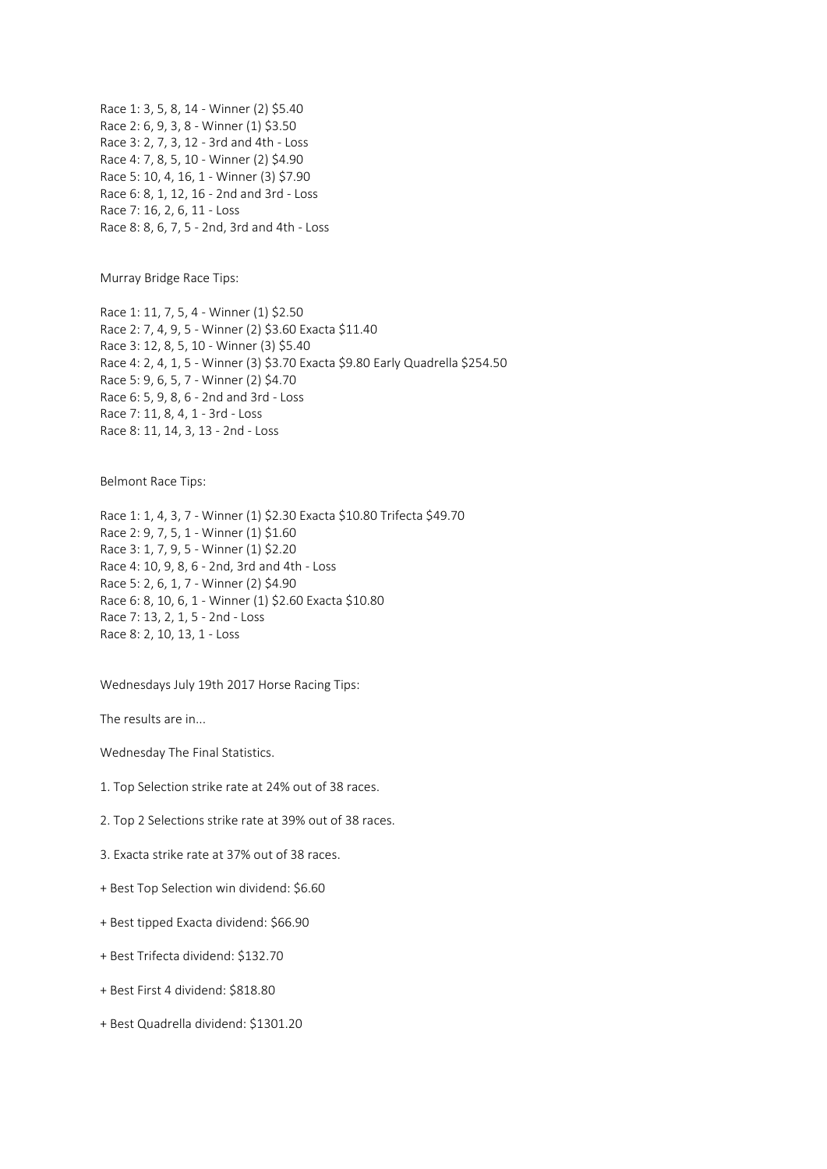Race 1: 3, 5, 8, 14 - Winner (2) \$5.40 Race 2: 6, 9, 3, 8 - Winner (1) \$3.50 Race 3: 2, 7, 3, 12 - 3rd and 4th - Loss Race 4: 7, 8, 5, 10 - Winner (2) \$4.90 Race 5: 10, 4, 16, 1 - Winner (3) \$7.90 Race 6: 8, 1, 12, 16 - 2nd and 3rd - Loss Race 7: 16, 2, 6, 11 - Loss Race 8: 8, 6, 7, 5 - 2nd, 3rd and 4th - Loss

Murray Bridge Race Tips:

Race 1: 11, 7, 5, 4 - Winner (1) \$2.50 Race 2: 7, 4, 9, 5 - Winner (2) \$3.60 Exacta \$11.40 Race 3: 12, 8, 5, 10 - Winner (3) \$5.40 Race 4: 2, 4, 1, 5 - Winner (3) \$3.70 Exacta \$9.80 Early Quadrella \$254.50 Race 5: 9, 6, 5, 7 - Winner (2) \$4.70 Race 6: 5, 9, 8, 6 - 2nd and 3rd - Loss Race 7: 11, 8, 4, 1 - 3rd - Loss Race 8: 11, 14, 3, 13 - 2nd - Loss

Belmont Race Tips:

Race 1: 1, 4, 3, 7 - Winner (1) \$2.30 Exacta \$10.80 Trifecta \$49.70 Race 2: 9, 7, 5, 1 - Winner (1) \$1.60 Race 3: 1, 7, 9, 5 - Winner (1) \$2.20 Race 4: 10, 9, 8, 6 - 2nd, 3rd and 4th - Loss Race 5: 2, 6, 1, 7 - Winner (2) \$4.90 Race 6: 8, 10, 6, 1 - Winner (1) \$2.60 Exacta \$10.80 Race 7: 13, 2, 1, 5 - 2nd - Loss Race 8: 2, 10, 13, 1 - Loss

Wednesdays July 19th 2017 Horse Racing Tips:

The results are in...

Wednesday The Final Statistics.

1. Top Selection strike rate at 24% out of 38 races.

- 2. Top 2 Selections strike rate at 39% out of 38 races.
- 3. Exacta strike rate at 37% out of 38 races.
- + Best Top Selection win dividend: \$6.60
- + Best tipped Exacta dividend: \$66.90
- + Best Trifecta dividend: \$132.70
- + Best First 4 dividend: \$818.80
- + Best Quadrella dividend: \$1301.20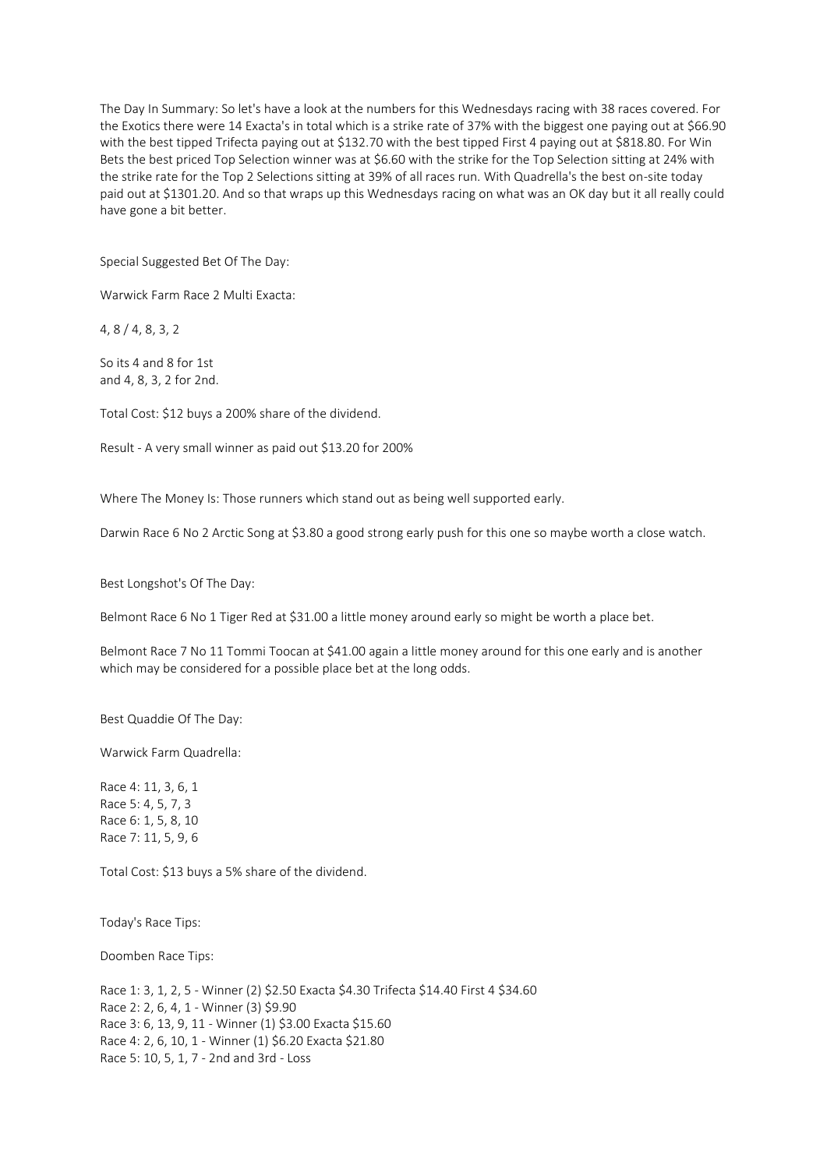The Day In Summary: So let's have a look at the numbers for this Wednesdays racing with 38 races covered. For the Exotics there were 14 Exacta's in total which is a strike rate of 37% with the biggest one paying out at \$66.90 with the best tipped Trifecta paying out at \$132.70 with the best tipped First 4 paying out at \$818.80. For Win Bets the best priced Top Selection winner was at \$6.60 with the strike for the Top Selection sitting at 24% with the strike rate for the Top 2 Selections sitting at 39% of all races run. With Quadrella's the best on-site today paid out at \$1301.20. And so that wraps up this Wednesdays racing on what was an OK day but it all really could have gone a bit better.

Special Suggested Bet Of The Day:

Warwick Farm Race 2 Multi Exacta:

4, 8 / 4, 8, 3, 2

So its 4 and 8 for 1st and 4, 8, 3, 2 for 2nd.

Total Cost: \$12 buys a 200% share of the dividend.

Result - A very small winner as paid out \$13.20 for 200%

Where The Money Is: Those runners which stand out as being well supported early.

Darwin Race 6 No 2 Arctic Song at \$3.80 a good strong early push for this one so maybe worth a close watch.

Best Longshot's Of The Day:

Belmont Race 6 No 1 Tiger Red at \$31.00 a little money around early so might be worth a place bet.

Belmont Race 7 No 11 Tommi Toocan at \$41.00 again a little money around for this one early and is another which may be considered for a possible place bet at the long odds.

Best Quaddie Of The Day:

Warwick Farm Quadrella:

Race 4: 11, 3, 6, 1 Race 5: 4, 5, 7, 3 Race 6: 1, 5, 8, 10 Race 7: 11, 5, 9, 6

Total Cost: \$13 buys a 5% share of the dividend.

Today's Race Tips:

Doomben Race Tips:

Race 1: 3, 1, 2, 5 - Winner (2) \$2.50 Exacta \$4.30 Trifecta \$14.40 First 4 \$34.60 Race 2: 2, 6, 4, 1 - Winner (3) \$9.90 Race 3: 6, 13, 9, 11 - Winner (1) \$3.00 Exacta \$15.60 Race 4: 2, 6, 10, 1 - Winner (1) \$6.20 Exacta \$21.80 Race 5: 10, 5, 1, 7 - 2nd and 3rd - Loss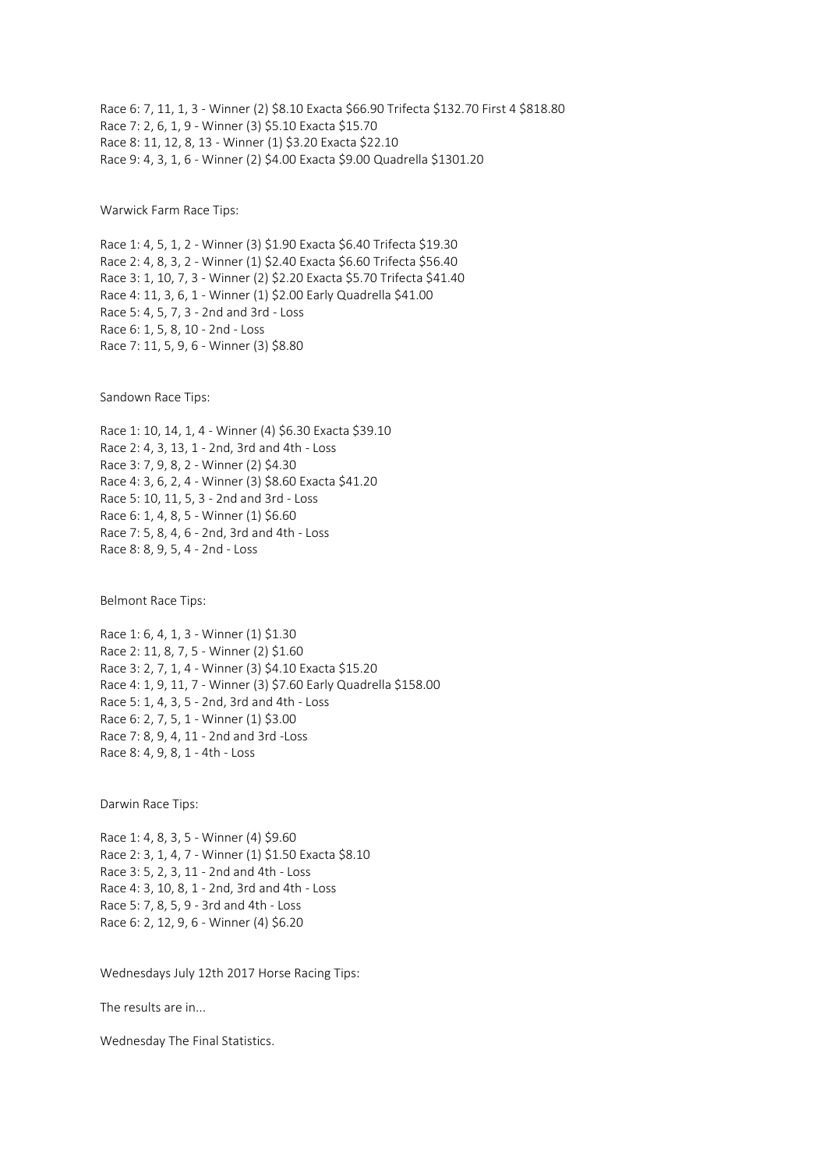Race 6: 7, 11, 1, 3 - Winner (2) \$8.10 Exacta \$66.90 Trifecta \$132.70 First 4 \$818.80 Race 7: 2, 6, 1, 9 - Winner (3) \$5.10 Exacta \$15.70 Race 8: 11, 12, 8, 13 - Winner (1) \$3.20 Exacta \$22.10 Race 9: 4, 3, 1, 6 - Winner (2) \$4.00 Exacta \$9.00 Quadrella \$1301.20

Warwick Farm Race Tips:

Race 1: 4, 5, 1, 2 - Winner (3) \$1.90 Exacta \$6.40 Trifecta \$19.30 Race 2: 4, 8, 3, 2 - Winner (1) \$2.40 Exacta \$6.60 Trifecta \$56.40 Race 3: 1, 10, 7, 3 - Winner (2) \$2.20 Exacta \$5.70 Trifecta \$41.40 Race 4: 11, 3, 6, 1 - Winner (1) \$2.00 Early Quadrella \$41.00 Race 5: 4, 5, 7, 3 - 2nd and 3rd - Loss Race 6: 1, 5, 8, 10 - 2nd - Loss Race 7: 11, 5, 9, 6 - Winner (3) \$8.80

Sandown Race Tips:

Race 1: 10, 14, 1, 4 - Winner (4) \$6.30 Exacta \$39.10 Race 2: 4, 3, 13, 1 - 2nd, 3rd and 4th - Loss Race 3: 7, 9, 8, 2 - Winner (2) \$4.30 Race 4: 3, 6, 2, 4 - Winner (3) \$8.60 Exacta \$41.20 Race 5: 10, 11, 5, 3 - 2nd and 3rd - Loss Race 6: 1, 4, 8, 5 - Winner (1) \$6.60 Race 7: 5, 8, 4, 6 - 2nd, 3rd and 4th - Loss Race 8: 8, 9, 5, 4 - 2nd - Loss

Belmont Race Tips:

Race 1: 6, 4, 1, 3 - Winner (1) \$1.30 Race 2: 11, 8, 7, 5 - Winner (2) \$1.60 Race 3: 2, 7, 1, 4 - Winner (3) \$4.10 Exacta \$15.20 Race 4: 1, 9, 11, 7 - Winner (3) \$7.60 Early Quadrella \$158.00 Race 5: 1, 4, 3, 5 - 2nd, 3rd and 4th - Loss Race 6: 2, 7, 5, 1 - Winner (1) \$3.00 Race 7: 8, 9, 4, 11 - 2nd and 3rd -Loss Race 8: 4, 9, 8, 1 - 4th - Loss

Darwin Race Tips:

Race 1: 4, 8, 3, 5 - Winner (4) \$9.60 Race 2: 3, 1, 4, 7 - Winner (1) \$1.50 Exacta \$8.10 Race 3: 5, 2, 3, 11 - 2nd and 4th - Loss Race 4: 3, 10, 8, 1 - 2nd, 3rd and 4th - Loss Race 5: 7, 8, 5, 9 - 3rd and 4th - Loss Race 6: 2, 12, 9, 6 - Winner (4) \$6.20

Wednesdays July 12th 2017 Horse Racing Tips:

The results are in...

Wednesday The Final Statistics.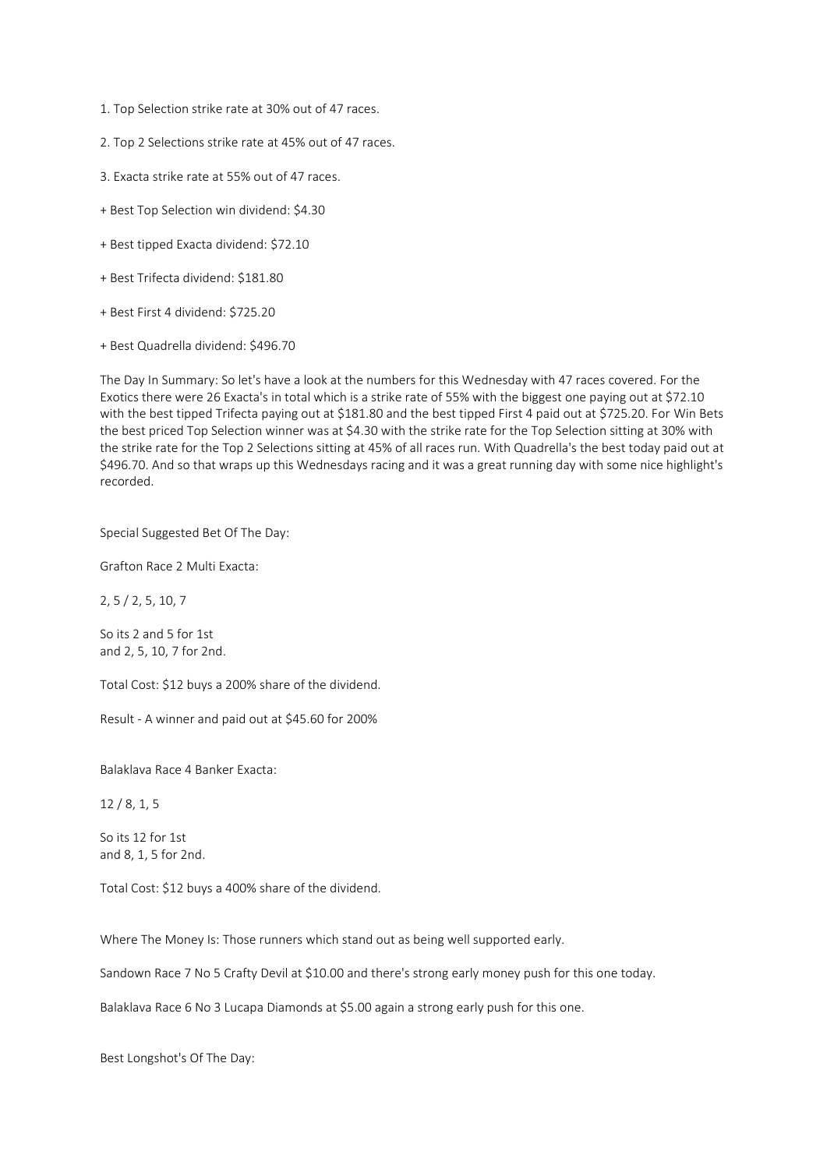- 1. Top Selection strike rate at 30% out of 47 races.
- 2. Top 2 Selections strike rate at 45% out of 47 races.
- 3. Exacta strike rate at 55% out of 47 races.
- + Best Top Selection win dividend: \$4.30
- + Best tipped Exacta dividend: \$72.10
- + Best Trifecta dividend: \$181.80
- + Best First 4 dividend: \$725.20
- + Best Quadrella dividend: \$496.70

The Day In Summary: So let's have a look at the numbers for this Wednesday with 47 races covered. For the Exotics there were 26 Exacta's in total which is a strike rate of 55% with the biggest one paying out at \$72.10 with the best tipped Trifecta paying out at \$181.80 and the best tipped First 4 paid out at \$725.20. For Win Bets the best priced Top Selection winner was at \$4.30 with the strike rate for the Top Selection sitting at 30% with the strike rate for the Top 2 Selections sitting at 45% of all races run. With Quadrella's the best today paid out at \$496.70. And so that wraps up this Wednesdays racing and it was a great running day with some nice highlight's recorded.

Special Suggested Bet Of The Day:

Grafton Race 2 Multi Exacta:

2, 5 / 2, 5, 10, 7

So its 2 and 5 for 1st and 2, 5, 10, 7 for 2nd.

Total Cost: \$12 buys a 200% share of the dividend.

Result - A winner and paid out at \$45.60 for 200%

Balaklava Race 4 Banker Exacta:

12 / 8, 1, 5

So its 12 for 1st and 8, 1, 5 for 2nd.

Total Cost: \$12 buys a 400% share of the dividend.

Where The Money Is: Those runners which stand out as being well supported early.

Sandown Race 7 No 5 Crafty Devil at \$10.00 and there's strong early money push for this one today.

Balaklava Race 6 No 3 Lucapa Diamonds at \$5.00 again a strong early push for this one.

Best Longshot's Of The Day: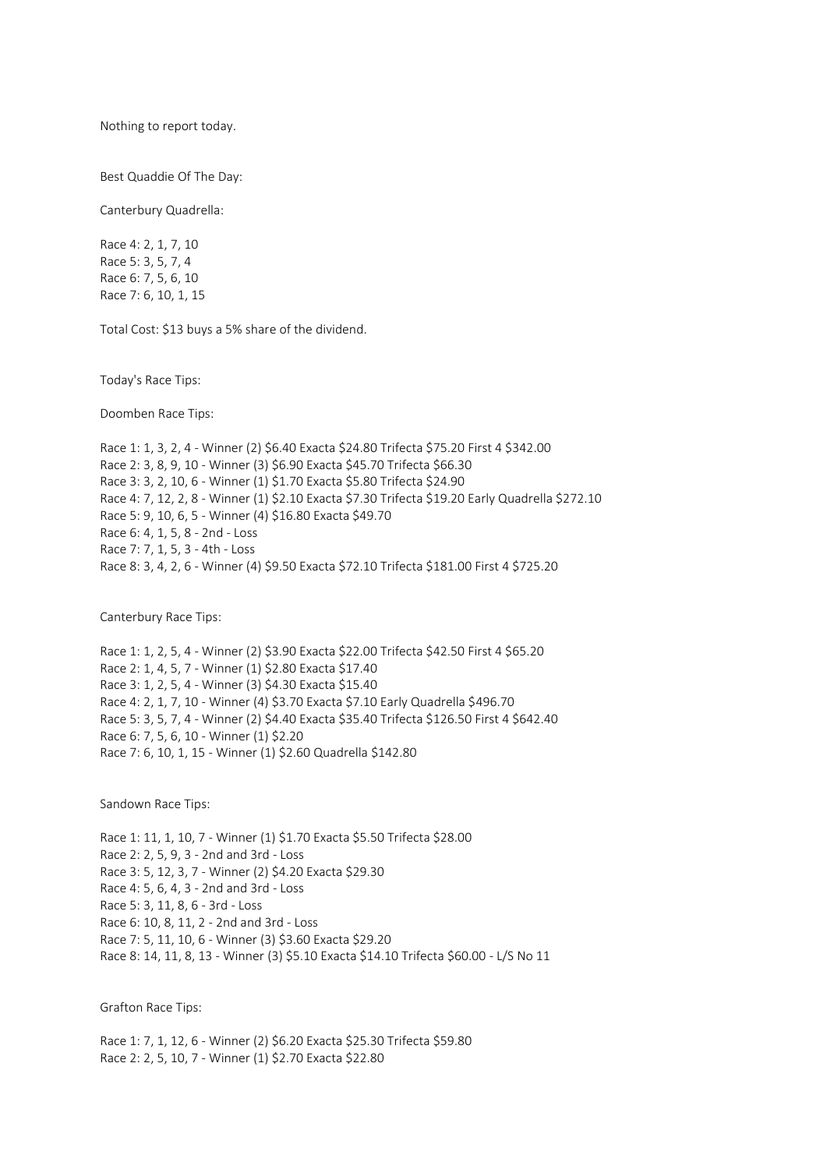Nothing to report today.

Best Quaddie Of The Day:

Canterbury Quadrella:

Race 4: 2, 1, 7, 10 Race 5: 3, 5, 7, 4 Race 6: 7, 5, 6, 10 Race 7: 6, 10, 1, 15

Total Cost: \$13 buys a 5% share of the dividend.

Today's Race Tips:

Doomben Race Tips:

Race 1: 1, 3, 2, 4 - Winner (2) \$6.40 Exacta \$24.80 Trifecta \$75.20 First 4 \$342.00 Race 2: 3, 8, 9, 10 - Winner (3) \$6.90 Exacta \$45.70 Trifecta \$66.30 Race 3: 3, 2, 10, 6 - Winner (1) \$1.70 Exacta \$5.80 Trifecta \$24.90 Race 4: 7, 12, 2, 8 - Winner (1) \$2.10 Exacta \$7.30 Trifecta \$19.20 Early Quadrella \$272.10 Race 5: 9, 10, 6, 5 - Winner (4) \$16.80 Exacta \$49.70 Race 6: 4, 1, 5, 8 - 2nd - Loss Race 7: 7, 1, 5, 3 - 4th - Loss Race 8: 3, 4, 2, 6 - Winner (4) \$9.50 Exacta \$72.10 Trifecta \$181.00 First 4 \$725.20

Canterbury Race Tips:

Race 1: 1, 2, 5, 4 - Winner (2) \$3.90 Exacta \$22.00 Trifecta \$42.50 First 4 \$65.20 Race 2: 1, 4, 5, 7 - Winner (1) \$2.80 Exacta \$17.40 Race 3: 1, 2, 5, 4 - Winner (3) \$4.30 Exacta \$15.40 Race 4: 2, 1, 7, 10 - Winner (4) \$3.70 Exacta \$7.10 Early Quadrella \$496.70 Race 5: 3, 5, 7, 4 - Winner (2) \$4.40 Exacta \$35.40 Trifecta \$126.50 First 4 \$642.40 Race 6: 7, 5, 6, 10 - Winner (1) \$2.20 Race 7: 6, 10, 1, 15 - Winner (1) \$2.60 Quadrella \$142.80

Sandown Race Tips:

Race 1: 11, 1, 10, 7 - Winner (1) \$1.70 Exacta \$5.50 Trifecta \$28.00 Race 2: 2, 5, 9, 3 - 2nd and 3rd - Loss Race 3: 5, 12, 3, 7 - Winner (2) \$4.20 Exacta \$29.30 Race 4: 5, 6, 4, 3 - 2nd and 3rd - Loss Race 5: 3, 11, 8, 6 - 3rd - Loss Race 6: 10, 8, 11, 2 - 2nd and 3rd - Loss Race 7: 5, 11, 10, 6 - Winner (3) \$3.60 Exacta \$29.20 Race 8: 14, 11, 8, 13 - Winner (3) \$5.10 Exacta \$14.10 Trifecta \$60.00 - L/S No 11

Grafton Race Tips:

Race 1: 7, 1, 12, 6 - Winner (2) \$6.20 Exacta \$25.30 Trifecta \$59.80 Race 2: 2, 5, 10, 7 - Winner (1) \$2.70 Exacta \$22.80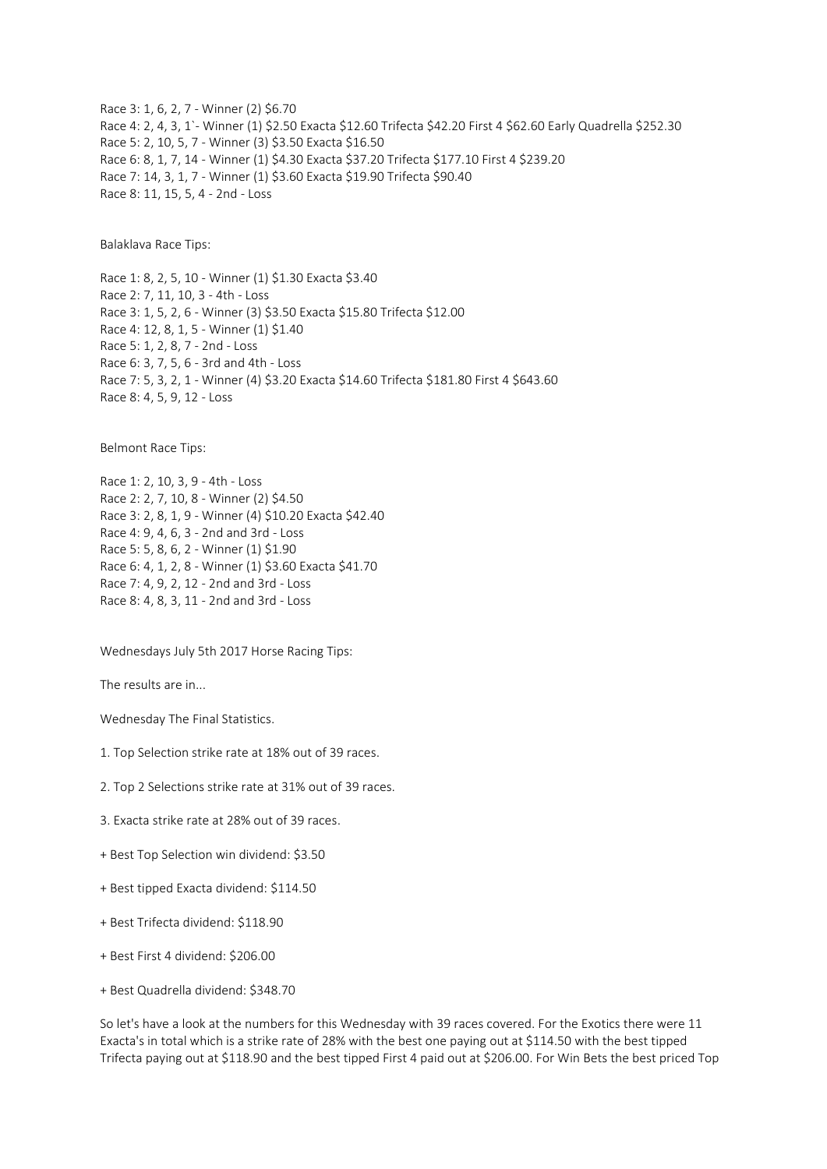Race 3: 1, 6, 2, 7 - Winner (2) \$6.70 Race 4: 2, 4, 3, 1`- Winner (1) \$2.50 Exacta \$12.60 Trifecta \$42.20 First 4 \$62.60 Early Quadrella \$252.30 Race 5: 2, 10, 5, 7 - Winner (3) \$3.50 Exacta \$16.50 Race 6: 8, 1, 7, 14 - Winner (1) \$4.30 Exacta \$37.20 Trifecta \$177.10 First 4 \$239.20 Race 7: 14, 3, 1, 7 - Winner (1) \$3.60 Exacta \$19.90 Trifecta \$90.40 Race 8: 11, 15, 5, 4 - 2nd - Loss

Balaklava Race Tips:

Race 1: 8, 2, 5, 10 - Winner (1) \$1.30 Exacta \$3.40 Race 2: 7, 11, 10, 3 - 4th - Loss Race 3: 1, 5, 2, 6 - Winner (3) \$3.50 Exacta \$15.80 Trifecta \$12.00 Race 4: 12, 8, 1, 5 - Winner (1) \$1.40 Race 5: 1, 2, 8, 7 - 2nd - Loss Race 6: 3, 7, 5, 6 - 3rd and 4th - Loss Race 7: 5, 3, 2, 1 - Winner (4) \$3.20 Exacta \$14.60 Trifecta \$181.80 First 4 \$643.60 Race 8: 4, 5, 9, 12 - Loss

Belmont Race Tips:

Race 1: 2, 10, 3, 9 - 4th - Loss Race 2: 2, 7, 10, 8 - Winner (2) \$4.50 Race 3: 2, 8, 1, 9 - Winner (4) \$10.20 Exacta \$42.40 Race 4: 9, 4, 6, 3 - 2nd and 3rd - Loss Race 5: 5, 8, 6, 2 - Winner (1) \$1.90 Race 6: 4, 1, 2, 8 - Winner (1) \$3.60 Exacta \$41.70 Race 7: 4, 9, 2, 12 - 2nd and 3rd - Loss Race 8: 4, 8, 3, 11 - 2nd and 3rd - Loss

Wednesdays July 5th 2017 Horse Racing Tips:

The results are in...

Wednesday The Final Statistics.

- 1. Top Selection strike rate at 18% out of 39 races.
- 2. Top 2 Selections strike rate at 31% out of 39 races.
- 3. Exacta strike rate at 28% out of 39 races.
- + Best Top Selection win dividend: \$3.50
- + Best tipped Exacta dividend: \$114.50
- + Best Trifecta dividend: \$118.90
- + Best First 4 dividend: \$206.00
- + Best Quadrella dividend: \$348.70

So let's have a look at the numbers for this Wednesday with 39 races covered. For the Exotics there were 11 Exacta's in total which is a strike rate of 28% with the best one paying out at \$114.50 with the best tipped Trifecta paying out at \$118.90 and the best tipped First 4 paid out at \$206.00. For Win Bets the best priced Top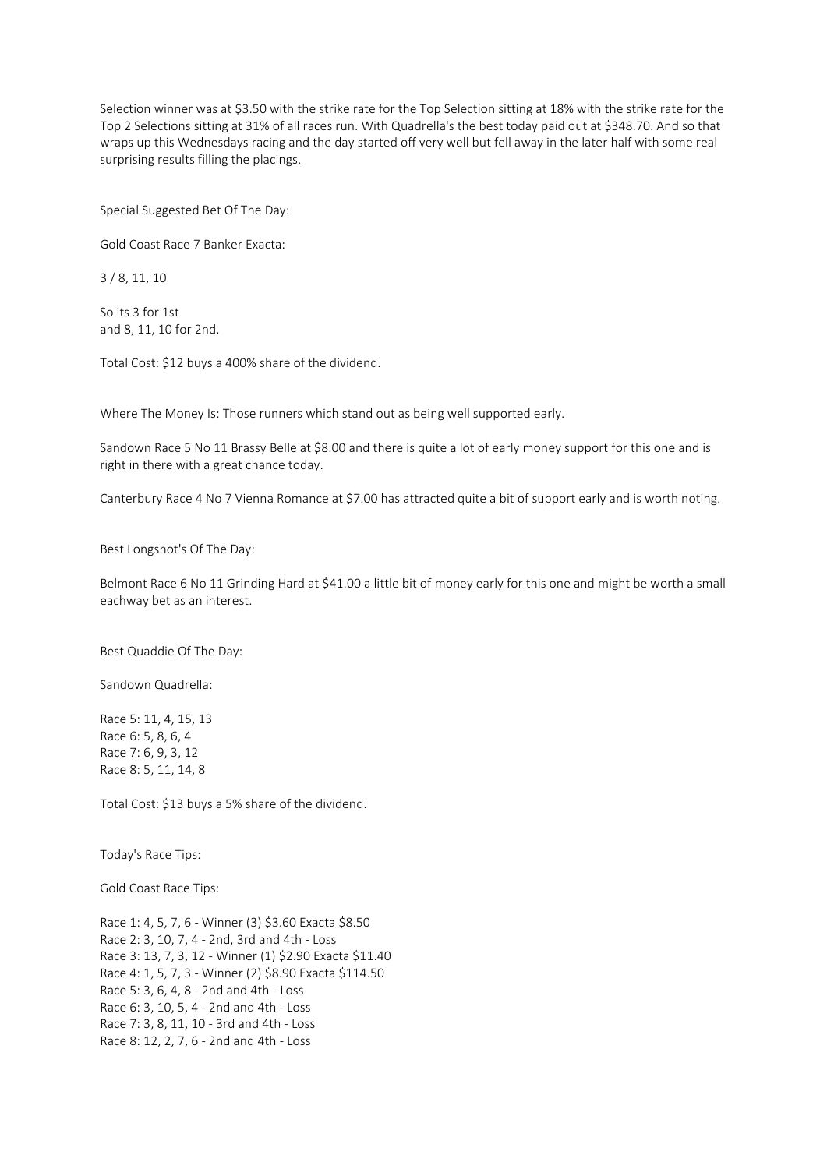Selection winner was at \$3.50 with the strike rate for the Top Selection sitting at 18% with the strike rate for the Top 2 Selections sitting at 31% of all races run. With Quadrella's the best today paid out at \$348.70. And so that wraps up this Wednesdays racing and the day started off very well but fell away in the later half with some real surprising results filling the placings.

Special Suggested Bet Of The Day:

Gold Coast Race 7 Banker Exacta:

3 / 8, 11, 10

So its 3 for 1st and 8, 11, 10 for 2nd.

Total Cost: \$12 buys a 400% share of the dividend.

Where The Money Is: Those runners which stand out as being well supported early.

Sandown Race 5 No 11 Brassy Belle at \$8.00 and there is quite a lot of early money support for this one and is right in there with a great chance today.

Canterbury Race 4 No 7 Vienna Romance at \$7.00 has attracted quite a bit of support early and is worth noting.

Best Longshot's Of The Day:

Belmont Race 6 No 11 Grinding Hard at \$41.00 a little bit of money early for this one and might be worth a small eachway bet as an interest.

Best Quaddie Of The Day:

Sandown Quadrella:

Race 5: 11, 4, 15, 13 Race 6: 5, 8, 6, 4 Race 7: 6, 9, 3, 12 Race 8: 5, 11, 14, 8

Total Cost: \$13 buys a 5% share of the dividend.

Today's Race Tips:

Gold Coast Race Tips:

Race 1: 4, 5, 7, 6 - Winner (3) \$3.60 Exacta \$8.50 Race 2: 3, 10, 7, 4 - 2nd, 3rd and 4th - Loss Race 3: 13, 7, 3, 12 - Winner (1) \$2.90 Exacta \$11.40 Race 4: 1, 5, 7, 3 - Winner (2) \$8.90 Exacta \$114.50 Race 5: 3, 6, 4, 8 - 2nd and 4th - Loss Race 6: 3, 10, 5, 4 - 2nd and 4th - Loss Race 7: 3, 8, 11, 10 - 3rd and 4th - Loss Race 8: 12, 2, 7, 6 - 2nd and 4th - Loss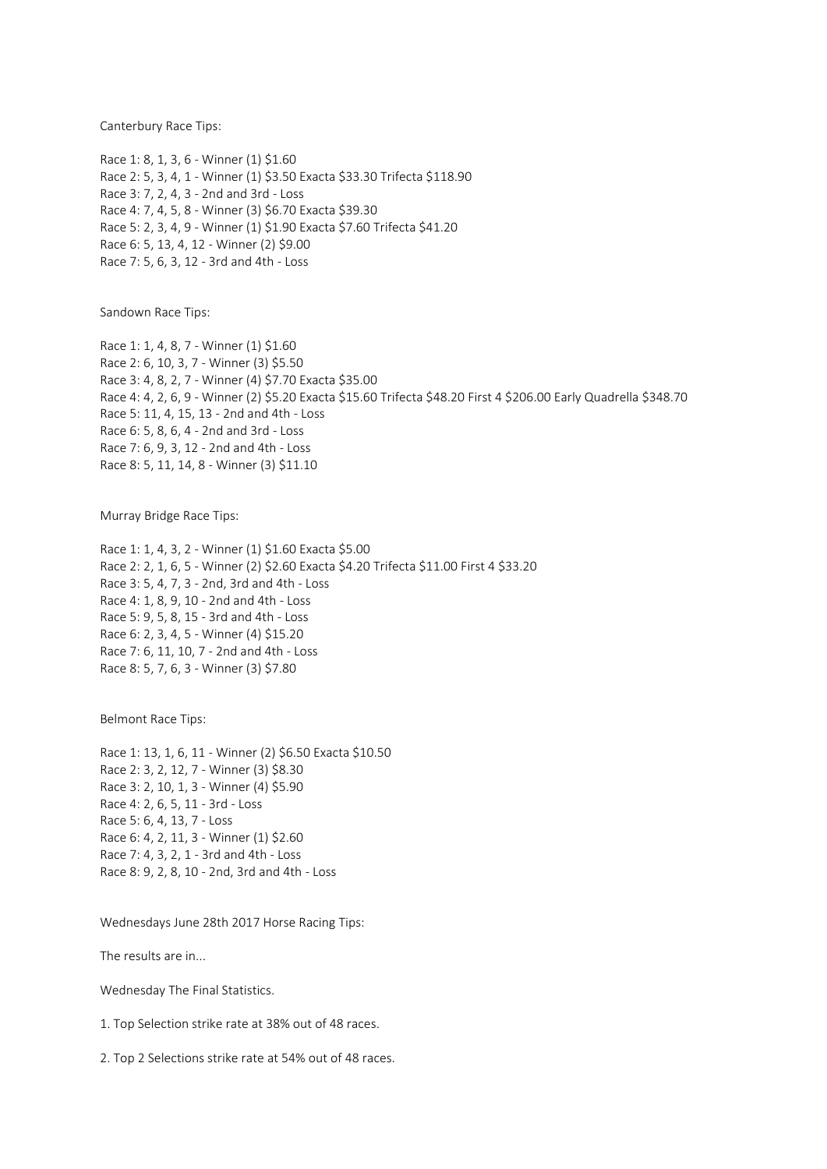Canterbury Race Tips:

Race 1: 8, 1, 3, 6 - Winner (1) \$1.60 Race 2: 5, 3, 4, 1 - Winner (1) \$3.50 Exacta \$33.30 Trifecta \$118.90 Race 3: 7, 2, 4, 3 - 2nd and 3rd - Loss Race 4: 7, 4, 5, 8 - Winner (3) \$6.70 Exacta \$39.30 Race 5: 2, 3, 4, 9 - Winner (1) \$1.90 Exacta \$7.60 Trifecta \$41.20 Race 6: 5, 13, 4, 12 - Winner (2) \$9.00 Race 7: 5, 6, 3, 12 - 3rd and 4th - Loss

Sandown Race Tips:

Race 1: 1, 4, 8, 7 - Winner (1) \$1.60 Race 2: 6, 10, 3, 7 - Winner (3) \$5.50 Race 3: 4, 8, 2, 7 - Winner (4) \$7.70 Exacta \$35.00 Race 4: 4, 2, 6, 9 - Winner (2) \$5.20 Exacta \$15.60 Trifecta \$48.20 First 4 \$206.00 Early Quadrella \$348.70 Race 5: 11, 4, 15, 13 - 2nd and 4th - Loss Race 6: 5, 8, 6, 4 - 2nd and 3rd - Loss Race 7: 6, 9, 3, 12 - 2nd and 4th - Loss Race 8: 5, 11, 14, 8 - Winner (3) \$11.10

Murray Bridge Race Tips:

Race 1: 1, 4, 3, 2 - Winner (1) \$1.60 Exacta \$5.00 Race 2: 2, 1, 6, 5 - Winner (2) \$2.60 Exacta \$4.20 Trifecta \$11.00 First 4 \$33.20 Race 3: 5, 4, 7, 3 - 2nd, 3rd and 4th - Loss Race 4: 1, 8, 9, 10 - 2nd and 4th - Loss Race 5: 9, 5, 8, 15 - 3rd and 4th - Loss Race 6: 2, 3, 4, 5 - Winner (4) \$15.20 Race 7: 6, 11, 10, 7 - 2nd and 4th - Loss Race 8: 5, 7, 6, 3 - Winner (3) \$7.80

Belmont Race Tips:

Race 1: 13, 1, 6, 11 - Winner (2) \$6.50 Exacta \$10.50 Race 2: 3, 2, 12, 7 - Winner (3) \$8.30 Race 3: 2, 10, 1, 3 - Winner (4) \$5.90 Race 4: 2, 6, 5, 11 - 3rd - Loss Race 5: 6, 4, 13, 7 - Loss Race 6: 4, 2, 11, 3 - Winner (1) \$2.60 Race 7: 4, 3, 2, 1 - 3rd and 4th - Loss Race 8: 9, 2, 8, 10 - 2nd, 3rd and 4th - Loss

Wednesdays June 28th 2017 Horse Racing Tips:

The results are in...

Wednesday The Final Statistics.

1. Top Selection strike rate at 38% out of 48 races.

2. Top 2 Selections strike rate at 54% out of 48 races.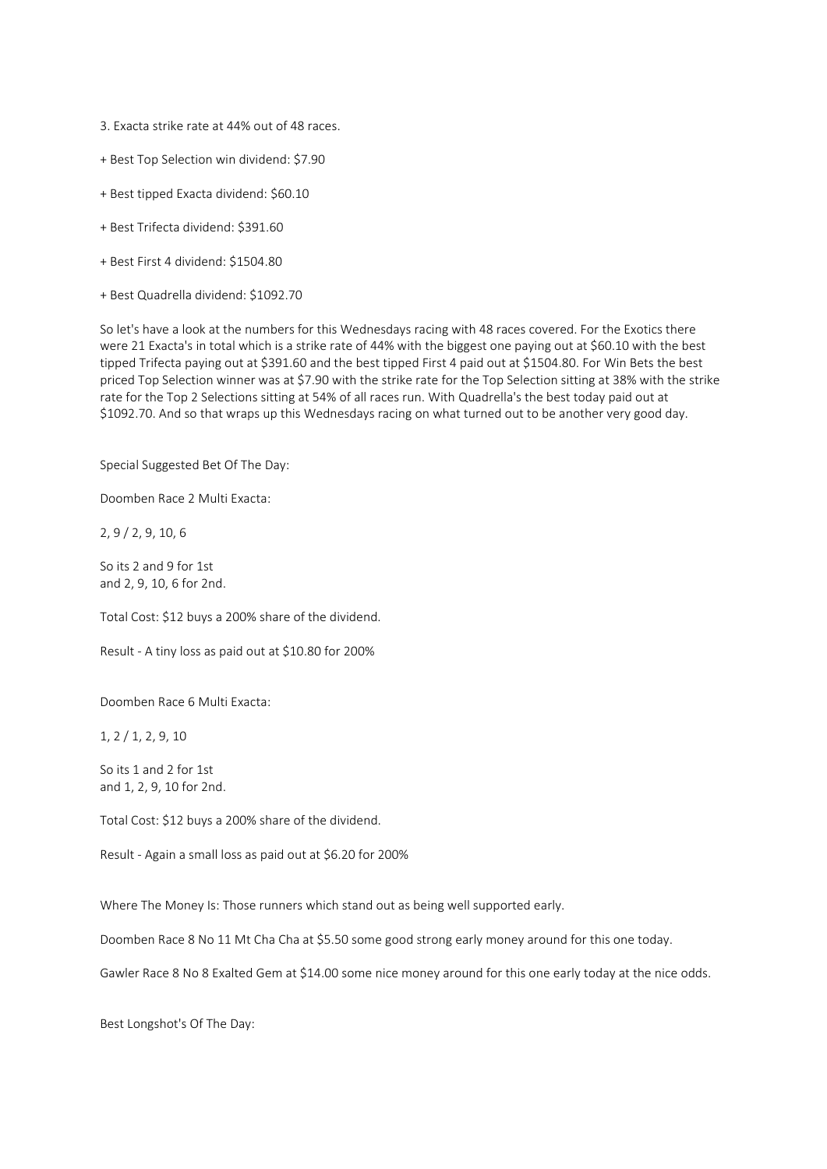- 3. Exacta strike rate at 44% out of 48 races.
- + Best Top Selection win dividend: \$7.90
- + Best tipped Exacta dividend: \$60.10
- + Best Trifecta dividend: \$391.60
- + Best First 4 dividend: \$1504.80
- + Best Quadrella dividend: \$1092.70

So let's have a look at the numbers for this Wednesdays racing with 48 races covered. For the Exotics there were 21 Exacta's in total which is a strike rate of 44% with the biggest one paying out at \$60.10 with the best tipped Trifecta paying out at \$391.60 and the best tipped First 4 paid out at \$1504.80. For Win Bets the best priced Top Selection winner was at \$7.90 with the strike rate for the Top Selection sitting at 38% with the strike rate for the Top 2 Selections sitting at 54% of all races run. With Quadrella's the best today paid out at \$1092.70. And so that wraps up this Wednesdays racing on what turned out to be another very good day.

Special Suggested Bet Of The Day:

Doomben Race 2 Multi Exacta:

2, 9 / 2, 9, 10, 6

So its 2 and 9 for 1st and 2, 9, 10, 6 for 2nd.

Total Cost: \$12 buys a 200% share of the dividend.

Result - A tiny loss as paid out at \$10.80 for 200%

Doomben Race 6 Multi Exacta:

1, 2 / 1, 2, 9, 10

So its 1 and 2 for 1st and 1, 2, 9, 10 for 2nd.

Total Cost: \$12 buys a 200% share of the dividend.

Result - Again a small loss as paid out at \$6.20 for 200%

Where The Money Is: Those runners which stand out as being well supported early.

Doomben Race 8 No 11 Mt Cha Cha at \$5.50 some good strong early money around for this one today.

Gawler Race 8 No 8 Exalted Gem at \$14.00 some nice money around for this one early today at the nice odds.

Best Longshot's Of The Day: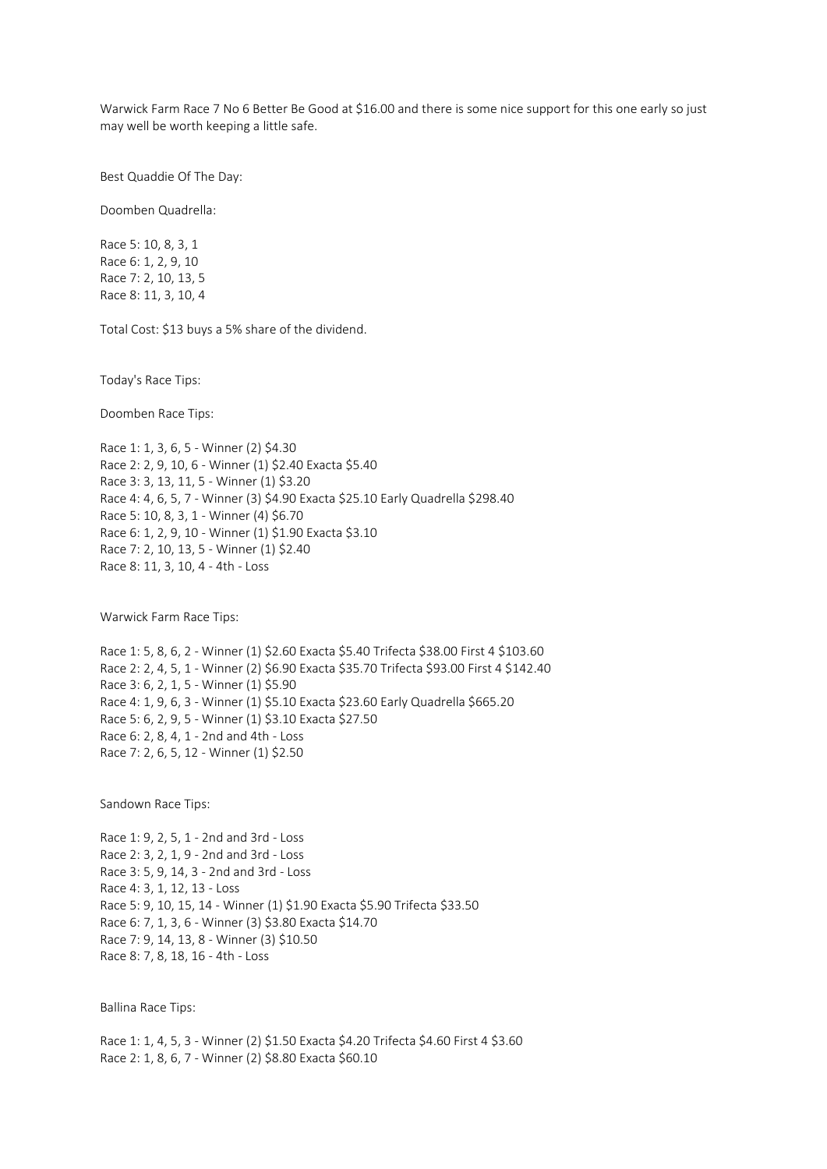Warwick Farm Race 7 No 6 Better Be Good at \$16.00 and there is some nice support for this one early so just may well be worth keeping a little safe.

Best Quaddie Of The Day:

Doomben Quadrella:

Race 5: 10, 8, 3, 1 Race 6: 1, 2, 9, 10 Race 7: 2, 10, 13, 5 Race 8: 11, 3, 10, 4

Total Cost: \$13 buys a 5% share of the dividend.

Today's Race Tips:

Doomben Race Tips:

Race 1: 1, 3, 6, 5 - Winner (2) \$4.30 Race 2: 2, 9, 10, 6 - Winner (1) \$2.40 Exacta \$5.40 Race 3: 3, 13, 11, 5 - Winner (1) \$3.20 Race 4: 4, 6, 5, 7 - Winner (3) \$4.90 Exacta \$25.10 Early Quadrella \$298.40 Race 5: 10, 8, 3, 1 - Winner (4) \$6.70 Race 6: 1, 2, 9, 10 - Winner (1) \$1.90 Exacta \$3.10 Race 7: 2, 10, 13, 5 - Winner (1) \$2.40 Race 8: 11, 3, 10, 4 - 4th - Loss

Warwick Farm Race Tips:

Race 1: 5, 8, 6, 2 - Winner (1) \$2.60 Exacta \$5.40 Trifecta \$38.00 First 4 \$103.60 Race 2: 2, 4, 5, 1 - Winner (2) \$6.90 Exacta \$35.70 Trifecta \$93.00 First 4 \$142.40 Race 3: 6, 2, 1, 5 - Winner (1) \$5.90 Race 4: 1, 9, 6, 3 - Winner (1) \$5.10 Exacta \$23.60 Early Quadrella \$665.20 Race 5: 6, 2, 9, 5 - Winner (1) \$3.10 Exacta \$27.50 Race 6: 2, 8, 4, 1 - 2nd and 4th - Loss Race 7: 2, 6, 5, 12 - Winner (1) \$2.50

Sandown Race Tips:

Race 1: 9, 2, 5, 1 - 2nd and 3rd - Loss Race 2: 3, 2, 1, 9 - 2nd and 3rd - Loss Race 3: 5, 9, 14, 3 - 2nd and 3rd - Loss Race 4: 3, 1, 12, 13 - Loss Race 5: 9, 10, 15, 14 - Winner (1) \$1.90 Exacta \$5.90 Trifecta \$33.50 Race 6: 7, 1, 3, 6 - Winner (3) \$3.80 Exacta \$14.70 Race 7: 9, 14, 13, 8 - Winner (3) \$10.50 Race 8: 7, 8, 18, 16 - 4th - Loss

Ballina Race Tips:

Race 1: 1, 4, 5, 3 - Winner (2) \$1.50 Exacta \$4.20 Trifecta \$4.60 First 4 \$3.60 Race 2: 1, 8, 6, 7 - Winner (2) \$8.80 Exacta \$60.10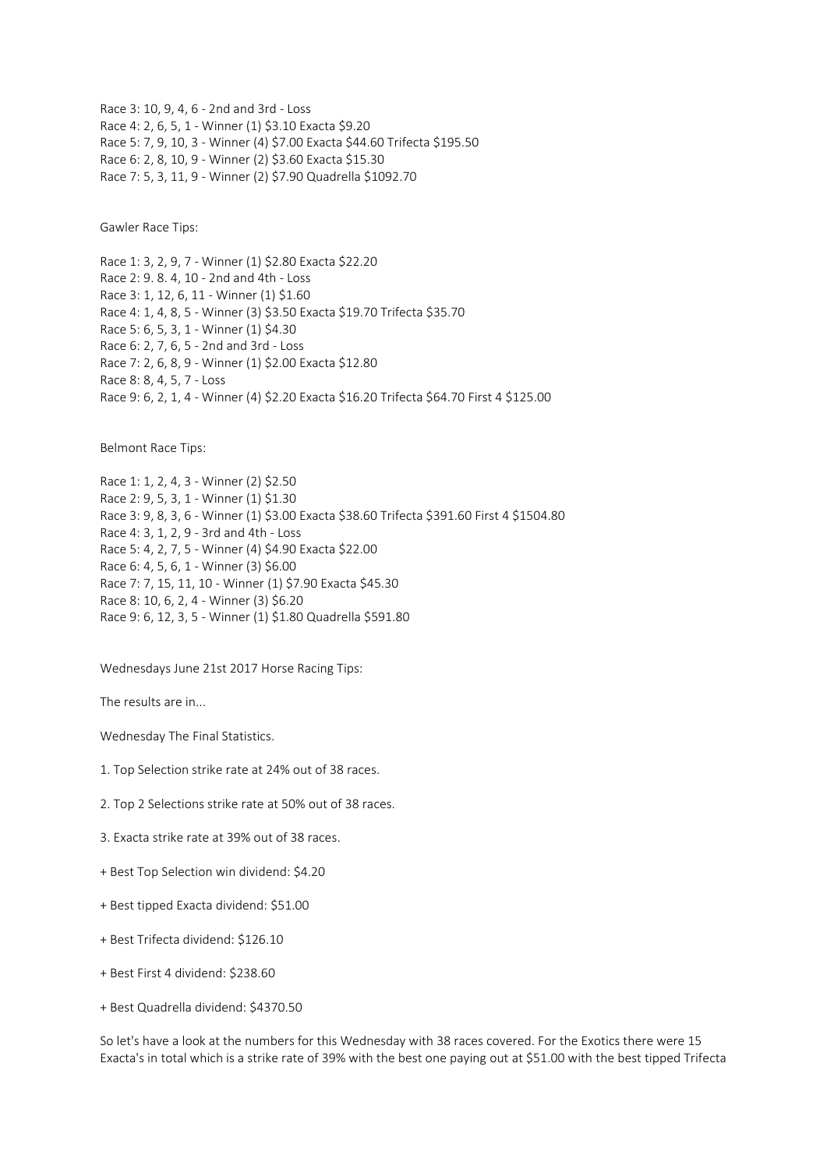Race 3: 10, 9, 4, 6 - 2nd and 3rd - Loss Race 4: 2, 6, 5, 1 - Winner (1) \$3.10 Exacta \$9.20 Race 5: 7, 9, 10, 3 - Winner (4) \$7.00 Exacta \$44.60 Trifecta \$195.50 Race 6: 2, 8, 10, 9 - Winner (2) \$3.60 Exacta \$15.30 Race 7: 5, 3, 11, 9 - Winner (2) \$7.90 Quadrella \$1092.70

Gawler Race Tips:

Race 1: 3, 2, 9, 7 - Winner (1) \$2.80 Exacta \$22.20 Race 2: 9. 8. 4, 10 - 2nd and 4th - Loss Race 3: 1, 12, 6, 11 - Winner (1) \$1.60 Race 4: 1, 4, 8, 5 - Winner (3) \$3.50 Exacta \$19.70 Trifecta \$35.70 Race 5: 6, 5, 3, 1 - Winner (1) \$4.30 Race 6: 2, 7, 6, 5 - 2nd and 3rd - Loss Race 7: 2, 6, 8, 9 - Winner (1) \$2.00 Exacta \$12.80 Race 8: 8, 4, 5, 7 - Loss Race 9: 6, 2, 1, 4 - Winner (4) \$2.20 Exacta \$16.20 Trifecta \$64.70 First 4 \$125.00

Belmont Race Tips:

Race 1: 1, 2, 4, 3 - Winner (2) \$2.50 Race 2: 9, 5, 3, 1 - Winner (1) \$1.30 Race 3: 9, 8, 3, 6 - Winner (1) \$3.00 Exacta \$38.60 Trifecta \$391.60 First 4 \$1504.80 Race 4: 3, 1, 2, 9 - 3rd and 4th - Loss Race 5: 4, 2, 7, 5 - Winner (4) \$4.90 Exacta \$22.00 Race 6: 4, 5, 6, 1 - Winner (3) \$6.00 Race 7: 7, 15, 11, 10 - Winner (1) \$7.90 Exacta \$45.30 Race 8: 10, 6, 2, 4 - Winner (3) \$6.20 Race 9: 6, 12, 3, 5 - Winner (1) \$1.80 Quadrella \$591.80

Wednesdays June 21st 2017 Horse Racing Tips:

The results are in...

Wednesday The Final Statistics.

- 1. Top Selection strike rate at 24% out of 38 races.
- 2. Top 2 Selections strike rate at 50% out of 38 races.
- 3. Exacta strike rate at 39% out of 38 races.
- + Best Top Selection win dividend: \$4.20
- + Best tipped Exacta dividend: \$51.00
- + Best Trifecta dividend: \$126.10
- + Best First 4 dividend: \$238.60
- + Best Quadrella dividend: \$4370.50

So let's have a look at the numbers for this Wednesday with 38 races covered. For the Exotics there were 15 Exacta's in total which is a strike rate of 39% with the best one paying out at \$51.00 with the best tipped Trifecta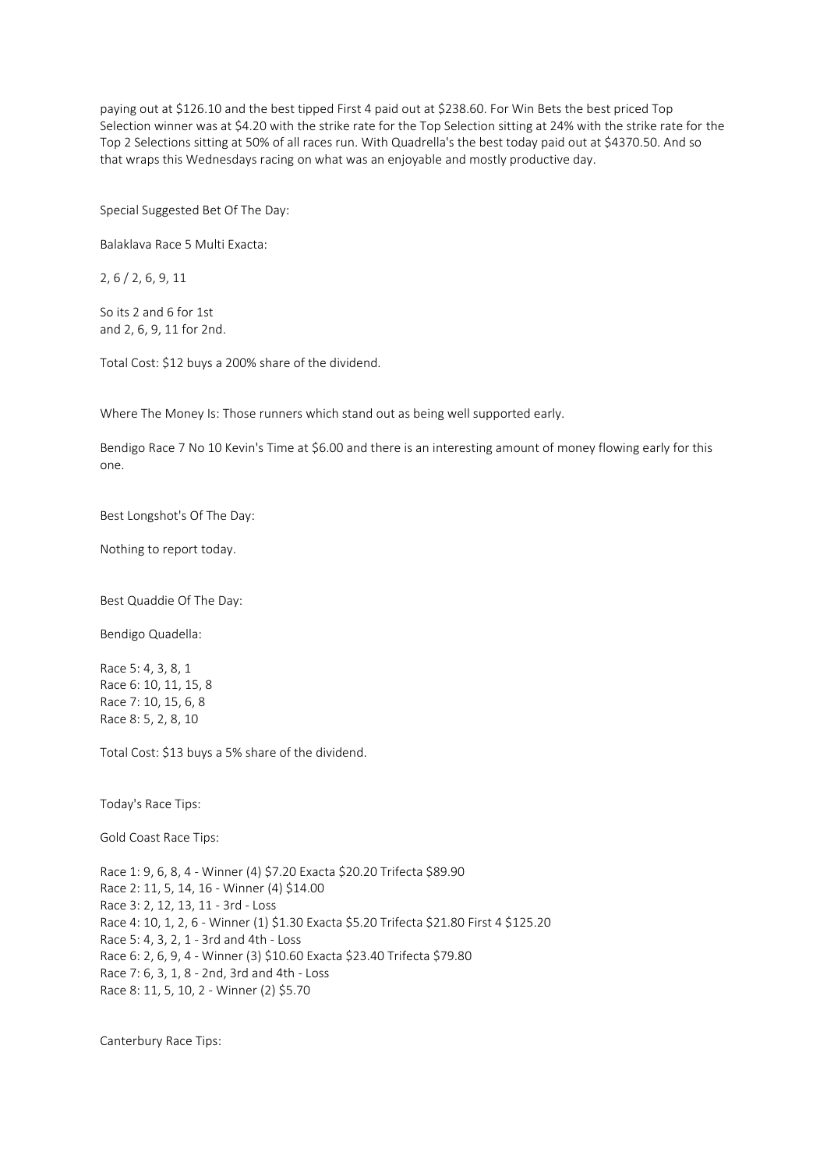paying out at \$126.10 and the best tipped First 4 paid out at \$238.60. For Win Bets the best priced Top Selection winner was at \$4.20 with the strike rate for the Top Selection sitting at 24% with the strike rate for the Top 2 Selections sitting at 50% of all races run. With Quadrella's the best today paid out at \$4370.50. And so that wraps this Wednesdays racing on what was an enjoyable and mostly productive day.

Special Suggested Bet Of The Day:

Balaklava Race 5 Multi Exacta:

2, 6 / 2, 6, 9, 11

So its 2 and 6 for 1st and 2, 6, 9, 11 for 2nd.

Total Cost: \$12 buys a 200% share of the dividend.

Where The Money Is: Those runners which stand out as being well supported early.

Bendigo Race 7 No 10 Kevin's Time at \$6.00 and there is an interesting amount of money flowing early for this one.

Best Longshot's Of The Day:

Nothing to report today.

Best Quaddie Of The Day:

Bendigo Quadella:

Race 5: 4, 3, 8, 1 Race 6: 10, 11, 15, 8 Race 7: 10, 15, 6, 8 Race 8: 5, 2, 8, 10

Total Cost: \$13 buys a 5% share of the dividend.

Today's Race Tips:

Gold Coast Race Tips:

Race 1: 9, 6, 8, 4 - Winner (4) \$7.20 Exacta \$20.20 Trifecta \$89.90 Race 2: 11, 5, 14, 16 - Winner (4) \$14.00 Race 3: 2, 12, 13, 11 - 3rd - Loss Race 4: 10, 1, 2, 6 - Winner (1) \$1.30 Exacta \$5.20 Trifecta \$21.80 First 4 \$125.20 Race 5: 4, 3, 2, 1 - 3rd and 4th - Loss Race 6: 2, 6, 9, 4 - Winner (3) \$10.60 Exacta \$23.40 Trifecta \$79.80 Race 7: 6, 3, 1, 8 - 2nd, 3rd and 4th - Loss Race 8: 11, 5, 10, 2 - Winner (2) \$5.70

Canterbury Race Tips: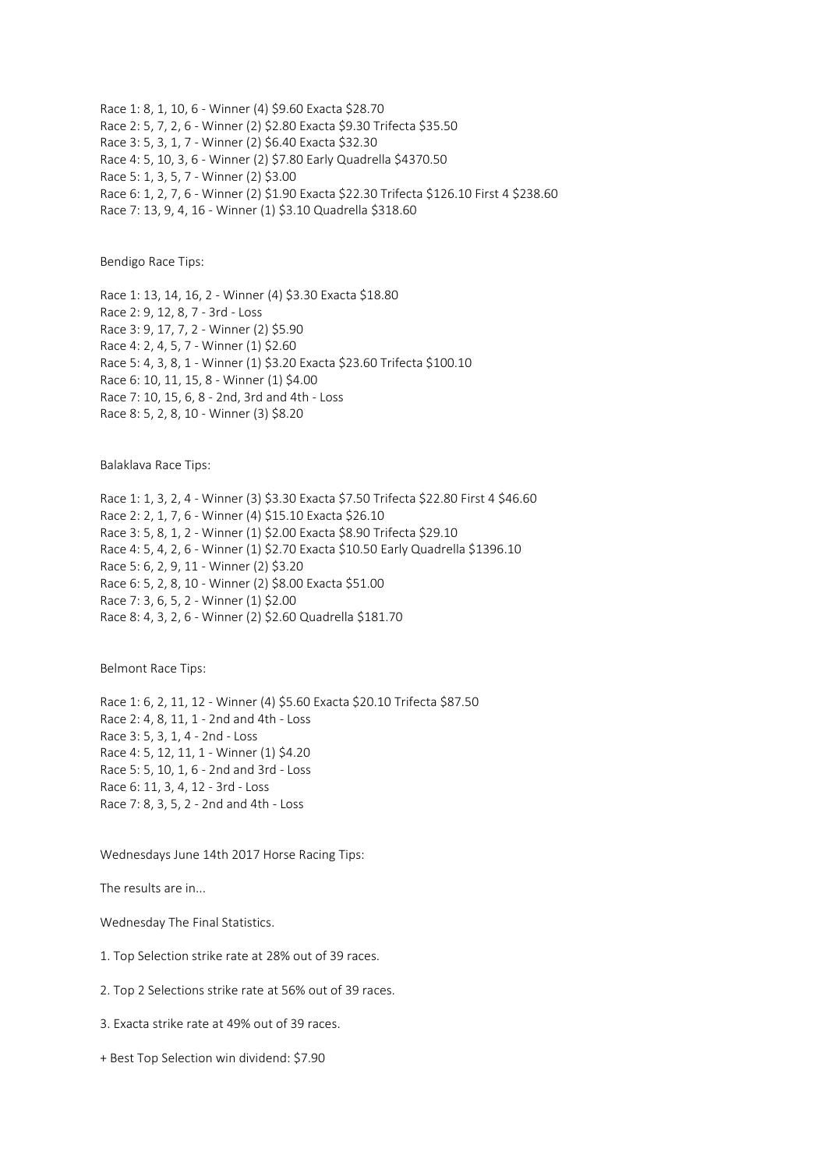Race 1: 8, 1, 10, 6 - Winner (4) \$9.60 Exacta \$28.70 Race 2: 5, 7, 2, 6 - Winner (2) \$2.80 Exacta \$9.30 Trifecta \$35.50 Race 3: 5, 3, 1, 7 - Winner (2) \$6.40 Exacta \$32.30 Race 4: 5, 10, 3, 6 - Winner (2) \$7.80 Early Quadrella \$4370.50 Race 5: 1, 3, 5, 7 - Winner (2) \$3.00 Race 6: 1, 2, 7, 6 - Winner (2) \$1.90 Exacta \$22.30 Trifecta \$126.10 First 4 \$238.60 Race 7: 13, 9, 4, 16 - Winner (1) \$3.10 Quadrella \$318.60

Bendigo Race Tips:

Race 1: 13, 14, 16, 2 - Winner (4) \$3.30 Exacta \$18.80 Race 2: 9, 12, 8, 7 - 3rd - Loss Race 3: 9, 17, 7, 2 - Winner (2) \$5.90 Race 4: 2, 4, 5, 7 - Winner (1) \$2.60 Race 5: 4, 3, 8, 1 - Winner (1) \$3.20 Exacta \$23.60 Trifecta \$100.10 Race 6: 10, 11, 15, 8 - Winner (1) \$4.00 Race 7: 10, 15, 6, 8 - 2nd, 3rd and 4th - Loss Race 8: 5, 2, 8, 10 - Winner (3) \$8.20

Balaklava Race Tips:

Race 1: 1, 3, 2, 4 - Winner (3) \$3.30 Exacta \$7.50 Trifecta \$22.80 First 4 \$46.60 Race 2: 2, 1, 7, 6 - Winner (4) \$15.10 Exacta \$26.10 Race 3: 5, 8, 1, 2 - Winner (1) \$2.00 Exacta \$8.90 Trifecta \$29.10 Race 4: 5, 4, 2, 6 - Winner (1) \$2.70 Exacta \$10.50 Early Quadrella \$1396.10 Race 5: 6, 2, 9, 11 - Winner (2) \$3.20 Race 6: 5, 2, 8, 10 - Winner (2) \$8.00 Exacta \$51.00 Race 7: 3, 6, 5, 2 - Winner (1) \$2.00 Race 8: 4, 3, 2, 6 - Winner (2) \$2.60 Quadrella \$181.70

Belmont Race Tips:

Race 1: 6, 2, 11, 12 - Winner (4) \$5.60 Exacta \$20.10 Trifecta \$87.50 Race 2: 4, 8, 11, 1 - 2nd and 4th - Loss Race 3: 5, 3, 1, 4 - 2nd - Loss Race 4: 5, 12, 11, 1 - Winner (1) \$4.20 Race 5: 5, 10, 1, 6 - 2nd and 3rd - Loss Race 6: 11, 3, 4, 12 - 3rd - Loss Race 7: 8, 3, 5, 2 - 2nd and 4th - Loss

Wednesdays June 14th 2017 Horse Racing Tips:

The results are in...

Wednesday The Final Statistics.

1. Top Selection strike rate at 28% out of 39 races.

2. Top 2 Selections strike rate at 56% out of 39 races.

3. Exacta strike rate at 49% out of 39 races.

+ Best Top Selection win dividend: \$7.90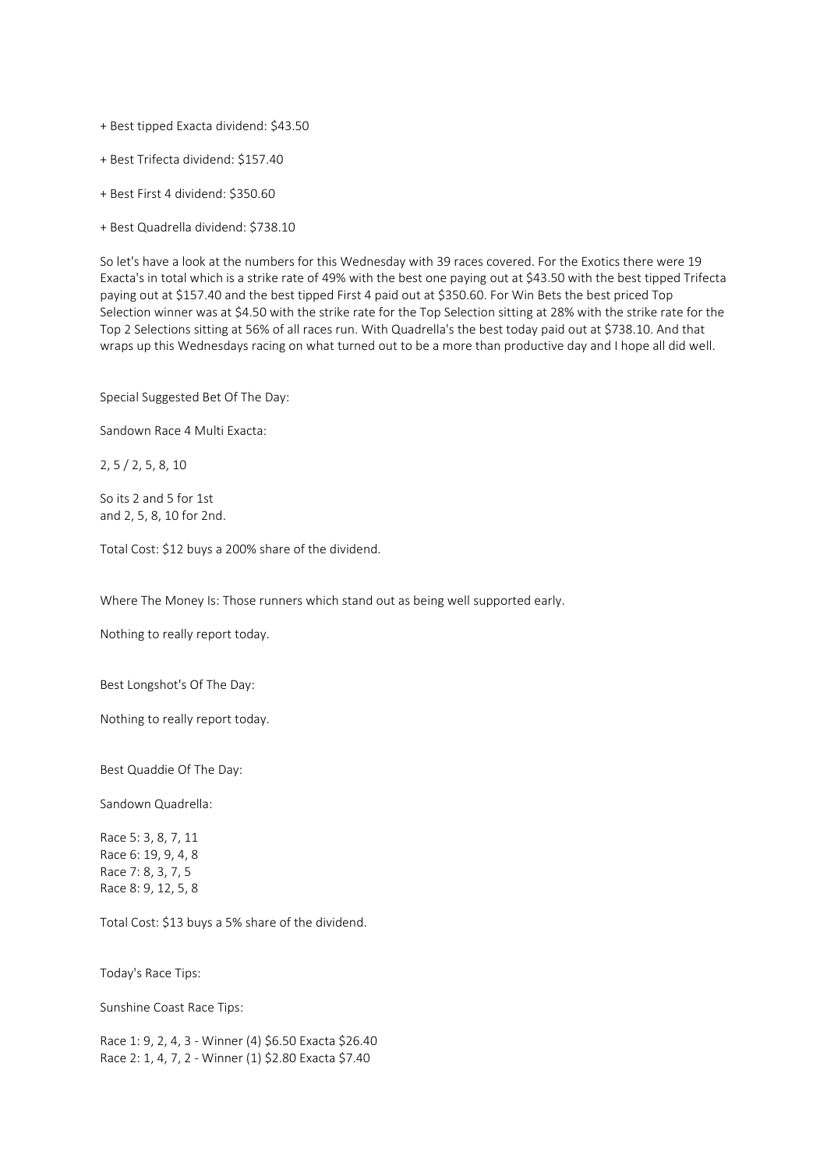+ Best tipped Exacta dividend: \$43.50

+ Best Trifecta dividend: \$157.40

+ Best First 4 dividend: \$350.60

+ Best Quadrella dividend: \$738.10

So let's have a look at the numbers for this Wednesday with 39 races covered. For the Exotics there were 19 Exacta's in total which is a strike rate of 49% with the best one paying out at \$43.50 with the best tipped Trifecta paying out at \$157.40 and the best tipped First 4 paid out at \$350.60. For Win Bets the best priced Top Selection winner was at \$4.50 with the strike rate for the Top Selection sitting at 28% with the strike rate for the Top 2 Selections sitting at 56% of all races run. With Quadrella's the best today paid out at \$738.10. And that wraps up this Wednesdays racing on what turned out to be a more than productive day and I hope all did well.

Special Suggested Bet Of The Day:

Sandown Race 4 Multi Exacta:

2, 5 / 2, 5, 8, 10

So its 2 and 5 for 1st and 2, 5, 8, 10 for 2nd.

Total Cost: \$12 buys a 200% share of the dividend.

Where The Money Is: Those runners which stand out as being well supported early.

Nothing to really report today.

Best Longshot's Of The Day:

Nothing to really report today.

Best Quaddie Of The Day:

Sandown Quadrella:

Race 5: 3, 8, 7, 11 Race 6: 19, 9, 4, 8 Race 7: 8, 3, 7, 5 Race 8: 9, 12, 5, 8

Total Cost: \$13 buys a 5% share of the dividend.

Today's Race Tips:

Sunshine Coast Race Tips:

Race 1: 9, 2, 4, 3 - Winner (4) \$6.50 Exacta \$26.40 Race 2: 1, 4, 7, 2 - Winner (1) \$2.80 Exacta \$7.40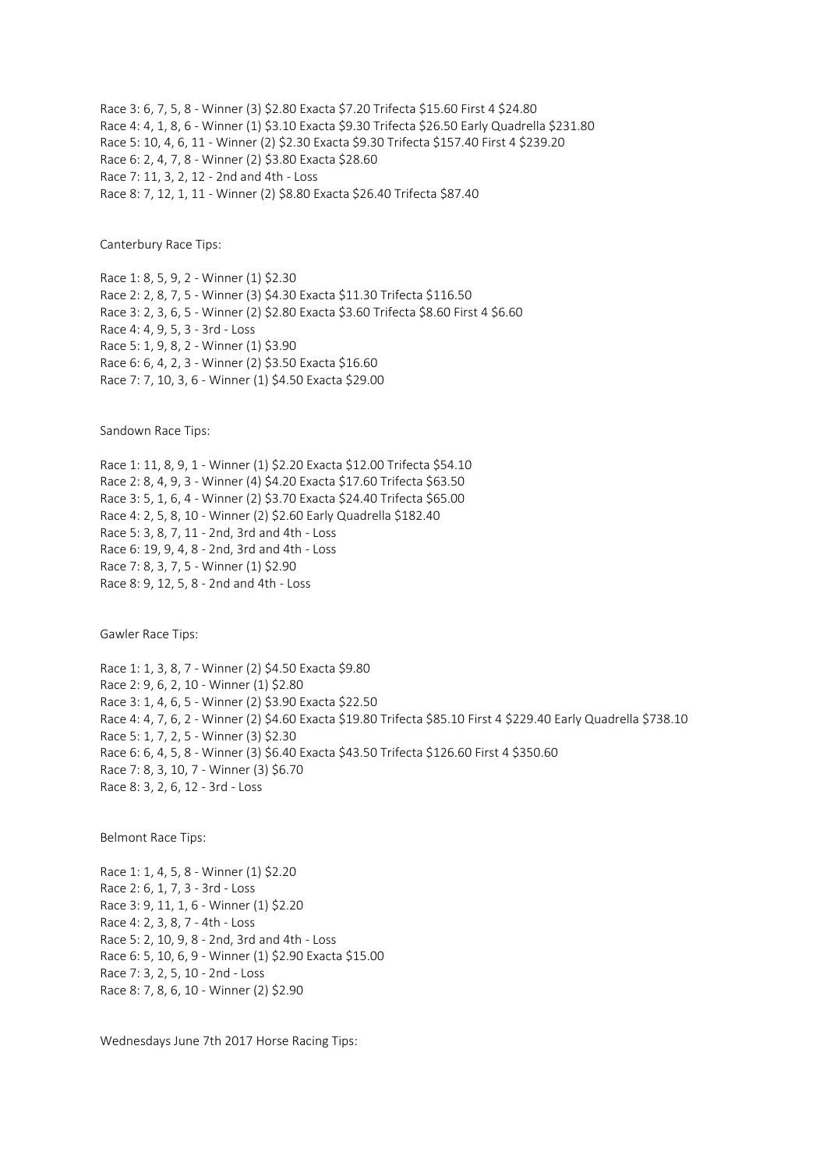Race 3: 6, 7, 5, 8 - Winner (3) \$2.80 Exacta \$7.20 Trifecta \$15.60 First 4 \$24.80 Race 4: 4, 1, 8, 6 - Winner (1) \$3.10 Exacta \$9.30 Trifecta \$26.50 Early Quadrella \$231.80 Race 5: 10, 4, 6, 11 - Winner (2) \$2.30 Exacta \$9.30 Trifecta \$157.40 First 4 \$239.20 Race 6: 2, 4, 7, 8 - Winner (2) \$3.80 Exacta \$28.60 Race 7: 11, 3, 2, 12 - 2nd and 4th - Loss Race 8: 7, 12, 1, 11 - Winner (2) \$8.80 Exacta \$26.40 Trifecta \$87.40

Canterbury Race Tips:

Race 1: 8, 5, 9, 2 - Winner (1) \$2.30 Race 2: 2, 8, 7, 5 - Winner (3) \$4.30 Exacta \$11.30 Trifecta \$116.50 Race 3: 2, 3, 6, 5 - Winner (2) \$2.80 Exacta \$3.60 Trifecta \$8.60 First 4 \$6.60 Race 4: 4, 9, 5, 3 - 3rd - Loss Race 5: 1, 9, 8, 2 - Winner (1) \$3.90 Race 6: 6, 4, 2, 3 - Winner (2) \$3.50 Exacta \$16.60 Race 7: 7, 10, 3, 6 - Winner (1) \$4.50 Exacta \$29.00

Sandown Race Tips:

Race 1: 11, 8, 9, 1 - Winner (1) \$2.20 Exacta \$12.00 Trifecta \$54.10 Race 2: 8, 4, 9, 3 - Winner (4) \$4.20 Exacta \$17.60 Trifecta \$63.50 Race 3: 5, 1, 6, 4 - Winner (2) \$3.70 Exacta \$24.40 Trifecta \$65.00 Race 4: 2, 5, 8, 10 - Winner (2) \$2.60 Early Quadrella \$182.40 Race 5: 3, 8, 7, 11 - 2nd, 3rd and 4th - Loss Race 6: 19, 9, 4, 8 - 2nd, 3rd and 4th - Loss Race 7: 8, 3, 7, 5 - Winner (1) \$2.90 Race 8: 9, 12, 5, 8 - 2nd and 4th - Loss

Gawler Race Tips:

Race 1: 1, 3, 8, 7 - Winner (2) \$4.50 Exacta \$9.80 Race 2: 9, 6, 2, 10 - Winner (1) \$2.80 Race 3: 1, 4, 6, 5 - Winner (2) \$3.90 Exacta \$22.50 Race 4: 4, 7, 6, 2 - Winner (2) \$4.60 Exacta \$19.80 Trifecta \$85.10 First 4 \$229.40 Early Quadrella \$738.10 Race 5: 1, 7, 2, 5 - Winner (3) \$2.30 Race 6: 6, 4, 5, 8 - Winner (3) \$6.40 Exacta \$43.50 Trifecta \$126.60 First 4 \$350.60 Race 7: 8, 3, 10, 7 - Winner (3) \$6.70 Race 8: 3, 2, 6, 12 - 3rd - Loss

Belmont Race Tips:

Race 1: 1, 4, 5, 8 - Winner (1) \$2.20 Race 2: 6, 1, 7, 3 - 3rd - Loss Race 3: 9, 11, 1, 6 - Winner (1) \$2.20 Race 4: 2, 3, 8, 7 - 4th - Loss Race 5: 2, 10, 9, 8 - 2nd, 3rd and 4th - Loss Race 6: 5, 10, 6, 9 - Winner (1) \$2.90 Exacta \$15.00 Race 7: 3, 2, 5, 10 - 2nd - Loss Race 8: 7, 8, 6, 10 - Winner (2) \$2.90

Wednesdays June 7th 2017 Horse Racing Tips: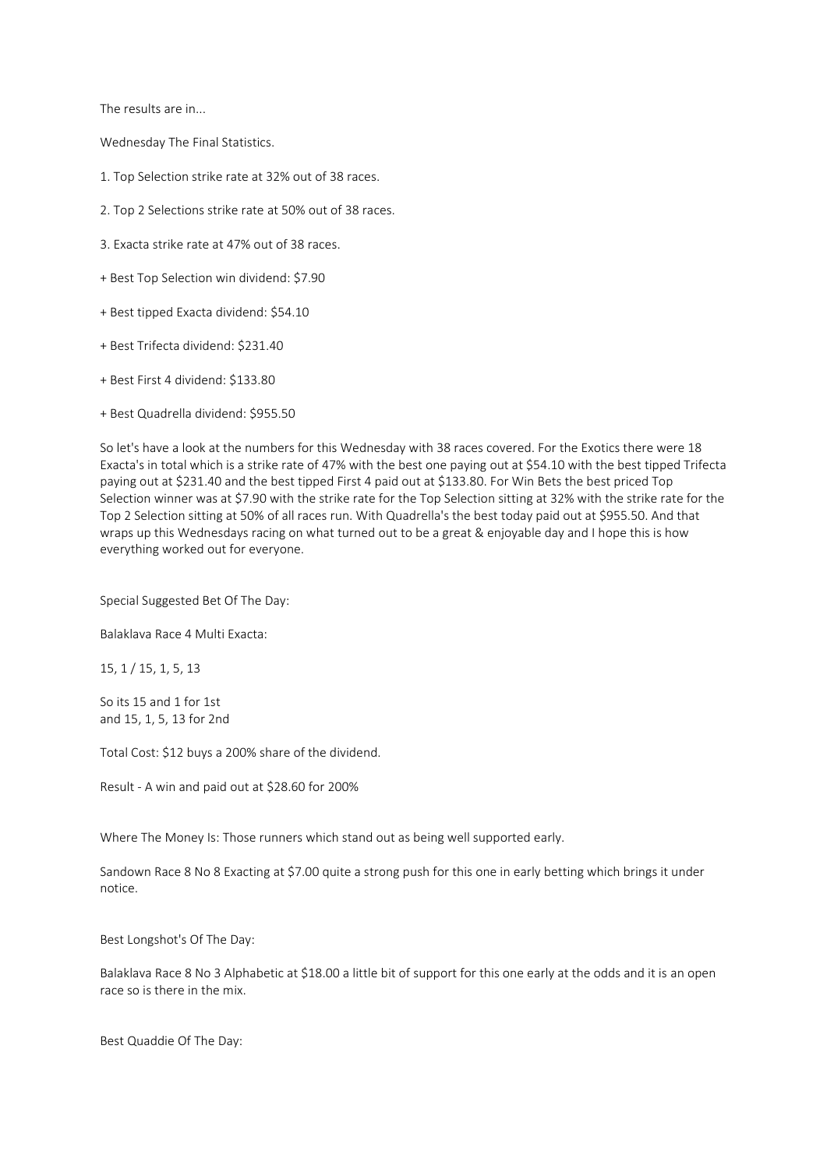The results are in...

Wednesday The Final Statistics.

- 1. Top Selection strike rate at 32% out of 38 races.
- 2. Top 2 Selections strike rate at 50% out of 38 races.
- 3. Exacta strike rate at 47% out of 38 races.
- + Best Top Selection win dividend: \$7.90
- + Best tipped Exacta dividend: \$54.10
- + Best Trifecta dividend: \$231.40
- + Best First 4 dividend: \$133.80
- + Best Quadrella dividend: \$955.50

So let's have a look at the numbers for this Wednesday with 38 races covered. For the Exotics there were 18 Exacta's in total which is a strike rate of 47% with the best one paying out at \$54.10 with the best tipped Trifecta paying out at \$231.40 and the best tipped First 4 paid out at \$133.80. For Win Bets the best priced Top Selection winner was at \$7.90 with the strike rate for the Top Selection sitting at 32% with the strike rate for the Top 2 Selection sitting at 50% of all races run. With Quadrella's the best today paid out at \$955.50. And that wraps up this Wednesdays racing on what turned out to be a great & enjoyable day and I hope this is how everything worked out for everyone.

Special Suggested Bet Of The Day:

Balaklava Race 4 Multi Exacta:

15, 1 / 15, 1, 5, 13

So its 15 and 1 for 1st and 15, 1, 5, 13 for 2nd

Total Cost: \$12 buys a 200% share of the dividend.

Result - A win and paid out at \$28.60 for 200%

Where The Money Is: Those runners which stand out as being well supported early.

Sandown Race 8 No 8 Exacting at \$7.00 quite a strong push for this one in early betting which brings it under notice.

Best Longshot's Of The Day:

Balaklava Race 8 No 3 Alphabetic at \$18.00 a little bit of support for this one early at the odds and it is an open race so is there in the mix.

Best Quaddie Of The Day: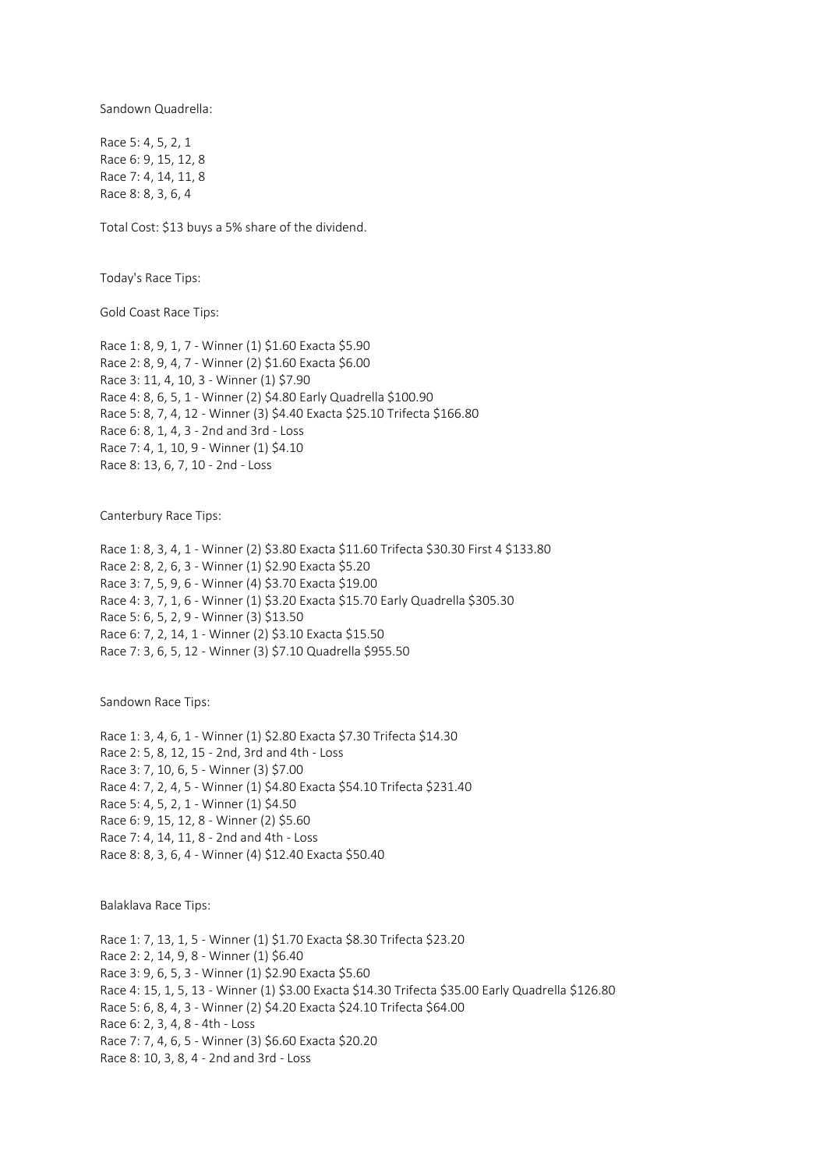Sandown Quadrella:

Race 5: 4, 5, 2, 1 Race 6: 9, 15, 12, 8 Race 7: 4, 14, 11, 8 Race 8: 8, 3, 6, 4

Total Cost: \$13 buys a 5% share of the dividend.

Today's Race Tips:

Gold Coast Race Tips:

Race 1: 8, 9, 1, 7 - Winner (1) \$1.60 Exacta \$5.90 Race 2: 8, 9, 4, 7 - Winner (2) \$1.60 Exacta \$6.00 Race 3: 11, 4, 10, 3 - Winner (1) \$7.90 Race 4: 8, 6, 5, 1 - Winner (2) \$4.80 Early Quadrella \$100.90 Race 5: 8, 7, 4, 12 - Winner (3) \$4.40 Exacta \$25.10 Trifecta \$166.80 Race 6: 8, 1, 4, 3 - 2nd and 3rd - Loss Race 7: 4, 1, 10, 9 - Winner (1) \$4.10 Race 8: 13, 6, 7, 10 - 2nd - Loss

Canterbury Race Tips:

Race 1: 8, 3, 4, 1 - Winner (2) \$3.80 Exacta \$11.60 Trifecta \$30.30 First 4 \$133.80 Race 2: 8, 2, 6, 3 - Winner (1) \$2.90 Exacta \$5.20 Race 3: 7, 5, 9, 6 - Winner (4) \$3.70 Exacta \$19.00 Race 4: 3, 7, 1, 6 - Winner (1) \$3.20 Exacta \$15.70 Early Quadrella \$305.30 Race 5: 6, 5, 2, 9 - Winner (3) \$13.50 Race 6: 7, 2, 14, 1 - Winner (2) \$3.10 Exacta \$15.50 Race 7: 3, 6, 5, 12 - Winner (3) \$7.10 Quadrella \$955.50

Sandown Race Tips:

Race 1: 3, 4, 6, 1 - Winner (1) \$2.80 Exacta \$7.30 Trifecta \$14.30 Race 2: 5, 8, 12, 15 - 2nd, 3rd and 4th - Loss Race 3: 7, 10, 6, 5 - Winner (3) \$7.00 Race 4: 7, 2, 4, 5 - Winner (1) \$4.80 Exacta \$54.10 Trifecta \$231.40 Race 5: 4, 5, 2, 1 - Winner (1) \$4.50 Race 6: 9, 15, 12, 8 - Winner (2) \$5.60 Race 7: 4, 14, 11, 8 - 2nd and 4th - Loss Race 8: 8, 3, 6, 4 - Winner (4) \$12.40 Exacta \$50.40

Balaklava Race Tips:

Race 1: 7, 13, 1, 5 - Winner (1) \$1.70 Exacta \$8.30 Trifecta \$23.20 Race 2: 2, 14, 9, 8 - Winner (1) \$6.40 Race 3: 9, 6, 5, 3 - Winner (1) \$2.90 Exacta \$5.60 Race 4: 15, 1, 5, 13 - Winner (1) \$3.00 Exacta \$14.30 Trifecta \$35.00 Early Quadrella \$126.80 Race 5: 6, 8, 4, 3 - Winner (2) \$4.20 Exacta \$24.10 Trifecta \$64.00 Race 6: 2, 3, 4, 8 - 4th - Loss Race 7: 7, 4, 6, 5 - Winner (3) \$6.60 Exacta \$20.20 Race 8: 10, 3, 8, 4 - 2nd and 3rd - Loss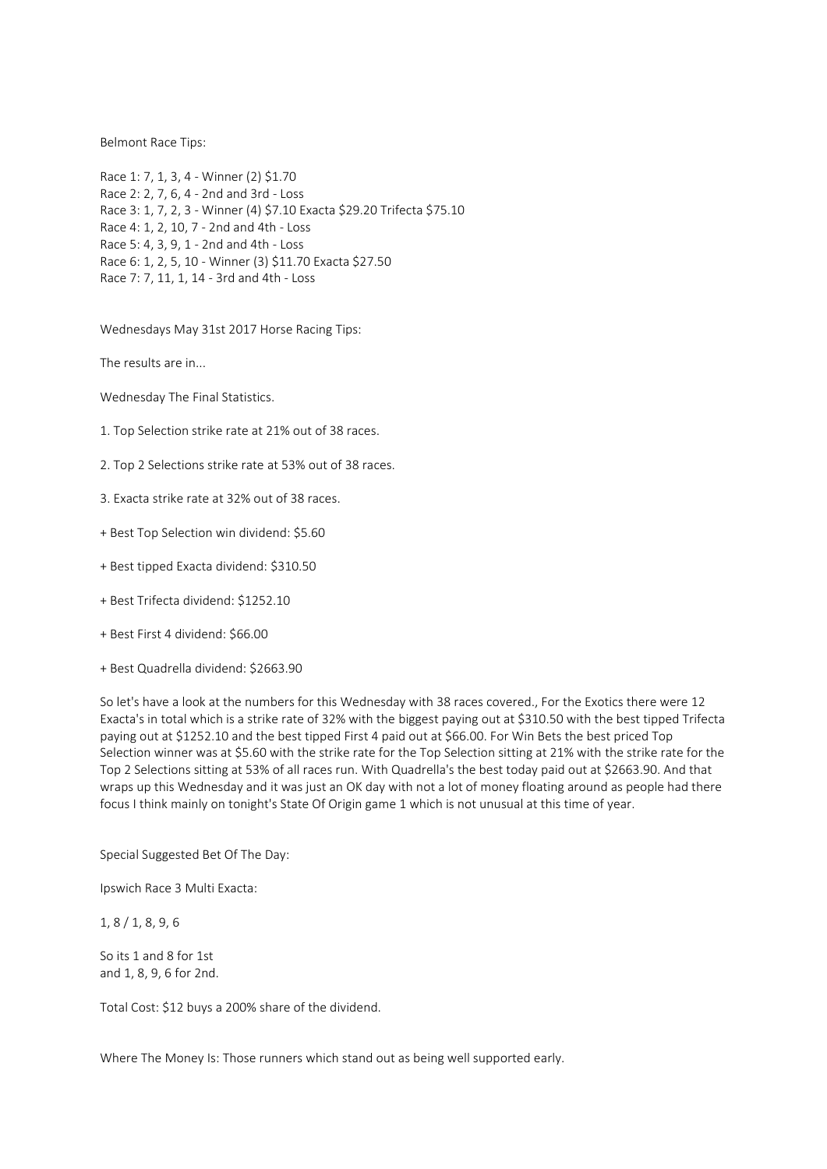Belmont Race Tips:

Race 1: 7, 1, 3, 4 - Winner (2) \$1.70 Race 2: 2, 7, 6, 4 - 2nd and 3rd - Loss Race 3: 1, 7, 2, 3 - Winner (4) \$7.10 Exacta \$29.20 Trifecta \$75.10 Race 4: 1, 2, 10, 7 - 2nd and 4th - Loss Race 5: 4, 3, 9, 1 - 2nd and 4th - Loss Race 6: 1, 2, 5, 10 - Winner (3) \$11.70 Exacta \$27.50 Race 7: 7, 11, 1, 14 - 3rd and 4th - Loss

Wednesdays May 31st 2017 Horse Racing Tips:

The results are in...

Wednesday The Final Statistics.

- 1. Top Selection strike rate at 21% out of 38 races.
- 2. Top 2 Selections strike rate at 53% out of 38 races.
- 3. Exacta strike rate at 32% out of 38 races.
- + Best Top Selection win dividend: \$5.60
- + Best tipped Exacta dividend: \$310.50
- + Best Trifecta dividend: \$1252.10
- + Best First 4 dividend: \$66.00
- + Best Quadrella dividend: \$2663.90

So let's have a look at the numbers for this Wednesday with 38 races covered., For the Exotics there were 12 Exacta's in total which is a strike rate of 32% with the biggest paying out at \$310.50 with the best tipped Trifecta paying out at \$1252.10 and the best tipped First 4 paid out at \$66.00. For Win Bets the best priced Top Selection winner was at \$5.60 with the strike rate for the Top Selection sitting at 21% with the strike rate for the Top 2 Selections sitting at 53% of all races run. With Quadrella's the best today paid out at \$2663.90. And that wraps up this Wednesday and it was just an OK day with not a lot of money floating around as people had there focus I think mainly on tonight's State Of Origin game 1 which is not unusual at this time of year.

Special Suggested Bet Of The Day:

Ipswich Race 3 Multi Exacta:

1, 8 / 1, 8, 9, 6

So its 1 and 8 for 1st and 1, 8, 9, 6 for 2nd.

Total Cost: \$12 buys a 200% share of the dividend.

Where The Money Is: Those runners which stand out as being well supported early.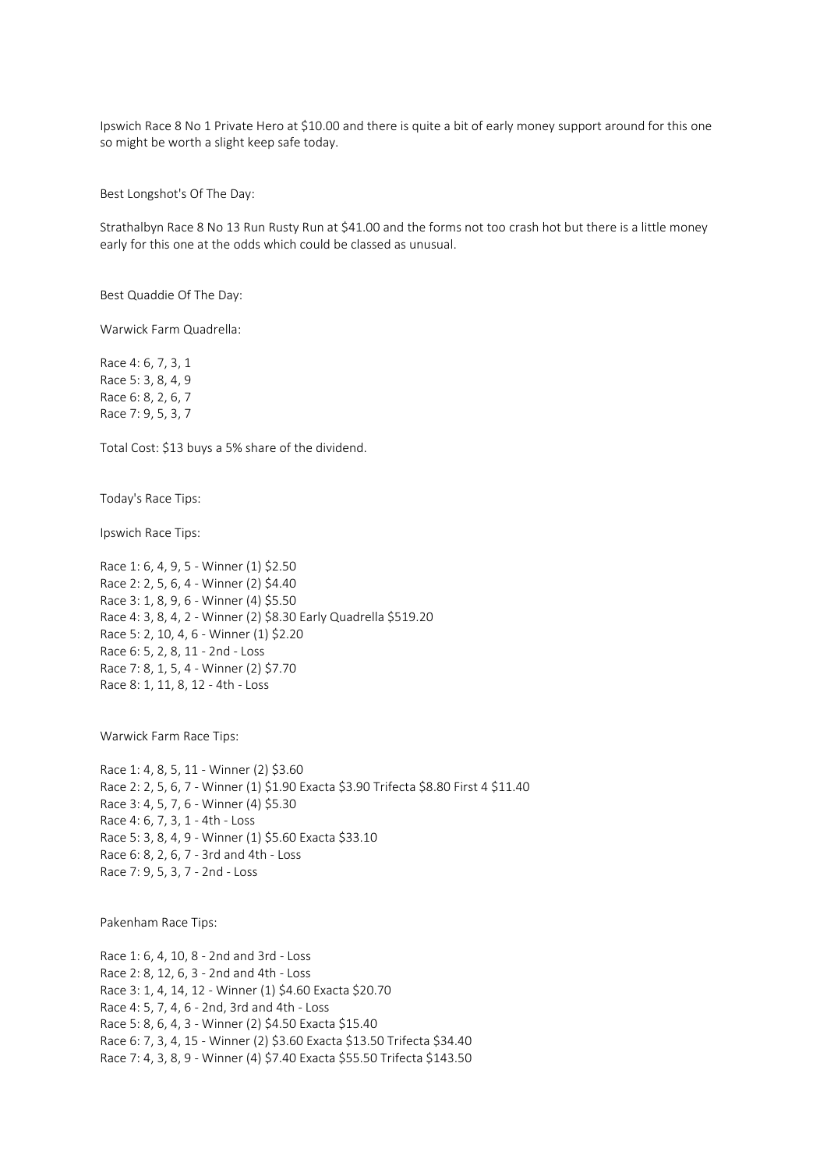Ipswich Race 8 No 1 Private Hero at \$10.00 and there is quite a bit of early money support around for this one so might be worth a slight keep safe today.

Best Longshot's Of The Day:

Strathalbyn Race 8 No 13 Run Rusty Run at \$41.00 and the forms not too crash hot but there is a little money early for this one at the odds which could be classed as unusual.

Best Quaddie Of The Day:

Warwick Farm Quadrella:

Race 4: 6, 7, 3, 1 Race 5: 3, 8, 4, 9 Race 6: 8, 2, 6, 7 Race 7: 9, 5, 3, 7

Total Cost: \$13 buys a 5% share of the dividend.

Today's Race Tips:

Ipswich Race Tips:

Race 1: 6, 4, 9, 5 - Winner (1) \$2.50 Race 2: 2, 5, 6, 4 - Winner (2) \$4.40 Race 3: 1, 8, 9, 6 - Winner (4) \$5.50 Race 4: 3, 8, 4, 2 - Winner (2) \$8.30 Early Quadrella \$519.20 Race 5: 2, 10, 4, 6 - Winner (1) \$2.20 Race 6: 5, 2, 8, 11 - 2nd - Loss Race 7: 8, 1, 5, 4 - Winner (2) \$7.70 Race 8: 1, 11, 8, 12 - 4th - Loss

Warwick Farm Race Tips:

Race 1: 4, 8, 5, 11 - Winner (2) \$3.60 Race 2: 2, 5, 6, 7 - Winner (1) \$1.90 Exacta \$3.90 Trifecta \$8.80 First 4 \$11.40 Race 3: 4, 5, 7, 6 - Winner (4) \$5.30 Race 4: 6, 7, 3, 1 - 4th - Loss Race 5: 3, 8, 4, 9 - Winner (1) \$5.60 Exacta \$33.10 Race 6: 8, 2, 6, 7 - 3rd and 4th - Loss Race 7: 9, 5, 3, 7 - 2nd - Loss

Pakenham Race Tips:

Race 1: 6, 4, 10, 8 - 2nd and 3rd - Loss Race 2: 8, 12, 6, 3 - 2nd and 4th - Loss Race 3: 1, 4, 14, 12 - Winner (1) \$4.60 Exacta \$20.70 Race 4: 5, 7, 4, 6 - 2nd, 3rd and 4th - Loss Race 5: 8, 6, 4, 3 - Winner (2) \$4.50 Exacta \$15.40 Race 6: 7, 3, 4, 15 - Winner (2) \$3.60 Exacta \$13.50 Trifecta \$34.40 Race 7: 4, 3, 8, 9 - Winner (4) \$7.40 Exacta \$55.50 Trifecta \$143.50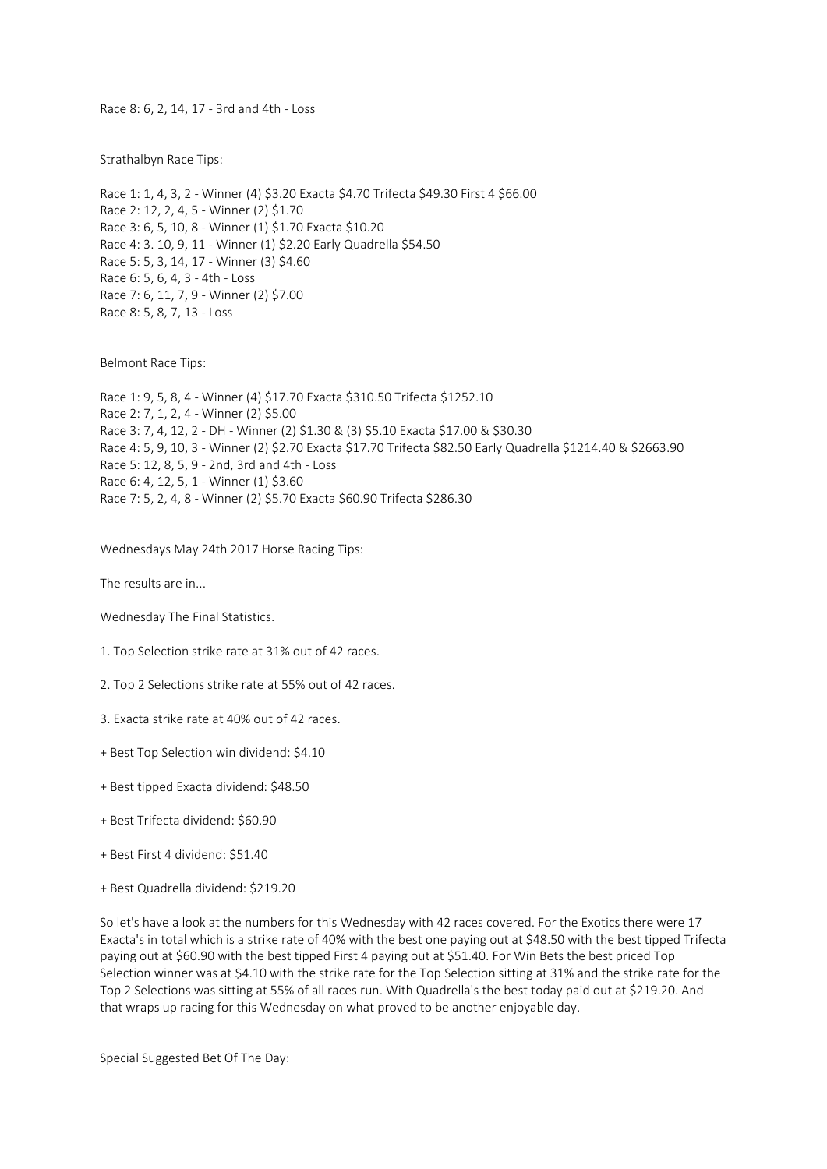Race 8: 6, 2, 14, 17 - 3rd and 4th - Loss

Strathalbyn Race Tips:

Race 1: 1, 4, 3, 2 - Winner (4) \$3.20 Exacta \$4.70 Trifecta \$49.30 First 4 \$66.00 Race 2: 12, 2, 4, 5 - Winner (2) \$1.70 Race 3: 6, 5, 10, 8 - Winner (1) \$1.70 Exacta \$10.20 Race 4: 3. 10, 9, 11 - Winner (1) \$2.20 Early Quadrella \$54.50 Race 5: 5, 3, 14, 17 - Winner (3) \$4.60 Race 6: 5, 6, 4, 3 - 4th - Loss Race 7: 6, 11, 7, 9 - Winner (2) \$7.00 Race 8: 5, 8, 7, 13 - Loss

Belmont Race Tips:

Race 1: 9, 5, 8, 4 - Winner (4) \$17.70 Exacta \$310.50 Trifecta \$1252.10 Race 2: 7, 1, 2, 4 - Winner (2) \$5.00 Race 3: 7, 4, 12, 2 - DH - Winner (2) \$1.30 & (3) \$5.10 Exacta \$17.00 & \$30.30 Race 4: 5, 9, 10, 3 - Winner (2) \$2.70 Exacta \$17.70 Trifecta \$82.50 Early Quadrella \$1214.40 & \$2663.90 Race 5: 12, 8, 5, 9 - 2nd, 3rd and 4th - Loss Race 6: 4, 12, 5, 1 - Winner (1) \$3.60 Race 7: 5, 2, 4, 8 - Winner (2) \$5.70 Exacta \$60.90 Trifecta \$286.30

Wednesdays May 24th 2017 Horse Racing Tips:

The results are in...

Wednesday The Final Statistics.

1. Top Selection strike rate at 31% out of 42 races.

2. Top 2 Selections strike rate at 55% out of 42 races.

- 3. Exacta strike rate at 40% out of 42 races.
- + Best Top Selection win dividend: \$4.10
- + Best tipped Exacta dividend: \$48.50
- + Best Trifecta dividend: \$60.90
- + Best First 4 dividend: \$51.40
- + Best Quadrella dividend: \$219.20

So let's have a look at the numbers for this Wednesday with 42 races covered. For the Exotics there were 17 Exacta's in total which is a strike rate of 40% with the best one paying out at \$48.50 with the best tipped Trifecta paying out at \$60.90 with the best tipped First 4 paying out at \$51.40. For Win Bets the best priced Top Selection winner was at \$4.10 with the strike rate for the Top Selection sitting at 31% and the strike rate for the Top 2 Selections was sitting at 55% of all races run. With Quadrella's the best today paid out at \$219.20. And that wraps up racing for this Wednesday on what proved to be another enjoyable day.

Special Suggested Bet Of The Day: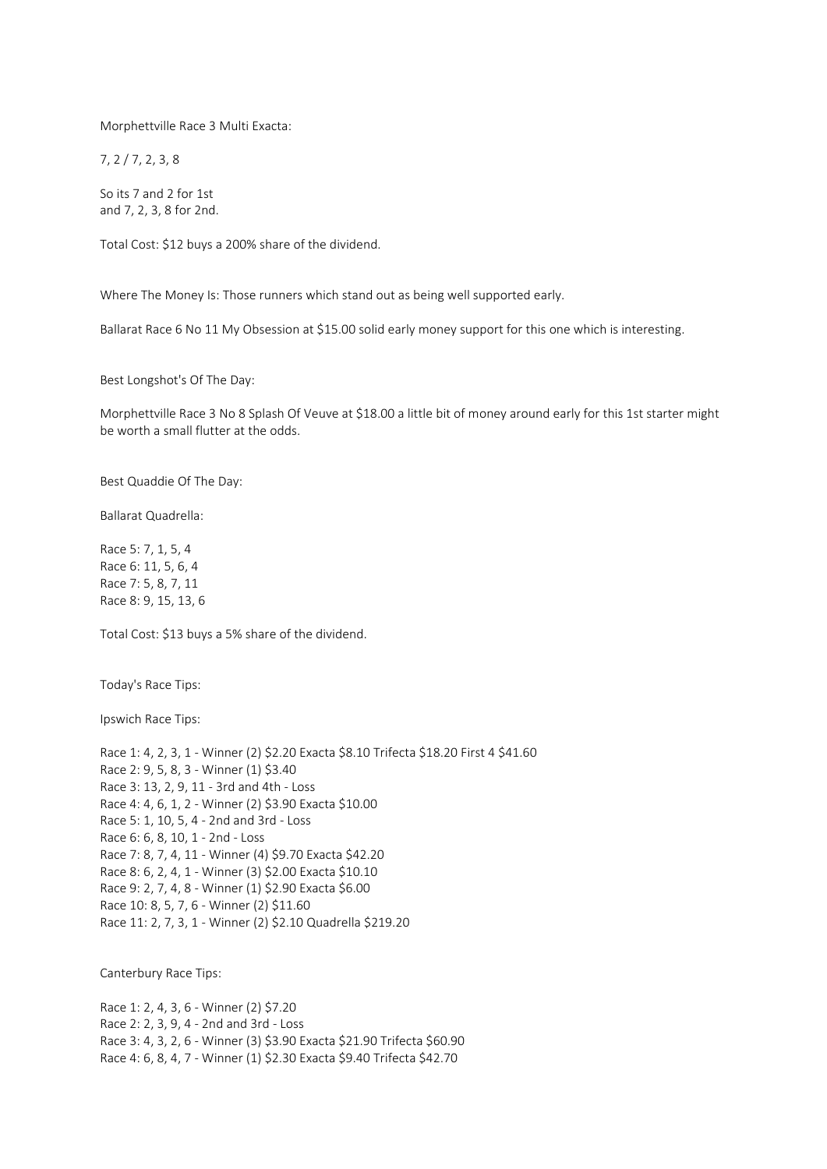Morphettville Race 3 Multi Exacta:

7, 2 / 7, 2, 3, 8

So its 7 and 2 for 1st and 7, 2, 3, 8 for 2nd.

Total Cost: \$12 buys a 200% share of the dividend.

Where The Money Is: Those runners which stand out as being well supported early.

Ballarat Race 6 No 11 My Obsession at \$15.00 solid early money support for this one which is interesting.

Best Longshot's Of The Day:

Morphettville Race 3 No 8 Splash Of Veuve at \$18.00 a little bit of money around early for this 1st starter might be worth a small flutter at the odds.

Best Quaddie Of The Day:

Ballarat Quadrella:

Race 5: 7, 1, 5, 4 Race 6: 11, 5, 6, 4 Race 7: 5, 8, 7, 11 Race 8: 9, 15, 13, 6

Total Cost: \$13 buys a 5% share of the dividend.

Today's Race Tips:

Ipswich Race Tips:

Race 1: 4, 2, 3, 1 - Winner (2) \$2.20 Exacta \$8.10 Trifecta \$18.20 First 4 \$41.60 Race 2: 9, 5, 8, 3 - Winner (1) \$3.40 Race 3: 13, 2, 9, 11 - 3rd and 4th - Loss Race 4: 4, 6, 1, 2 - Winner (2) \$3.90 Exacta \$10.00 Race 5: 1, 10, 5, 4 - 2nd and 3rd - Loss Race 6: 6, 8, 10, 1 - 2nd - Loss Race 7: 8, 7, 4, 11 - Winner (4) \$9.70 Exacta \$42.20 Race 8: 6, 2, 4, 1 - Winner (3) \$2.00 Exacta \$10.10 Race 9: 2, 7, 4, 8 - Winner (1) \$2.90 Exacta \$6.00 Race 10: 8, 5, 7, 6 - Winner (2) \$11.60 Race 11: 2, 7, 3, 1 - Winner (2) \$2.10 Quadrella \$219.20

Canterbury Race Tips:

Race 1: 2, 4, 3, 6 - Winner (2) \$7.20 Race 2: 2, 3, 9, 4 - 2nd and 3rd - Loss Race 3: 4, 3, 2, 6 - Winner (3) \$3.90 Exacta \$21.90 Trifecta \$60.90 Race 4: 6, 8, 4, 7 - Winner (1) \$2.30 Exacta \$9.40 Trifecta \$42.70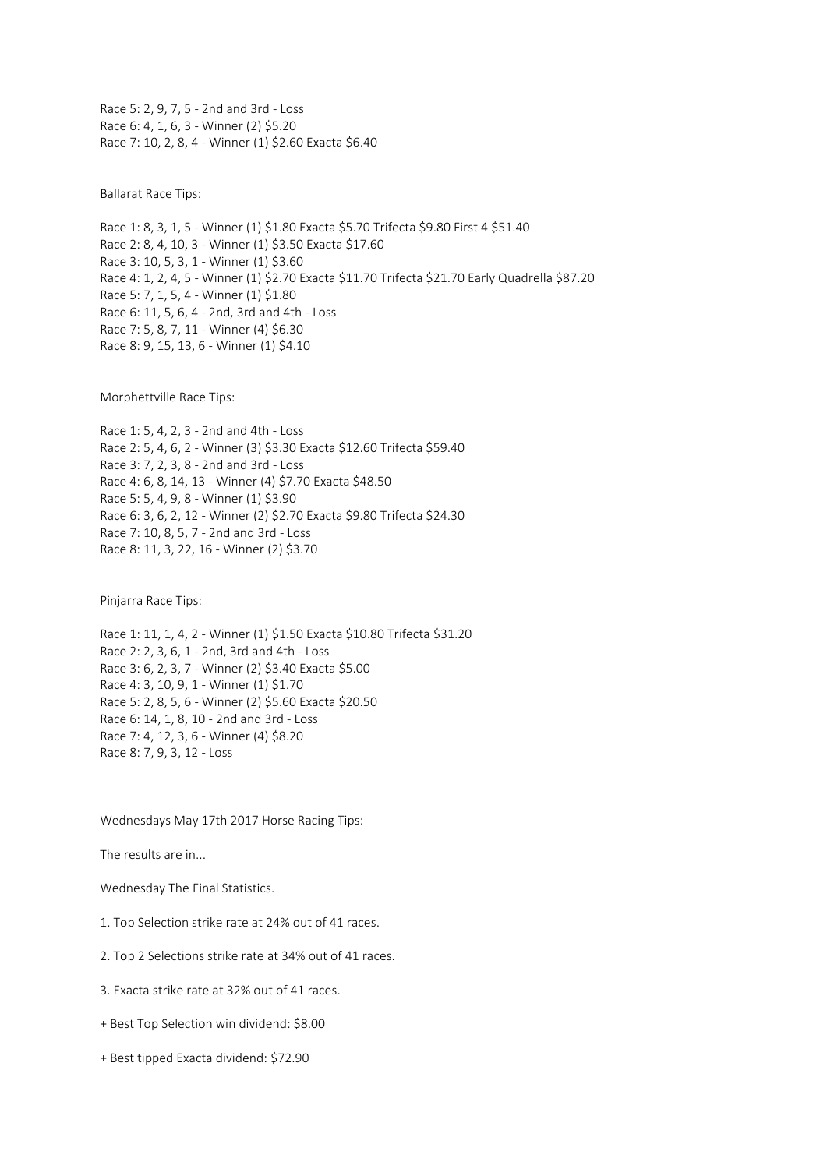Race 5: 2, 9, 7, 5 - 2nd and 3rd - Loss Race 6: 4, 1, 6, 3 - Winner (2) \$5.20 Race 7: 10, 2, 8, 4 - Winner (1) \$2.60 Exacta \$6.40

Ballarat Race Tips:

Race 1: 8, 3, 1, 5 - Winner (1) \$1.80 Exacta \$5.70 Trifecta \$9.80 First 4 \$51.40 Race 2: 8, 4, 10, 3 - Winner (1) \$3.50 Exacta \$17.60 Race 3: 10, 5, 3, 1 - Winner (1) \$3.60 Race 4: 1, 2, 4, 5 - Winner (1) \$2.70 Exacta \$11.70 Trifecta \$21.70 Early Quadrella \$87.20 Race 5: 7, 1, 5, 4 - Winner (1) \$1.80 Race 6: 11, 5, 6, 4 - 2nd, 3rd and 4th - Loss Race 7: 5, 8, 7, 11 - Winner (4) \$6.30 Race 8: 9, 15, 13, 6 - Winner (1) \$4.10

Morphettville Race Tips:

Race 1: 5, 4, 2, 3 - 2nd and 4th - Loss Race 2: 5, 4, 6, 2 - Winner (3) \$3.30 Exacta \$12.60 Trifecta \$59.40 Race 3: 7, 2, 3, 8 - 2nd and 3rd - Loss Race 4: 6, 8, 14, 13 - Winner (4) \$7.70 Exacta \$48.50 Race 5: 5, 4, 9, 8 - Winner (1) \$3.90 Race 6: 3, 6, 2, 12 - Winner (2) \$2.70 Exacta \$9.80 Trifecta \$24.30 Race 7: 10, 8, 5, 7 - 2nd and 3rd - Loss Race 8: 11, 3, 22, 16 - Winner (2) \$3.70

Pinjarra Race Tips:

Race 1: 11, 1, 4, 2 - Winner (1) \$1.50 Exacta \$10.80 Trifecta \$31.20 Race 2: 2, 3, 6, 1 - 2nd, 3rd and 4th - Loss Race 3: 6, 2, 3, 7 - Winner (2) \$3.40 Exacta \$5.00 Race 4: 3, 10, 9, 1 - Winner (1) \$1.70 Race 5: 2, 8, 5, 6 - Winner (2) \$5.60 Exacta \$20.50 Race 6: 14, 1, 8, 10 - 2nd and 3rd - Loss Race 7: 4, 12, 3, 6 - Winner (4) \$8.20 Race 8: 7, 9, 3, 12 - Loss

Wednesdays May 17th 2017 Horse Racing Tips:

The results are in...

Wednesday The Final Statistics.

- 1. Top Selection strike rate at 24% out of 41 races.
- 2. Top 2 Selections strike rate at 34% out of 41 races.
- 3. Exacta strike rate at 32% out of 41 races.
- + Best Top Selection win dividend: \$8.00
- + Best tipped Exacta dividend: \$72.90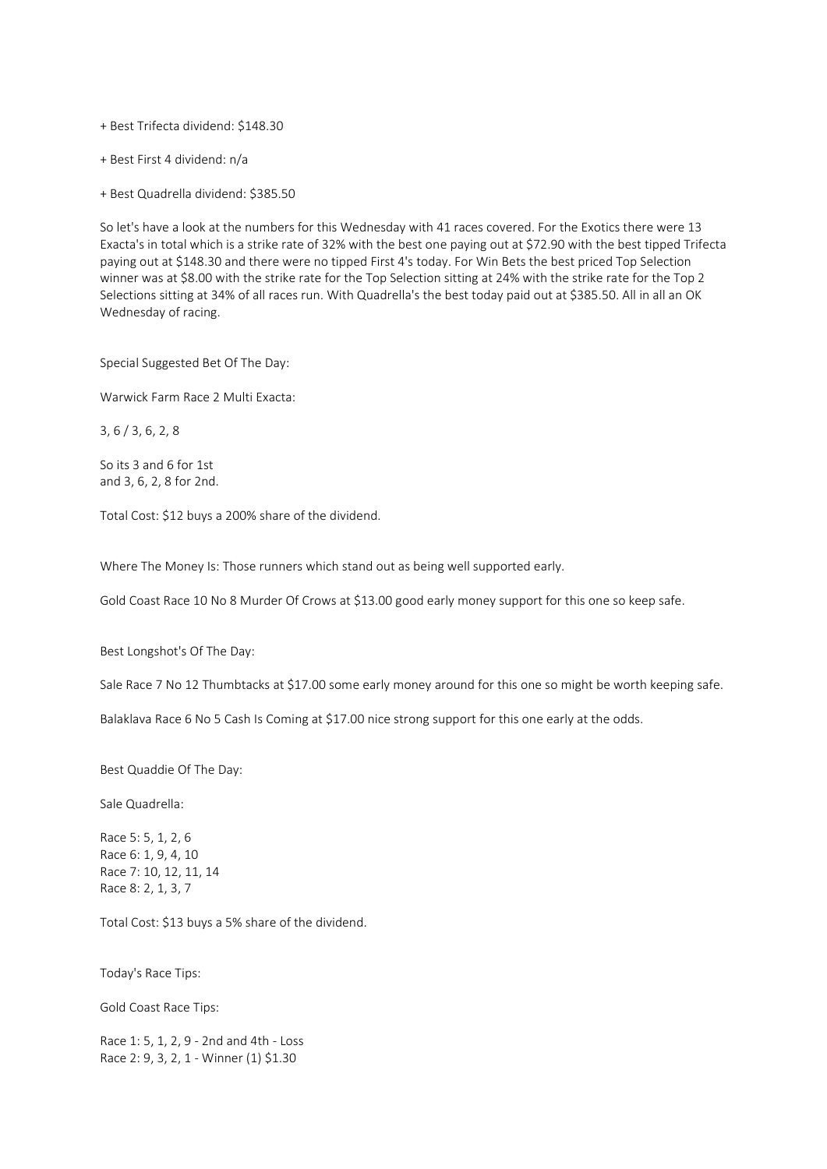+ Best Trifecta dividend: \$148.30

+ Best First 4 dividend: n/a

+ Best Quadrella dividend: \$385.50

So let's have a look at the numbers for this Wednesday with 41 races covered. For the Exotics there were 13 Exacta's in total which is a strike rate of 32% with the best one paying out at \$72.90 with the best tipped Trifecta paying out at \$148.30 and there were no tipped First 4's today. For Win Bets the best priced Top Selection winner was at \$8.00 with the strike rate for the Top Selection sitting at 24% with the strike rate for the Top 2 Selections sitting at 34% of all races run. With Quadrella's the best today paid out at \$385.50. All in all an OK Wednesday of racing.

Special Suggested Bet Of The Day:

Warwick Farm Race 2 Multi Exacta:

3, 6 / 3, 6, 2, 8

So its 3 and 6 for 1st and 3, 6, 2, 8 for 2nd.

Total Cost: \$12 buys a 200% share of the dividend.

Where The Money Is: Those runners which stand out as being well supported early.

Gold Coast Race 10 No 8 Murder Of Crows at \$13.00 good early money support for this one so keep safe.

Best Longshot's Of The Day:

Sale Race 7 No 12 Thumbtacks at \$17.00 some early money around for this one so might be worth keeping safe.

Balaklava Race 6 No 5 Cash Is Coming at \$17.00 nice strong support for this one early at the odds.

Best Quaddie Of The Day:

Sale Quadrella:

Race 5: 5, 1, 2, 6 Race 6: 1, 9, 4, 10 Race 7: 10, 12, 11, 14 Race 8: 2, 1, 3, 7

Total Cost: \$13 buys a 5% share of the dividend.

Today's Race Tips:

Gold Coast Race Tips:

Race 1: 5, 1, 2, 9 - 2nd and 4th - Loss Race 2: 9, 3, 2, 1 - Winner (1) \$1.30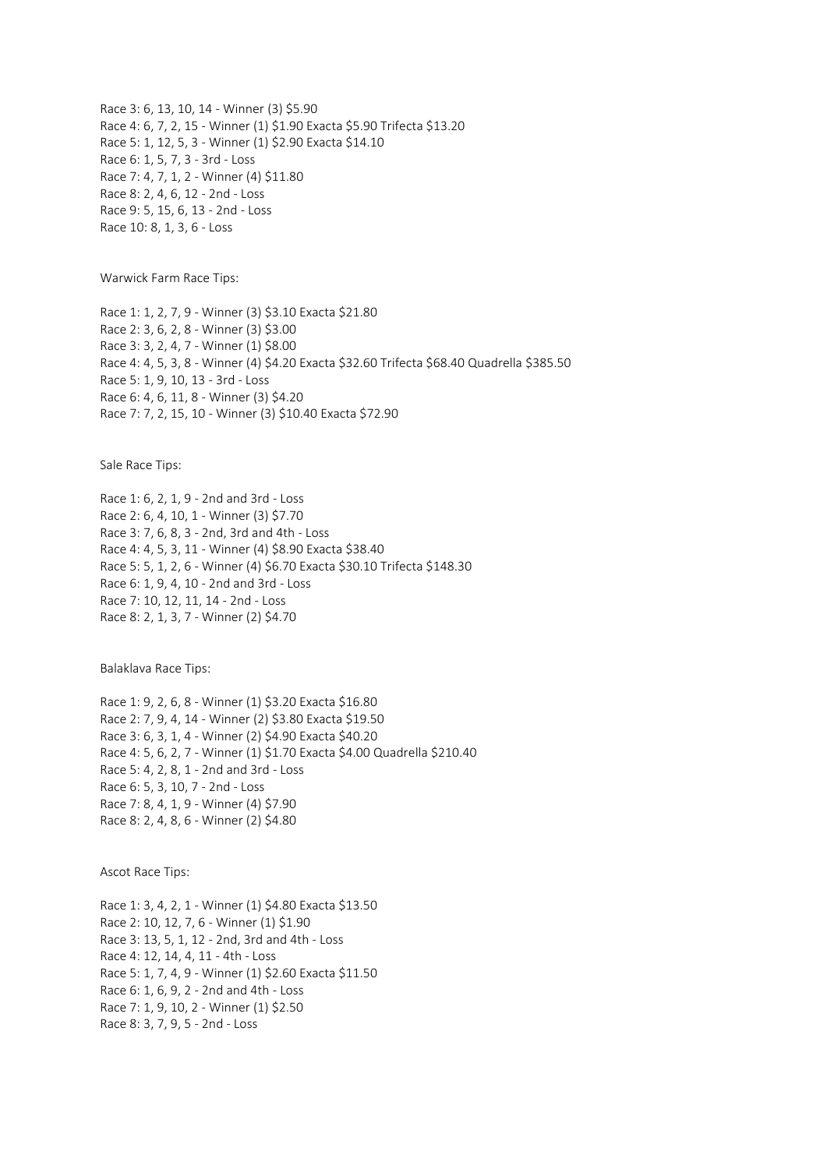Race 3: 6, 13, 10, 14 - Winner (3) \$5.90 Race 4: 6, 7, 2, 15 - Winner (1) \$1.90 Exacta \$5.90 Trifecta \$13.20 Race 5: 1, 12, 5, 3 - Winner (1) \$2.90 Exacta \$14.10 Race 6: 1, 5, 7, 3 - 3rd - Loss Race 7: 4, 7, 1, 2 - Winner (4) \$11.80 Race 8: 2, 4, 6, 12 - 2nd - Loss Race 9: 5, 15, 6, 13 - 2nd - Loss Race 10: 8, 1, 3, 6 - Loss

Warwick Farm Race Tips:

Race 1: 1, 2, 7, 9 - Winner (3) \$3.10 Exacta \$21.80 Race 2: 3, 6, 2, 8 - Winner (3) \$3.00 Race 3: 3, 2, 4, 7 - Winner (1) \$8.00 Race 4: 4, 5, 3, 8 - Winner (4) \$4.20 Exacta \$32.60 Trifecta \$68.40 Quadrella \$385.50 Race 5: 1, 9, 10, 13 - 3rd - Loss Race 6: 4, 6, 11, 8 - Winner (3) \$4.20 Race 7: 7, 2, 15, 10 - Winner (3) \$10.40 Exacta \$72.90

Sale Race Tips:

Race 1: 6, 2, 1, 9 - 2nd and 3rd - Loss Race 2: 6, 4, 10, 1 - Winner (3) \$7.70 Race 3: 7, 6, 8, 3 - 2nd, 3rd and 4th - Loss Race 4: 4, 5, 3, 11 - Winner (4) \$8.90 Exacta \$38.40 Race 5: 5, 1, 2, 6 - Winner (4) \$6.70 Exacta \$30.10 Trifecta \$148.30 Race 6: 1, 9, 4, 10 - 2nd and 3rd - Loss Race 7: 10, 12, 11, 14 - 2nd - Loss Race 8: 2, 1, 3, 7 - Winner (2) \$4.70

Balaklava Race Tips:

Race 1: 9, 2, 6, 8 - Winner (1) \$3.20 Exacta \$16.80 Race 2: 7, 9, 4, 14 - Winner (2) \$3.80 Exacta \$19.50 Race 3: 6, 3, 1, 4 - Winner (2) \$4.90 Exacta \$40.20 Race 4: 5, 6, 2, 7 - Winner (1) \$1.70 Exacta \$4.00 Quadrella \$210.40 Race 5: 4, 2, 8, 1 - 2nd and 3rd - Loss Race 6: 5, 3, 10, 7 - 2nd - Loss Race 7: 8, 4, 1, 9 - Winner (4) \$7.90 Race 8: 2, 4, 8, 6 - Winner (2) \$4.80

Ascot Race Tips:

Race 1: 3, 4, 2, 1 - Winner (1) \$4.80 Exacta \$13.50 Race 2: 10, 12, 7, 6 - Winner (1) \$1.90 Race 3: 13, 5, 1, 12 - 2nd, 3rd and 4th - Loss Race 4: 12, 14, 4, 11 - 4th - Loss Race 5: 1, 7, 4, 9 - Winner (1) \$2.60 Exacta \$11.50 Race 6: 1, 6, 9, 2 - 2nd and 4th - Loss Race 7: 1, 9, 10, 2 - Winner (1) \$2.50 Race 8: 3, 7, 9, 5 - 2nd - Loss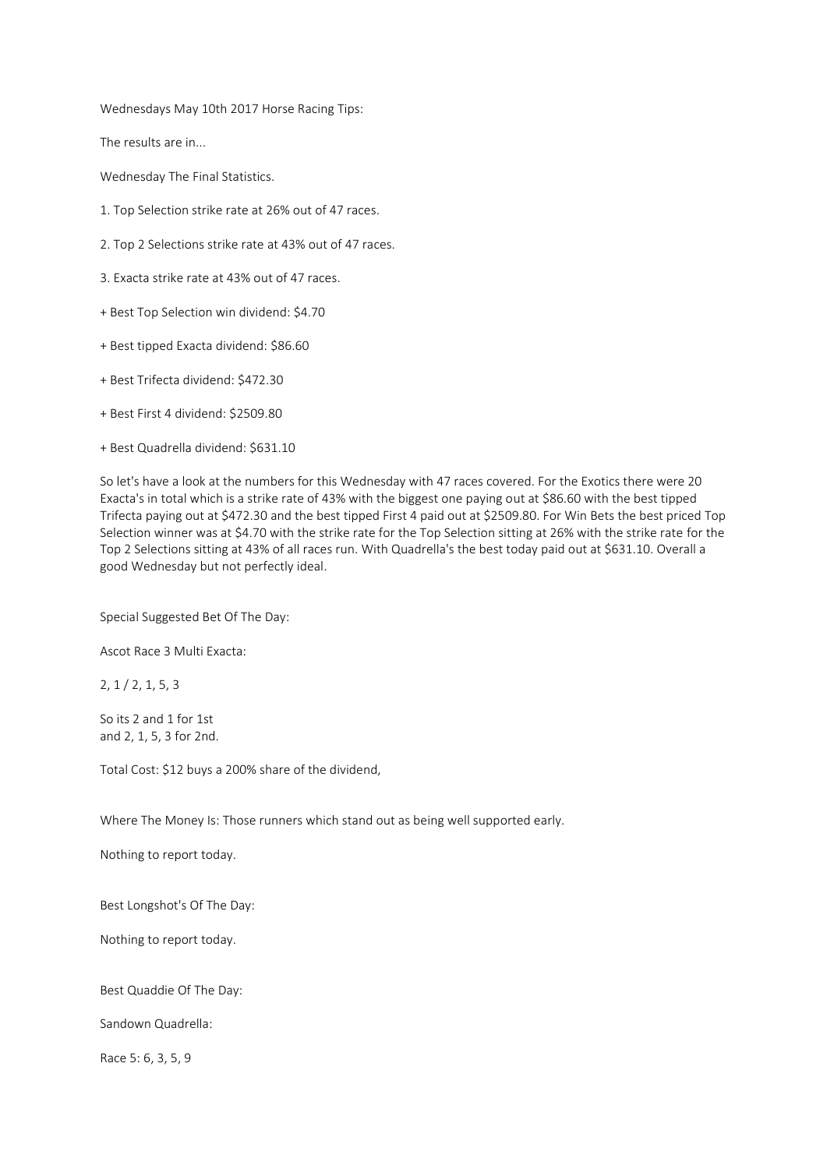Wednesdays May 10th 2017 Horse Racing Tips:

The results are in...

Wednesday The Final Statistics.

- 1. Top Selection strike rate at 26% out of 47 races.
- 2. Top 2 Selections strike rate at 43% out of 47 races.
- 3. Exacta strike rate at 43% out of 47 races.
- + Best Top Selection win dividend: \$4.70
- + Best tipped Exacta dividend: \$86.60
- + Best Trifecta dividend: \$472.30
- + Best First 4 dividend: \$2509.80
- + Best Quadrella dividend: \$631.10

So let's have a look at the numbers for this Wednesday with 47 races covered. For the Exotics there were 20 Exacta's in total which is a strike rate of 43% with the biggest one paying out at \$86.60 with the best tipped Trifecta paying out at \$472.30 and the best tipped First 4 paid out at \$2509.80. For Win Bets the best priced Top Selection winner was at \$4.70 with the strike rate for the Top Selection sitting at 26% with the strike rate for the Top 2 Selections sitting at 43% of all races run. With Quadrella's the best today paid out at \$631.10. Overall a good Wednesday but not perfectly ideal.

Special Suggested Bet Of The Day:

Ascot Race 3 Multi Exacta:

2, 1 / 2, 1, 5, 3

So its 2 and 1 for 1st and 2, 1, 5, 3 for 2nd.

Total Cost: \$12 buys a 200% share of the dividend,

Where The Money Is: Those runners which stand out as being well supported early.

Nothing to report today.

Best Longshot's Of The Day:

Nothing to report today.

Best Quaddie Of The Day:

Sandown Quadrella:

Race 5: 6, 3, 5, 9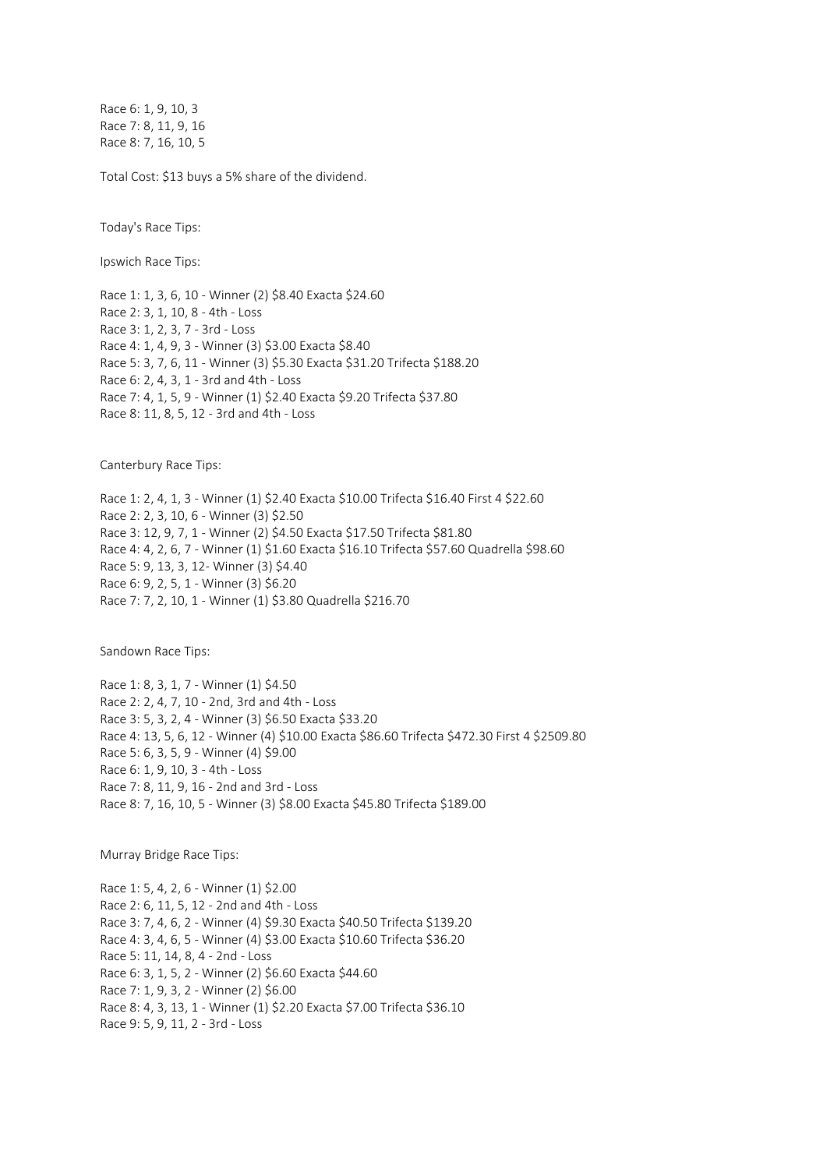Race 6: 1, 9, 10, 3 Race 7: 8, 11, 9, 16 Race 8: 7, 16, 10, 5

Total Cost: \$13 buys a 5% share of the dividend.

Today's Race Tips:

Ipswich Race Tips:

Race 1: 1, 3, 6, 10 - Winner (2) \$8.40 Exacta \$24.60 Race 2: 3, 1, 10, 8 - 4th - Loss Race 3: 1, 2, 3, 7 - 3rd - Loss Race 4: 1, 4, 9, 3 - Winner (3) \$3.00 Exacta \$8.40 Race 5: 3, 7, 6, 11 - Winner (3) \$5.30 Exacta \$31.20 Trifecta \$188.20 Race 6: 2, 4, 3, 1 - 3rd and 4th - Loss Race 7: 4, 1, 5, 9 - Winner (1) \$2.40 Exacta \$9.20 Trifecta \$37.80 Race 8: 11, 8, 5, 12 - 3rd and 4th - Loss

Canterbury Race Tips:

Race 1: 2, 4, 1, 3 - Winner (1) \$2.40 Exacta \$10.00 Trifecta \$16.40 First 4 \$22.60 Race 2: 2, 3, 10, 6 - Winner (3) \$2.50 Race 3: 12, 9, 7, 1 - Winner (2) \$4.50 Exacta \$17.50 Trifecta \$81.80 Race 4: 4, 2, 6, 7 - Winner (1) \$1.60 Exacta \$16.10 Trifecta \$57.60 Quadrella \$98.60 Race 5: 9, 13, 3, 12- Winner (3) \$4.40 Race 6: 9, 2, 5, 1 - Winner (3) \$6.20 Race 7: 7, 2, 10, 1 - Winner (1) \$3.80 Quadrella \$216.70

Sandown Race Tips:

Race 1: 8, 3, 1, 7 - Winner (1) \$4.50 Race 2: 2, 4, 7, 10 - 2nd, 3rd and 4th - Loss Race 3: 5, 3, 2, 4 - Winner (3) \$6.50 Exacta \$33.20 Race 4: 13, 5, 6, 12 - Winner (4) \$10.00 Exacta \$86.60 Trifecta \$472.30 First 4 \$2509.80 Race 5: 6, 3, 5, 9 - Winner (4) \$9.00 Race 6: 1, 9, 10, 3 - 4th - Loss Race 7: 8, 11, 9, 16 - 2nd and 3rd - Loss Race 8: 7, 16, 10, 5 - Winner (3) \$8.00 Exacta \$45.80 Trifecta \$189.00

Murray Bridge Race Tips:

Race 1: 5, 4, 2, 6 - Winner (1) \$2.00 Race 2: 6, 11, 5, 12 - 2nd and 4th - Loss Race 3: 7, 4, 6, 2 - Winner (4) \$9.30 Exacta \$40.50 Trifecta \$139.20 Race 4: 3, 4, 6, 5 - Winner (4) \$3.00 Exacta \$10.60 Trifecta \$36.20 Race 5: 11, 14, 8, 4 - 2nd - Loss Race 6: 3, 1, 5, 2 - Winner (2) \$6.60 Exacta \$44.60 Race 7: 1, 9, 3, 2 - Winner (2) \$6.00 Race 8: 4, 3, 13, 1 - Winner (1) \$2.20 Exacta \$7.00 Trifecta \$36.10 Race 9: 5, 9, 11, 2 - 3rd - Loss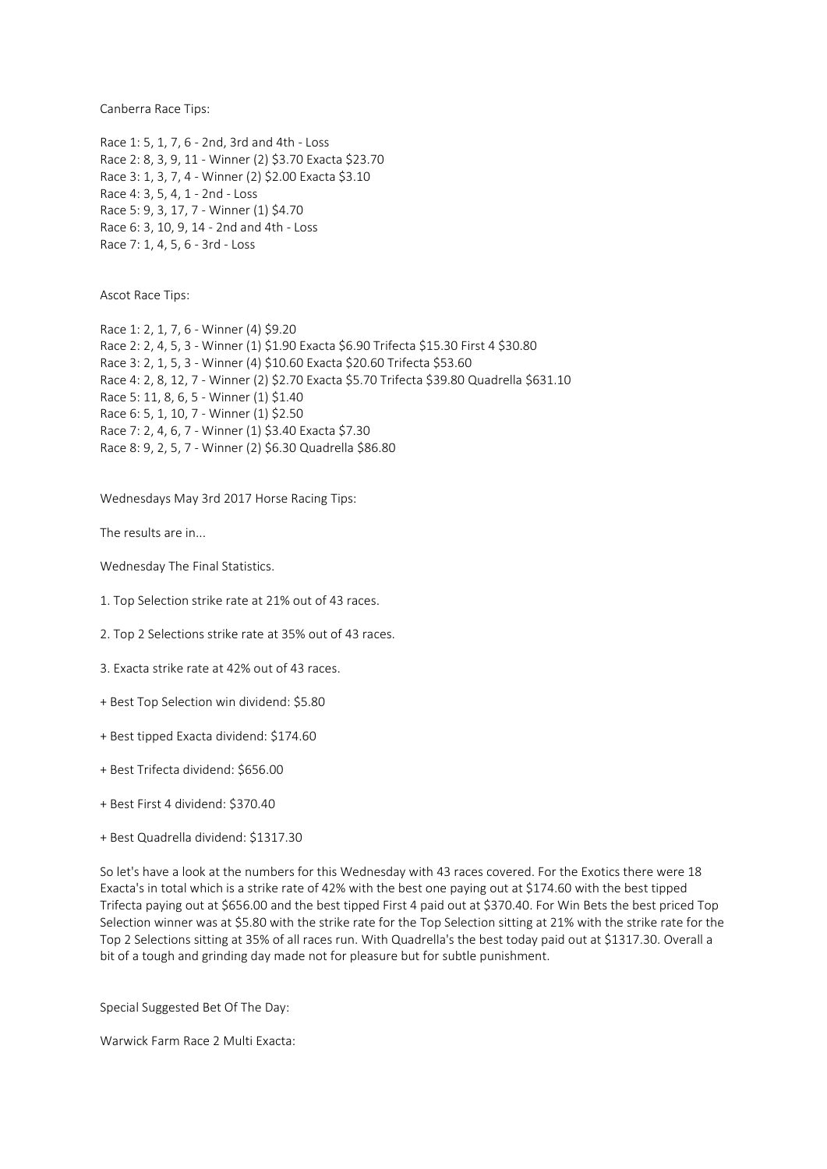Canberra Race Tips:

Race 1: 5, 1, 7, 6 - 2nd, 3rd and 4th - Loss Race 2: 8, 3, 9, 11 - Winner (2) \$3.70 Exacta \$23.70 Race 3: 1, 3, 7, 4 - Winner (2) \$2.00 Exacta \$3.10 Race 4: 3, 5, 4, 1 - 2nd - Loss Race 5: 9, 3, 17, 7 - Winner (1) \$4.70 Race 6: 3, 10, 9, 14 - 2nd and 4th - Loss Race 7: 1, 4, 5, 6 - 3rd - Loss

Ascot Race Tips:

Race 1: 2, 1, 7, 6 - Winner (4) \$9.20 Race 2: 2, 4, 5, 3 - Winner (1) \$1.90 Exacta \$6.90 Trifecta \$15.30 First 4 \$30.80 Race 3: 2, 1, 5, 3 - Winner (4) \$10.60 Exacta \$20.60 Trifecta \$53.60 Race 4: 2, 8, 12, 7 - Winner (2) \$2.70 Exacta \$5.70 Trifecta \$39.80 Quadrella \$631.10 Race 5: 11, 8, 6, 5 - Winner (1) \$1.40 Race 6: 5, 1, 10, 7 - Winner (1) \$2.50 Race 7: 2, 4, 6, 7 - Winner (1) \$3.40 Exacta \$7.30 Race 8: 9, 2, 5, 7 - Winner (2) \$6.30 Quadrella \$86.80

Wednesdays May 3rd 2017 Horse Racing Tips:

The results are in...

Wednesday The Final Statistics.

- 1. Top Selection strike rate at 21% out of 43 races.
- 2. Top 2 Selections strike rate at 35% out of 43 races.
- 3. Exacta strike rate at 42% out of 43 races.
- + Best Top Selection win dividend: \$5.80
- + Best tipped Exacta dividend: \$174.60
- + Best Trifecta dividend: \$656.00
- + Best First 4 dividend: \$370.40
- + Best Quadrella dividend: \$1317.30

So let's have a look at the numbers for this Wednesday with 43 races covered. For the Exotics there were 18 Exacta's in total which is a strike rate of 42% with the best one paying out at \$174.60 with the best tipped Trifecta paying out at \$656.00 and the best tipped First 4 paid out at \$370.40. For Win Bets the best priced Top Selection winner was at \$5.80 with the strike rate for the Top Selection sitting at 21% with the strike rate for the Top 2 Selections sitting at 35% of all races run. With Quadrella's the best today paid out at \$1317.30. Overall a bit of a tough and grinding day made not for pleasure but for subtle punishment.

Special Suggested Bet Of The Day:

Warwick Farm Race 2 Multi Exacta: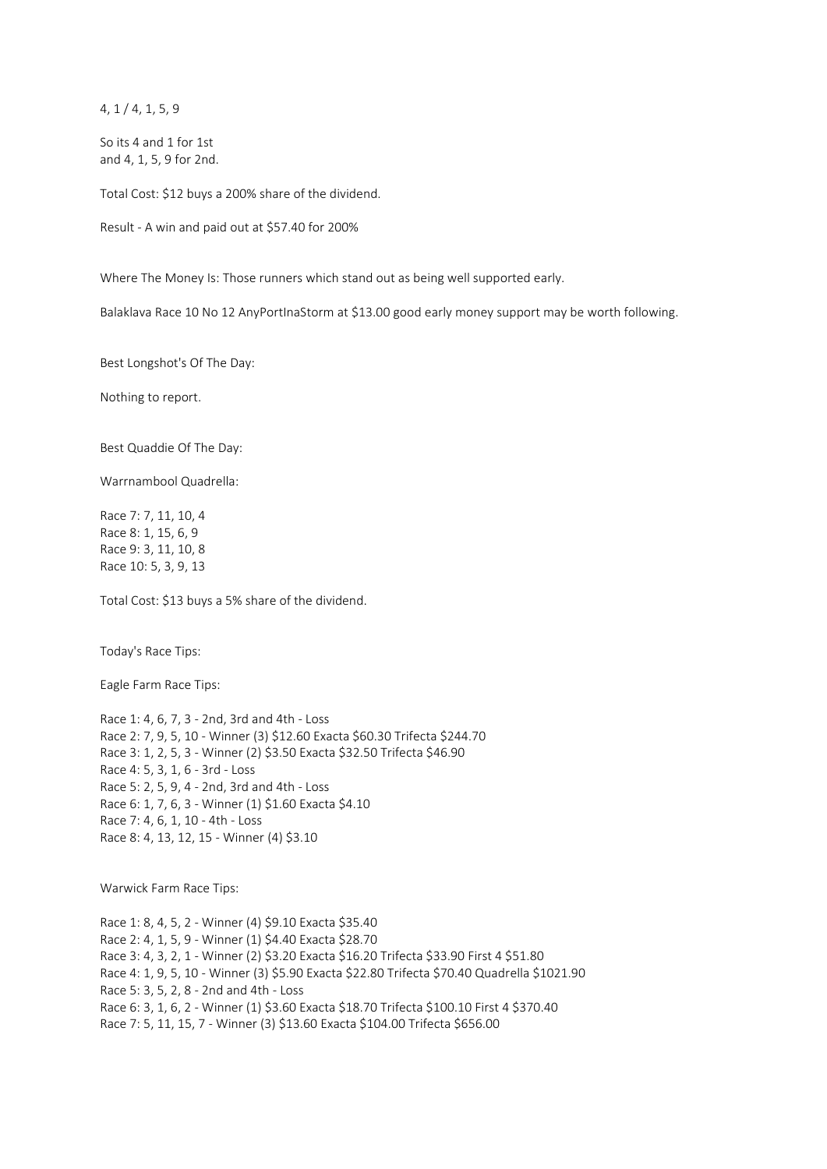4, 1 / 4, 1, 5, 9

So its 4 and 1 for 1st and 4, 1, 5, 9 for 2nd.

Total Cost: \$12 buys a 200% share of the dividend.

Result - A win and paid out at \$57.40 for 200%

Where The Money Is: Those runners which stand out as being well supported early.

Balaklava Race 10 No 12 AnyPortInaStorm at \$13.00 good early money support may be worth following.

Best Longshot's Of The Day:

Nothing to report.

Best Quaddie Of The Day:

Warrnambool Quadrella:

Race 7: 7, 11, 10, 4 Race 8: 1, 15, 6, 9 Race 9: 3, 11, 10, 8 Race 10: 5, 3, 9, 13

Total Cost: \$13 buys a 5% share of the dividend.

Today's Race Tips:

Eagle Farm Race Tips:

Race 1: 4, 6, 7, 3 - 2nd, 3rd and 4th - Loss Race 2: 7, 9, 5, 10 - Winner (3) \$12.60 Exacta \$60.30 Trifecta \$244.70 Race 3: 1, 2, 5, 3 - Winner (2) \$3.50 Exacta \$32.50 Trifecta \$46.90 Race 4: 5, 3, 1, 6 - 3rd - Loss Race 5: 2, 5, 9, 4 - 2nd, 3rd and 4th - Loss Race 6: 1, 7, 6, 3 - Winner (1) \$1.60 Exacta \$4.10 Race 7: 4, 6, 1, 10 - 4th - Loss Race 8: 4, 13, 12, 15 - Winner (4) \$3.10

Warwick Farm Race Tips:

Race 1: 8, 4, 5, 2 - Winner (4) \$9.10 Exacta \$35.40 Race 2: 4, 1, 5, 9 - Winner (1) \$4.40 Exacta \$28.70 Race 3: 4, 3, 2, 1 - Winner (2) \$3.20 Exacta \$16.20 Trifecta \$33.90 First 4 \$51.80 Race 4: 1, 9, 5, 10 - Winner (3) \$5.90 Exacta \$22.80 Trifecta \$70.40 Quadrella \$1021.90 Race 5: 3, 5, 2, 8 - 2nd and 4th - Loss Race 6: 3, 1, 6, 2 - Winner (1) \$3.60 Exacta \$18.70 Trifecta \$100.10 First 4 \$370.40 Race 7: 5, 11, 15, 7 - Winner (3) \$13.60 Exacta \$104.00 Trifecta \$656.00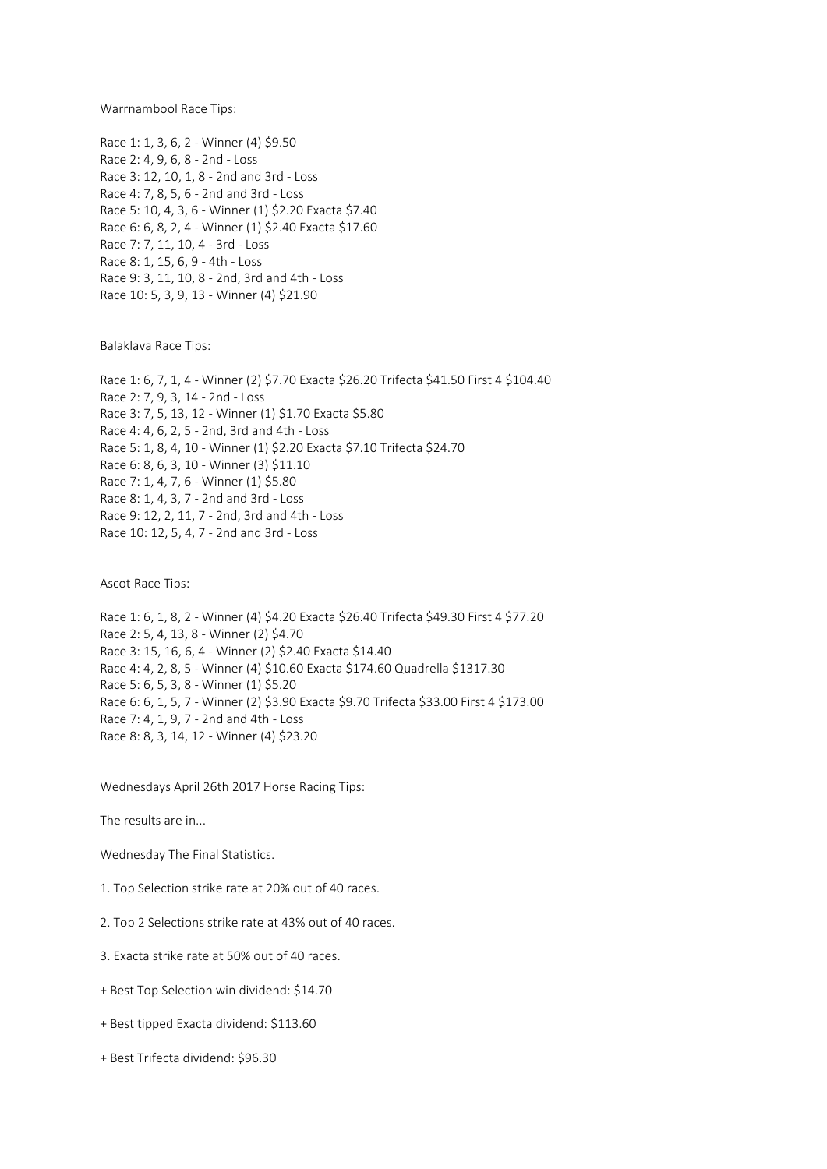Warrnambool Race Tips:

Race 1: 1, 3, 6, 2 - Winner (4) \$9.50 Race 2: 4, 9, 6, 8 - 2nd - Loss Race 3: 12, 10, 1, 8 - 2nd and 3rd - Loss Race 4: 7, 8, 5, 6 - 2nd and 3rd - Loss Race 5: 10, 4, 3, 6 - Winner (1) \$2.20 Exacta \$7.40 Race 6: 6, 8, 2, 4 - Winner (1) \$2.40 Exacta \$17.60 Race 7: 7, 11, 10, 4 - 3rd - Loss Race 8: 1, 15, 6, 9 - 4th - Loss Race 9: 3, 11, 10, 8 - 2nd, 3rd and 4th - Loss Race 10: 5, 3, 9, 13 - Winner (4) \$21.90

Balaklava Race Tips:

Race 1: 6, 7, 1, 4 - Winner (2) \$7.70 Exacta \$26.20 Trifecta \$41.50 First 4 \$104.40 Race 2: 7, 9, 3, 14 - 2nd - Loss Race 3: 7, 5, 13, 12 - Winner (1) \$1.70 Exacta \$5.80 Race 4: 4, 6, 2, 5 - 2nd, 3rd and 4th - Loss Race 5: 1, 8, 4, 10 - Winner (1) \$2.20 Exacta \$7.10 Trifecta \$24.70 Race 6: 8, 6, 3, 10 - Winner (3) \$11.10 Race 7: 1, 4, 7, 6 - Winner (1) \$5.80 Race 8: 1, 4, 3, 7 - 2nd and 3rd - Loss Race 9: 12, 2, 11, 7 - 2nd, 3rd and 4th - Loss Race 10: 12, 5, 4, 7 - 2nd and 3rd - Loss

Ascot Race Tips:

Race 1: 6, 1, 8, 2 - Winner (4) \$4.20 Exacta \$26.40 Trifecta \$49.30 First 4 \$77.20 Race 2: 5, 4, 13, 8 - Winner (2) \$4.70 Race 3: 15, 16, 6, 4 - Winner (2) \$2.40 Exacta \$14.40 Race 4: 4, 2, 8, 5 - Winner (4) \$10.60 Exacta \$174.60 Quadrella \$1317.30 Race 5: 6, 5, 3, 8 - Winner (1) \$5.20 Race 6: 6, 1, 5, 7 - Winner (2) \$3.90 Exacta \$9.70 Trifecta \$33.00 First 4 \$173.00 Race 7: 4, 1, 9, 7 - 2nd and 4th - Loss Race 8: 8, 3, 14, 12 - Winner (4) \$23.20

Wednesdays April 26th 2017 Horse Racing Tips:

The results are in...

Wednesday The Final Statistics.

1. Top Selection strike rate at 20% out of 40 races.

2. Top 2 Selections strike rate at 43% out of 40 races.

3. Exacta strike rate at 50% out of 40 races.

+ Best Top Selection win dividend: \$14.70

+ Best tipped Exacta dividend: \$113.60

+ Best Trifecta dividend: \$96.30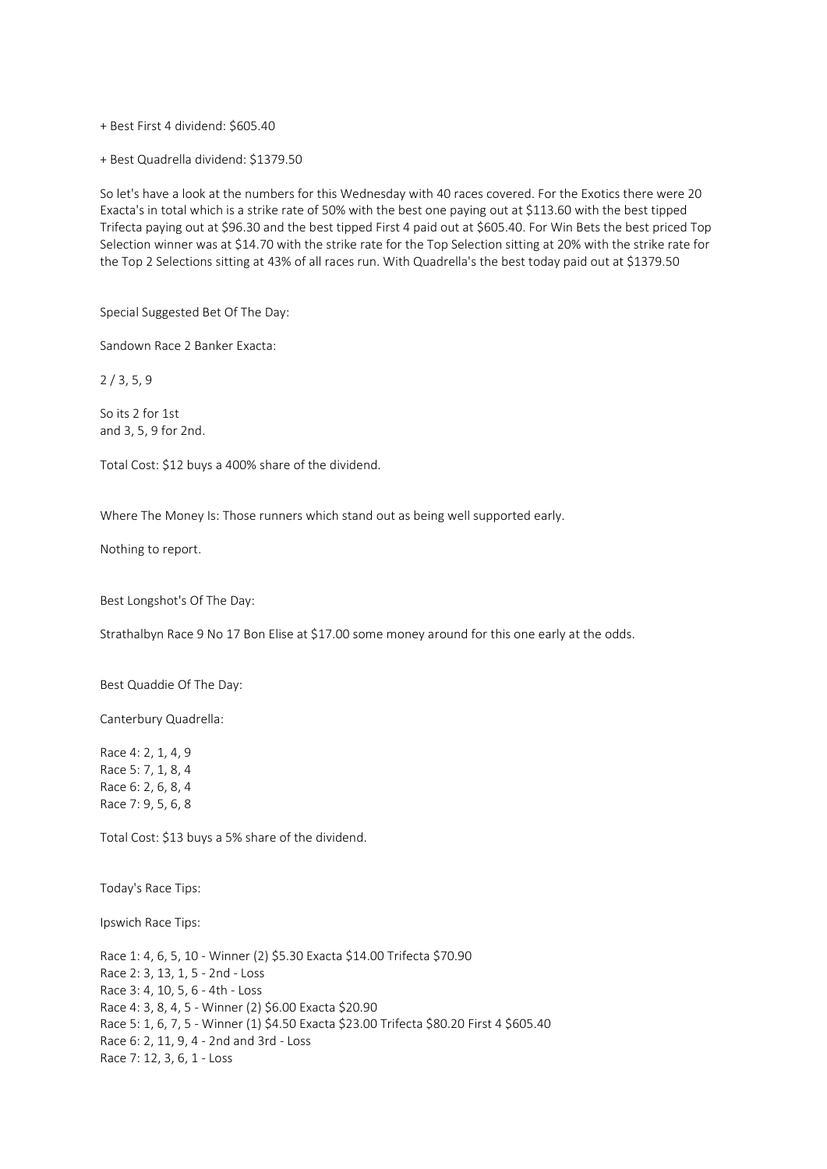+ Best First 4 dividend: \$605.40

+ Best Quadrella dividend: \$1379.50

So let's have a look at the numbers for this Wednesday with 40 races covered. For the Exotics there were 20 Exacta's in total which is a strike rate of 50% with the best one paying out at \$113.60 with the best tipped Trifecta paying out at \$96.30 and the best tipped First 4 paid out at \$605.40. For Win Bets the best priced Top Selection winner was at \$14.70 with the strike rate for the Top Selection sitting at 20% with the strike rate for the Top 2 Selections sitting at 43% of all races run. With Quadrella's the best today paid out at \$1379.50

Special Suggested Bet Of The Day:

Sandown Race 2 Banker Exacta:

2 / 3, 5, 9

So its 2 for 1st and 3, 5, 9 for 2nd.

Total Cost: \$12 buys a 400% share of the dividend.

Where The Money Is: Those runners which stand out as being well supported early.

Nothing to report.

Best Longshot's Of The Day:

Strathalbyn Race 9 No 17 Bon Elise at \$17.00 some money around for this one early at the odds.

Best Quaddie Of The Day:

Canterbury Quadrella:

Race 4: 2, 1, 4, 9 Race 5: 7, 1, 8, 4 Race 6: 2, 6, 8, 4 Race 7: 9, 5, 6, 8

Total Cost: \$13 buys a 5% share of the dividend.

Today's Race Tips:

Ipswich Race Tips:

Race 1: 4, 6, 5, 10 - Winner (2) \$5.30 Exacta \$14.00 Trifecta \$70.90 Race 2: 3, 13, 1, 5 - 2nd - Loss Race 3: 4, 10, 5, 6 - 4th - Loss Race 4: 3, 8, 4, 5 - Winner (2) \$6.00 Exacta \$20.90 Race 5: 1, 6, 7, 5 - Winner (1) \$4.50 Exacta \$23.00 Trifecta \$80.20 First 4 \$605.40 Race 6: 2, 11, 9, 4 - 2nd and 3rd - Loss Race 7: 12, 3, 6, 1 - Loss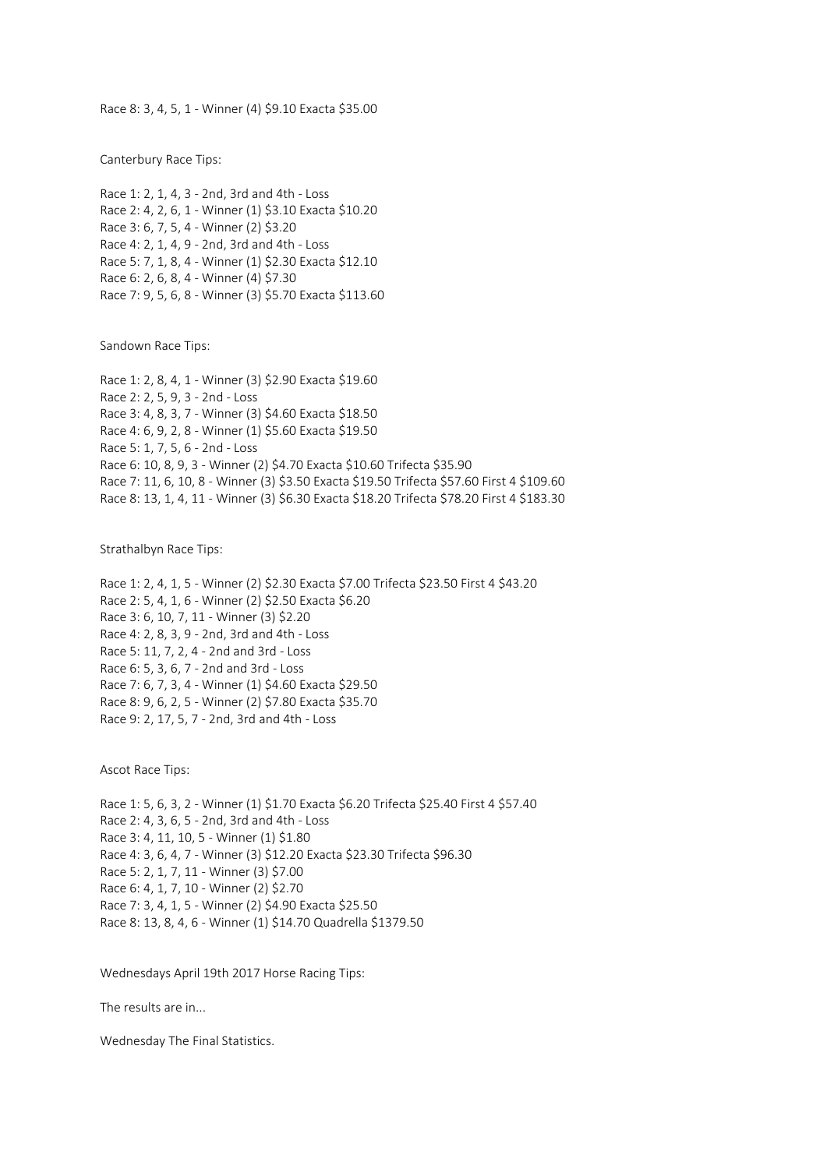Race 8: 3, 4, 5, 1 - Winner (4) \$9.10 Exacta \$35.00

Canterbury Race Tips:

Race 1: 2, 1, 4, 3 - 2nd, 3rd and 4th - Loss Race 2: 4, 2, 6, 1 - Winner (1) \$3.10 Exacta \$10.20 Race 3: 6, 7, 5, 4 - Winner (2) \$3.20 Race 4: 2, 1, 4, 9 - 2nd, 3rd and 4th - Loss Race 5: 7, 1, 8, 4 - Winner (1) \$2.30 Exacta \$12.10 Race 6: 2, 6, 8, 4 - Winner (4) \$7.30 Race 7: 9, 5, 6, 8 - Winner (3) \$5.70 Exacta \$113.60

Sandown Race Tips:

Race 1: 2, 8, 4, 1 - Winner (3) \$2.90 Exacta \$19.60 Race 2: 2, 5, 9, 3 - 2nd - Loss Race 3: 4, 8, 3, 7 - Winner (3) \$4.60 Exacta \$18.50 Race 4: 6, 9, 2, 8 - Winner (1) \$5.60 Exacta \$19.50 Race 5: 1, 7, 5, 6 - 2nd - Loss Race 6: 10, 8, 9, 3 - Winner (2) \$4.70 Exacta \$10.60 Trifecta \$35.90 Race 7: 11, 6, 10, 8 - Winner (3) \$3.50 Exacta \$19.50 Trifecta \$57.60 First 4 \$109.60 Race 8: 13, 1, 4, 11 - Winner (3) \$6.30 Exacta \$18.20 Trifecta \$78.20 First 4 \$183.30

Strathalbyn Race Tips:

Race 1: 2, 4, 1, 5 - Winner (2) \$2.30 Exacta \$7.00 Trifecta \$23.50 First 4 \$43.20 Race 2: 5, 4, 1, 6 - Winner (2) \$2.50 Exacta \$6.20 Race 3: 6, 10, 7, 11 - Winner (3) \$2.20 Race 4: 2, 8, 3, 9 - 2nd, 3rd and 4th - Loss Race 5: 11, 7, 2, 4 - 2nd and 3rd - Loss Race 6: 5, 3, 6, 7 - 2nd and 3rd - Loss Race 7: 6, 7, 3, 4 - Winner (1) \$4.60 Exacta \$29.50 Race 8: 9, 6, 2, 5 - Winner (2) \$7.80 Exacta \$35.70 Race 9: 2, 17, 5, 7 - 2nd, 3rd and 4th - Loss

Ascot Race Tips:

Race 1: 5, 6, 3, 2 - Winner (1) \$1.70 Exacta \$6.20 Trifecta \$25.40 First 4 \$57.40 Race 2: 4, 3, 6, 5 - 2nd, 3rd and 4th - Loss Race 3: 4, 11, 10, 5 - Winner (1) \$1.80 Race 4: 3, 6, 4, 7 - Winner (3) \$12.20 Exacta \$23.30 Trifecta \$96.30 Race 5: 2, 1, 7, 11 - Winner (3) \$7.00 Race 6: 4, 1, 7, 10 - Winner (2) \$2.70 Race 7: 3, 4, 1, 5 - Winner (2) \$4.90 Exacta \$25.50 Race 8: 13, 8, 4, 6 - Winner (1) \$14.70 Quadrella \$1379.50

Wednesdays April 19th 2017 Horse Racing Tips:

The results are in...

Wednesday The Final Statistics.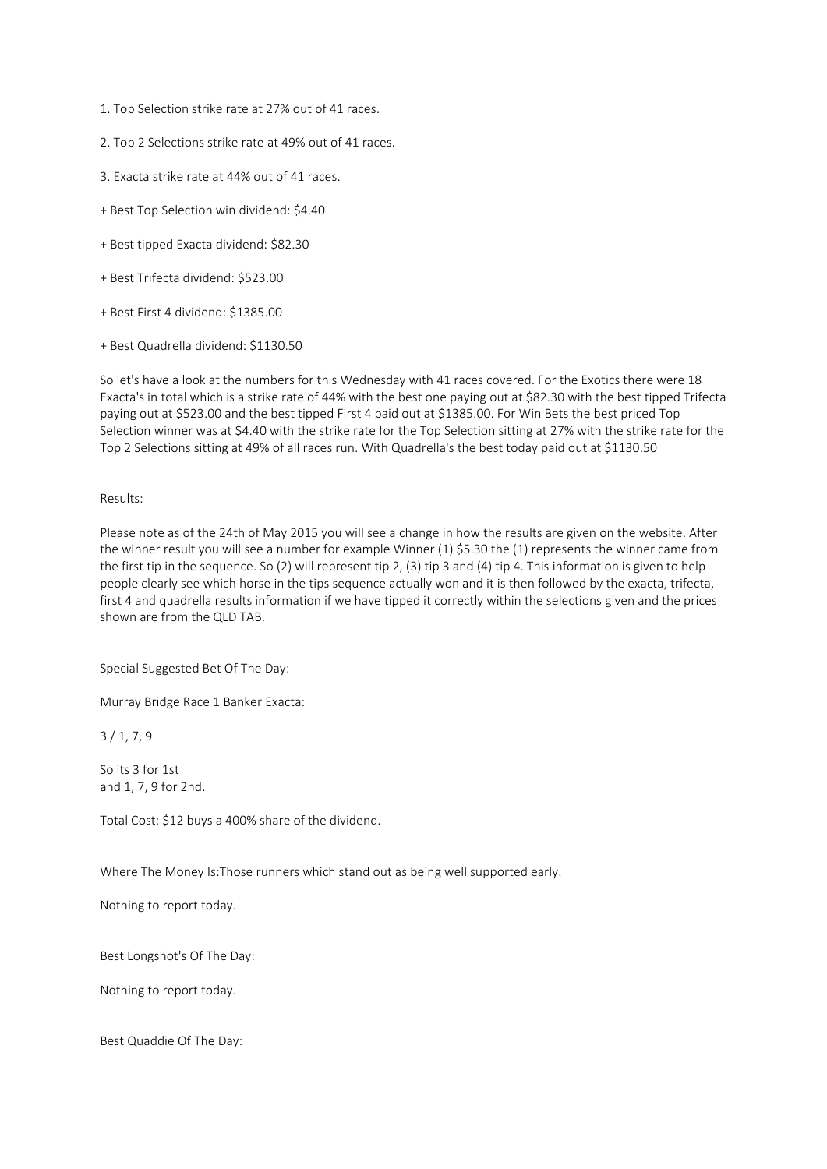- 1. Top Selection strike rate at 27% out of 41 races.
- 2. Top 2 Selections strike rate at 49% out of 41 races.
- 3. Exacta strike rate at 44% out of 41 races.
- + Best Top Selection win dividend: \$4.40
- + Best tipped Exacta dividend: \$82.30
- + Best Trifecta dividend: \$523.00
- + Best First 4 dividend: \$1385.00
- + Best Quadrella dividend: \$1130.50

So let's have a look at the numbers for this Wednesday with 41 races covered. For the Exotics there were 18 Exacta's in total which is a strike rate of 44% with the best one paying out at \$82.30 with the best tipped Trifecta paying out at \$523.00 and the best tipped First 4 paid out at \$1385.00. For Win Bets the best priced Top Selection winner was at \$4.40 with the strike rate for the Top Selection sitting at 27% with the strike rate for the Top 2 Selections sitting at 49% of all races run. With Quadrella's the best today paid out at \$1130.50

### Results:

Please note as of the 24th of May 2015 you will see a change in how the results are given on the website. After the winner result you will see a number for example Winner (1) \$5.30 the (1) represents the winner came from the first tip in the sequence. So (2) will represent tip 2, (3) tip 3 and (4) tip 4. This information is given to help people clearly see which horse in the tips sequence actually won and it is then followed by the exacta, trifecta, first 4 and quadrella results information if we have tipped it correctly within the selections given and the prices shown are from the QLD TAB.

Special Suggested Bet Of The Day:

Murray Bridge Race 1 Banker Exacta:

3 / 1, 7, 9

So its 3 for 1st and 1, 7, 9 for 2nd.

Total Cost: \$12 buys a 400% share of the dividend.

Where The Money Is:Those runners which stand out as being well supported early.

Nothing to report today.

Best Longshot's Of The Day:

Nothing to report today.

Best Quaddie Of The Day: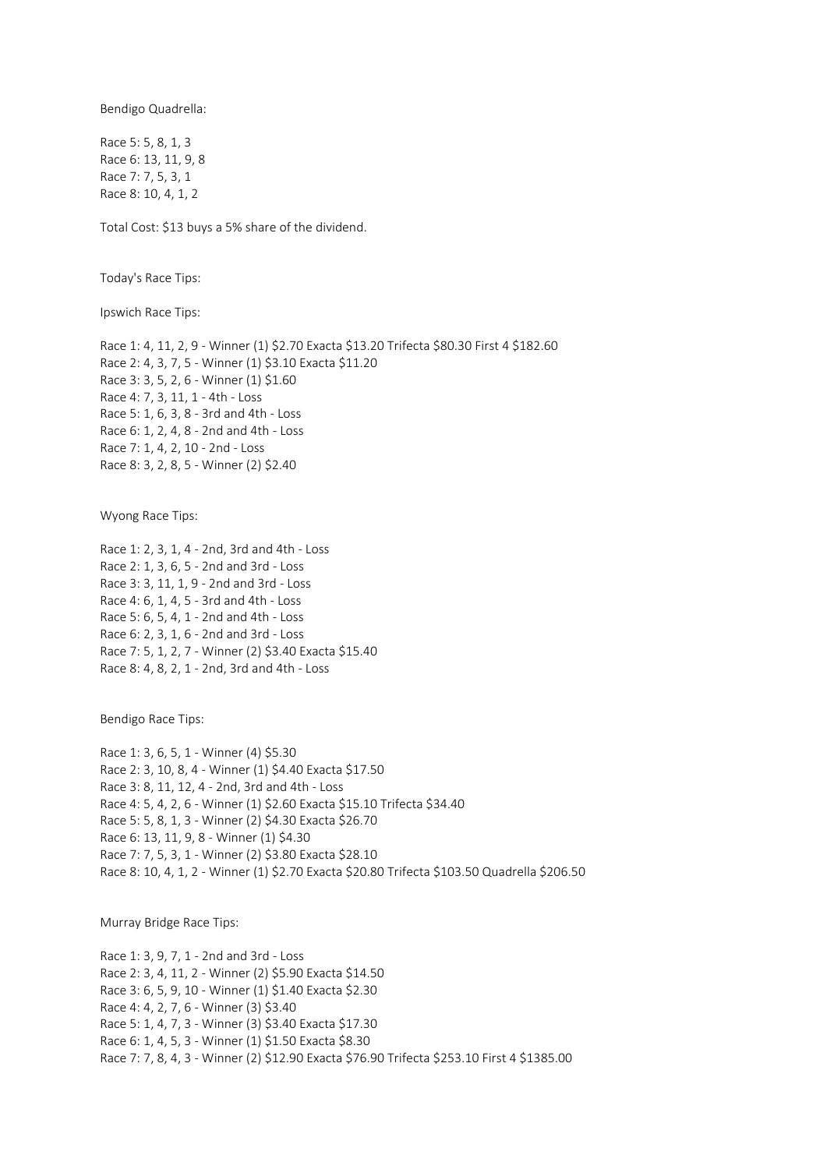Bendigo Quadrella:

Race 5: 5, 8, 1, 3 Race 6: 13, 11, 9, 8 Race 7: 7, 5, 3, 1 Race 8: 10, 4, 1, 2

Total Cost: \$13 buys a 5% share of the dividend.

Today's Race Tips:

Ipswich Race Tips:

Race 1: 4, 11, 2, 9 - Winner (1) \$2.70 Exacta \$13.20 Trifecta \$80.30 First 4 \$182.60 Race 2: 4, 3, 7, 5 - Winner (1) \$3.10 Exacta \$11.20 Race 3: 3, 5, 2, 6 - Winner (1) \$1.60 Race 4: 7, 3, 11, 1 - 4th - Loss Race 5: 1, 6, 3, 8 - 3rd and 4th - Loss Race 6: 1, 2, 4, 8 - 2nd and 4th - Loss Race 7: 1, 4, 2, 10 - 2nd - Loss Race 8: 3, 2, 8, 5 - Winner (2) \$2.40

Wyong Race Tips:

Race 1: 2, 3, 1, 4 - 2nd, 3rd and 4th - Loss Race 2: 1, 3, 6, 5 - 2nd and 3rd - Loss Race 3: 3, 11, 1, 9 - 2nd and 3rd - Loss Race 4: 6, 1, 4, 5 - 3rd and 4th - Loss Race 5: 6, 5, 4, 1 - 2nd and 4th - Loss Race 6: 2, 3, 1, 6 - 2nd and 3rd - Loss Race 7: 5, 1, 2, 7 - Winner (2) \$3.40 Exacta \$15.40 Race 8: 4, 8, 2, 1 - 2nd, 3rd and 4th - Loss

Bendigo Race Tips:

Race 1: 3, 6, 5, 1 - Winner (4) \$5.30 Race 2: 3, 10, 8, 4 - Winner (1) \$4.40 Exacta \$17.50 Race 3: 8, 11, 12, 4 - 2nd, 3rd and 4th - Loss Race 4: 5, 4, 2, 6 - Winner (1) \$2.60 Exacta \$15.10 Trifecta \$34.40 Race 5: 5, 8, 1, 3 - Winner (2) \$4.30 Exacta \$26.70 Race 6: 13, 11, 9, 8 - Winner (1) \$4.30 Race 7: 7, 5, 3, 1 - Winner (2) \$3.80 Exacta \$28.10 Race 8: 10, 4, 1, 2 - Winner (1) \$2.70 Exacta \$20.80 Trifecta \$103.50 Quadrella \$206.50

Murray Bridge Race Tips:

Race 1: 3, 9, 7, 1 - 2nd and 3rd - Loss Race 2: 3, 4, 11, 2 - Winner (2) \$5.90 Exacta \$14.50 Race 3: 6, 5, 9, 10 - Winner (1) \$1.40 Exacta \$2.30 Race 4: 4, 2, 7, 6 - Winner (3) \$3.40 Race 5: 1, 4, 7, 3 - Winner (3) \$3.40 Exacta \$17.30 Race 6: 1, 4, 5, 3 - Winner (1) \$1.50 Exacta \$8.30 Race 7: 7, 8, 4, 3 - Winner (2) \$12.90 Exacta \$76.90 Trifecta \$253.10 First 4 \$1385.00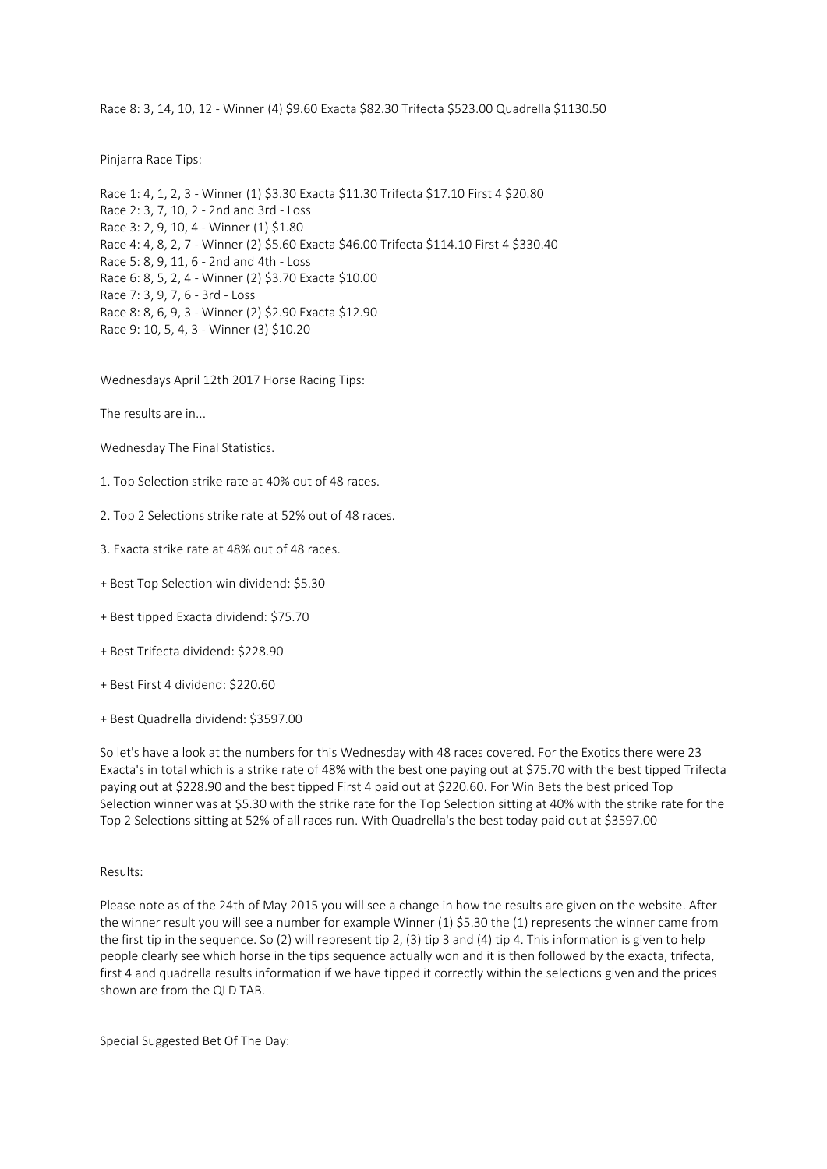Race 8: 3, 14, 10, 12 - Winner (4) \$9.60 Exacta \$82.30 Trifecta \$523.00 Quadrella \$1130.50

Pinjarra Race Tips:

```
Race 1: 4, 1, 2, 3 - Winner (1) $3.30 Exacta $11.30 Trifecta $17.10 First 4 $20.80
Race 2: 3, 7, 10, 2 - 2nd and 3rd - Loss
Race 3: 2, 9, 10, 4 - Winner (1) $1.80
Race 4: 4, 8, 2, 7 - Winner (2) $5.60 Exacta $46.00 Trifecta $114.10 First 4 $330.40
Race 5: 8, 9, 11, 6 - 2nd and 4th - Loss
Race 6: 8, 5, 2, 4 - Winner (2) $3.70 Exacta $10.00
Race 7: 3, 9, 7, 6 - 3rd - Loss
Race 8: 8, 6, 9, 3 - Winner (2) $2.90 Exacta $12.90
Race 9: 10, 5, 4, 3 - Winner (3) $10.20
```
Wednesdays April 12th 2017 Horse Racing Tips:

The results are in...

Wednesday The Final Statistics.

1. Top Selection strike rate at 40% out of 48 races.

- 2. Top 2 Selections strike rate at 52% out of 48 races.
- 3. Exacta strike rate at 48% out of 48 races.
- + Best Top Selection win dividend: \$5.30
- + Best tipped Exacta dividend: \$75.70
- + Best Trifecta dividend: \$228.90
- + Best First 4 dividend: \$220.60
- + Best Quadrella dividend: \$3597.00

So let's have a look at the numbers for this Wednesday with 48 races covered. For the Exotics there were 23 Exacta's in total which is a strike rate of 48% with the best one paying out at \$75.70 with the best tipped Trifecta paying out at \$228.90 and the best tipped First 4 paid out at \$220.60. For Win Bets the best priced Top Selection winner was at \$5.30 with the strike rate for the Top Selection sitting at 40% with the strike rate for the Top 2 Selections sitting at 52% of all races run. With Quadrella's the best today paid out at \$3597.00

### Results:

Please note as of the 24th of May 2015 you will see a change in how the results are given on the website. After the winner result you will see a number for example Winner (1) \$5.30 the (1) represents the winner came from the first tip in the sequence. So (2) will represent tip 2, (3) tip 3 and (4) tip 4. This information is given to help people clearly see which horse in the tips sequence actually won and it is then followed by the exacta, trifecta, first 4 and quadrella results information if we have tipped it correctly within the selections given and the prices shown are from the QLD TAB.

Special Suggested Bet Of The Day: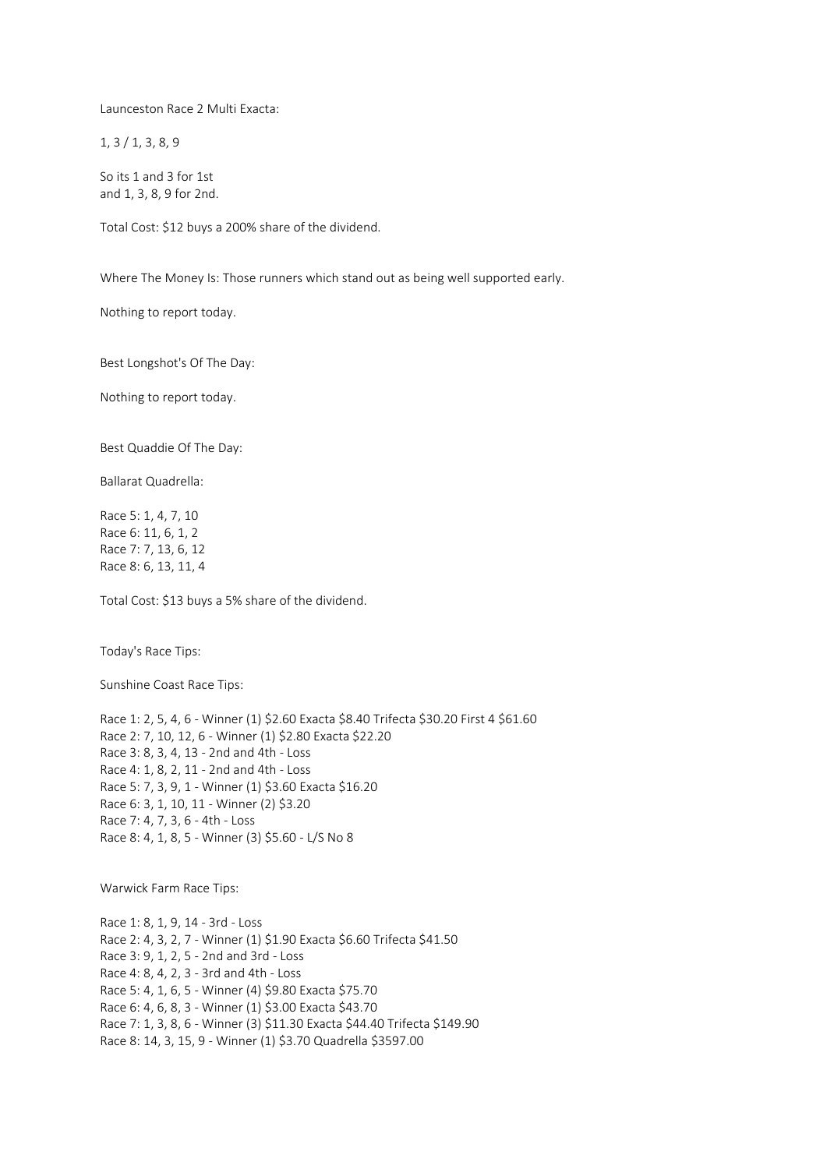Launceston Race 2 Multi Exacta:

1, 3 / 1, 3, 8, 9

So its 1 and 3 for 1st and 1, 3, 8, 9 for 2nd.

Total Cost: \$12 buys a 200% share of the dividend.

Where The Money Is: Those runners which stand out as being well supported early.

Nothing to report today.

Best Longshot's Of The Day:

Nothing to report today.

Best Quaddie Of The Day:

Ballarat Quadrella:

Race 5: 1, 4, 7, 10 Race 6: 11, 6, 1, 2 Race 7: 7, 13, 6, 12 Race 8: 6, 13, 11, 4

Total Cost: \$13 buys a 5% share of the dividend.

Today's Race Tips:

Sunshine Coast Race Tips:

Race 1: 2, 5, 4, 6 - Winner (1) \$2.60 Exacta \$8.40 Trifecta \$30.20 First 4 \$61.60 Race 2: 7, 10, 12, 6 - Winner (1) \$2.80 Exacta \$22.20 Race 3: 8, 3, 4, 13 - 2nd and 4th - Loss Race 4: 1, 8, 2, 11 - 2nd and 4th - Loss Race 5: 7, 3, 9, 1 - Winner (1) \$3.60 Exacta \$16.20 Race 6: 3, 1, 10, 11 - Winner (2) \$3.20 Race 7: 4, 7, 3, 6 - 4th - Loss Race 8: 4, 1, 8, 5 - Winner (3) \$5.60 - L/S No 8

Warwick Farm Race Tips:

Race 1: 8, 1, 9, 14 - 3rd - Loss Race 2: 4, 3, 2, 7 - Winner (1) \$1.90 Exacta \$6.60 Trifecta \$41.50 Race 3: 9, 1, 2, 5 - 2nd and 3rd - Loss Race 4: 8, 4, 2, 3 - 3rd and 4th - Loss Race 5: 4, 1, 6, 5 - Winner (4) \$9.80 Exacta \$75.70 Race 6: 4, 6, 8, 3 - Winner (1) \$3.00 Exacta \$43.70 Race 7: 1, 3, 8, 6 - Winner (3) \$11.30 Exacta \$44.40 Trifecta \$149.90 Race 8: 14, 3, 15, 9 - Winner (1) \$3.70 Quadrella \$3597.00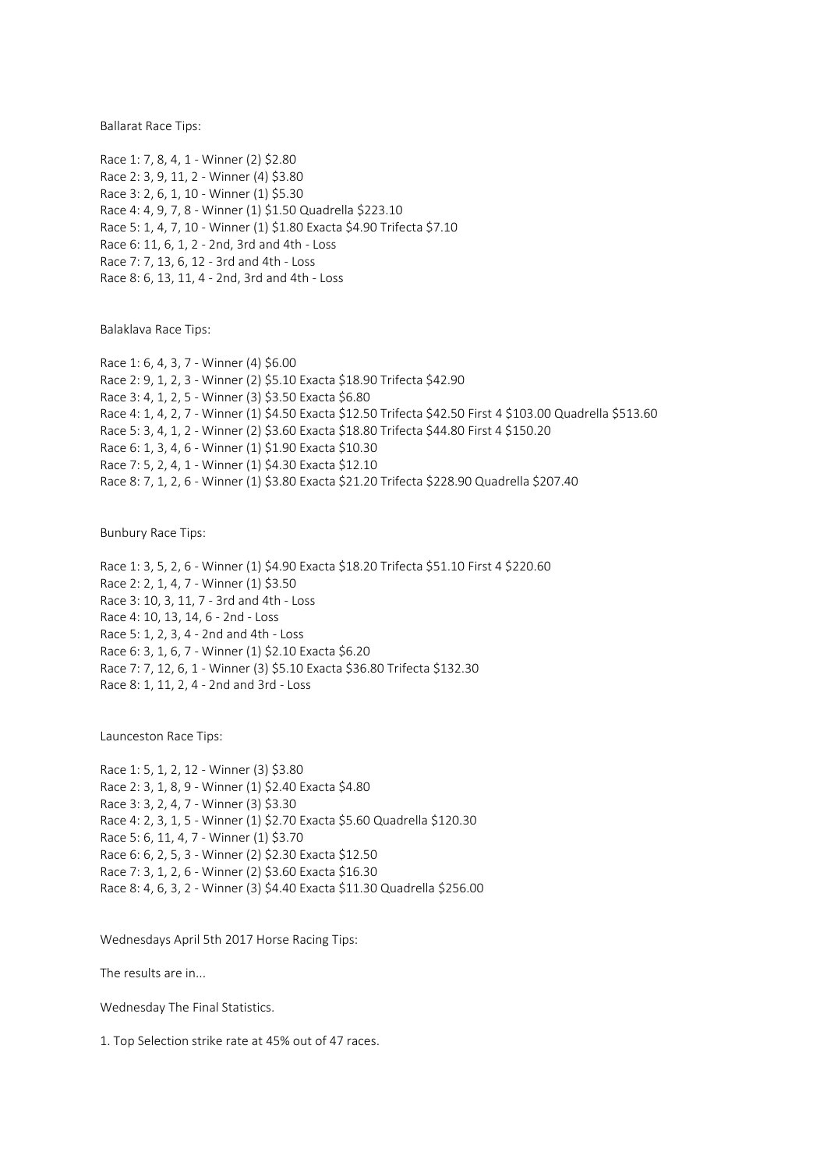Ballarat Race Tips:

Race 1: 7, 8, 4, 1 - Winner (2) \$2.80 Race 2: 3, 9, 11, 2 - Winner (4) \$3.80 Race 3: 2, 6, 1, 10 - Winner (1) \$5.30 Race 4: 4, 9, 7, 8 - Winner (1) \$1.50 Quadrella \$223.10 Race 5: 1, 4, 7, 10 - Winner (1) \$1.80 Exacta \$4.90 Trifecta \$7.10 Race 6: 11, 6, 1, 2 - 2nd, 3rd and 4th - Loss Race 7: 7, 13, 6, 12 - 3rd and 4th - Loss Race 8: 6, 13, 11, 4 - 2nd, 3rd and 4th - Loss

Balaklava Race Tips:

Race 1: 6, 4, 3, 7 - Winner (4) \$6.00 Race 2: 9, 1, 2, 3 - Winner (2) \$5.10 Exacta \$18.90 Trifecta \$42.90 Race 3: 4, 1, 2, 5 - Winner (3) \$3.50 Exacta \$6.80 Race 4: 1, 4, 2, 7 - Winner (1) \$4.50 Exacta \$12.50 Trifecta \$42.50 First 4 \$103.00 Quadrella \$513.60 Race 5: 3, 4, 1, 2 - Winner (2) \$3.60 Exacta \$18.80 Trifecta \$44.80 First 4 \$150.20 Race 6: 1, 3, 4, 6 - Winner (1) \$1.90 Exacta \$10.30 Race 7: 5, 2, 4, 1 - Winner (1) \$4.30 Exacta \$12.10 Race 8: 7, 1, 2, 6 - Winner (1) \$3.80 Exacta \$21.20 Trifecta \$228.90 Quadrella \$207.40

Bunbury Race Tips:

Race 1: 3, 5, 2, 6 - Winner (1) \$4.90 Exacta \$18.20 Trifecta \$51.10 First 4 \$220.60 Race 2: 2, 1, 4, 7 - Winner (1) \$3.50 Race 3: 10, 3, 11, 7 - 3rd and 4th - Loss Race 4: 10, 13, 14, 6 - 2nd - Loss Race 5: 1, 2, 3, 4 - 2nd and 4th - Loss Race 6: 3, 1, 6, 7 - Winner (1) \$2.10 Exacta \$6.20 Race 7: 7, 12, 6, 1 - Winner (3) \$5.10 Exacta \$36.80 Trifecta \$132.30 Race 8: 1, 11, 2, 4 - 2nd and 3rd - Loss

Launceston Race Tips:

Race 1: 5, 1, 2, 12 - Winner (3) \$3.80 Race 2: 3, 1, 8, 9 - Winner (1) \$2.40 Exacta \$4.80 Race 3: 3, 2, 4, 7 - Winner (3) \$3.30 Race 4: 2, 3, 1, 5 - Winner (1) \$2.70 Exacta \$5.60 Quadrella \$120.30 Race 5: 6, 11, 4, 7 - Winner (1) \$3.70 Race 6: 6, 2, 5, 3 - Winner (2) \$2.30 Exacta \$12.50 Race 7: 3, 1, 2, 6 - Winner (2) \$3.60 Exacta \$16.30 Race 8: 4, 6, 3, 2 - Winner (3) \$4.40 Exacta \$11.30 Quadrella \$256.00

Wednesdays April 5th 2017 Horse Racing Tips:

The results are in...

Wednesday The Final Statistics.

1. Top Selection strike rate at 45% out of 47 races.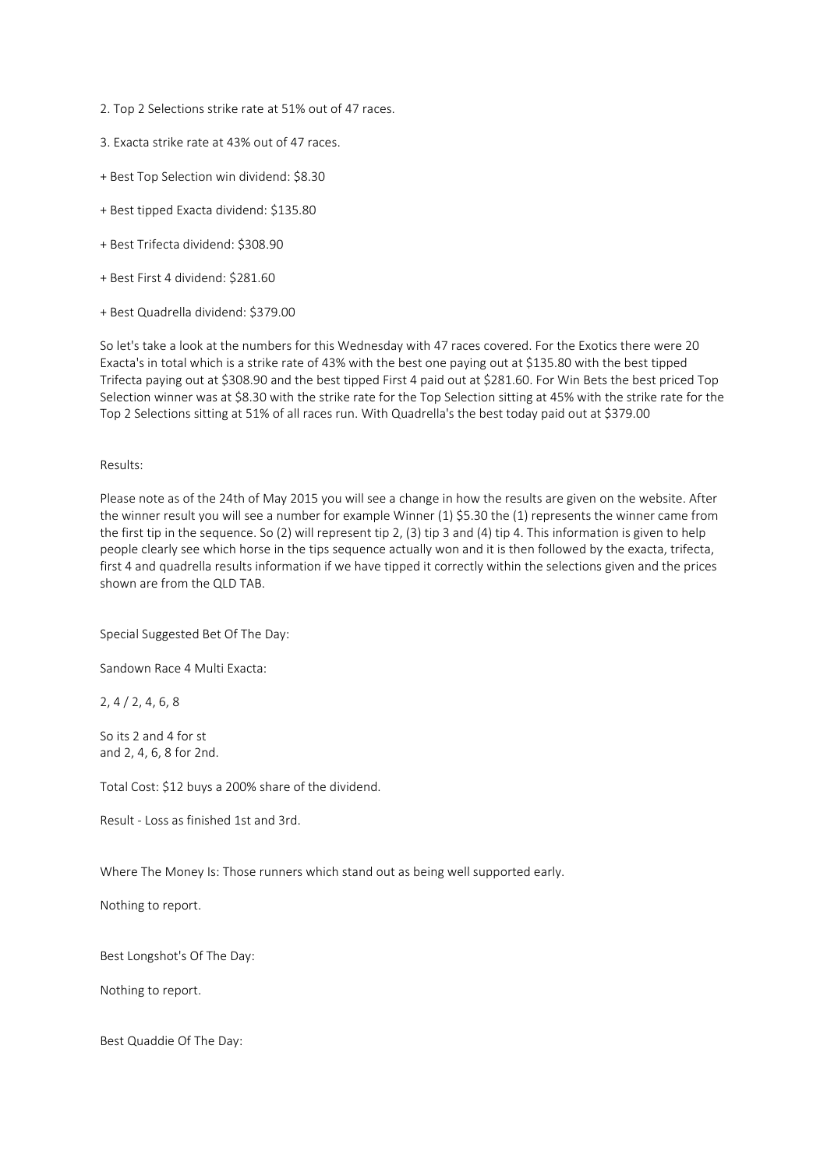- 2. Top 2 Selections strike rate at 51% out of 47 races.
- 3. Exacta strike rate at 43% out of 47 races.
- + Best Top Selection win dividend: \$8.30
- + Best tipped Exacta dividend: \$135.80
- + Best Trifecta dividend: \$308.90
- + Best First 4 dividend: \$281.60
- + Best Quadrella dividend: \$379.00

So let's take a look at the numbers for this Wednesday with 47 races covered. For the Exotics there were 20 Exacta's in total which is a strike rate of 43% with the best one paying out at \$135.80 with the best tipped Trifecta paying out at \$308.90 and the best tipped First 4 paid out at \$281.60. For Win Bets the best priced Top Selection winner was at \$8.30 with the strike rate for the Top Selection sitting at 45% with the strike rate for the Top 2 Selections sitting at 51% of all races run. With Quadrella's the best today paid out at \$379.00

## Results:

Please note as of the 24th of May 2015 you will see a change in how the results are given on the website. After the winner result you will see a number for example Winner (1) \$5.30 the (1) represents the winner came from the first tip in the sequence. So (2) will represent tip 2, (3) tip 3 and (4) tip 4. This information is given to help people clearly see which horse in the tips sequence actually won and it is then followed by the exacta, trifecta, first 4 and quadrella results information if we have tipped it correctly within the selections given and the prices shown are from the QLD TAB.

Special Suggested Bet Of The Day:

Sandown Race 4 Multi Exacta:

2, 4 / 2, 4, 6, 8

So its 2 and 4 for st and 2, 4, 6, 8 for 2nd.

Total Cost: \$12 buys a 200% share of the dividend.

Result - Loss as finished 1st and 3rd.

Where The Money Is: Those runners which stand out as being well supported early.

Nothing to report.

Best Longshot's Of The Day:

Nothing to report.

Best Quaddie Of The Day: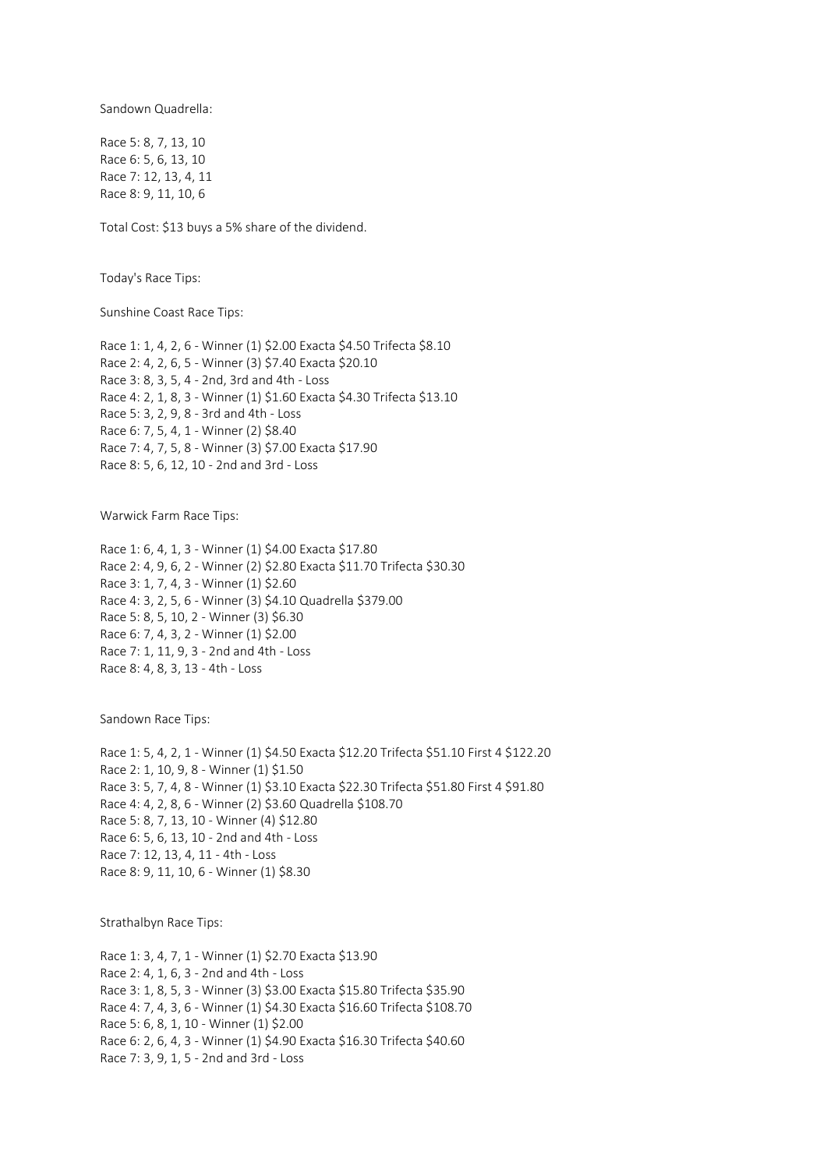Sandown Quadrella:

Race 5: 8, 7, 13, 10 Race 6: 5, 6, 13, 10 Race 7: 12, 13, 4, 11 Race 8: 9, 11, 10, 6

Total Cost: \$13 buys a 5% share of the dividend.

Today's Race Tips:

Sunshine Coast Race Tips:

Race 1: 1, 4, 2, 6 - Winner (1) \$2.00 Exacta \$4.50 Trifecta \$8.10 Race 2: 4, 2, 6, 5 - Winner (3) \$7.40 Exacta \$20.10 Race 3: 8, 3, 5, 4 - 2nd, 3rd and 4th - Loss Race 4: 2, 1, 8, 3 - Winner (1) \$1.60 Exacta \$4.30 Trifecta \$13.10 Race 5: 3, 2, 9, 8 - 3rd and 4th - Loss Race 6: 7, 5, 4, 1 - Winner (2) \$8.40 Race 7: 4, 7, 5, 8 - Winner (3) \$7.00 Exacta \$17.90 Race 8: 5, 6, 12, 10 - 2nd and 3rd - Loss

Warwick Farm Race Tips:

Race 1: 6, 4, 1, 3 - Winner (1) \$4.00 Exacta \$17.80 Race 2: 4, 9, 6, 2 - Winner (2) \$2.80 Exacta \$11.70 Trifecta \$30.30 Race 3: 1, 7, 4, 3 - Winner (1) \$2.60 Race 4: 3, 2, 5, 6 - Winner (3) \$4.10 Quadrella \$379.00 Race 5: 8, 5, 10, 2 - Winner (3) \$6.30 Race 6: 7, 4, 3, 2 - Winner (1) \$2.00 Race 7: 1, 11, 9, 3 - 2nd and 4th - Loss Race 8: 4, 8, 3, 13 - 4th - Loss

Sandown Race Tips:

Race 1: 5, 4, 2, 1 - Winner (1) \$4.50 Exacta \$12.20 Trifecta \$51.10 First 4 \$122.20 Race 2: 1, 10, 9, 8 - Winner (1) \$1.50 Race 3: 5, 7, 4, 8 - Winner (1) \$3.10 Exacta \$22.30 Trifecta \$51.80 First 4 \$91.80 Race 4: 4, 2, 8, 6 - Winner (2) \$3.60 Quadrella \$108.70 Race 5: 8, 7, 13, 10 - Winner (4) \$12.80 Race 6: 5, 6, 13, 10 - 2nd and 4th - Loss Race 7: 12, 13, 4, 11 - 4th - Loss Race 8: 9, 11, 10, 6 - Winner (1) \$8.30

Strathalbyn Race Tips:

Race 1: 3, 4, 7, 1 - Winner (1) \$2.70 Exacta \$13.90 Race 2: 4, 1, 6, 3 - 2nd and 4th - Loss Race 3: 1, 8, 5, 3 - Winner (3) \$3.00 Exacta \$15.80 Trifecta \$35.90 Race 4: 7, 4, 3, 6 - Winner (1) \$4.30 Exacta \$16.60 Trifecta \$108.70 Race 5: 6, 8, 1, 10 - Winner (1) \$2.00 Race 6: 2, 6, 4, 3 - Winner (1) \$4.90 Exacta \$16.30 Trifecta \$40.60 Race 7: 3, 9, 1, 5 - 2nd and 3rd - Loss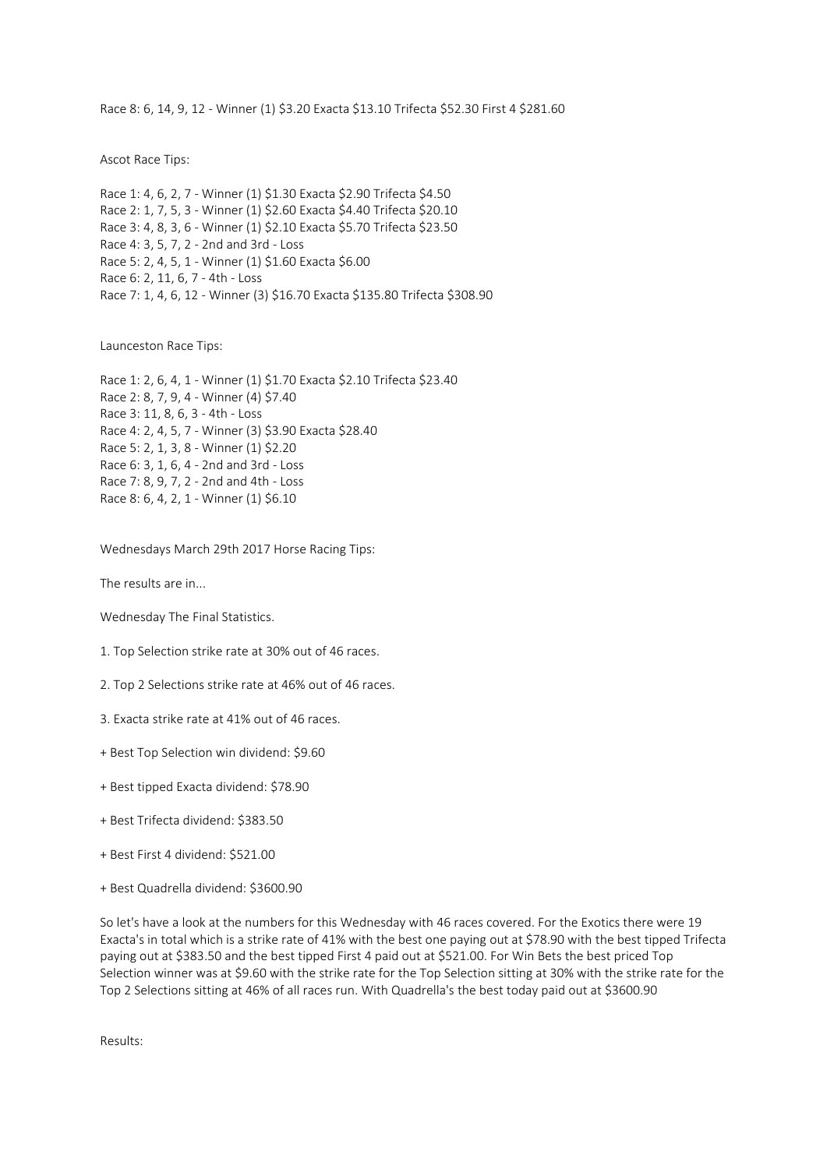Race 8: 6, 14, 9, 12 - Winner (1) \$3.20 Exacta \$13.10 Trifecta \$52.30 First 4 \$281.60

Ascot Race Tips:

Race 1: 4, 6, 2, 7 - Winner (1) \$1.30 Exacta \$2.90 Trifecta \$4.50 Race 2: 1, 7, 5, 3 - Winner (1) \$2.60 Exacta \$4.40 Trifecta \$20.10 Race 3: 4, 8, 3, 6 - Winner (1) \$2.10 Exacta \$5.70 Trifecta \$23.50 Race 4: 3, 5, 7, 2 - 2nd and 3rd - Loss Race 5: 2, 4, 5, 1 - Winner (1) \$1.60 Exacta \$6.00 Race 6: 2, 11, 6, 7 - 4th - Loss Race 7: 1, 4, 6, 12 - Winner (3) \$16.70 Exacta \$135.80 Trifecta \$308.90

Launceston Race Tips:

Race 1: 2, 6, 4, 1 - Winner (1) \$1.70 Exacta \$2.10 Trifecta \$23.40 Race 2: 8, 7, 9, 4 - Winner (4) \$7.40 Race 3: 11, 8, 6, 3 - 4th - Loss Race 4: 2, 4, 5, 7 - Winner (3) \$3.90 Exacta \$28.40 Race 5: 2, 1, 3, 8 - Winner (1) \$2.20 Race 6: 3, 1, 6, 4 - 2nd and 3rd - Loss Race 7: 8, 9, 7, 2 - 2nd and 4th - Loss Race 8: 6, 4, 2, 1 - Winner (1) \$6.10

Wednesdays March 29th 2017 Horse Racing Tips:

The results are in...

Wednesday The Final Statistics.

1. Top Selection strike rate at 30% out of 46 races.

2. Top 2 Selections strike rate at 46% out of 46 races.

3. Exacta strike rate at 41% out of 46 races.

+ Best Top Selection win dividend: \$9.60

+ Best tipped Exacta dividend: \$78.90

+ Best Trifecta dividend: \$383.50

+ Best First 4 dividend: \$521.00

+ Best Quadrella dividend: \$3600.90

So let's have a look at the numbers for this Wednesday with 46 races covered. For the Exotics there were 19 Exacta's in total which is a strike rate of 41% with the best one paying out at \$78.90 with the best tipped Trifecta paying out at \$383.50 and the best tipped First 4 paid out at \$521.00. For Win Bets the best priced Top Selection winner was at \$9.60 with the strike rate for the Top Selection sitting at 30% with the strike rate for the Top 2 Selections sitting at 46% of all races run. With Quadrella's the best today paid out at \$3600.90

Results: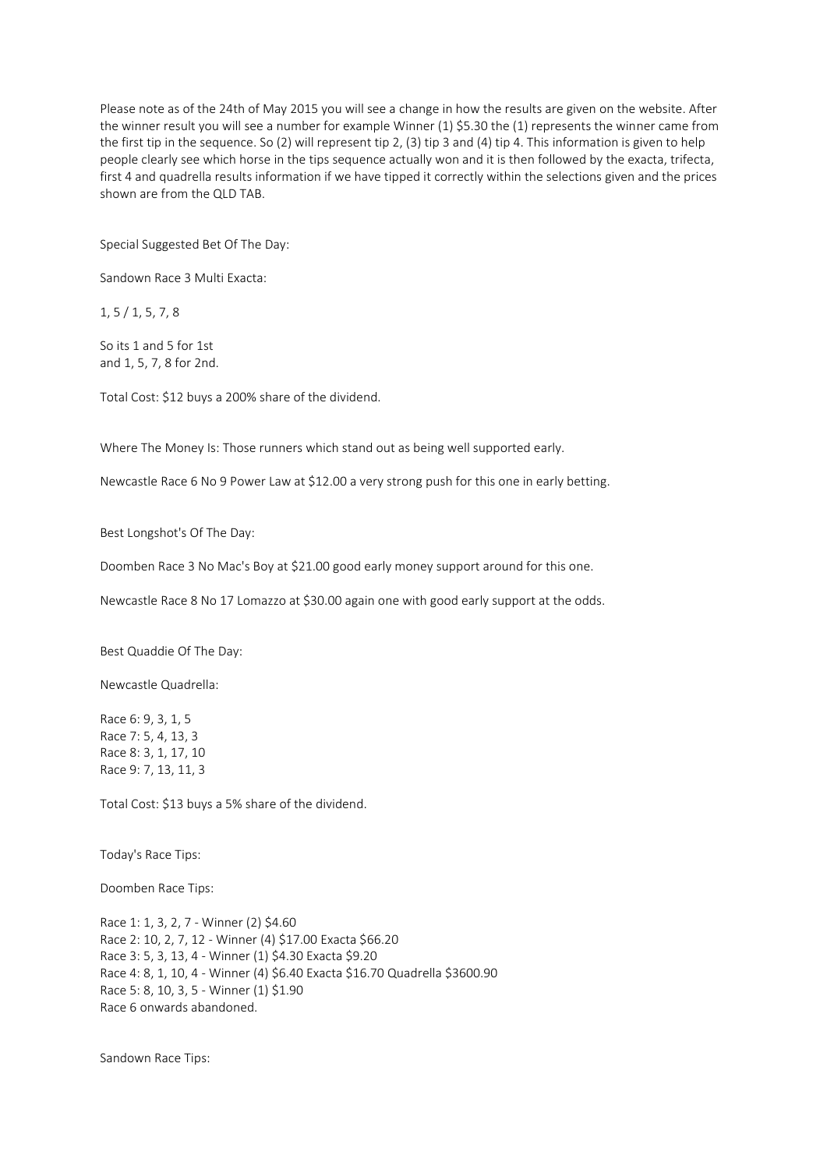Please note as of the 24th of May 2015 you will see a change in how the results are given on the website. After the winner result you will see a number for example Winner (1) \$5.30 the (1) represents the winner came from the first tip in the sequence. So (2) will represent tip 2, (3) tip 3 and (4) tip 4. This information is given to help people clearly see which horse in the tips sequence actually won and it is then followed by the exacta, trifecta, first 4 and quadrella results information if we have tipped it correctly within the selections given and the prices shown are from the QLD TAB.

Special Suggested Bet Of The Day:

Sandown Race 3 Multi Exacta:

1, 5 / 1, 5, 7, 8

So its 1 and 5 for 1st and 1, 5, 7, 8 for 2nd.

Total Cost: \$12 buys a 200% share of the dividend.

Where The Money Is: Those runners which stand out as being well supported early.

Newcastle Race 6 No 9 Power Law at \$12.00 a very strong push for this one in early betting.

Best Longshot's Of The Day:

Doomben Race 3 No Mac's Boy at \$21.00 good early money support around for this one.

Newcastle Race 8 No 17 Lomazzo at \$30.00 again one with good early support at the odds.

Best Quaddie Of The Day:

Newcastle Quadrella:

Race 6: 9, 3, 1, 5 Race 7: 5, 4, 13, 3 Race 8: 3, 1, 17, 10 Race 9: 7, 13, 11, 3

Total Cost: \$13 buys a 5% share of the dividend.

Today's Race Tips:

Doomben Race Tips:

Race 1: 1, 3, 2, 7 - Winner (2) \$4.60 Race 2: 10, 2, 7, 12 - Winner (4) \$17.00 Exacta \$66.20 Race 3: 5, 3, 13, 4 - Winner (1) \$4.30 Exacta \$9.20 Race 4: 8, 1, 10, 4 - Winner (4) \$6.40 Exacta \$16.70 Quadrella \$3600.90 Race 5: 8, 10, 3, 5 - Winner (1) \$1.90 Race 6 onwards abandoned.

Sandown Race Tips: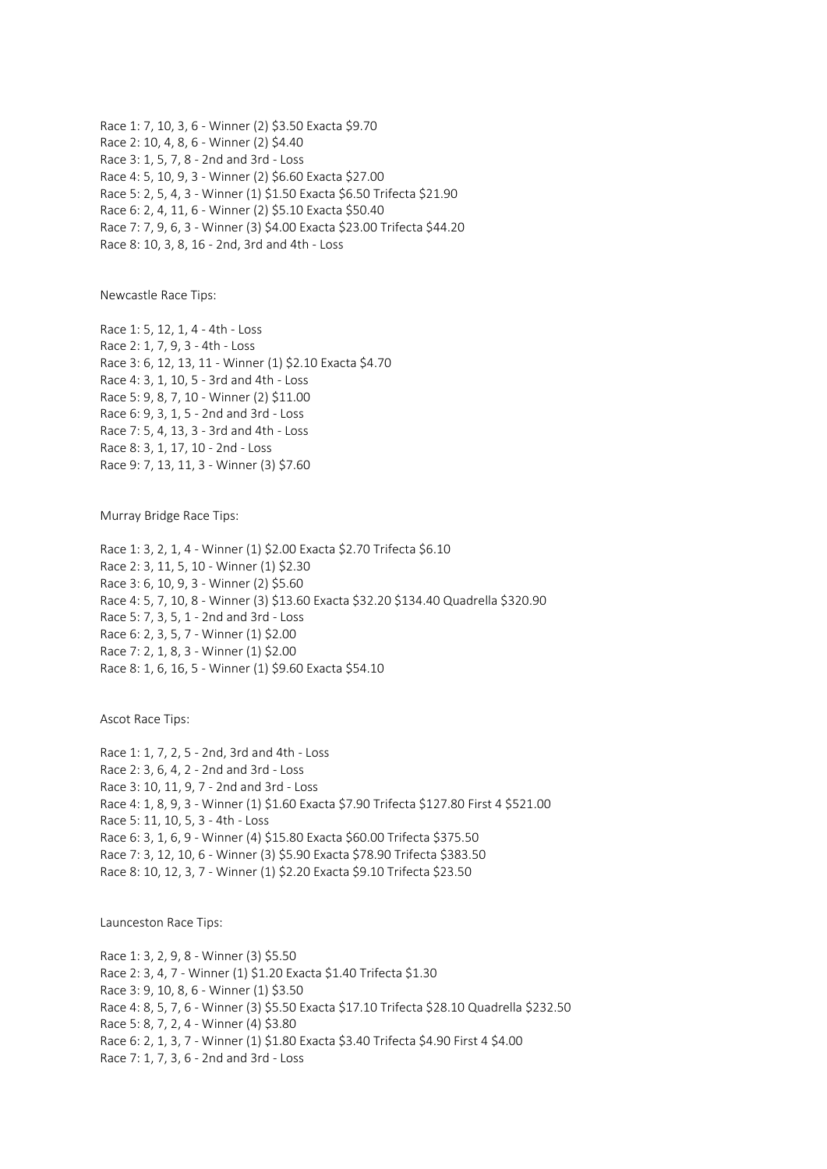Race 1: 7, 10, 3, 6 - Winner (2) \$3.50 Exacta \$9.70 Race 2: 10, 4, 8, 6 - Winner (2) \$4.40 Race 3: 1, 5, 7, 8 - 2nd and 3rd - Loss Race 4: 5, 10, 9, 3 - Winner (2) \$6.60 Exacta \$27.00 Race 5: 2, 5, 4, 3 - Winner (1) \$1.50 Exacta \$6.50 Trifecta \$21.90 Race 6: 2, 4, 11, 6 - Winner (2) \$5.10 Exacta \$50.40 Race 7: 7, 9, 6, 3 - Winner (3) \$4.00 Exacta \$23.00 Trifecta \$44.20 Race 8: 10, 3, 8, 16 - 2nd, 3rd and 4th - Loss

Newcastle Race Tips:

Race 1: 5, 12, 1, 4 - 4th - Loss Race 2: 1, 7, 9, 3 - 4th - Loss Race 3: 6, 12, 13, 11 - Winner (1) \$2.10 Exacta \$4.70 Race 4: 3, 1, 10, 5 - 3rd and 4th - Loss Race 5: 9, 8, 7, 10 - Winner (2) \$11.00 Race 6: 9, 3, 1, 5 - 2nd and 3rd - Loss Race 7: 5, 4, 13, 3 - 3rd and 4th - Loss Race 8: 3, 1, 17, 10 - 2nd - Loss Race 9: 7, 13, 11, 3 - Winner (3) \$7.60

Murray Bridge Race Tips:

Race 1: 3, 2, 1, 4 - Winner (1) \$2.00 Exacta \$2.70 Trifecta \$6.10 Race 2: 3, 11, 5, 10 - Winner (1) \$2.30 Race 3: 6, 10, 9, 3 - Winner (2) \$5.60 Race 4: 5, 7, 10, 8 - Winner (3) \$13.60 Exacta \$32.20 \$134.40 Quadrella \$320.90 Race 5: 7, 3, 5, 1 - 2nd and 3rd - Loss Race 6: 2, 3, 5, 7 - Winner (1) \$2.00 Race 7: 2, 1, 8, 3 - Winner (1) \$2.00 Race 8: 1, 6, 16, 5 - Winner (1) \$9.60 Exacta \$54.10

Ascot Race Tips:

Race 1: 1, 7, 2, 5 - 2nd, 3rd and 4th - Loss Race 2: 3, 6, 4, 2 - 2nd and 3rd - Loss Race 3: 10, 11, 9, 7 - 2nd and 3rd - Loss Race 4: 1, 8, 9, 3 - Winner (1) \$1.60 Exacta \$7.90 Trifecta \$127.80 First 4 \$521.00 Race 5: 11, 10, 5, 3 - 4th - Loss Race 6: 3, 1, 6, 9 - Winner (4) \$15.80 Exacta \$60.00 Trifecta \$375.50 Race 7: 3, 12, 10, 6 - Winner (3) \$5.90 Exacta \$78.90 Trifecta \$383.50 Race 8: 10, 12, 3, 7 - Winner (1) \$2.20 Exacta \$9.10 Trifecta \$23.50

Launceston Race Tips:

Race 1: 3, 2, 9, 8 - Winner (3) \$5.50 Race 2: 3, 4, 7 - Winner (1) \$1.20 Exacta \$1.40 Trifecta \$1.30 Race 3: 9, 10, 8, 6 - Winner (1) \$3.50 Race 4: 8, 5, 7, 6 - Winner (3) \$5.50 Exacta \$17.10 Trifecta \$28.10 Quadrella \$232.50 Race 5: 8, 7, 2, 4 - Winner (4) \$3.80 Race 6: 2, 1, 3, 7 - Winner (1) \$1.80 Exacta \$3.40 Trifecta \$4.90 First 4 \$4.00 Race 7: 1, 7, 3, 6 - 2nd and 3rd - Loss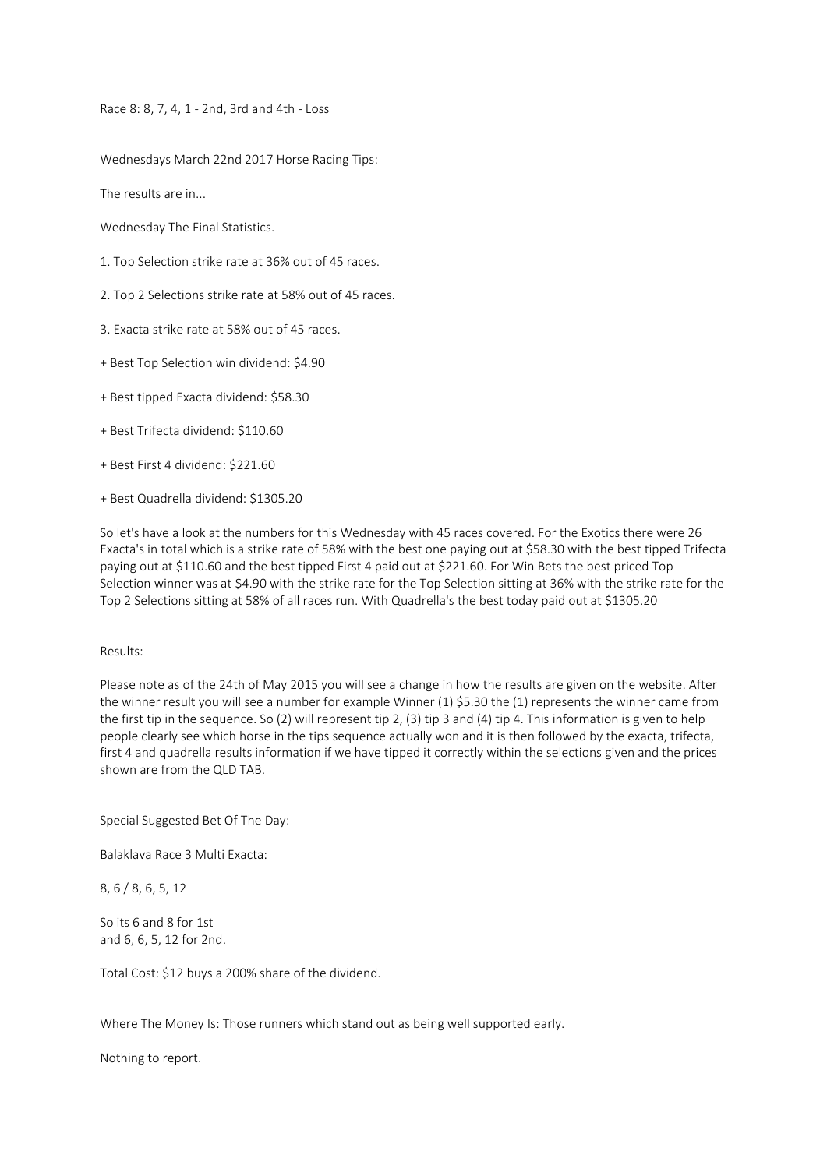Race 8: 8, 7, 4, 1 - 2nd, 3rd and 4th - Loss

Wednesdays March 22nd 2017 Horse Racing Tips:

The results are in...

Wednesday The Final Statistics.

- 1. Top Selection strike rate at 36% out of 45 races.
- 2. Top 2 Selections strike rate at 58% out of 45 races.
- 3. Exacta strike rate at 58% out of 45 races.
- + Best Top Selection win dividend: \$4.90
- + Best tipped Exacta dividend: \$58.30
- + Best Trifecta dividend: \$110.60
- + Best First 4 dividend: \$221.60
- + Best Quadrella dividend: \$1305.20

So let's have a look at the numbers for this Wednesday with 45 races covered. For the Exotics there were 26 Exacta's in total which is a strike rate of 58% with the best one paying out at \$58.30 with the best tipped Trifecta paying out at \$110.60 and the best tipped First 4 paid out at \$221.60. For Win Bets the best priced Top Selection winner was at \$4.90 with the strike rate for the Top Selection sitting at 36% with the strike rate for the Top 2 Selections sitting at 58% of all races run. With Quadrella's the best today paid out at \$1305.20

# Results:

Please note as of the 24th of May 2015 you will see a change in how the results are given on the website. After the winner result you will see a number for example Winner (1) \$5.30 the (1) represents the winner came from the first tip in the sequence. So (2) will represent tip 2, (3) tip 3 and (4) tip 4. This information is given to help people clearly see which horse in the tips sequence actually won and it is then followed by the exacta, trifecta, first 4 and quadrella results information if we have tipped it correctly within the selections given and the prices shown are from the QLD TAB.

Special Suggested Bet Of The Day:

Balaklava Race 3 Multi Exacta:

8, 6 / 8, 6, 5, 12

So its 6 and 8 for 1st and 6, 6, 5, 12 for 2nd.

Total Cost: \$12 buys a 200% share of the dividend.

Where The Money Is: Those runners which stand out as being well supported early.

Nothing to report.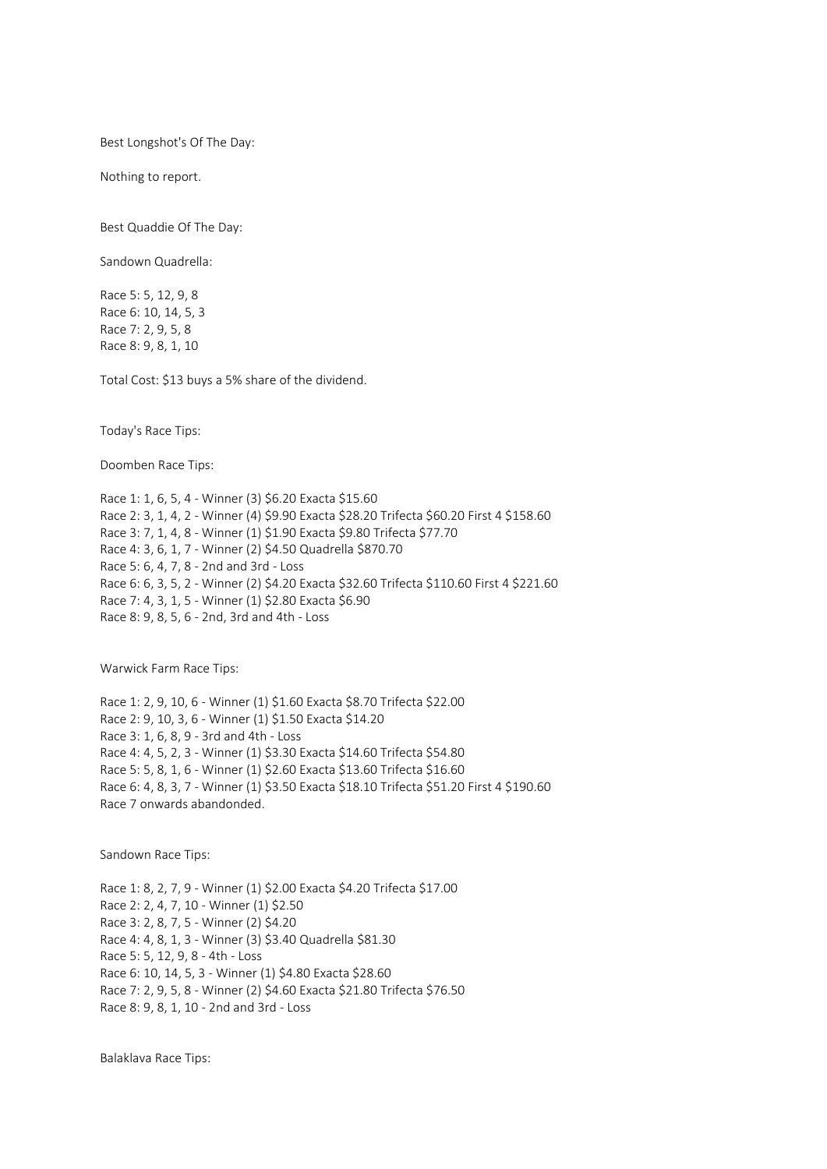Best Longshot's Of The Day:

Nothing to report.

Best Quaddie Of The Day:

Sandown Quadrella:

Race 5: 5, 12, 9, 8 Race 6: 10, 14, 5, 3 Race 7: 2, 9, 5, 8 Race 8: 9, 8, 1, 10

Total Cost: \$13 buys a 5% share of the dividend.

Today's Race Tips:

Doomben Race Tips:

Race 1: 1, 6, 5, 4 - Winner (3) \$6.20 Exacta \$15.60 Race 2: 3, 1, 4, 2 - Winner (4) \$9.90 Exacta \$28.20 Trifecta \$60.20 First 4 \$158.60 Race 3: 7, 1, 4, 8 - Winner (1) \$1.90 Exacta \$9.80 Trifecta \$77.70 Race 4: 3, 6, 1, 7 - Winner (2) \$4.50 Quadrella \$870.70 Race 5: 6, 4, 7, 8 - 2nd and 3rd - Loss Race 6: 6, 3, 5, 2 - Winner (2) \$4.20 Exacta \$32.60 Trifecta \$110.60 First 4 \$221.60 Race 7: 4, 3, 1, 5 - Winner (1) \$2.80 Exacta \$6.90 Race 8: 9, 8, 5, 6 - 2nd, 3rd and 4th - Loss

Warwick Farm Race Tips:

Race 1: 2, 9, 10, 6 - Winner (1) \$1.60 Exacta \$8.70 Trifecta \$22.00 Race 2: 9, 10, 3, 6 - Winner (1) \$1.50 Exacta \$14.20 Race 3: 1, 6, 8, 9 - 3rd and 4th - Loss Race 4: 4, 5, 2, 3 - Winner (1) \$3.30 Exacta \$14.60 Trifecta \$54.80 Race 5: 5, 8, 1, 6 - Winner (1) \$2.60 Exacta \$13.60 Trifecta \$16.60 Race 6: 4, 8, 3, 7 - Winner (1) \$3.50 Exacta \$18.10 Trifecta \$51.20 First 4 \$190.60 Race 7 onwards abandonded.

Sandown Race Tips:

Race 1: 8, 2, 7, 9 - Winner (1) \$2.00 Exacta \$4.20 Trifecta \$17.00 Race 2: 2, 4, 7, 10 - Winner (1) \$2.50 Race 3: 2, 8, 7, 5 - Winner (2) \$4.20 Race 4: 4, 8, 1, 3 - Winner (3) \$3.40 Quadrella \$81.30 Race 5: 5, 12, 9, 8 - 4th - Loss Race 6: 10, 14, 5, 3 - Winner (1) \$4.80 Exacta \$28.60 Race 7: 2, 9, 5, 8 - Winner (2) \$4.60 Exacta \$21.80 Trifecta \$76.50 Race 8: 9, 8, 1, 10 - 2nd and 3rd - Loss

Balaklava Race Tips: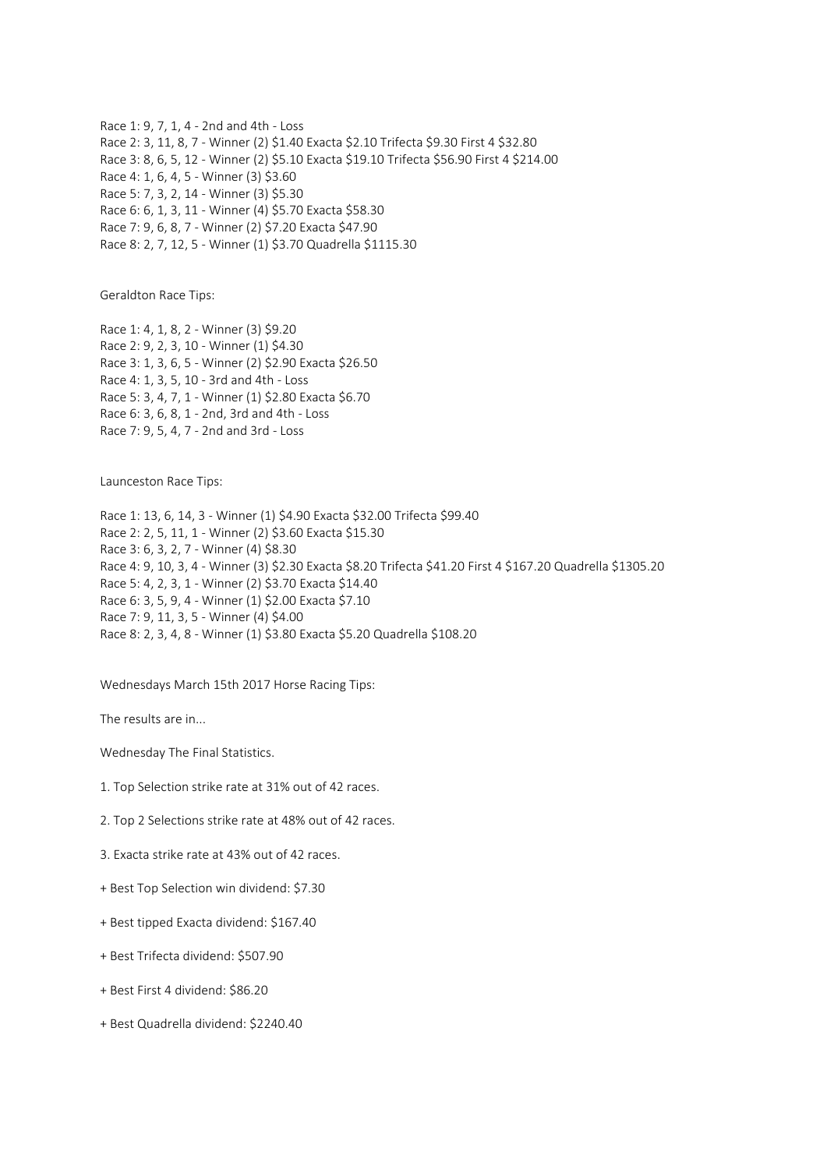Race 1: 9, 7, 1, 4 - 2nd and 4th - Loss Race 2: 3, 11, 8, 7 - Winner (2) \$1.40 Exacta \$2.10 Trifecta \$9.30 First 4 \$32.80 Race 3: 8, 6, 5, 12 - Winner (2) \$5.10 Exacta \$19.10 Trifecta \$56.90 First 4 \$214.00 Race 4: 1, 6, 4, 5 - Winner (3) \$3.60 Race 5: 7, 3, 2, 14 - Winner (3) \$5.30 Race 6: 6, 1, 3, 11 - Winner (4) \$5.70 Exacta \$58.30 Race 7: 9, 6, 8, 7 - Winner (2) \$7.20 Exacta \$47.90 Race 8: 2, 7, 12, 5 - Winner (1) \$3.70 Quadrella \$1115.30

Geraldton Race Tips:

Race 1: 4, 1, 8, 2 - Winner (3) \$9.20 Race 2: 9, 2, 3, 10 - Winner (1) \$4.30 Race 3: 1, 3, 6, 5 - Winner (2) \$2.90 Exacta \$26.50 Race 4: 1, 3, 5, 10 - 3rd and 4th - Loss Race 5: 3, 4, 7, 1 - Winner (1) \$2.80 Exacta \$6.70 Race 6: 3, 6, 8, 1 - 2nd, 3rd and 4th - Loss Race 7: 9, 5, 4, 7 - 2nd and 3rd - Loss

Launceston Race Tips:

Race 1: 13, 6, 14, 3 - Winner (1) \$4.90 Exacta \$32.00 Trifecta \$99.40 Race 2: 2, 5, 11, 1 - Winner (2) \$3.60 Exacta \$15.30 Race 3: 6, 3, 2, 7 - Winner (4) \$8.30 Race 4: 9, 10, 3, 4 - Winner (3) \$2.30 Exacta \$8.20 Trifecta \$41.20 First 4 \$167.20 Quadrella \$1305.20 Race 5: 4, 2, 3, 1 - Winner (2) \$3.70 Exacta \$14.40 Race 6: 3, 5, 9, 4 - Winner (1) \$2.00 Exacta \$7.10 Race 7: 9, 11, 3, 5 - Winner (4) \$4.00 Race 8: 2, 3, 4, 8 - Winner (1) \$3.80 Exacta \$5.20 Quadrella \$108.20

Wednesdays March 15th 2017 Horse Racing Tips:

The results are in...

Wednesday The Final Statistics.

1. Top Selection strike rate at 31% out of 42 races.

- 2. Top 2 Selections strike rate at 48% out of 42 races.
- 3. Exacta strike rate at 43% out of 42 races.
- + Best Top Selection win dividend: \$7.30
- + Best tipped Exacta dividend: \$167.40
- + Best Trifecta dividend: \$507.90
- + Best First 4 dividend: \$86.20
- + Best Quadrella dividend: \$2240.40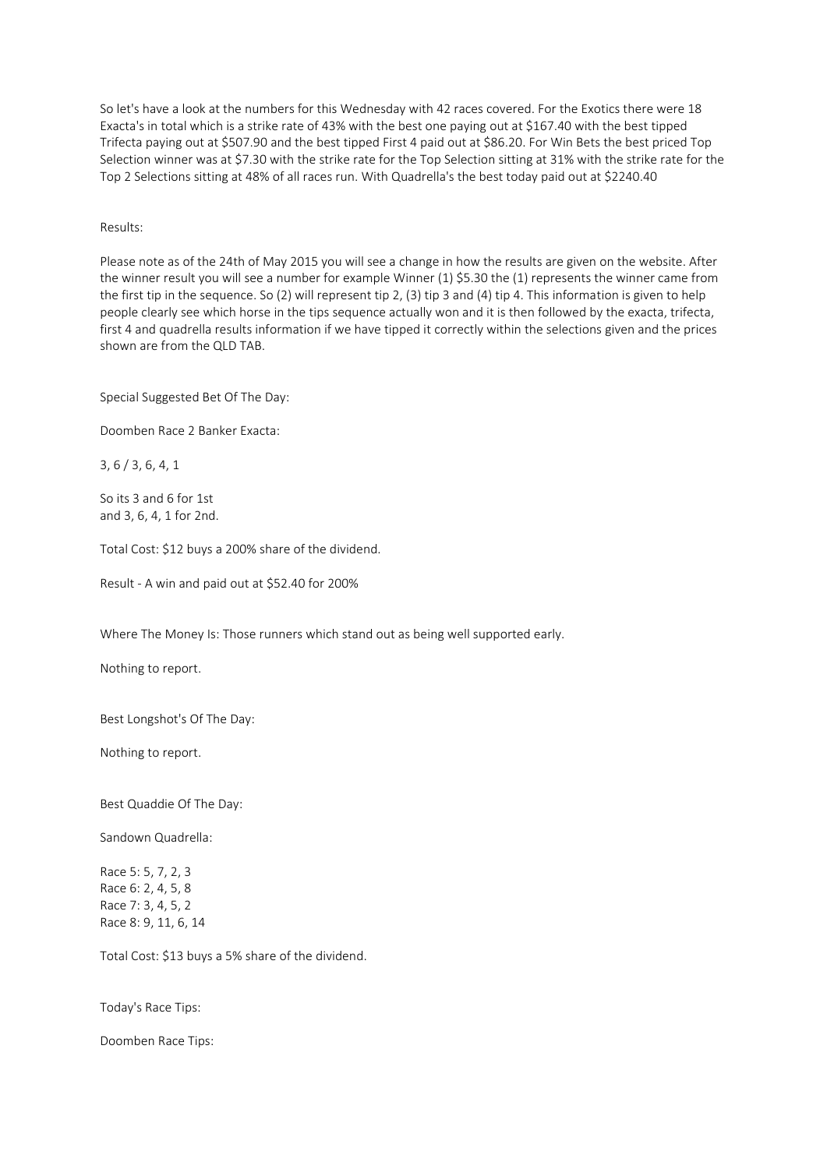So let's have a look at the numbers for this Wednesday with 42 races covered. For the Exotics there were 18 Exacta's in total which is a strike rate of 43% with the best one paying out at \$167.40 with the best tipped Trifecta paying out at \$507.90 and the best tipped First 4 paid out at \$86.20. For Win Bets the best priced Top Selection winner was at \$7.30 with the strike rate for the Top Selection sitting at 31% with the strike rate for the Top 2 Selections sitting at 48% of all races run. With Quadrella's the best today paid out at \$2240.40

Results:

Please note as of the 24th of May 2015 you will see a change in how the results are given on the website. After the winner result you will see a number for example Winner (1) \$5.30 the (1) represents the winner came from the first tip in the sequence. So (2) will represent tip 2, (3) tip 3 and (4) tip 4. This information is given to help people clearly see which horse in the tips sequence actually won and it is then followed by the exacta, trifecta, first 4 and quadrella results information if we have tipped it correctly within the selections given and the prices shown are from the QLD TAB.

Special Suggested Bet Of The Day:

Doomben Race 2 Banker Exacta:

3, 6 / 3, 6, 4, 1

So its 3 and 6 for 1st and 3, 6, 4, 1 for 2nd.

Total Cost: \$12 buys a 200% share of the dividend.

Result - A win and paid out at \$52.40 for 200%

Where The Money Is: Those runners which stand out as being well supported early.

Nothing to report.

Best Longshot's Of The Day:

Nothing to report.

Best Quaddie Of The Day:

Sandown Quadrella:

Race 5: 5, 7, 2, 3 Race 6: 2, 4, 5, 8 Race 7: 3, 4, 5, 2 Race 8: 9, 11, 6, 14

Total Cost: \$13 buys a 5% share of the dividend.

Today's Race Tips:

Doomben Race Tips: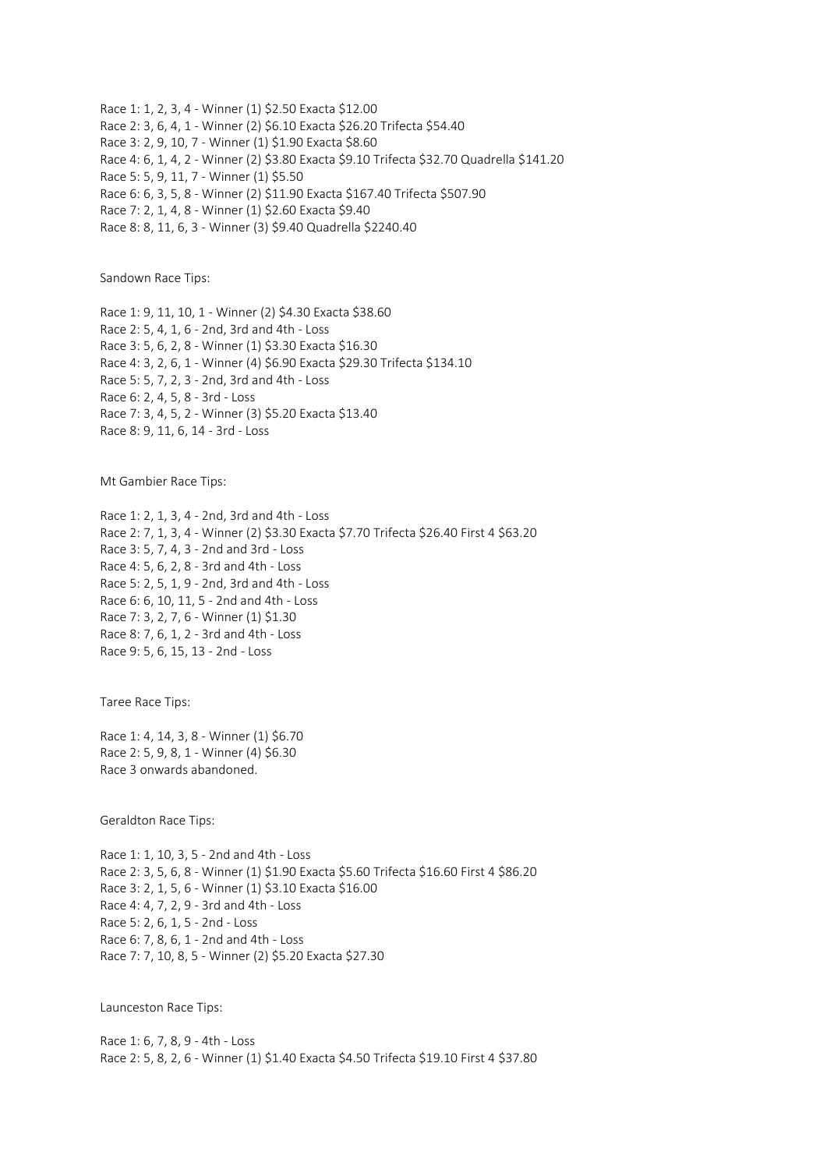Race 1: 1, 2, 3, 4 - Winner (1) \$2.50 Exacta \$12.00 Race 2: 3, 6, 4, 1 - Winner (2) \$6.10 Exacta \$26.20 Trifecta \$54.40 Race 3: 2, 9, 10, 7 - Winner (1) \$1.90 Exacta \$8.60 Race 4: 6, 1, 4, 2 - Winner (2) \$3.80 Exacta \$9.10 Trifecta \$32.70 Quadrella \$141.20 Race 5: 5, 9, 11, 7 - Winner (1) \$5.50 Race 6: 6, 3, 5, 8 - Winner (2) \$11.90 Exacta \$167.40 Trifecta \$507.90 Race 7: 2, 1, 4, 8 - Winner (1) \$2.60 Exacta \$9.40 Race 8: 8, 11, 6, 3 - Winner (3) \$9.40 Quadrella \$2240.40

Sandown Race Tips:

Race 1: 9, 11, 10, 1 - Winner (2) \$4.30 Exacta \$38.60 Race 2: 5, 4, 1, 6 - 2nd, 3rd and 4th - Loss Race 3: 5, 6, 2, 8 - Winner (1) \$3.30 Exacta \$16.30 Race 4: 3, 2, 6, 1 - Winner (4) \$6.90 Exacta \$29.30 Trifecta \$134.10 Race 5: 5, 7, 2, 3 - 2nd, 3rd and 4th - Loss Race 6: 2, 4, 5, 8 - 3rd - Loss Race 7: 3, 4, 5, 2 - Winner (3) \$5.20 Exacta \$13.40 Race 8: 9, 11, 6, 14 - 3rd - Loss

Mt Gambier Race Tips:

Race 1: 2, 1, 3, 4 - 2nd, 3rd and 4th - Loss Race 2: 7, 1, 3, 4 - Winner (2) \$3.30 Exacta \$7.70 Trifecta \$26.40 First 4 \$63.20 Race 3: 5, 7, 4, 3 - 2nd and 3rd - Loss Race 4: 5, 6, 2, 8 - 3rd and 4th - Loss Race 5: 2, 5, 1, 9 - 2nd, 3rd and 4th - Loss Race 6: 6, 10, 11, 5 - 2nd and 4th - Loss Race 7: 3, 2, 7, 6 - Winner (1) \$1.30 Race 8: 7, 6, 1, 2 - 3rd and 4th - Loss Race 9: 5, 6, 15, 13 - 2nd - Loss

Taree Race Tips:

Race 1: 4, 14, 3, 8 - Winner (1) \$6.70 Race 2: 5, 9, 8, 1 - Winner (4) \$6.30 Race 3 onwards abandoned.

Geraldton Race Tips:

Race 1: 1, 10, 3, 5 - 2nd and 4th - Loss Race 2: 3, 5, 6, 8 - Winner (1) \$1.90 Exacta \$5.60 Trifecta \$16.60 First 4 \$86.20 Race 3: 2, 1, 5, 6 - Winner (1) \$3.10 Exacta \$16.00 Race 4: 4, 7, 2, 9 - 3rd and 4th - Loss Race 5: 2, 6, 1, 5 - 2nd - Loss Race 6: 7, 8, 6, 1 - 2nd and 4th - Loss Race 7: 7, 10, 8, 5 - Winner (2) \$5.20 Exacta \$27.30

Launceston Race Tips:

Race 1: 6, 7, 8, 9 - 4th - Loss Race 2: 5, 8, 2, 6 - Winner (1) \$1.40 Exacta \$4.50 Trifecta \$19.10 First 4 \$37.80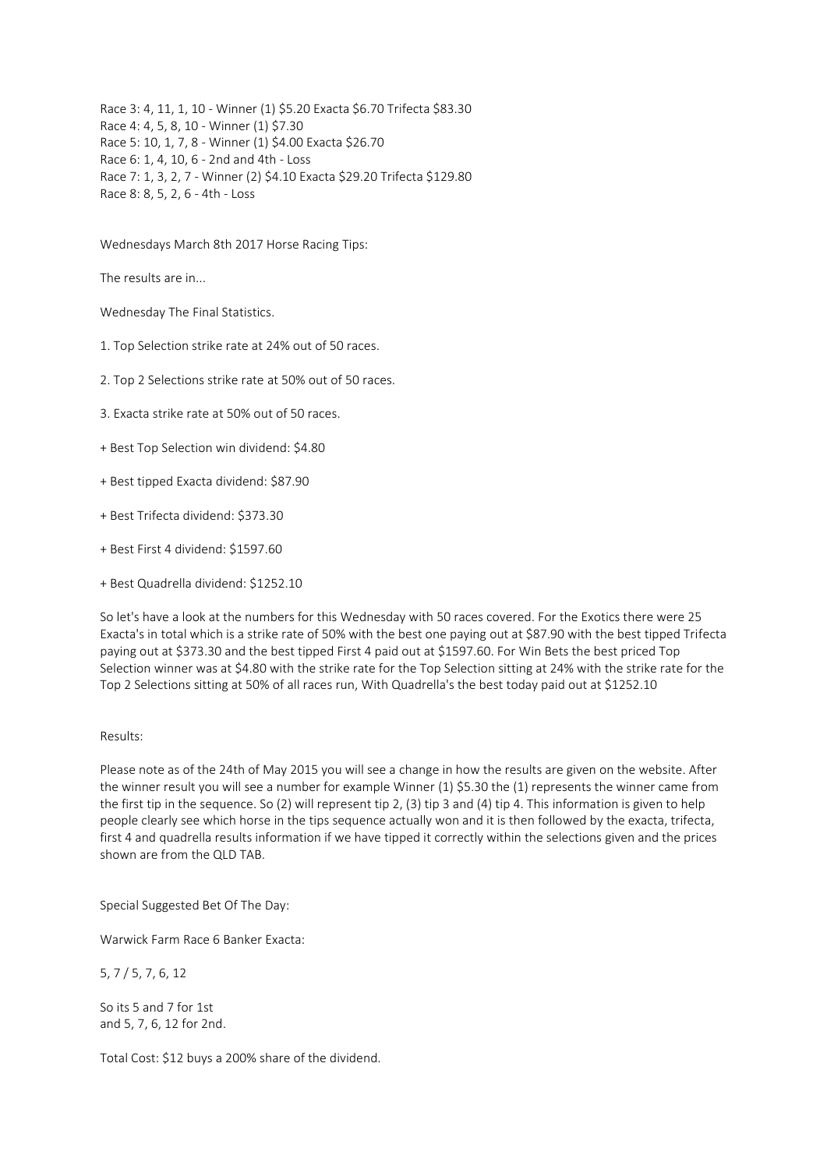Race 3: 4, 11, 1, 10 - Winner (1) \$5.20 Exacta \$6.70 Trifecta \$83.30 Race 4: 4, 5, 8, 10 - Winner (1) \$7.30 Race 5: 10, 1, 7, 8 - Winner (1) \$4.00 Exacta \$26.70 Race 6: 1, 4, 10, 6 - 2nd and 4th - Loss Race 7: 1, 3, 2, 7 - Winner (2) \$4.10 Exacta \$29.20 Trifecta \$129.80 Race 8: 8, 5, 2, 6 - 4th - Loss

Wednesdays March 8th 2017 Horse Racing Tips:

The results are in...

Wednesday The Final Statistics.

1. Top Selection strike rate at 24% out of 50 races.

2. Top 2 Selections strike rate at 50% out of 50 races.

3. Exacta strike rate at 50% out of 50 races.

+ Best Top Selection win dividend: \$4.80

+ Best tipped Exacta dividend: \$87.90

+ Best Trifecta dividend: \$373.30

+ Best First 4 dividend: \$1597.60

+ Best Quadrella dividend: \$1252.10

So let's have a look at the numbers for this Wednesday with 50 races covered. For the Exotics there were 25 Exacta's in total which is a strike rate of 50% with the best one paying out at \$87.90 with the best tipped Trifecta paying out at \$373.30 and the best tipped First 4 paid out at \$1597.60. For Win Bets the best priced Top Selection winner was at \$4.80 with the strike rate for the Top Selection sitting at 24% with the strike rate for the Top 2 Selections sitting at 50% of all races run, With Quadrella's the best today paid out at \$1252.10

#### Results:

Please note as of the 24th of May 2015 you will see a change in how the results are given on the website. After the winner result you will see a number for example Winner (1) \$5.30 the (1) represents the winner came from the first tip in the sequence. So (2) will represent tip 2, (3) tip 3 and (4) tip 4. This information is given to help people clearly see which horse in the tips sequence actually won and it is then followed by the exacta, trifecta, first 4 and quadrella results information if we have tipped it correctly within the selections given and the prices shown are from the QLD TAB.

Special Suggested Bet Of The Day:

Warwick Farm Race 6 Banker Exacta:

5, 7 / 5, 7, 6, 12

So its 5 and 7 for 1st and 5, 7, 6, 12 for 2nd.

Total Cost: \$12 buys a 200% share of the dividend.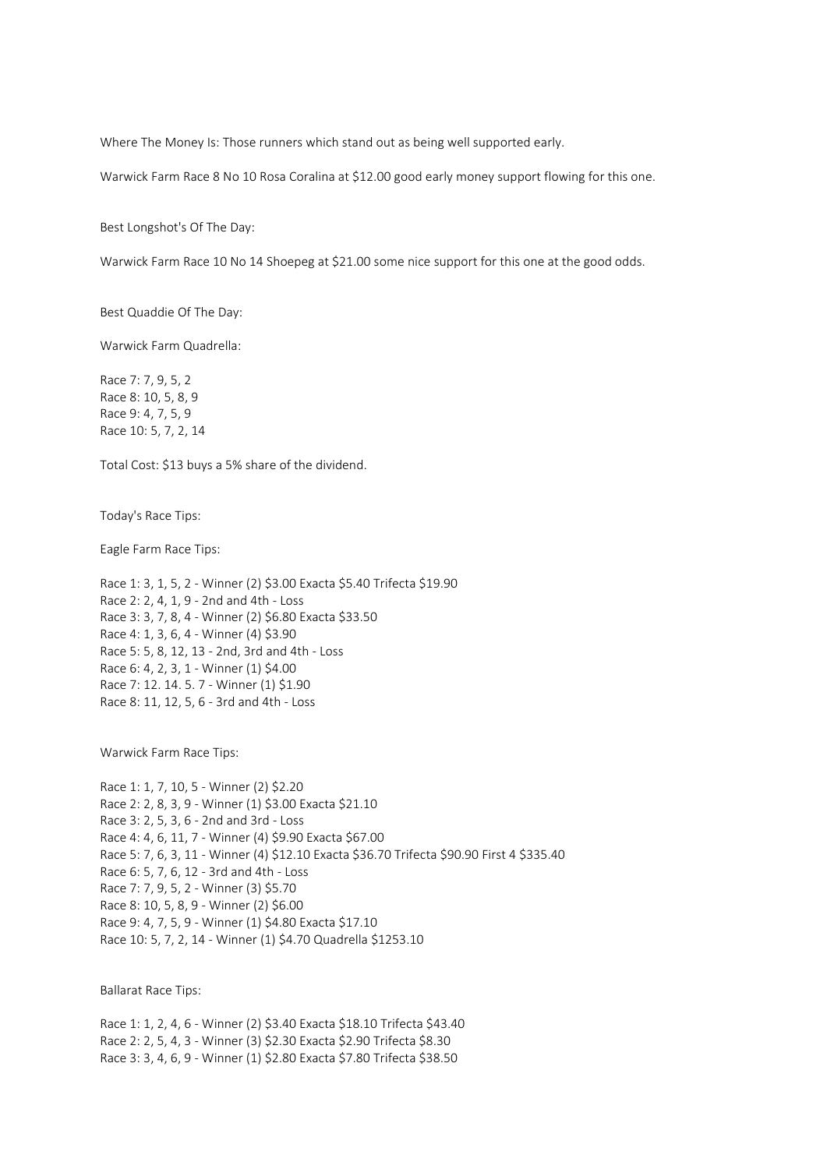Where The Money Is: Those runners which stand out as being well supported early.

Warwick Farm Race 8 No 10 Rosa Coralina at \$12.00 good early money support flowing for this one.

Best Longshot's Of The Day:

Warwick Farm Race 10 No 14 Shoepeg at \$21.00 some nice support for this one at the good odds.

Best Quaddie Of The Day:

Warwick Farm Quadrella:

Race 7: 7, 9, 5, 2 Race 8: 10, 5, 8, 9 Race 9: 4, 7, 5, 9 Race 10: 5, 7, 2, 14

Total Cost: \$13 buys a 5% share of the dividend.

Today's Race Tips:

Eagle Farm Race Tips:

Race 1: 3, 1, 5, 2 - Winner (2) \$3.00 Exacta \$5.40 Trifecta \$19.90 Race 2: 2, 4, 1, 9 - 2nd and 4th - Loss Race 3: 3, 7, 8, 4 - Winner (2) \$6.80 Exacta \$33.50 Race 4: 1, 3, 6, 4 - Winner (4) \$3.90 Race 5: 5, 8, 12, 13 - 2nd, 3rd and 4th - Loss Race 6: 4, 2, 3, 1 - Winner (1) \$4.00 Race 7: 12. 14. 5. 7 - Winner (1) \$1.90 Race 8: 11, 12, 5, 6 - 3rd and 4th - Loss

Warwick Farm Race Tips:

Race 1: 1, 7, 10, 5 - Winner (2) \$2.20 Race 2: 2, 8, 3, 9 - Winner (1) \$3.00 Exacta \$21.10 Race 3: 2, 5, 3, 6 - 2nd and 3rd - Loss Race 4: 4, 6, 11, 7 - Winner (4) \$9.90 Exacta \$67.00 Race 5: 7, 6, 3, 11 - Winner (4) \$12.10 Exacta \$36.70 Trifecta \$90.90 First 4 \$335.40 Race 6: 5, 7, 6, 12 - 3rd and 4th - Loss Race 7: 7, 9, 5, 2 - Winner (3) \$5.70 Race 8: 10, 5, 8, 9 - Winner (2) \$6.00 Race 9: 4, 7, 5, 9 - Winner (1) \$4.80 Exacta \$17.10 Race 10: 5, 7, 2, 14 - Winner (1) \$4.70 Quadrella \$1253.10

Ballarat Race Tips:

Race 1: 1, 2, 4, 6 - Winner (2) \$3.40 Exacta \$18.10 Trifecta \$43.40 Race 2: 2, 5, 4, 3 - Winner (3) \$2.30 Exacta \$2.90 Trifecta \$8.30 Race 3: 3, 4, 6, 9 - Winner (1) \$2.80 Exacta \$7.80 Trifecta \$38.50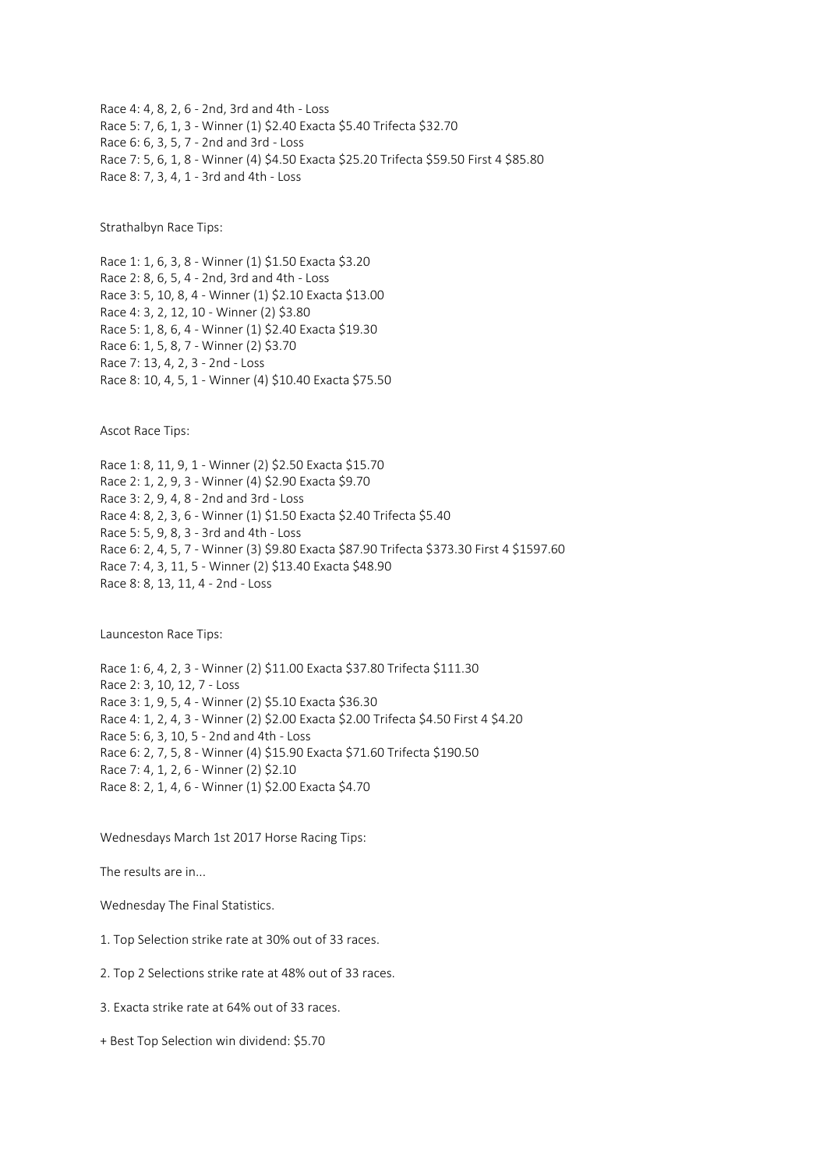Race 4: 4, 8, 2, 6 - 2nd, 3rd and 4th - Loss Race 5: 7, 6, 1, 3 - Winner (1) \$2.40 Exacta \$5.40 Trifecta \$32.70 Race 6: 6, 3, 5, 7 - 2nd and 3rd - Loss Race 7: 5, 6, 1, 8 - Winner (4) \$4.50 Exacta \$25.20 Trifecta \$59.50 First 4 \$85.80 Race 8: 7, 3, 4, 1 - 3rd and 4th - Loss

Strathalbyn Race Tips:

Race 1: 1, 6, 3, 8 - Winner (1) \$1.50 Exacta \$3.20 Race 2: 8, 6, 5, 4 - 2nd, 3rd and 4th - Loss Race 3: 5, 10, 8, 4 - Winner (1) \$2.10 Exacta \$13.00 Race 4: 3, 2, 12, 10 - Winner (2) \$3.80 Race 5: 1, 8, 6, 4 - Winner (1) \$2.40 Exacta \$19.30 Race 6: 1, 5, 8, 7 - Winner (2) \$3.70 Race 7: 13, 4, 2, 3 - 2nd - Loss Race 8: 10, 4, 5, 1 - Winner (4) \$10.40 Exacta \$75.50

Ascot Race Tips:

Race 1: 8, 11, 9, 1 - Winner (2) \$2.50 Exacta \$15.70 Race 2: 1, 2, 9, 3 - Winner (4) \$2.90 Exacta \$9.70 Race 3: 2, 9, 4, 8 - 2nd and 3rd - Loss Race 4: 8, 2, 3, 6 - Winner (1) \$1.50 Exacta \$2.40 Trifecta \$5.40 Race 5: 5, 9, 8, 3 - 3rd and 4th - Loss Race 6: 2, 4, 5, 7 - Winner (3) \$9.80 Exacta \$87.90 Trifecta \$373.30 First 4 \$1597.60 Race 7: 4, 3, 11, 5 - Winner (2) \$13.40 Exacta \$48.90 Race 8: 8, 13, 11, 4 - 2nd - Loss

Launceston Race Tips:

Race 1: 6, 4, 2, 3 - Winner (2) \$11.00 Exacta \$37.80 Trifecta \$111.30 Race 2: 3, 10, 12, 7 - Loss Race 3: 1, 9, 5, 4 - Winner (2) \$5.10 Exacta \$36.30 Race 4: 1, 2, 4, 3 - Winner (2) \$2.00 Exacta \$2.00 Trifecta \$4.50 First 4 \$4.20 Race 5: 6, 3, 10, 5 - 2nd and 4th - Loss Race 6: 2, 7, 5, 8 - Winner (4) \$15.90 Exacta \$71.60 Trifecta \$190.50 Race 7: 4, 1, 2, 6 - Winner (2) \$2.10 Race 8: 2, 1, 4, 6 - Winner (1) \$2.00 Exacta \$4.70

Wednesdays March 1st 2017 Horse Racing Tips:

The results are in...

Wednesday The Final Statistics.

1. Top Selection strike rate at 30% out of 33 races.

2. Top 2 Selections strike rate at 48% out of 33 races.

3. Exacta strike rate at 64% out of 33 races.

+ Best Top Selection win dividend: \$5.70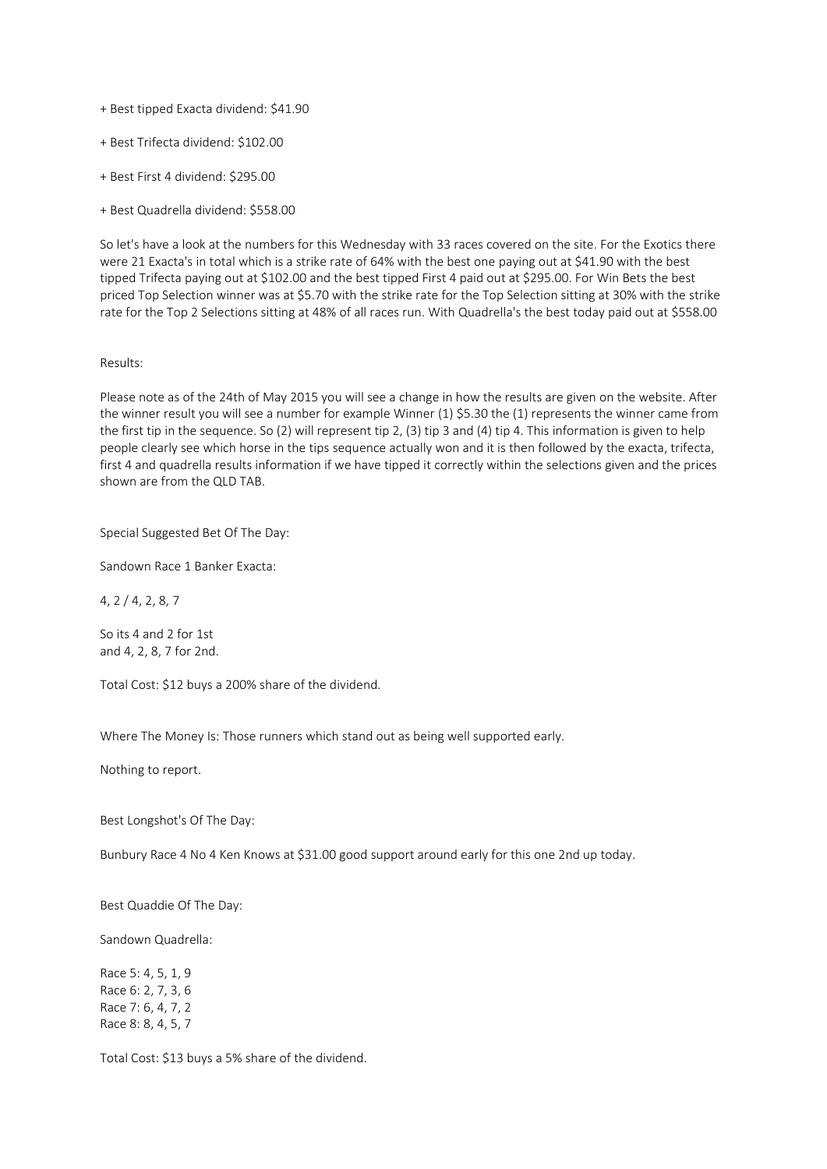- + Best tipped Exacta dividend: \$41.90
- + Best Trifecta dividend: \$102.00
- + Best First 4 dividend: \$295.00
- + Best Quadrella dividend: \$558.00

So let's have a look at the numbers for this Wednesday with 33 races covered on the site. For the Exotics there were 21 Exacta's in total which is a strike rate of 64% with the best one paying out at \$41.90 with the best tipped Trifecta paying out at \$102.00 and the best tipped First 4 paid out at \$295.00. For Win Bets the best priced Top Selection winner was at \$5.70 with the strike rate for the Top Selection sitting at 30% with the strike rate for the Top 2 Selections sitting at 48% of all races run. With Quadrella's the best today paid out at \$558.00

# Results:

Please note as of the 24th of May 2015 you will see a change in how the results are given on the website. After the winner result you will see a number for example Winner (1) \$5.30 the (1) represents the winner came from the first tip in the sequence. So (2) will represent tip 2, (3) tip 3 and (4) tip 4. This information is given to help people clearly see which horse in the tips sequence actually won and it is then followed by the exacta, trifecta, first 4 and quadrella results information if we have tipped it correctly within the selections given and the prices shown are from the QLD TAB.

# Special Suggested Bet Of The Day:

Sandown Race 1 Banker Exacta:

4, 2 / 4, 2, 8, 7

So its 4 and 2 for 1st and 4, 2, 8, 7 for 2nd.

Total Cost: \$12 buys a 200% share of the dividend.

Where The Money Is: Those runners which stand out as being well supported early.

Nothing to report.

Best Longshot's Of The Day:

Bunbury Race 4 No 4 Ken Knows at \$31.00 good support around early for this one 2nd up today.

Best Quaddie Of The Day:

Sandown Quadrella:

Race 5: 4, 5, 1, 9 Race 6: 2, 7, 3, 6 Race 7: 6, 4, 7, 2 Race 8: 8, 4, 5, 7

Total Cost: \$13 buys a 5% share of the dividend.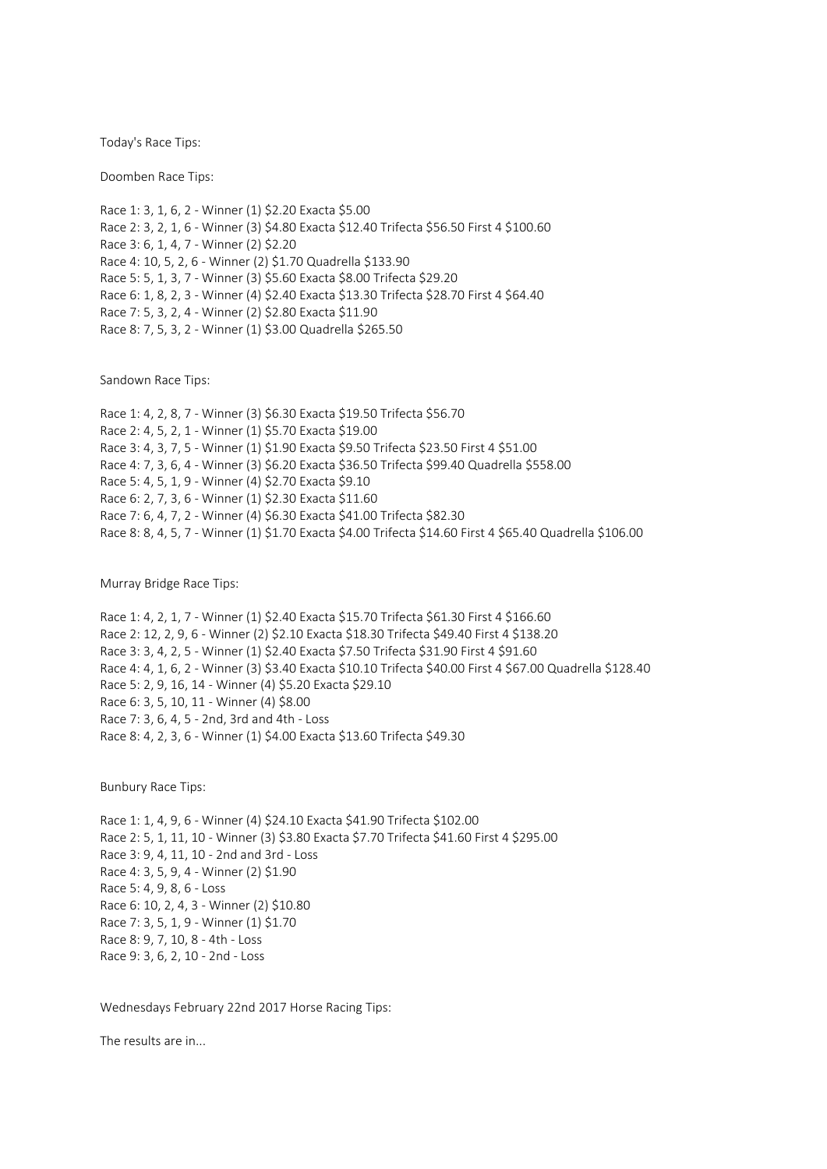Today's Race Tips:

Doomben Race Tips:

Race 1: 3, 1, 6, 2 - Winner (1) \$2.20 Exacta \$5.00 Race 2: 3, 2, 1, 6 - Winner (3) \$4.80 Exacta \$12.40 Trifecta \$56.50 First 4 \$100.60 Race 3: 6, 1, 4, 7 - Winner (2) \$2.20 Race 4: 10, 5, 2, 6 - Winner (2) \$1.70 Quadrella \$133.90 Race 5: 5, 1, 3, 7 - Winner (3) \$5.60 Exacta \$8.00 Trifecta \$29.20 Race 6: 1, 8, 2, 3 - Winner (4) \$2.40 Exacta \$13.30 Trifecta \$28.70 First 4 \$64.40 Race 7: 5, 3, 2, 4 - Winner (2) \$2.80 Exacta \$11.90 Race 8: 7, 5, 3, 2 - Winner (1) \$3.00 Quadrella \$265.50

Sandown Race Tips:

Race 1: 4, 2, 8, 7 - Winner (3) \$6.30 Exacta \$19.50 Trifecta \$56.70 Race 2: 4, 5, 2, 1 - Winner (1) \$5.70 Exacta \$19.00 Race 3: 4, 3, 7, 5 - Winner (1) \$1.90 Exacta \$9.50 Trifecta \$23.50 First 4 \$51.00 Race 4: 7, 3, 6, 4 - Winner (3) \$6.20 Exacta \$36.50 Trifecta \$99.40 Quadrella \$558.00 Race 5: 4, 5, 1, 9 - Winner (4) \$2.70 Exacta \$9.10 Race 6: 2, 7, 3, 6 - Winner (1) \$2.30 Exacta \$11.60 Race 7: 6, 4, 7, 2 - Winner (4) \$6.30 Exacta \$41.00 Trifecta \$82.30 Race 8: 8, 4, 5, 7 - Winner (1) \$1.70 Exacta \$4.00 Trifecta \$14.60 First 4 \$65.40 Quadrella \$106.00

Murray Bridge Race Tips:

Race 1: 4, 2, 1, 7 - Winner (1) \$2.40 Exacta \$15.70 Trifecta \$61.30 First 4 \$166.60 Race 2: 12, 2, 9, 6 - Winner (2) \$2.10 Exacta \$18.30 Trifecta \$49.40 First 4 \$138.20 Race 3: 3, 4, 2, 5 - Winner (1) \$2.40 Exacta \$7.50 Trifecta \$31.90 First 4 \$91.60 Race 4: 4, 1, 6, 2 - Winner (3) \$3.40 Exacta \$10.10 Trifecta \$40.00 First 4 \$67.00 Quadrella \$128.40 Race 5: 2, 9, 16, 14 - Winner (4) \$5.20 Exacta \$29.10 Race 6: 3, 5, 10, 11 - Winner (4) \$8.00 Race 7: 3, 6, 4, 5 - 2nd, 3rd and 4th - Loss Race 8: 4, 2, 3, 6 - Winner (1) \$4.00 Exacta \$13.60 Trifecta \$49.30

Bunbury Race Tips:

Race 1: 1, 4, 9, 6 - Winner (4) \$24.10 Exacta \$41.90 Trifecta \$102.00 Race 2: 5, 1, 11, 10 - Winner (3) \$3.80 Exacta \$7.70 Trifecta \$41.60 First 4 \$295.00 Race 3: 9, 4, 11, 10 - 2nd and 3rd - Loss Race 4: 3, 5, 9, 4 - Winner (2) \$1.90 Race 5: 4, 9, 8, 6 - Loss Race 6: 10, 2, 4, 3 - Winner (2) \$10.80 Race 7: 3, 5, 1, 9 - Winner (1) \$1.70 Race 8: 9, 7, 10, 8 - 4th - Loss Race 9: 3, 6, 2, 10 - 2nd - Loss

Wednesdays February 22nd 2017 Horse Racing Tips:

The results are in...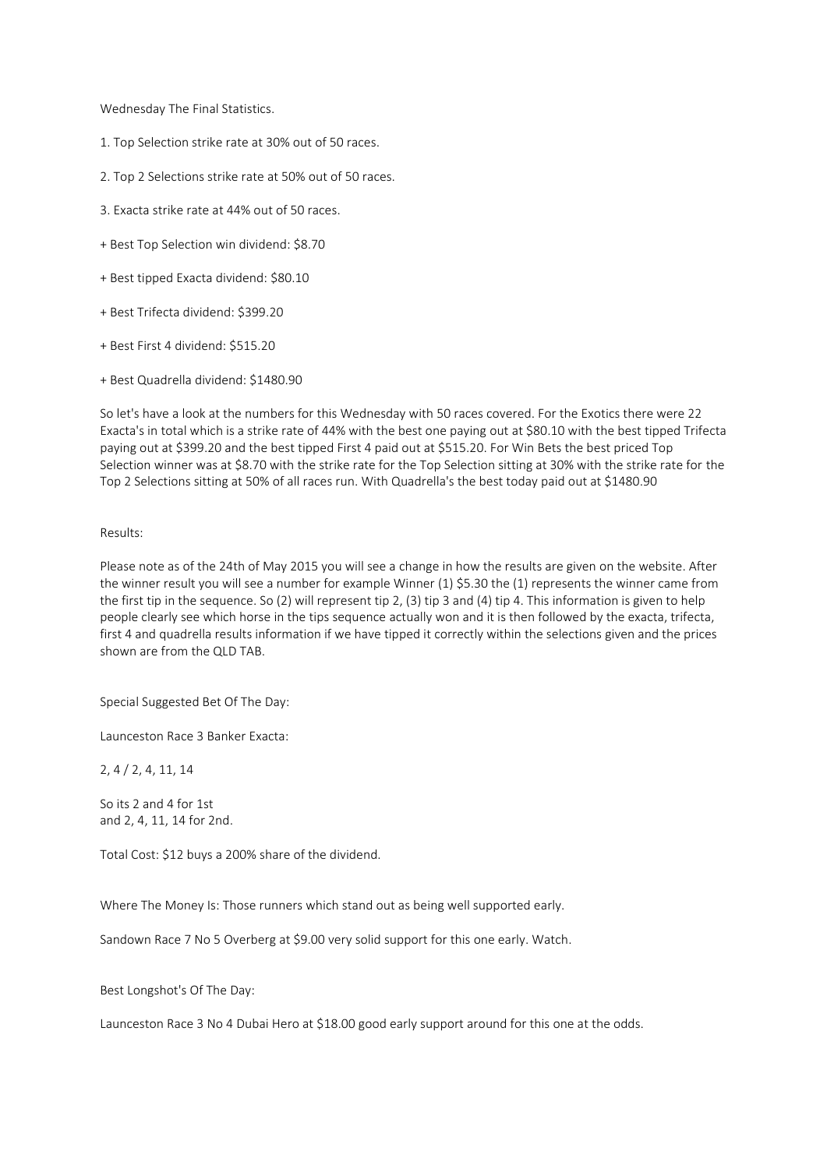Wednesday The Final Statistics.

- 1. Top Selection strike rate at 30% out of 50 races.
- 2. Top 2 Selections strike rate at 50% out of 50 races.
- 3. Exacta strike rate at 44% out of 50 races.
- + Best Top Selection win dividend: \$8.70
- + Best tipped Exacta dividend: \$80.10
- + Best Trifecta dividend: \$399.20
- + Best First 4 dividend: \$515.20
- + Best Quadrella dividend: \$1480.90

So let's have a look at the numbers for this Wednesday with 50 races covered. For the Exotics there were 22 Exacta's in total which is a strike rate of 44% with the best one paying out at \$80.10 with the best tipped Trifecta paying out at \$399.20 and the best tipped First 4 paid out at \$515.20. For Win Bets the best priced Top Selection winner was at \$8.70 with the strike rate for the Top Selection sitting at 30% with the strike rate for the Top 2 Selections sitting at 50% of all races run. With Quadrella's the best today paid out at \$1480.90

### Results:

Please note as of the 24th of May 2015 you will see a change in how the results are given on the website. After the winner result you will see a number for example Winner (1) \$5.30 the (1) represents the winner came from the first tip in the sequence. So (2) will represent tip 2, (3) tip 3 and (4) tip 4. This information is given to help people clearly see which horse in the tips sequence actually won and it is then followed by the exacta, trifecta, first 4 and quadrella results information if we have tipped it correctly within the selections given and the prices shown are from the QLD TAB.

Special Suggested Bet Of The Day:

Launceston Race 3 Banker Exacta:

2, 4 / 2, 4, 11, 14

So its 2 and 4 for 1st and 2, 4, 11, 14 for 2nd.

Total Cost: \$12 buys a 200% share of the dividend.

Where The Money Is: Those runners which stand out as being well supported early.

Sandown Race 7 No 5 Overberg at \$9.00 very solid support for this one early. Watch.

Best Longshot's Of The Day:

Launceston Race 3 No 4 Dubai Hero at \$18.00 good early support around for this one at the odds.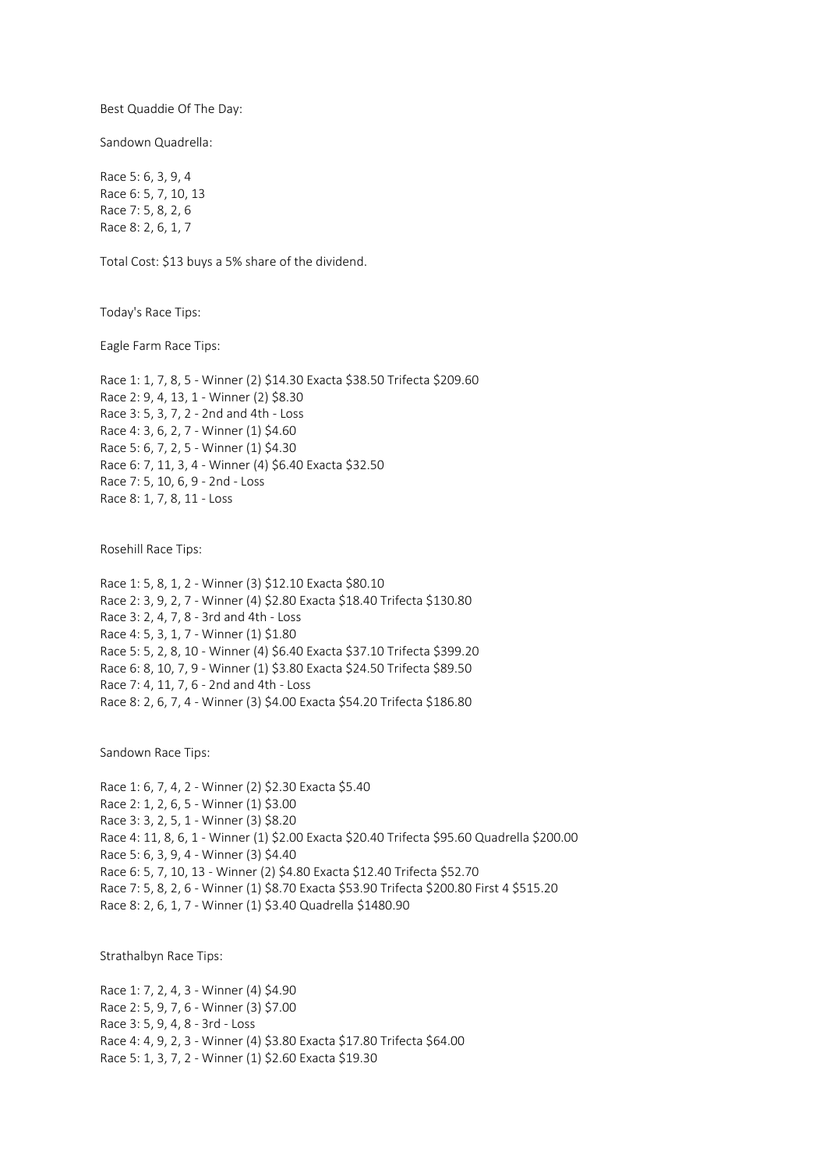Best Quaddie Of The Day:

Sandown Quadrella:

Race 5: 6, 3, 9, 4 Race 6: 5, 7, 10, 13 Race 7: 5, 8, 2, 6 Race 8: 2, 6, 1, 7

Total Cost: \$13 buys a 5% share of the dividend.

Today's Race Tips:

Eagle Farm Race Tips:

Race 1: 1, 7, 8, 5 - Winner (2) \$14.30 Exacta \$38.50 Trifecta \$209.60 Race 2: 9, 4, 13, 1 - Winner (2) \$8.30 Race 3: 5, 3, 7, 2 - 2nd and 4th - Loss Race 4: 3, 6, 2, 7 - Winner (1) \$4.60 Race 5: 6, 7, 2, 5 - Winner (1) \$4.30 Race 6: 7, 11, 3, 4 - Winner (4) \$6.40 Exacta \$32.50 Race 7: 5, 10, 6, 9 - 2nd - Loss Race 8: 1, 7, 8, 11 - Loss

Rosehill Race Tips:

Race 1: 5, 8, 1, 2 - Winner (3) \$12.10 Exacta \$80.10 Race 2: 3, 9, 2, 7 - Winner (4) \$2.80 Exacta \$18.40 Trifecta \$130.80 Race 3: 2, 4, 7, 8 - 3rd and 4th - Loss Race 4: 5, 3, 1, 7 - Winner (1) \$1.80 Race 5: 5, 2, 8, 10 - Winner (4) \$6.40 Exacta \$37.10 Trifecta \$399.20 Race 6: 8, 10, 7, 9 - Winner (1) \$3.80 Exacta \$24.50 Trifecta \$89.50 Race 7: 4, 11, 7, 6 - 2nd and 4th - Loss Race 8: 2, 6, 7, 4 - Winner (3) \$4.00 Exacta \$54.20 Trifecta \$186.80

Sandown Race Tips:

Race 1: 6, 7, 4, 2 - Winner (2) \$2.30 Exacta \$5.40 Race 2: 1, 2, 6, 5 - Winner (1) \$3.00 Race 3: 3, 2, 5, 1 - Winner (3) \$8.20 Race 4: 11, 8, 6, 1 - Winner (1) \$2.00 Exacta \$20.40 Trifecta \$95.60 Quadrella \$200.00 Race 5: 6, 3, 9, 4 - Winner (3) \$4.40 Race 6: 5, 7, 10, 13 - Winner (2) \$4.80 Exacta \$12.40 Trifecta \$52.70 Race 7: 5, 8, 2, 6 - Winner (1) \$8.70 Exacta \$53.90 Trifecta \$200.80 First 4 \$515.20 Race 8: 2, 6, 1, 7 - Winner (1) \$3.40 Quadrella \$1480.90

Strathalbyn Race Tips:

Race 1: 7, 2, 4, 3 - Winner (4) \$4.90 Race 2: 5, 9, 7, 6 - Winner (3) \$7.00 Race 3: 5, 9, 4, 8 - 3rd - Loss Race 4: 4, 9, 2, 3 - Winner (4) \$3.80 Exacta \$17.80 Trifecta \$64.00 Race 5: 1, 3, 7, 2 - Winner (1) \$2.60 Exacta \$19.30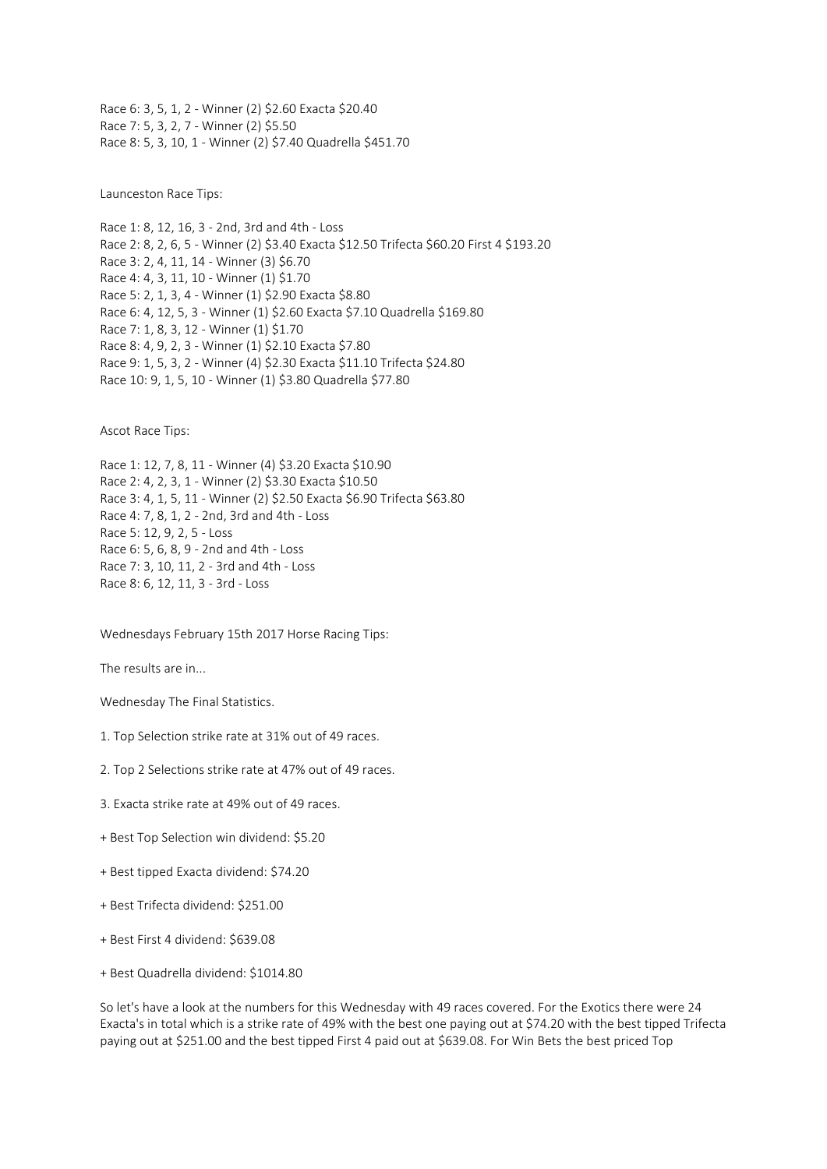Race 6: 3, 5, 1, 2 - Winner (2) \$2.60 Exacta \$20.40 Race 7: 5, 3, 2, 7 - Winner (2) \$5.50 Race 8: 5, 3, 10, 1 - Winner (2) \$7.40 Quadrella \$451.70

Launceston Race Tips:

Race 1: 8, 12, 16, 3 - 2nd, 3rd and 4th - Loss Race 2: 8, 2, 6, 5 - Winner (2) \$3.40 Exacta \$12.50 Trifecta \$60.20 First 4 \$193.20 Race 3: 2, 4, 11, 14 - Winner (3) \$6.70 Race 4: 4, 3, 11, 10 - Winner (1) \$1.70 Race 5: 2, 1, 3, 4 - Winner (1) \$2.90 Exacta \$8.80 Race 6: 4, 12, 5, 3 - Winner (1) \$2.60 Exacta \$7.10 Quadrella \$169.80 Race 7: 1, 8, 3, 12 - Winner (1) \$1.70 Race 8: 4, 9, 2, 3 - Winner (1) \$2.10 Exacta \$7.80 Race 9: 1, 5, 3, 2 - Winner (4) \$2.30 Exacta \$11.10 Trifecta \$24.80 Race 10: 9, 1, 5, 10 - Winner (1) \$3.80 Quadrella \$77.80

Ascot Race Tips:

Race 1: 12, 7, 8, 11 - Winner (4) \$3.20 Exacta \$10.90 Race 2: 4, 2, 3, 1 - Winner (2) \$3.30 Exacta \$10.50 Race 3: 4, 1, 5, 11 - Winner (2) \$2.50 Exacta \$6.90 Trifecta \$63.80 Race 4: 7, 8, 1, 2 - 2nd, 3rd and 4th - Loss Race 5: 12, 9, 2, 5 - Loss Race 6: 5, 6, 8, 9 - 2nd and 4th - Loss Race 7: 3, 10, 11, 2 - 3rd and 4th - Loss Race 8: 6, 12, 11, 3 - 3rd - Loss

Wednesdays February 15th 2017 Horse Racing Tips:

The results are in...

Wednesday The Final Statistics.

- 1. Top Selection strike rate at 31% out of 49 races.
- 2. Top 2 Selections strike rate at 47% out of 49 races.
- 3. Exacta strike rate at 49% out of 49 races.
- + Best Top Selection win dividend: \$5.20
- + Best tipped Exacta dividend: \$74.20
- + Best Trifecta dividend: \$251.00
- + Best First 4 dividend: \$639.08
- + Best Quadrella dividend: \$1014.80

So let's have a look at the numbers for this Wednesday with 49 races covered. For the Exotics there were 24 Exacta's in total which is a strike rate of 49% with the best one paying out at \$74.20 with the best tipped Trifecta paying out at \$251.00 and the best tipped First 4 paid out at \$639.08. For Win Bets the best priced Top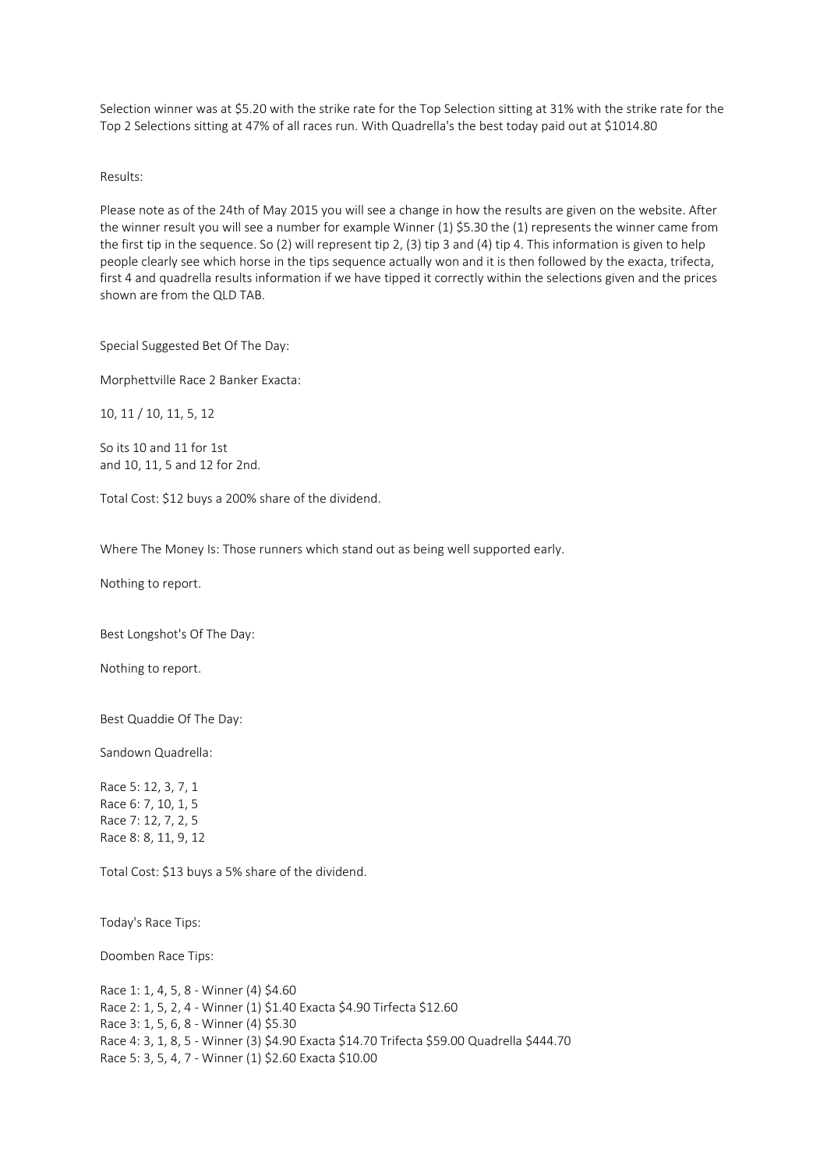Selection winner was at \$5.20 with the strike rate for the Top Selection sitting at 31% with the strike rate for the Top 2 Selections sitting at 47% of all races run. With Quadrella's the best today paid out at \$1014.80

Results:

Please note as of the 24th of May 2015 you will see a change in how the results are given on the website. After the winner result you will see a number for example Winner (1) \$5.30 the (1) represents the winner came from the first tip in the sequence. So (2) will represent tip 2, (3) tip 3 and (4) tip 4. This information is given to help people clearly see which horse in the tips sequence actually won and it is then followed by the exacta, trifecta, first 4 and quadrella results information if we have tipped it correctly within the selections given and the prices shown are from the QLD TAB.

Special Suggested Bet Of The Day:

Morphettville Race 2 Banker Exacta:

10, 11 / 10, 11, 5, 12

So its 10 and 11 for 1st and 10, 11, 5 and 12 for 2nd.

Total Cost: \$12 buys a 200% share of the dividend.

Where The Money Is: Those runners which stand out as being well supported early.

Nothing to report.

Best Longshot's Of The Day:

Nothing to report.

Best Quaddie Of The Day:

Sandown Quadrella:

Race 5: 12, 3, 7, 1 Race 6: 7, 10, 1, 5 Race 7: 12, 7, 2, 5 Race 8: 8, 11, 9, 12

Total Cost: \$13 buys a 5% share of the dividend.

Today's Race Tips:

Doomben Race Tips:

Race 1: 1, 4, 5, 8 - Winner (4) \$4.60 Race 2: 1, 5, 2, 4 - Winner (1) \$1.40 Exacta \$4.90 Tirfecta \$12.60 Race 3: 1, 5, 6, 8 - Winner (4) \$5.30 Race 4: 3, 1, 8, 5 - Winner (3) \$4.90 Exacta \$14.70 Trifecta \$59.00 Quadrella \$444.70 Race 5: 3, 5, 4, 7 - Winner (1) \$2.60 Exacta \$10.00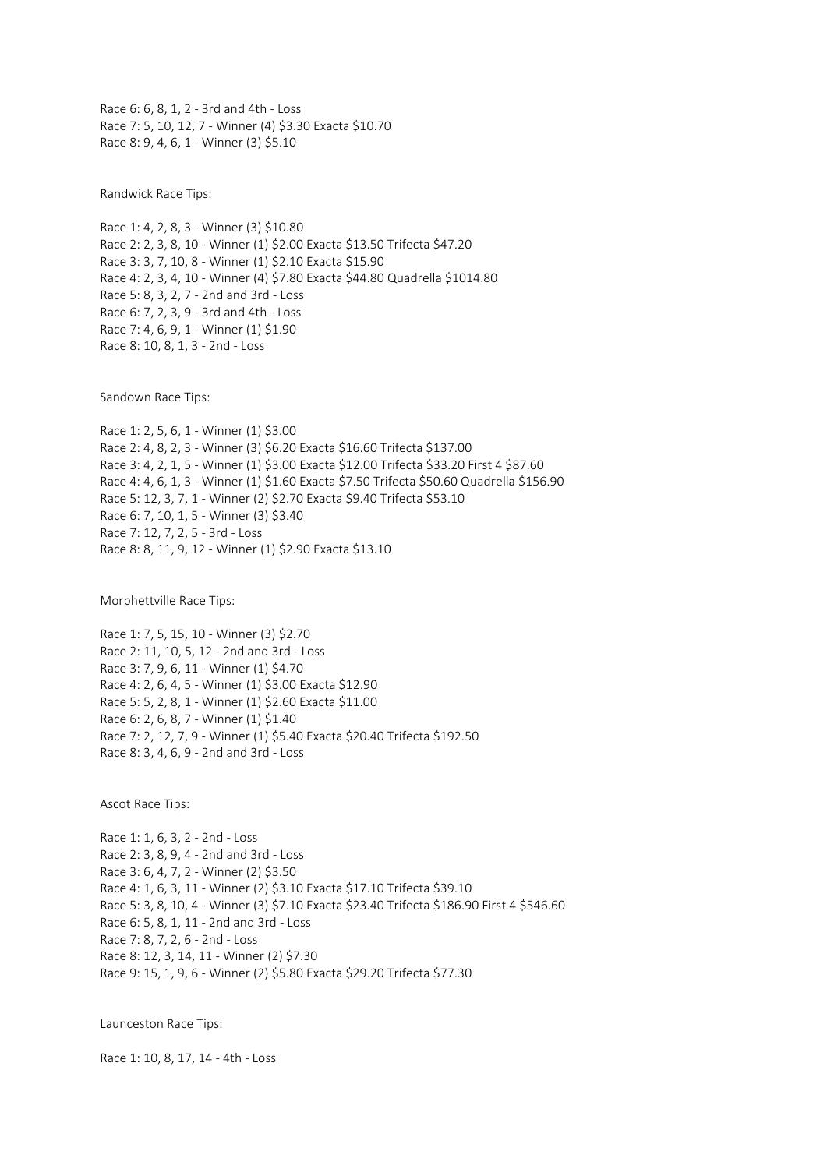Race 6: 6, 8, 1, 2 - 3rd and 4th - Loss Race 7: 5, 10, 12, 7 - Winner (4) \$3.30 Exacta \$10.70 Race 8: 9, 4, 6, 1 - Winner (3) \$5.10

Randwick Race Tips:

Race 1: 4, 2, 8, 3 - Winner (3) \$10.80 Race 2: 2, 3, 8, 10 - Winner (1) \$2.00 Exacta \$13.50 Trifecta \$47.20 Race 3: 3, 7, 10, 8 - Winner (1) \$2.10 Exacta \$15.90 Race 4: 2, 3, 4, 10 - Winner (4) \$7.80 Exacta \$44.80 Quadrella \$1014.80 Race 5: 8, 3, 2, 7 - 2nd and 3rd - Loss Race 6: 7, 2, 3, 9 - 3rd and 4th - Loss Race 7: 4, 6, 9, 1 - Winner (1) \$1.90 Race 8: 10, 8, 1, 3 - 2nd - Loss

Sandown Race Tips:

Race 1: 2, 5, 6, 1 - Winner (1) \$3.00 Race 2: 4, 8, 2, 3 - Winner (3) \$6.20 Exacta \$16.60 Trifecta \$137.00 Race 3: 4, 2, 1, 5 - Winner (1) \$3.00 Exacta \$12.00 Trifecta \$33.20 First 4 \$87.60 Race 4: 4, 6, 1, 3 - Winner (1) \$1.60 Exacta \$7.50 Trifecta \$50.60 Quadrella \$156.90 Race 5: 12, 3, 7, 1 - Winner (2) \$2.70 Exacta \$9.40 Trifecta \$53.10 Race 6: 7, 10, 1, 5 - Winner (3) \$3.40 Race 7: 12, 7, 2, 5 - 3rd - Loss Race 8: 8, 11, 9, 12 - Winner (1) \$2.90 Exacta \$13.10

Morphettville Race Tips:

Race 1: 7, 5, 15, 10 - Winner (3) \$2.70 Race 2: 11, 10, 5, 12 - 2nd and 3rd - Loss Race 3: 7, 9, 6, 11 - Winner (1) \$4.70 Race 4: 2, 6, 4, 5 - Winner (1) \$3.00 Exacta \$12.90 Race 5: 5, 2, 8, 1 - Winner (1) \$2.60 Exacta \$11.00 Race 6: 2, 6, 8, 7 - Winner (1) \$1.40 Race 7: 2, 12, 7, 9 - Winner (1) \$5.40 Exacta \$20.40 Trifecta \$192.50 Race 8: 3, 4, 6, 9 - 2nd and 3rd - Loss

Ascot Race Tips:

Race 1: 1, 6, 3, 2 - 2nd - Loss Race 2: 3, 8, 9, 4 - 2nd and 3rd - Loss Race 3: 6, 4, 7, 2 - Winner (2) \$3.50 Race 4: 1, 6, 3, 11 - Winner (2) \$3.10 Exacta \$17.10 Trifecta \$39.10 Race 5: 3, 8, 10, 4 - Winner (3) \$7.10 Exacta \$23.40 Trifecta \$186.90 First 4 \$546.60 Race 6: 5, 8, 1, 11 - 2nd and 3rd - Loss Race 7: 8, 7, 2, 6 - 2nd - Loss Race 8: 12, 3, 14, 11 - Winner (2) \$7.30 Race 9: 15, 1, 9, 6 - Winner (2) \$5.80 Exacta \$29.20 Trifecta \$77.30

Launceston Race Tips:

Race 1: 10, 8, 17, 14 - 4th - Loss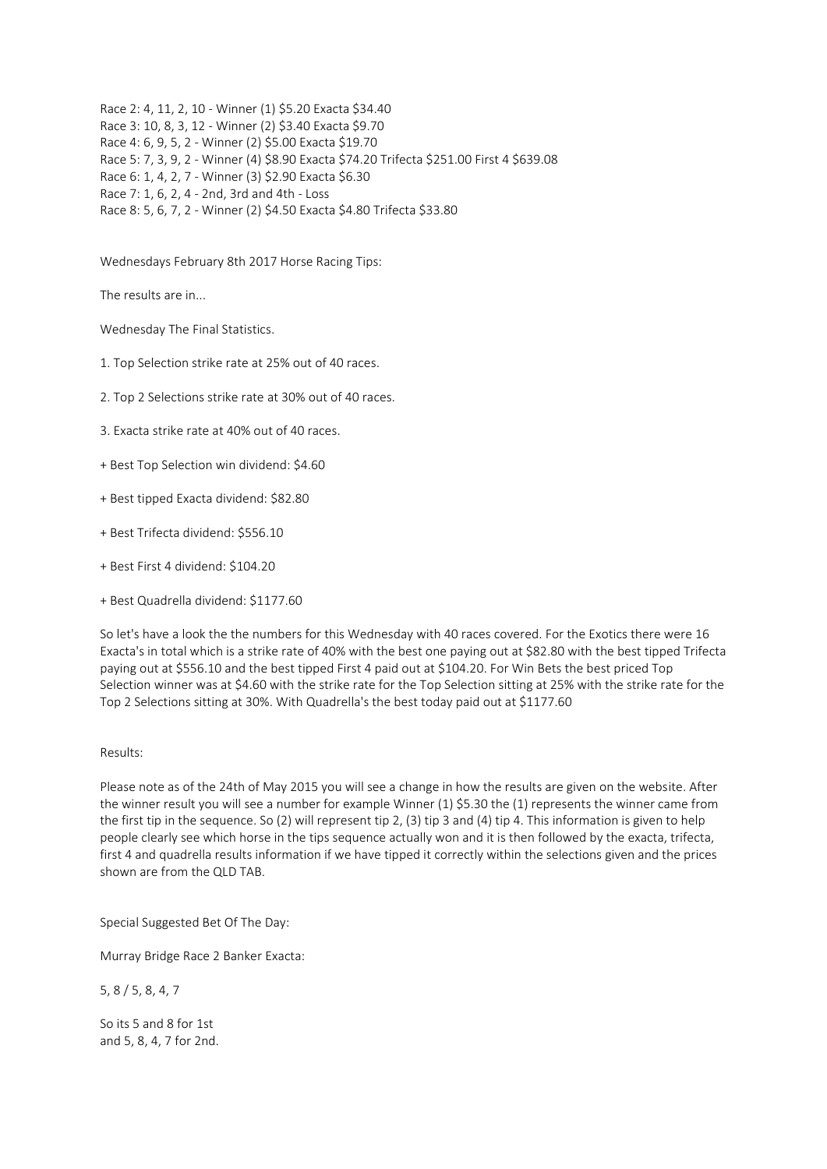Race 2: 4, 11, 2, 10 - Winner (1) \$5.20 Exacta \$34.40 Race 3: 10, 8, 3, 12 - Winner (2) \$3.40 Exacta \$9.70 Race 4: 6, 9, 5, 2 - Winner (2) \$5.00 Exacta \$19.70 Race 5: 7, 3, 9, 2 - Winner (4) \$8.90 Exacta \$74.20 Trifecta \$251.00 First 4 \$639.08 Race 6: 1, 4, 2, 7 - Winner (3) \$2.90 Exacta \$6.30 Race 7: 1, 6, 2, 4 - 2nd, 3rd and 4th - Loss Race 8: 5, 6, 7, 2 - Winner (2) \$4.50 Exacta \$4.80 Trifecta \$33.80

Wednesdays February 8th 2017 Horse Racing Tips:

The results are in...

Wednesday The Final Statistics.

1. Top Selection strike rate at 25% out of 40 races.

- 2. Top 2 Selections strike rate at 30% out of 40 races.
- 3. Exacta strike rate at 40% out of 40 races.
- + Best Top Selection win dividend: \$4.60
- + Best tipped Exacta dividend: \$82.80
- + Best Trifecta dividend: \$556.10
- + Best First 4 dividend: \$104.20
- + Best Quadrella dividend: \$1177.60

So let's have a look the the numbers for this Wednesday with 40 races covered. For the Exotics there were 16 Exacta's in total which is a strike rate of 40% with the best one paying out at \$82.80 with the best tipped Trifecta paying out at \$556.10 and the best tipped First 4 paid out at \$104.20. For Win Bets the best priced Top Selection winner was at \$4.60 with the strike rate for the Top Selection sitting at 25% with the strike rate for the Top 2 Selections sitting at 30%. With Quadrella's the best today paid out at \$1177.60

# Results:

Please note as of the 24th of May 2015 you will see a change in how the results are given on the website. After the winner result you will see a number for example Winner (1) \$5.30 the (1) represents the winner came from the first tip in the sequence. So (2) will represent tip 2, (3) tip 3 and (4) tip 4. This information is given to help people clearly see which horse in the tips sequence actually won and it is then followed by the exacta, trifecta, first 4 and quadrella results information if we have tipped it correctly within the selections given and the prices shown are from the QLD TAB.

Special Suggested Bet Of The Day:

Murray Bridge Race 2 Banker Exacta:

5, 8 / 5, 8, 4, 7

So its 5 and 8 for 1st and 5, 8, 4, 7 for 2nd.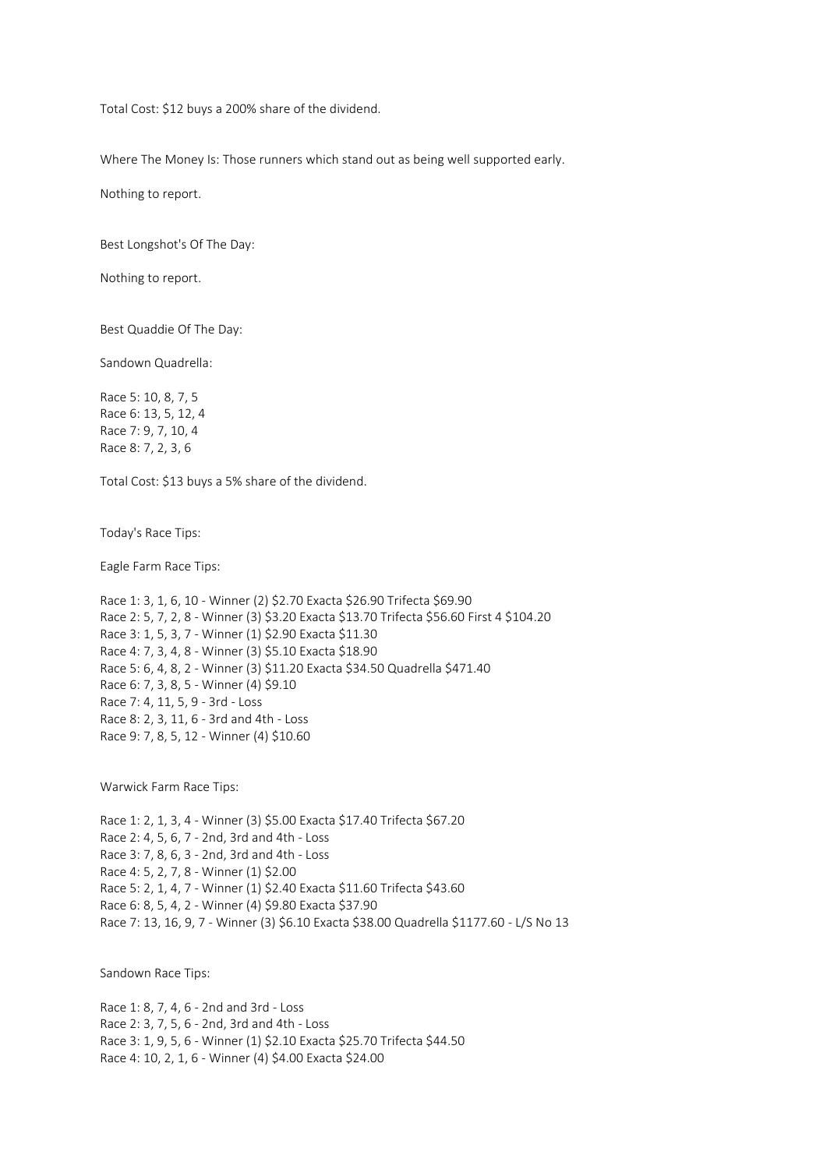Total Cost: \$12 buys a 200% share of the dividend.

Where The Money Is: Those runners which stand out as being well supported early.

Nothing to report.

Best Longshot's Of The Day:

Nothing to report.

Best Quaddie Of The Day:

Sandown Quadrella:

Race 5: 10, 8, 7, 5 Race 6: 13, 5, 12, 4 Race 7: 9, 7, 10, 4 Race 8: 7, 2, 3, 6

Total Cost: \$13 buys a 5% share of the dividend.

Today's Race Tips:

Eagle Farm Race Tips:

Race 1: 3, 1, 6, 10 - Winner (2) \$2.70 Exacta \$26.90 Trifecta \$69.90 Race 2: 5, 7, 2, 8 - Winner (3) \$3.20 Exacta \$13.70 Trifecta \$56.60 First 4 \$104.20 Race 3: 1, 5, 3, 7 - Winner (1) \$2.90 Exacta \$11.30 Race 4: 7, 3, 4, 8 - Winner (3) \$5.10 Exacta \$18.90 Race 5: 6, 4, 8, 2 - Winner (3) \$11.20 Exacta \$34.50 Quadrella \$471.40 Race 6: 7, 3, 8, 5 - Winner (4) \$9.10 Race 7: 4, 11, 5, 9 - 3rd - Loss Race 8: 2, 3, 11, 6 - 3rd and 4th - Loss Race 9: 7, 8, 5, 12 - Winner (4) \$10.60

Warwick Farm Race Tips:

Race 1: 2, 1, 3, 4 - Winner (3) \$5.00 Exacta \$17.40 Trifecta \$67.20 Race 2: 4, 5, 6, 7 - 2nd, 3rd and 4th - Loss Race 3: 7, 8, 6, 3 - 2nd, 3rd and 4th - Loss Race 4: 5, 2, 7, 8 - Winner (1) \$2.00 Race 5: 2, 1, 4, 7 - Winner (1) \$2.40 Exacta \$11.60 Trifecta \$43.60 Race 6: 8, 5, 4, 2 - Winner (4) \$9.80 Exacta \$37.90 Race 7: 13, 16, 9, 7 - Winner (3) \$6.10 Exacta \$38.00 Quadrella \$1177.60 - L/S No 13

Sandown Race Tips:

Race 1: 8, 7, 4, 6 - 2nd and 3rd - Loss Race 2: 3, 7, 5, 6 - 2nd, 3rd and 4th - Loss Race 3: 1, 9, 5, 6 - Winner (1) \$2.10 Exacta \$25.70 Trifecta \$44.50 Race 4: 10, 2, 1, 6 - Winner (4) \$4.00 Exacta \$24.00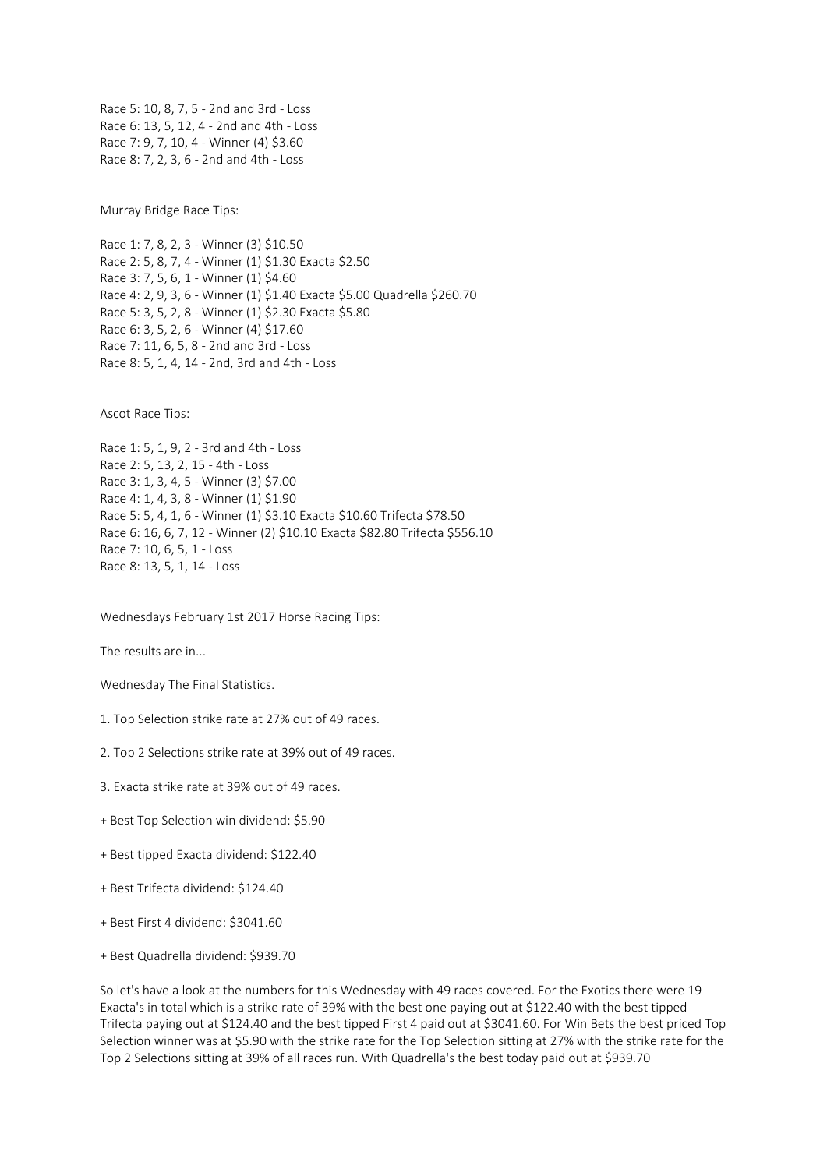Race 5: 10, 8, 7, 5 - 2nd and 3rd - Loss Race 6: 13, 5, 12, 4 - 2nd and 4th - Loss Race 7: 9, 7, 10, 4 - Winner (4) \$3.60 Race 8: 7, 2, 3, 6 - 2nd and 4th - Loss

Murray Bridge Race Tips:

Race 1: 7, 8, 2, 3 - Winner (3) \$10.50 Race 2: 5, 8, 7, 4 - Winner (1) \$1.30 Exacta \$2.50 Race 3: 7, 5, 6, 1 - Winner (1) \$4.60 Race 4: 2, 9, 3, 6 - Winner (1) \$1.40 Exacta \$5.00 Quadrella \$260.70 Race 5: 3, 5, 2, 8 - Winner (1) \$2.30 Exacta \$5.80 Race 6: 3, 5, 2, 6 - Winner (4) \$17.60 Race 7: 11, 6, 5, 8 - 2nd and 3rd - Loss Race 8: 5, 1, 4, 14 - 2nd, 3rd and 4th - Loss

Ascot Race Tips:

Race 1: 5, 1, 9, 2 - 3rd and 4th - Loss Race 2: 5, 13, 2, 15 - 4th - Loss Race 3: 1, 3, 4, 5 - Winner (3) \$7.00 Race 4: 1, 4, 3, 8 - Winner (1) \$1.90 Race 5: 5, 4, 1, 6 - Winner (1) \$3.10 Exacta \$10.60 Trifecta \$78.50 Race 6: 16, 6, 7, 12 - Winner (2) \$10.10 Exacta \$82.80 Trifecta \$556.10 Race 7: 10, 6, 5, 1 - Loss Race 8: 13, 5, 1, 14 - Loss

Wednesdays February 1st 2017 Horse Racing Tips:

The results are in...

Wednesday The Final Statistics.

- 1. Top Selection strike rate at 27% out of 49 races.
- 2. Top 2 Selections strike rate at 39% out of 49 races.
- 3. Exacta strike rate at 39% out of 49 races.
- + Best Top Selection win dividend: \$5.90
- + Best tipped Exacta dividend: \$122.40
- + Best Trifecta dividend: \$124.40
- + Best First 4 dividend: \$3041.60
- + Best Quadrella dividend: \$939.70

So let's have a look at the numbers for this Wednesday with 49 races covered. For the Exotics there were 19 Exacta's in total which is a strike rate of 39% with the best one paying out at \$122.40 with the best tipped Trifecta paying out at \$124.40 and the best tipped First 4 paid out at \$3041.60. For Win Bets the best priced Top Selection winner was at \$5.90 with the strike rate for the Top Selection sitting at 27% with the strike rate for the Top 2 Selections sitting at 39% of all races run. With Quadrella's the best today paid out at \$939.70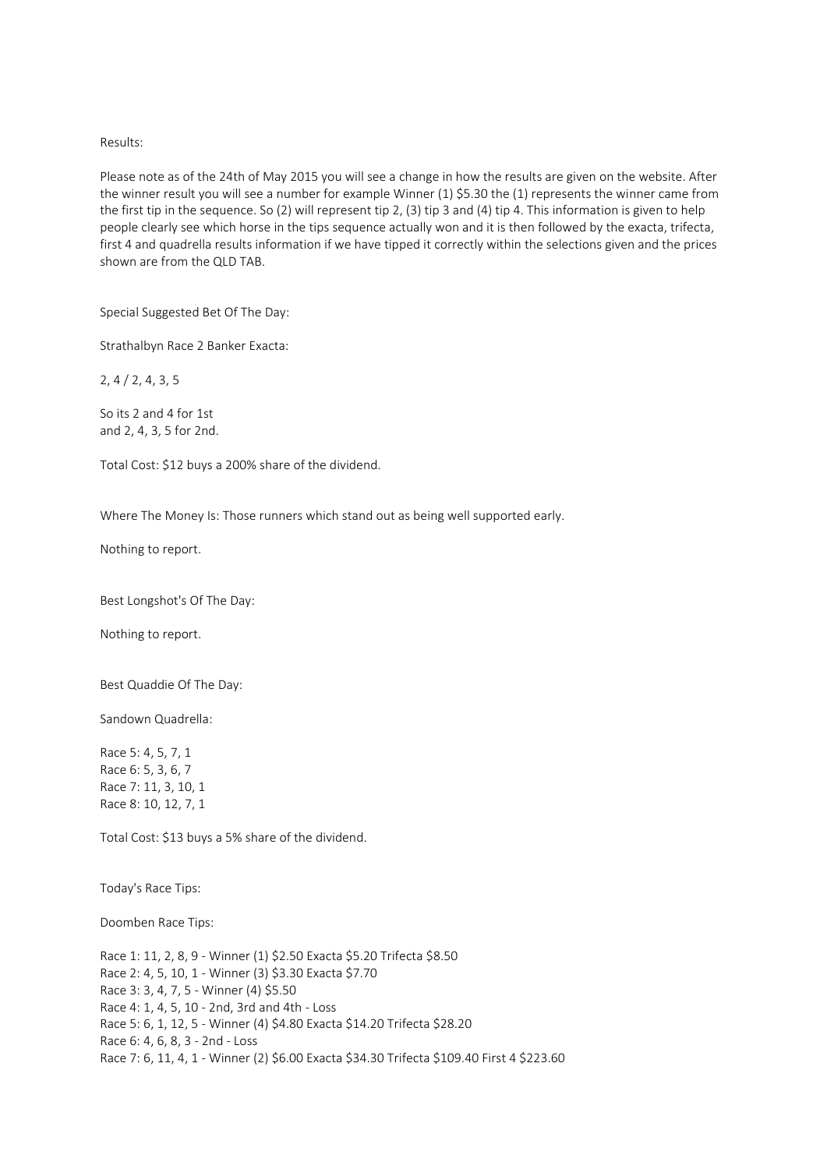Results:

Please note as of the 24th of May 2015 you will see a change in how the results are given on the website. After the winner result you will see a number for example Winner (1) \$5.30 the (1) represents the winner came from the first tip in the sequence. So (2) will represent tip 2, (3) tip 3 and (4) tip 4. This information is given to help people clearly see which horse in the tips sequence actually won and it is then followed by the exacta, trifecta, first 4 and quadrella results information if we have tipped it correctly within the selections given and the prices shown are from the QLD TAB.

Special Suggested Bet Of The Day:

Strathalbyn Race 2 Banker Exacta:

2, 4 / 2, 4, 3, 5

So its 2 and 4 for 1st and 2, 4, 3, 5 for 2nd.

Total Cost: \$12 buys a 200% share of the dividend.

Where The Money Is: Those runners which stand out as being well supported early.

Nothing to report.

Best Longshot's Of The Day:

Nothing to report.

Best Quaddie Of The Day:

Sandown Quadrella:

Race 5: 4, 5, 7, 1 Race 6: 5, 3, 6, 7 Race 7: 11, 3, 10, 1 Race 8: 10, 12, 7, 1

Total Cost: \$13 buys a 5% share of the dividend.

Today's Race Tips:

Doomben Race Tips:

Race 1: 11, 2, 8, 9 - Winner (1) \$2.50 Exacta \$5.20 Trifecta \$8.50 Race 2: 4, 5, 10, 1 - Winner (3) \$3.30 Exacta \$7.70 Race 3: 3, 4, 7, 5 - Winner (4) \$5.50 Race 4: 1, 4, 5, 10 - 2nd, 3rd and 4th - Loss Race 5: 6, 1, 12, 5 - Winner (4) \$4.80 Exacta \$14.20 Trifecta \$28.20 Race 6: 4, 6, 8, 3 - 2nd - Loss Race 7: 6, 11, 4, 1 - Winner (2) \$6.00 Exacta \$34.30 Trifecta \$109.40 First 4 \$223.60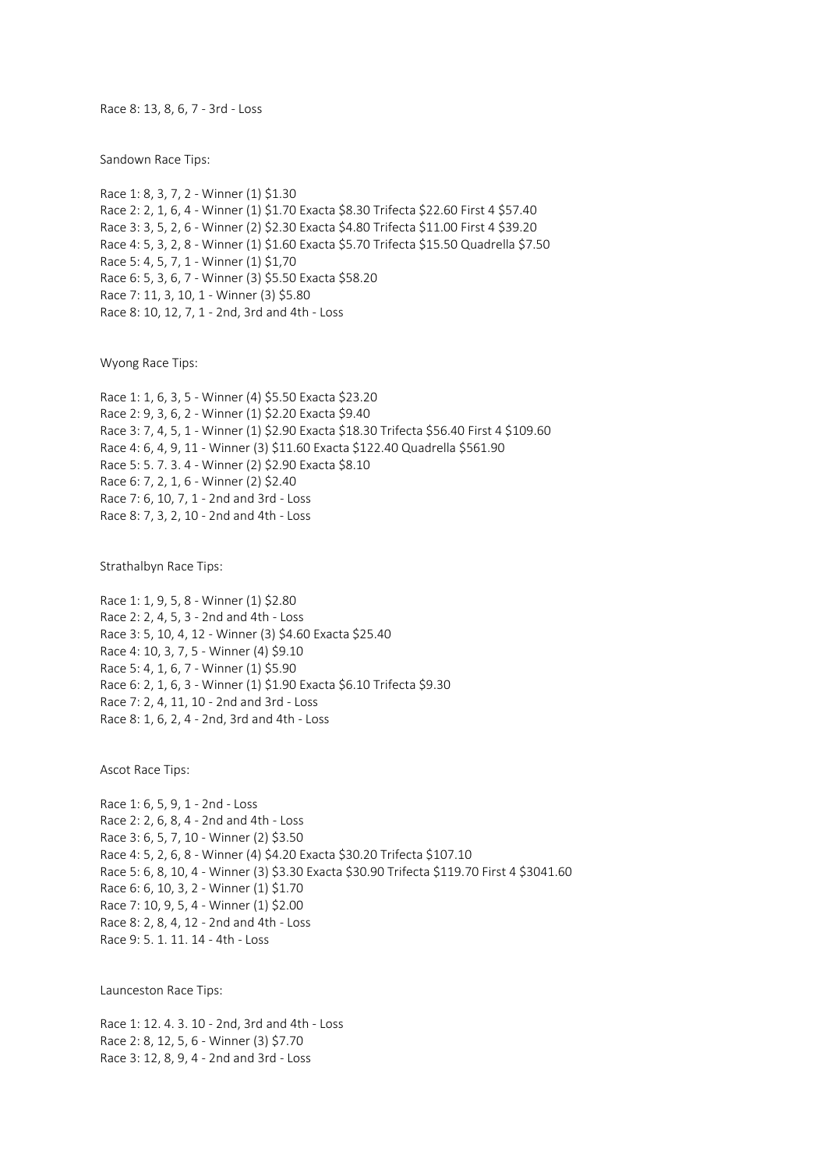Race 8: 13, 8, 6, 7 - 3rd - Loss

Sandown Race Tips:

Race 1: 8, 3, 7, 2 - Winner (1) \$1.30 Race 2: 2, 1, 6, 4 - Winner (1) \$1.70 Exacta \$8.30 Trifecta \$22.60 First 4 \$57.40 Race 3: 3, 5, 2, 6 - Winner (2) \$2.30 Exacta \$4.80 Trifecta \$11.00 First 4 \$39.20 Race 4: 5, 3, 2, 8 - Winner (1) \$1.60 Exacta \$5.70 Trifecta \$15.50 Quadrella \$7.50 Race 5: 4, 5, 7, 1 - Winner (1) \$1,70 Race 6: 5, 3, 6, 7 - Winner (3) \$5.50 Exacta \$58.20 Race 7: 11, 3, 10, 1 - Winner (3) \$5.80 Race 8: 10, 12, 7, 1 - 2nd, 3rd and 4th - Loss

Wyong Race Tips:

Race 1: 1, 6, 3, 5 - Winner (4) \$5.50 Exacta \$23.20 Race 2: 9, 3, 6, 2 - Winner (1) \$2.20 Exacta \$9.40 Race 3: 7, 4, 5, 1 - Winner (1) \$2.90 Exacta \$18.30 Trifecta \$56.40 First 4 \$109.60 Race 4: 6, 4, 9, 11 - Winner (3) \$11.60 Exacta \$122.40 Quadrella \$561.90 Race 5: 5. 7. 3. 4 - Winner (2) \$2.90 Exacta \$8.10 Race 6: 7, 2, 1, 6 - Winner (2) \$2.40 Race 7: 6, 10, 7, 1 - 2nd and 3rd - Loss Race 8: 7, 3, 2, 10 - 2nd and 4th - Loss

Strathalbyn Race Tips:

Race 1: 1, 9, 5, 8 - Winner (1) \$2.80 Race 2: 2, 4, 5, 3 - 2nd and 4th - Loss Race 3: 5, 10, 4, 12 - Winner (3) \$4.60 Exacta \$25.40 Race 4: 10, 3, 7, 5 - Winner (4) \$9.10 Race 5: 4, 1, 6, 7 - Winner (1) \$5.90 Race 6: 2, 1, 6, 3 - Winner (1) \$1.90 Exacta \$6.10 Trifecta \$9.30 Race 7: 2, 4, 11, 10 - 2nd and 3rd - Loss Race 8: 1, 6, 2, 4 - 2nd, 3rd and 4th - Loss

Ascot Race Tips:

Race 1: 6, 5, 9, 1 - 2nd - Loss Race 2: 2, 6, 8, 4 - 2nd and 4th - Loss Race 3: 6, 5, 7, 10 - Winner (2) \$3.50 Race 4: 5, 2, 6, 8 - Winner (4) \$4.20 Exacta \$30.20 Trifecta \$107.10 Race 5: 6, 8, 10, 4 - Winner (3) \$3.30 Exacta \$30.90 Trifecta \$119.70 First 4 \$3041.60 Race 6: 6, 10, 3, 2 - Winner (1) \$1.70 Race 7: 10, 9, 5, 4 - Winner (1) \$2.00 Race 8: 2, 8, 4, 12 - 2nd and 4th - Loss Race 9: 5. 1. 11. 14 - 4th - Loss

Launceston Race Tips:

Race 1: 12. 4. 3. 10 - 2nd, 3rd and 4th - Loss Race 2: 8, 12, 5, 6 - Winner (3) \$7.70 Race 3: 12, 8, 9, 4 - 2nd and 3rd - Loss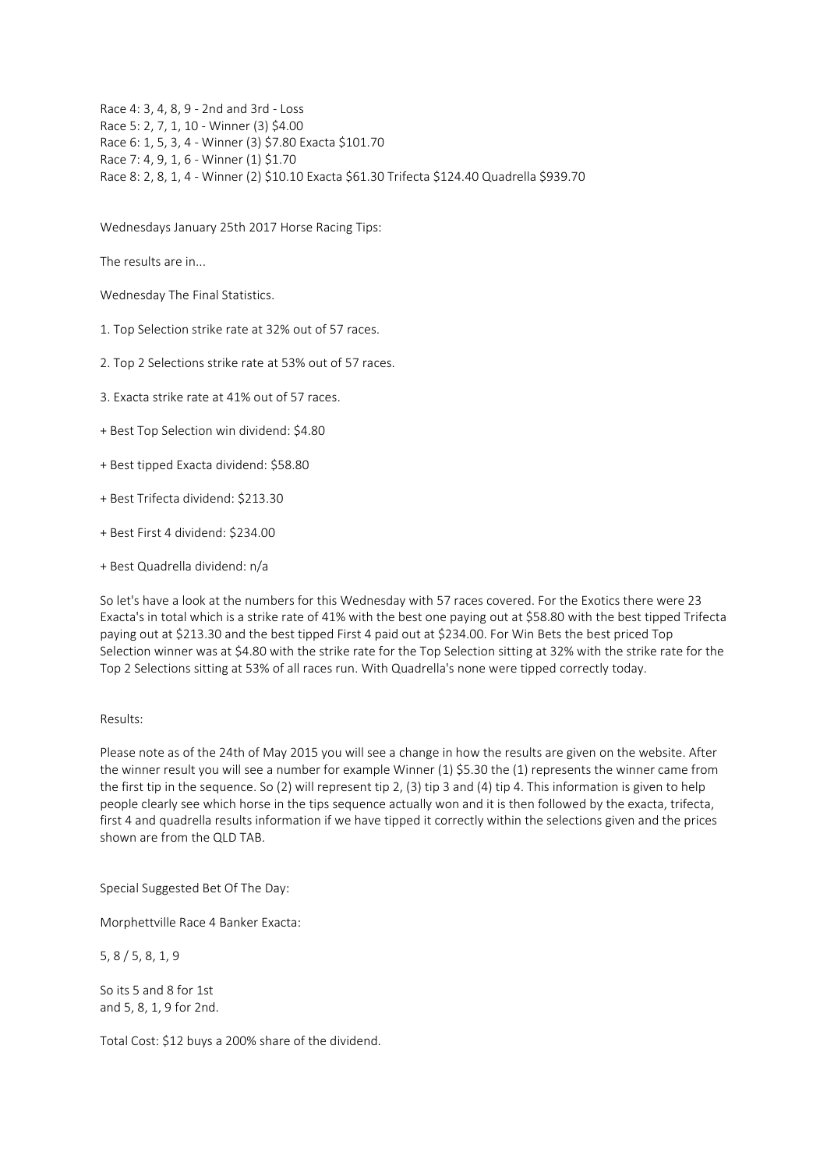Race 4: 3, 4, 8, 9 - 2nd and 3rd - Loss Race 5: 2, 7, 1, 10 - Winner (3) \$4.00 Race 6: 1, 5, 3, 4 - Winner (3) \$7.80 Exacta \$101.70 Race 7: 4, 9, 1, 6 - Winner (1) \$1.70 Race 8: 2, 8, 1, 4 - Winner (2) \$10.10 Exacta \$61.30 Trifecta \$124.40 Quadrella \$939.70

Wednesdays January 25th 2017 Horse Racing Tips:

The results are in...

Wednesday The Final Statistics.

1. Top Selection strike rate at 32% out of 57 races.

2. Top 2 Selections strike rate at 53% out of 57 races.

3. Exacta strike rate at 41% out of 57 races.

- + Best Top Selection win dividend: \$4.80
- + Best tipped Exacta dividend: \$58.80
- + Best Trifecta dividend: \$213.30
- + Best First 4 dividend: \$234.00
- + Best Quadrella dividend: n/a

So let's have a look at the numbers for this Wednesday with 57 races covered. For the Exotics there were 23 Exacta's in total which is a strike rate of 41% with the best one paying out at \$58.80 with the best tipped Trifecta paying out at \$213.30 and the best tipped First 4 paid out at \$234.00. For Win Bets the best priced Top Selection winner was at \$4.80 with the strike rate for the Top Selection sitting at 32% with the strike rate for the Top 2 Selections sitting at 53% of all races run. With Quadrella's none were tipped correctly today.

## Results:

Please note as of the 24th of May 2015 you will see a change in how the results are given on the website. After the winner result you will see a number for example Winner (1) \$5.30 the (1) represents the winner came from the first tip in the sequence. So (2) will represent tip 2, (3) tip 3 and (4) tip 4. This information is given to help people clearly see which horse in the tips sequence actually won and it is then followed by the exacta, trifecta, first 4 and quadrella results information if we have tipped it correctly within the selections given and the prices shown are from the QLD TAB.

Special Suggested Bet Of The Day:

Morphettville Race 4 Banker Exacta:

5, 8 / 5, 8, 1, 9

So its 5 and 8 for 1st and 5, 8, 1, 9 for 2nd.

Total Cost: \$12 buys a 200% share of the dividend.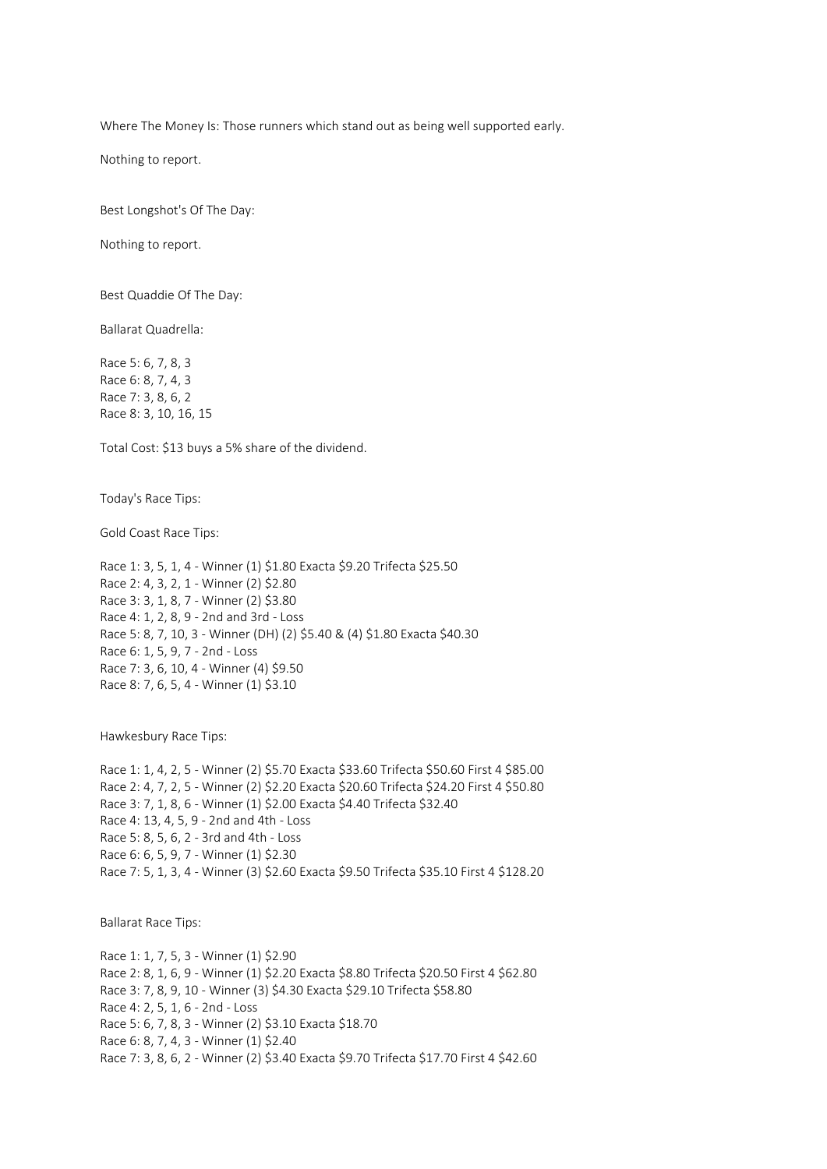Where The Money Is: Those runners which stand out as being well supported early.

Nothing to report.

Best Longshot's Of The Day:

Nothing to report.

Best Quaddie Of The Day:

Ballarat Quadrella:

Race 5: 6, 7, 8, 3 Race 6: 8, 7, 4, 3 Race 7: 3, 8, 6, 2 Race 8: 3, 10, 16, 15

Total Cost: \$13 buys a 5% share of the dividend.

Today's Race Tips:

Gold Coast Race Tips:

Race 1: 3, 5, 1, 4 - Winner (1) \$1.80 Exacta \$9.20 Trifecta \$25.50 Race 2: 4, 3, 2, 1 - Winner (2) \$2.80 Race 3: 3, 1, 8, 7 - Winner (2) \$3.80 Race 4: 1, 2, 8, 9 - 2nd and 3rd - Loss Race 5: 8, 7, 10, 3 - Winner (DH) (2) \$5.40 & (4) \$1.80 Exacta \$40.30 Race 6: 1, 5, 9, 7 - 2nd - Loss Race 7: 3, 6, 10, 4 - Winner (4) \$9.50 Race 8: 7, 6, 5, 4 - Winner (1) \$3.10

Hawkesbury Race Tips:

Race 1: 1, 4, 2, 5 - Winner (2) \$5.70 Exacta \$33.60 Trifecta \$50.60 First 4 \$85.00 Race 2: 4, 7, 2, 5 - Winner (2) \$2.20 Exacta \$20.60 Trifecta \$24.20 First 4 \$50.80 Race 3: 7, 1, 8, 6 - Winner (1) \$2.00 Exacta \$4.40 Trifecta \$32.40 Race 4: 13, 4, 5, 9 - 2nd and 4th - Loss Race 5: 8, 5, 6, 2 - 3rd and 4th - Loss Race 6: 6, 5, 9, 7 - Winner (1) \$2.30 Race 7: 5, 1, 3, 4 - Winner (3) \$2.60 Exacta \$9.50 Trifecta \$35.10 First 4 \$128.20

Ballarat Race Tips:

Race 1: 1, 7, 5, 3 - Winner (1) \$2.90 Race 2: 8, 1, 6, 9 - Winner (1) \$2.20 Exacta \$8.80 Trifecta \$20.50 First 4 \$62.80 Race 3: 7, 8, 9, 10 - Winner (3) \$4.30 Exacta \$29.10 Trifecta \$58.80 Race 4: 2, 5, 1, 6 - 2nd - Loss Race 5: 6, 7, 8, 3 - Winner (2) \$3.10 Exacta \$18.70 Race 6: 8, 7, 4, 3 - Winner (1) \$2.40 Race 7: 3, 8, 6, 2 - Winner (2) \$3.40 Exacta \$9.70 Trifecta \$17.70 First 4 \$42.60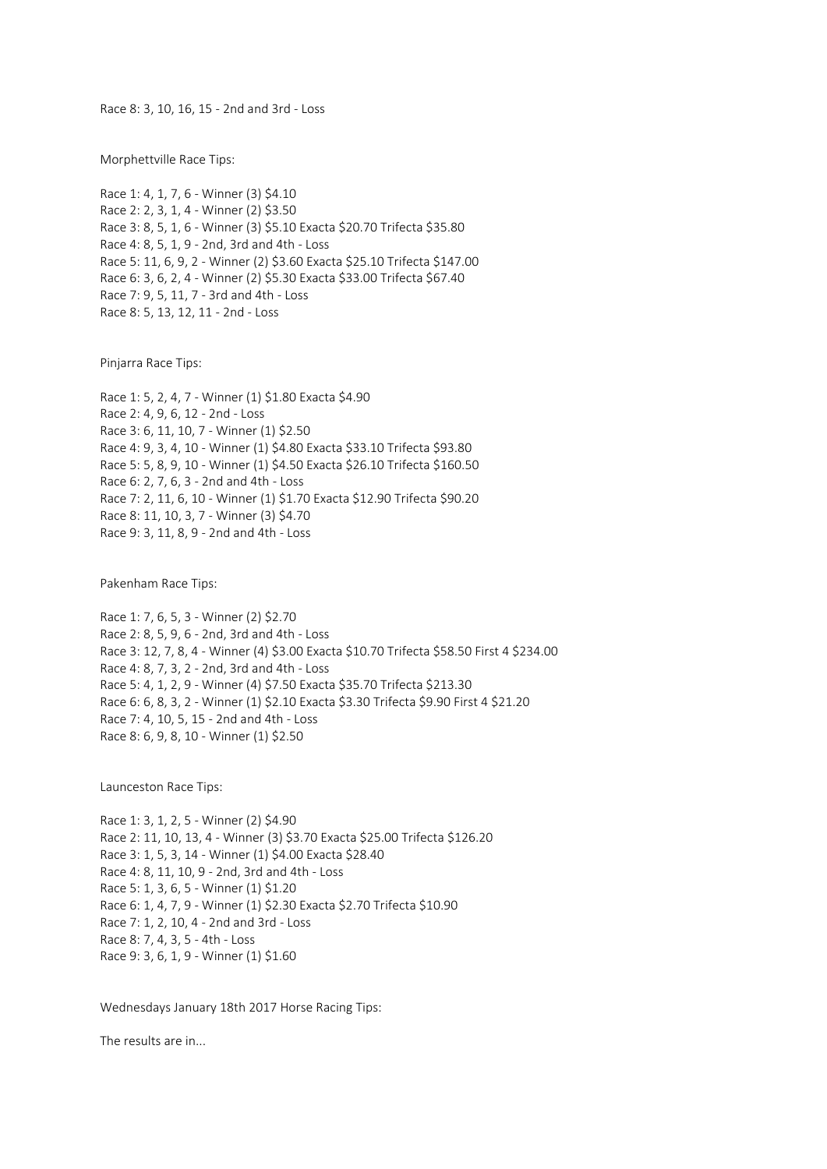Race 8: 3, 10, 16, 15 - 2nd and 3rd - Loss

Morphettville Race Tips:

Race 1: 4, 1, 7, 6 - Winner (3) \$4.10 Race 2: 2, 3, 1, 4 - Winner (2) \$3.50 Race 3: 8, 5, 1, 6 - Winner (3) \$5.10 Exacta \$20.70 Trifecta \$35.80 Race 4: 8, 5, 1, 9 - 2nd, 3rd and 4th - Loss Race 5: 11, 6, 9, 2 - Winner (2) \$3.60 Exacta \$25.10 Trifecta \$147.00 Race 6: 3, 6, 2, 4 - Winner (2) \$5.30 Exacta \$33.00 Trifecta \$67.40 Race 7: 9, 5, 11, 7 - 3rd and 4th - Loss Race 8: 5, 13, 12, 11 - 2nd - Loss

Pinjarra Race Tips:

Race 1: 5, 2, 4, 7 - Winner (1) \$1.80 Exacta \$4.90 Race 2: 4, 9, 6, 12 - 2nd - Loss Race 3: 6, 11, 10, 7 - Winner (1) \$2.50 Race 4: 9, 3, 4, 10 - Winner (1) \$4.80 Exacta \$33.10 Trifecta \$93.80 Race 5: 5, 8, 9, 10 - Winner (1) \$4.50 Exacta \$26.10 Trifecta \$160.50 Race 6: 2, 7, 6, 3 - 2nd and 4th - Loss Race 7: 2, 11, 6, 10 - Winner (1) \$1.70 Exacta \$12.90 Trifecta \$90.20 Race 8: 11, 10, 3, 7 - Winner (3) \$4.70 Race 9: 3, 11, 8, 9 - 2nd and 4th - Loss

Pakenham Race Tips:

Race 1: 7, 6, 5, 3 - Winner (2) \$2.70 Race 2: 8, 5, 9, 6 - 2nd, 3rd and 4th - Loss Race 3: 12, 7, 8, 4 - Winner (4) \$3.00 Exacta \$10.70 Trifecta \$58.50 First 4 \$234.00 Race 4: 8, 7, 3, 2 - 2nd, 3rd and 4th - Loss Race 5: 4, 1, 2, 9 - Winner (4) \$7.50 Exacta \$35.70 Trifecta \$213.30 Race 6: 6, 8, 3, 2 - Winner (1) \$2.10 Exacta \$3.30 Trifecta \$9.90 First 4 \$21.20 Race 7: 4, 10, 5, 15 - 2nd and 4th - Loss Race 8: 6, 9, 8, 10 - Winner (1) \$2.50

Launceston Race Tips:

Race 1: 3, 1, 2, 5 - Winner (2) \$4.90 Race 2: 11, 10, 13, 4 - Winner (3) \$3.70 Exacta \$25.00 Trifecta \$126.20 Race 3: 1, 5, 3, 14 - Winner (1) \$4.00 Exacta \$28.40 Race 4: 8, 11, 10, 9 - 2nd, 3rd and 4th - Loss Race 5: 1, 3, 6, 5 - Winner (1) \$1.20 Race 6: 1, 4, 7, 9 - Winner (1) \$2.30 Exacta \$2.70 Trifecta \$10.90 Race 7: 1, 2, 10, 4 - 2nd and 3rd - Loss Race 8: 7, 4, 3, 5 - 4th - Loss Race 9: 3, 6, 1, 9 - Winner (1) \$1.60

Wednesdays January 18th 2017 Horse Racing Tips:

The results are in...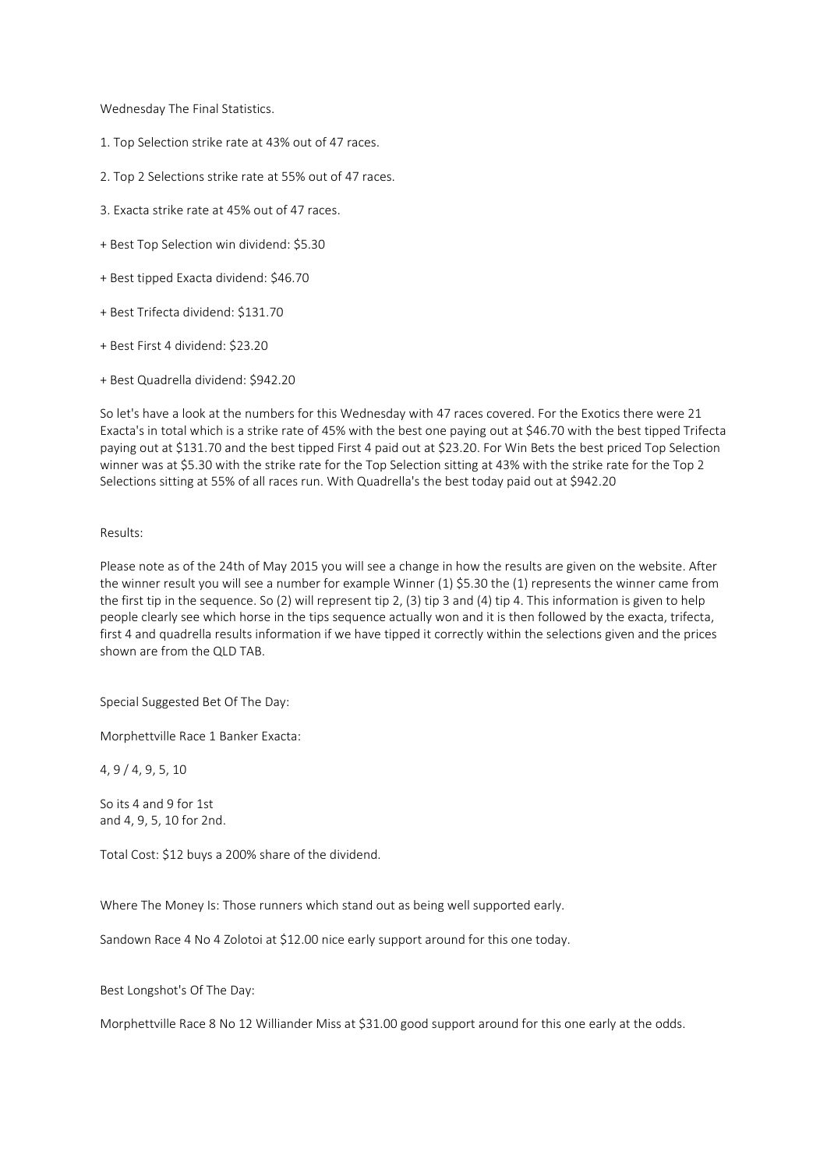Wednesday The Final Statistics.

- 1. Top Selection strike rate at 43% out of 47 races.
- 2. Top 2 Selections strike rate at 55% out of 47 races.
- 3. Exacta strike rate at 45% out of 47 races.
- + Best Top Selection win dividend: \$5.30
- + Best tipped Exacta dividend: \$46.70
- + Best Trifecta dividend: \$131.70
- + Best First 4 dividend: \$23.20
- + Best Quadrella dividend: \$942.20

So let's have a look at the numbers for this Wednesday with 47 races covered. For the Exotics there were 21 Exacta's in total which is a strike rate of 45% with the best one paying out at \$46.70 with the best tipped Trifecta paying out at \$131.70 and the best tipped First 4 paid out at \$23.20. For Win Bets the best priced Top Selection winner was at \$5.30 with the strike rate for the Top Selection sitting at 43% with the strike rate for the Top 2 Selections sitting at 55% of all races run. With Quadrella's the best today paid out at \$942.20

## Results:

Please note as of the 24th of May 2015 you will see a change in how the results are given on the website. After the winner result you will see a number for example Winner (1) \$5.30 the (1) represents the winner came from the first tip in the sequence. So (2) will represent tip 2, (3) tip 3 and (4) tip 4. This information is given to help people clearly see which horse in the tips sequence actually won and it is then followed by the exacta, trifecta, first 4 and quadrella results information if we have tipped it correctly within the selections given and the prices shown are from the QLD TAB.

Special Suggested Bet Of The Day:

Morphettville Race 1 Banker Exacta:

4, 9 / 4, 9, 5, 10

So its 4 and 9 for 1st and 4, 9, 5, 10 for 2nd.

Total Cost: \$12 buys a 200% share of the dividend.

Where The Money Is: Those runners which stand out as being well supported early.

Sandown Race 4 No 4 Zolotoi at \$12.00 nice early support around for this one today.

Best Longshot's Of The Day:

Morphettville Race 8 No 12 Williander Miss at \$31.00 good support around for this one early at the odds.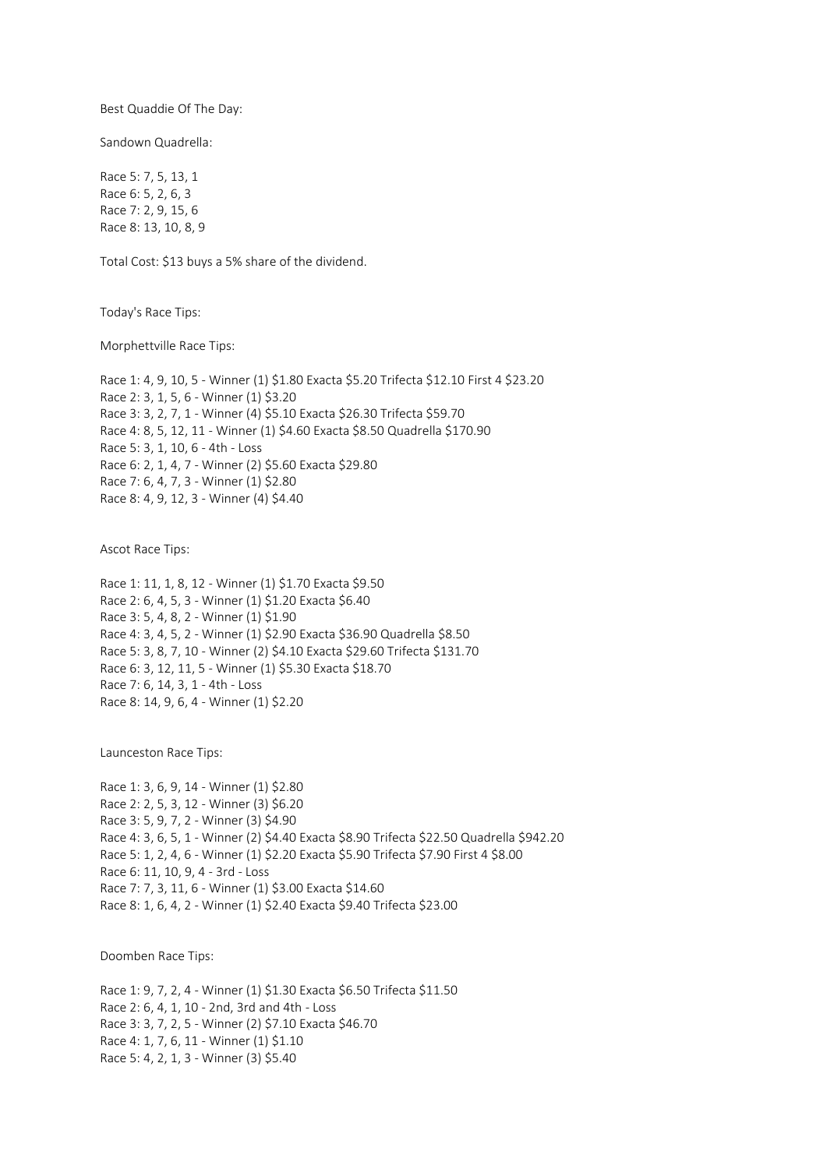Best Quaddie Of The Day:

Sandown Quadrella:

Race 5: 7, 5, 13, 1 Race 6: 5, 2, 6, 3 Race 7: 2, 9, 15, 6 Race 8: 13, 10, 8, 9

Total Cost: \$13 buys a 5% share of the dividend.

Today's Race Tips:

Morphettville Race Tips:

Race 1: 4, 9, 10, 5 - Winner (1) \$1.80 Exacta \$5.20 Trifecta \$12.10 First 4 \$23.20 Race 2: 3, 1, 5, 6 - Winner (1) \$3.20 Race 3: 3, 2, 7, 1 - Winner (4) \$5.10 Exacta \$26.30 Trifecta \$59.70 Race 4: 8, 5, 12, 11 - Winner (1) \$4.60 Exacta \$8.50 Quadrella \$170.90 Race 5: 3, 1, 10, 6 - 4th - Loss Race 6: 2, 1, 4, 7 - Winner (2) \$5.60 Exacta \$29.80 Race 7: 6, 4, 7, 3 - Winner (1) \$2.80 Race 8: 4, 9, 12, 3 - Winner (4) \$4.40

Ascot Race Tips:

Race 1: 11, 1, 8, 12 - Winner (1) \$1.70 Exacta \$9.50 Race 2: 6, 4, 5, 3 - Winner (1) \$1.20 Exacta \$6.40 Race 3: 5, 4, 8, 2 - Winner (1) \$1.90 Race 4: 3, 4, 5, 2 - Winner (1) \$2.90 Exacta \$36.90 Quadrella \$8.50 Race 5: 3, 8, 7, 10 - Winner (2) \$4.10 Exacta \$29.60 Trifecta \$131.70 Race 6: 3, 12, 11, 5 - Winner (1) \$5.30 Exacta \$18.70 Race 7: 6, 14, 3, 1 - 4th - Loss Race 8: 14, 9, 6, 4 - Winner (1) \$2.20

Launceston Race Tips:

Race 1: 3, 6, 9, 14 - Winner (1) \$2.80 Race 2: 2, 5, 3, 12 - Winner (3) \$6.20 Race 3: 5, 9, 7, 2 - Winner (3) \$4.90 Race 4: 3, 6, 5, 1 - Winner (2) \$4.40 Exacta \$8.90 Trifecta \$22.50 Quadrella \$942.20 Race 5: 1, 2, 4, 6 - Winner (1) \$2.20 Exacta \$5.90 Trifecta \$7.90 First 4 \$8.00 Race 6: 11, 10, 9, 4 - 3rd - Loss Race 7: 7, 3, 11, 6 - Winner (1) \$3.00 Exacta \$14.60 Race 8: 1, 6, 4, 2 - Winner (1) \$2.40 Exacta \$9.40 Trifecta \$23.00

Doomben Race Tips:

Race 1: 9, 7, 2, 4 - Winner (1) \$1.30 Exacta \$6.50 Trifecta \$11.50 Race 2: 6, 4, 1, 10 - 2nd, 3rd and 4th - Loss Race 3: 3, 7, 2, 5 - Winner (2) \$7.10 Exacta \$46.70 Race 4: 1, 7, 6, 11 - Winner (1) \$1.10 Race 5: 4, 2, 1, 3 - Winner (3) \$5.40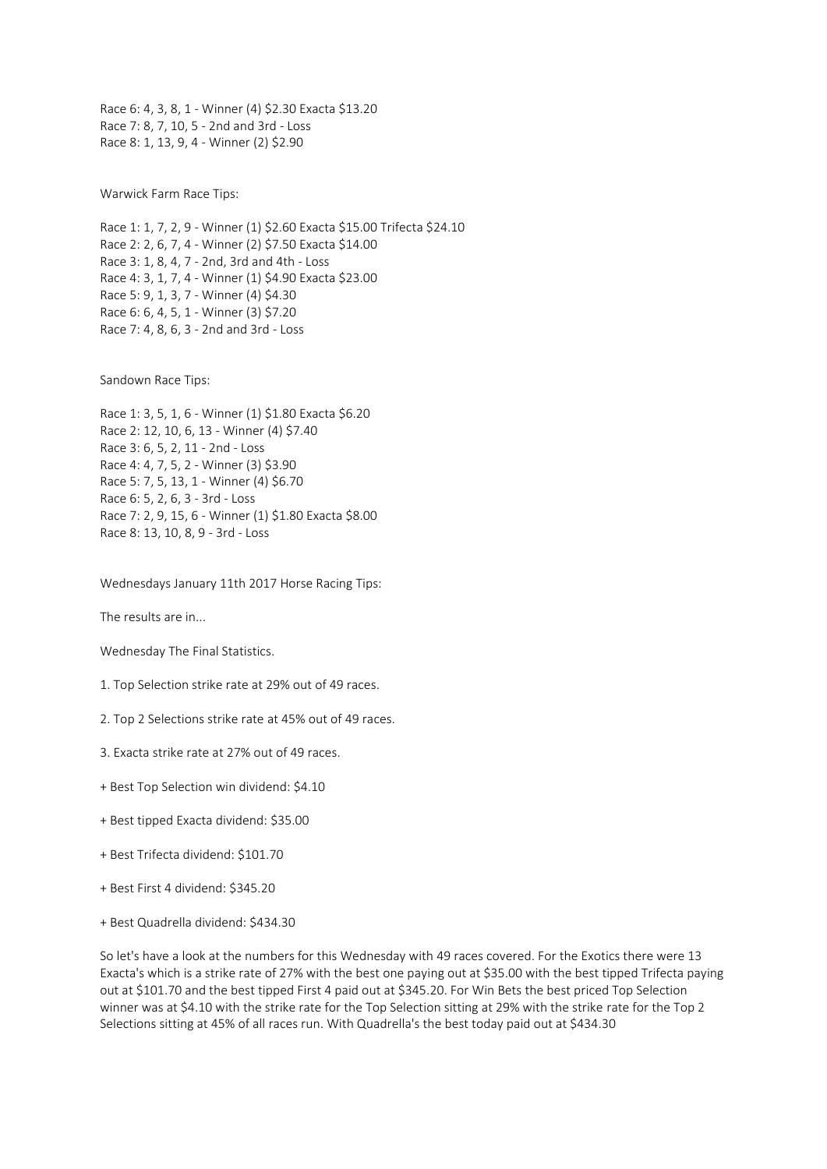Race 6: 4, 3, 8, 1 - Winner (4) \$2.30 Exacta \$13.20 Race 7: 8, 7, 10, 5 - 2nd and 3rd - Loss Race 8: 1, 13, 9, 4 - Winner (2) \$2.90

Warwick Farm Race Tips:

Race 1: 1, 7, 2, 9 - Winner (1) \$2.60 Exacta \$15.00 Trifecta \$24.10 Race 2: 2, 6, 7, 4 - Winner (2) \$7.50 Exacta \$14.00 Race 3: 1, 8, 4, 7 - 2nd, 3rd and 4th - Loss Race 4: 3, 1, 7, 4 - Winner (1) \$4.90 Exacta \$23.00 Race 5: 9, 1, 3, 7 - Winner (4) \$4.30 Race 6: 6, 4, 5, 1 - Winner (3) \$7.20 Race 7: 4, 8, 6, 3 - 2nd and 3rd - Loss

Sandown Race Tips:

Race 1: 3, 5, 1, 6 - Winner (1) \$1.80 Exacta \$6.20 Race 2: 12, 10, 6, 13 - Winner (4) \$7.40 Race 3: 6, 5, 2, 11 - 2nd - Loss Race 4: 4, 7, 5, 2 - Winner (3) \$3.90 Race 5: 7, 5, 13, 1 - Winner (4) \$6.70 Race 6: 5, 2, 6, 3 - 3rd - Loss Race 7: 2, 9, 15, 6 - Winner (1) \$1.80 Exacta \$8.00 Race 8: 13, 10, 8, 9 - 3rd - Loss

Wednesdays January 11th 2017 Horse Racing Tips:

The results are in...

Wednesday The Final Statistics.

1. Top Selection strike rate at 29% out of 49 races.

- 2. Top 2 Selections strike rate at 45% out of 49 races.
- 3. Exacta strike rate at 27% out of 49 races.
- + Best Top Selection win dividend: \$4.10
- + Best tipped Exacta dividend: \$35.00
- + Best Trifecta dividend: \$101.70
- + Best First 4 dividend: \$345.20
- + Best Quadrella dividend: \$434.30

So let's have a look at the numbers for this Wednesday with 49 races covered. For the Exotics there were 13 Exacta's which is a strike rate of 27% with the best one paying out at \$35.00 with the best tipped Trifecta paying out at \$101.70 and the best tipped First 4 paid out at \$345.20. For Win Bets the best priced Top Selection winner was at \$4.10 with the strike rate for the Top Selection sitting at 29% with the strike rate for the Top 2 Selections sitting at 45% of all races run. With Quadrella's the best today paid out at \$434.30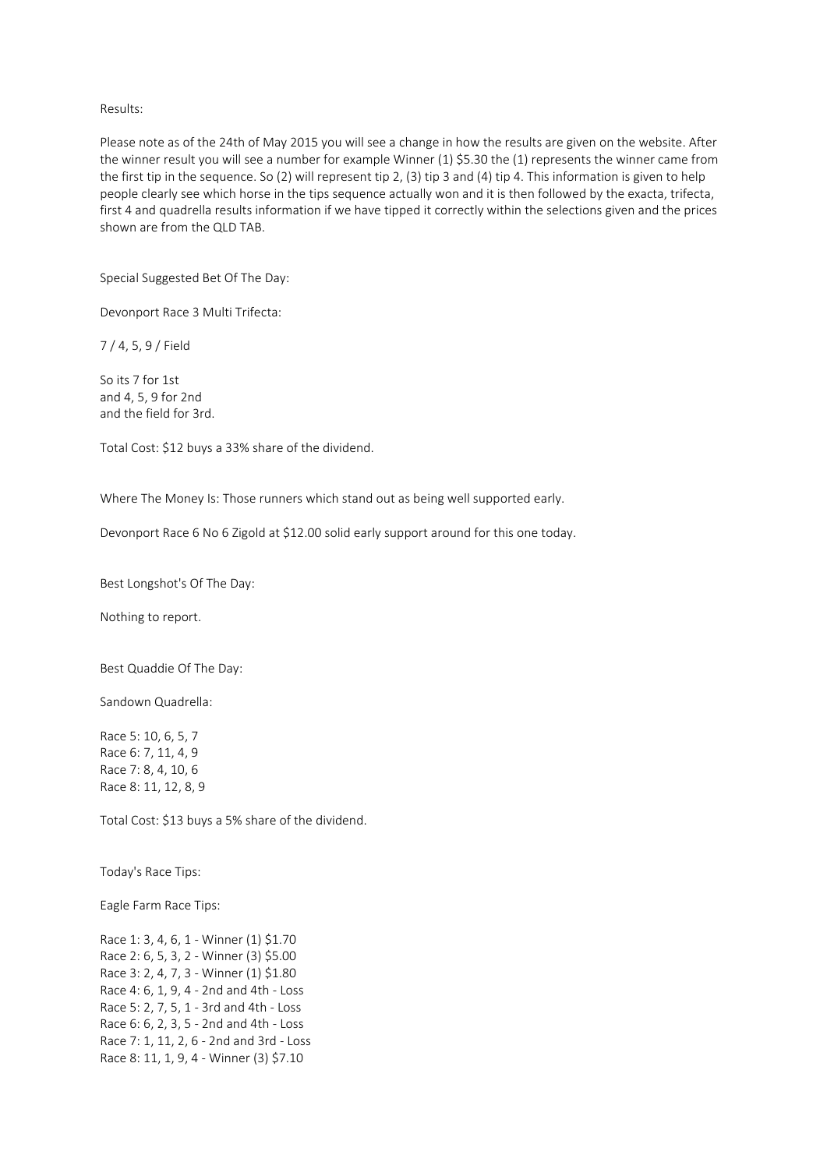## Results:

Please note as of the 24th of May 2015 you will see a change in how the results are given on the website. After the winner result you will see a number for example Winner (1) \$5.30 the (1) represents the winner came from the first tip in the sequence. So (2) will represent tip 2, (3) tip 3 and (4) tip 4. This information is given to help people clearly see which horse in the tips sequence actually won and it is then followed by the exacta, trifecta, first 4 and quadrella results information if we have tipped it correctly within the selections given and the prices shown are from the QLD TAB.

Special Suggested Bet Of The Day:

Devonport Race 3 Multi Trifecta:

7 / 4, 5, 9 / Field

So its 7 for 1st and 4, 5, 9 for 2nd and the field for 3rd.

Total Cost: \$12 buys a 33% share of the dividend.

Where The Money Is: Those runners which stand out as being well supported early.

Devonport Race 6 No 6 Zigold at \$12.00 solid early support around for this one today.

Best Longshot's Of The Day:

Nothing to report.

Best Quaddie Of The Day:

Sandown Quadrella:

Race 5: 10, 6, 5, 7 Race 6: 7, 11, 4, 9 Race 7: 8, 4, 10, 6 Race 8: 11, 12, 8, 9

Total Cost: \$13 buys a 5% share of the dividend.

Today's Race Tips:

Eagle Farm Race Tips:

Race 1: 3, 4, 6, 1 - Winner (1) \$1.70 Race 2: 6, 5, 3, 2 - Winner (3) \$5.00 Race 3: 2, 4, 7, 3 - Winner (1) \$1.80 Race 4: 6, 1, 9, 4 - 2nd and 4th - Loss Race 5: 2, 7, 5, 1 - 3rd and 4th - Loss Race 6: 6, 2, 3, 5 - 2nd and 4th - Loss Race 7: 1, 11, 2, 6 - 2nd and 3rd - Loss Race 8: 11, 1, 9, 4 - Winner (3) \$7.10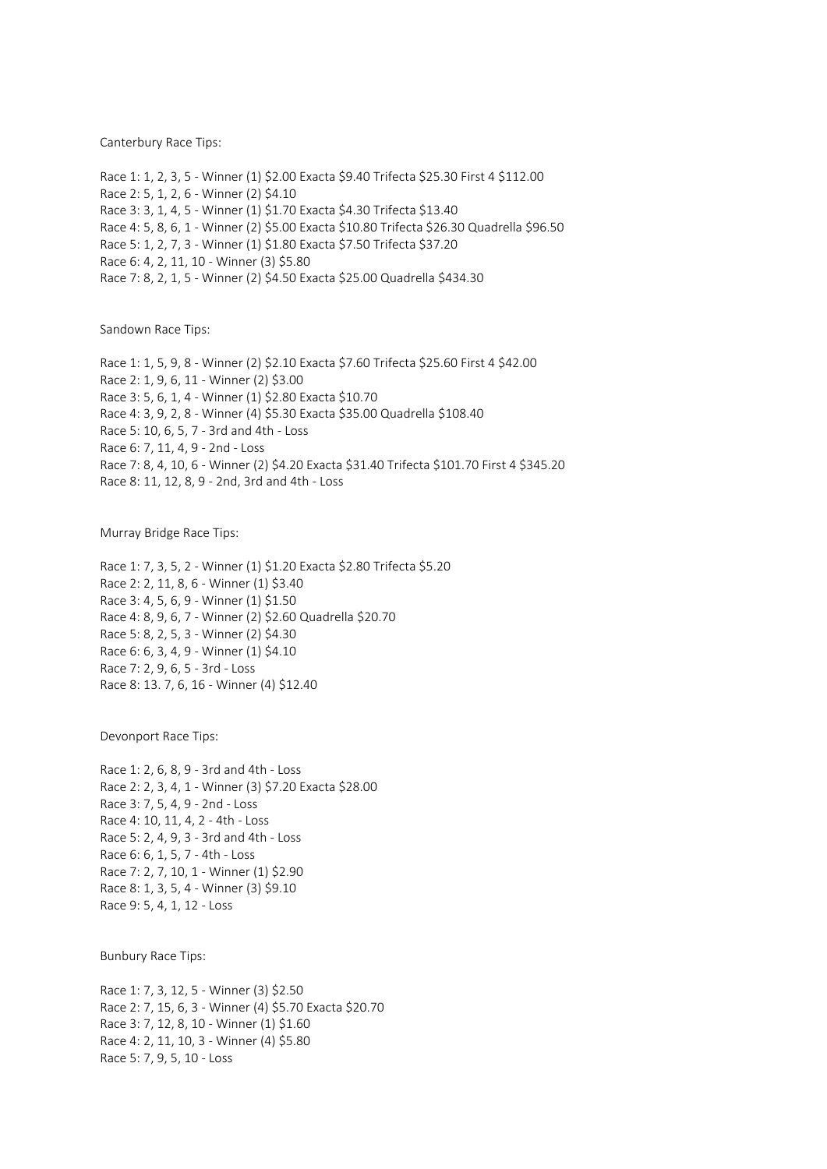Canterbury Race Tips:

Race 1: 1, 2, 3, 5 - Winner (1) \$2.00 Exacta \$9.40 Trifecta \$25.30 First 4 \$112.00 Race 2: 5, 1, 2, 6 - Winner (2) \$4.10 Race 3: 3, 1, 4, 5 - Winner (1) \$1.70 Exacta \$4.30 Trifecta \$13.40 Race 4: 5, 8, 6, 1 - Winner (2) \$5.00 Exacta \$10.80 Trifecta \$26.30 Quadrella \$96.50 Race 5: 1, 2, 7, 3 - Winner (1) \$1.80 Exacta \$7.50 Trifecta \$37.20 Race 6: 4, 2, 11, 10 - Winner (3) \$5.80 Race 7: 8, 2, 1, 5 - Winner (2) \$4.50 Exacta \$25.00 Quadrella \$434.30

Sandown Race Tips:

Race 1: 1, 5, 9, 8 - Winner (2) \$2.10 Exacta \$7.60 Trifecta \$25.60 First 4 \$42.00 Race 2: 1, 9, 6, 11 - Winner (2) \$3.00 Race 3: 5, 6, 1, 4 - Winner (1) \$2.80 Exacta \$10.70 Race 4: 3, 9, 2, 8 - Winner (4) \$5.30 Exacta \$35.00 Quadrella \$108.40 Race 5: 10, 6, 5, 7 - 3rd and 4th - Loss Race 6: 7, 11, 4, 9 - 2nd - Loss Race 7: 8, 4, 10, 6 - Winner (2) \$4.20 Exacta \$31.40 Trifecta \$101.70 First 4 \$345.20 Race 8: 11, 12, 8, 9 - 2nd, 3rd and 4th - Loss

Murray Bridge Race Tips:

Race 1: 7, 3, 5, 2 - Winner (1) \$1.20 Exacta \$2.80 Trifecta \$5.20 Race 2: 2, 11, 8, 6 - Winner (1) \$3.40 Race 3: 4, 5, 6, 9 - Winner (1) \$1.50 Race 4: 8, 9, 6, 7 - Winner (2) \$2.60 Quadrella \$20.70 Race 5: 8, 2, 5, 3 - Winner (2) \$4.30 Race 6: 6, 3, 4, 9 - Winner (1) \$4.10 Race 7: 2, 9, 6, 5 - 3rd - Loss Race 8: 13. 7, 6, 16 - Winner (4) \$12.40

Devonport Race Tips:

Race 1: 2, 6, 8, 9 - 3rd and 4th - Loss Race 2: 2, 3, 4, 1 - Winner (3) \$7.20 Exacta \$28.00 Race 3: 7, 5, 4, 9 - 2nd - Loss Race 4: 10, 11, 4, 2 - 4th - Loss Race 5: 2, 4, 9, 3 - 3rd and 4th - Loss Race 6: 6, 1, 5, 7 - 4th - Loss Race 7: 2, 7, 10, 1 - Winner (1) \$2.90 Race 8: 1, 3, 5, 4 - Winner (3) \$9.10 Race 9: 5, 4, 1, 12 - Loss

Bunbury Race Tips:

Race 1: 7, 3, 12, 5 - Winner (3) \$2.50 Race 2: 7, 15, 6, 3 - Winner (4) \$5.70 Exacta \$20.70 Race 3: 7, 12, 8, 10 - Winner (1) \$1.60 Race 4: 2, 11, 10, 3 - Winner (4) \$5.80 Race 5: 7, 9, 5, 10 - Loss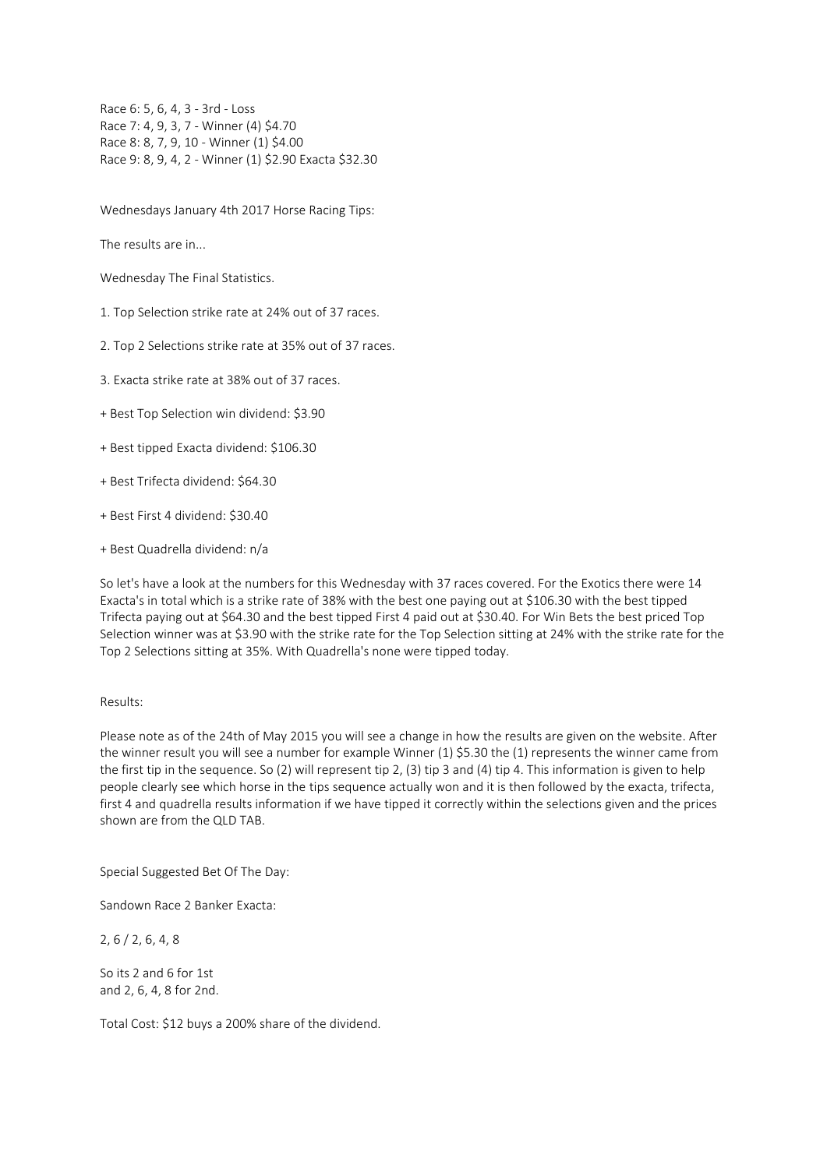Race 6: 5, 6, 4, 3 - 3rd - Loss Race 7: 4, 9, 3, 7 - Winner (4) \$4.70 Race 8: 8, 7, 9, 10 - Winner (1) \$4.00 Race 9: 8, 9, 4, 2 - Winner (1) \$2.90 Exacta \$32.30

Wednesdays January 4th 2017 Horse Racing Tips:

The results are in...

Wednesday The Final Statistics.

1. Top Selection strike rate at 24% out of 37 races.

2. Top 2 Selections strike rate at 35% out of 37 races.

3. Exacta strike rate at 38% out of 37 races.

+ Best Top Selection win dividend: \$3.90

+ Best tipped Exacta dividend: \$106.30

+ Best Trifecta dividend: \$64.30

+ Best First 4 dividend: \$30.40

+ Best Quadrella dividend: n/a

So let's have a look at the numbers for this Wednesday with 37 races covered. For the Exotics there were 14 Exacta's in total which is a strike rate of 38% with the best one paying out at \$106.30 with the best tipped Trifecta paying out at \$64.30 and the best tipped First 4 paid out at \$30.40. For Win Bets the best priced Top Selection winner was at \$3.90 with the strike rate for the Top Selection sitting at 24% with the strike rate for the Top 2 Selections sitting at 35%. With Quadrella's none were tipped today.

## Results:

Please note as of the 24th of May 2015 you will see a change in how the results are given on the website. After the winner result you will see a number for example Winner (1) \$5.30 the (1) represents the winner came from the first tip in the sequence. So (2) will represent tip 2, (3) tip 3 and (4) tip 4. This information is given to help people clearly see which horse in the tips sequence actually won and it is then followed by the exacta, trifecta, first 4 and quadrella results information if we have tipped it correctly within the selections given and the prices shown are from the QLD TAB.

Special Suggested Bet Of The Day:

Sandown Race 2 Banker Exacta:

2, 6 / 2, 6, 4, 8

So its 2 and 6 for 1st and 2, 6, 4, 8 for 2nd.

Total Cost: \$12 buys a 200% share of the dividend.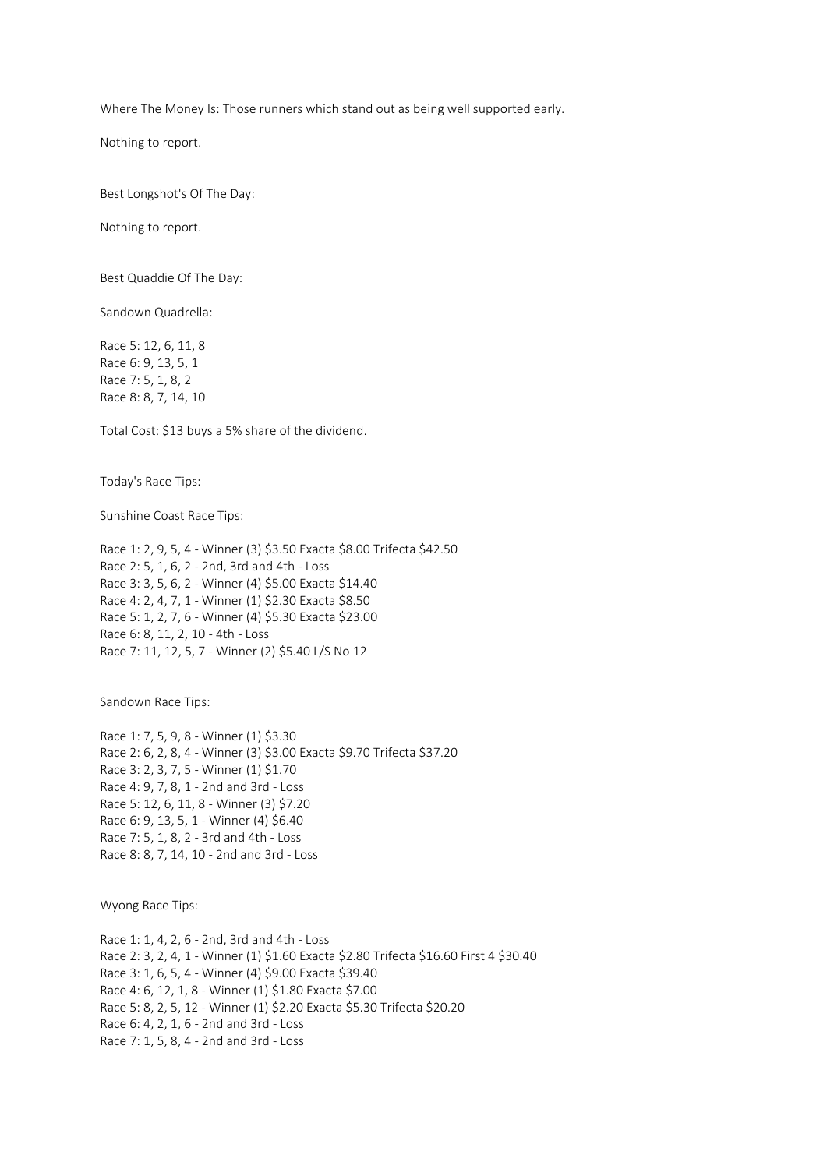Where The Money Is: Those runners which stand out as being well supported early.

Nothing to report.

Best Longshot's Of The Day:

Nothing to report.

Best Quaddie Of The Day:

Sandown Quadrella:

Race 5: 12, 6, 11, 8 Race 6: 9, 13, 5, 1 Race 7: 5, 1, 8, 2 Race 8: 8, 7, 14, 10

Total Cost: \$13 buys a 5% share of the dividend.

Today's Race Tips:

Sunshine Coast Race Tips:

Race 1: 2, 9, 5, 4 - Winner (3) \$3.50 Exacta \$8.00 Trifecta \$42.50 Race 2: 5, 1, 6, 2 - 2nd, 3rd and 4th - Loss Race 3: 3, 5, 6, 2 - Winner (4) \$5.00 Exacta \$14.40 Race 4: 2, 4, 7, 1 - Winner (1) \$2.30 Exacta \$8.50 Race 5: 1, 2, 7, 6 - Winner (4) \$5.30 Exacta \$23.00 Race 6: 8, 11, 2, 10 - 4th - Loss Race 7: 11, 12, 5, 7 - Winner (2) \$5.40 L/S No 12

Sandown Race Tips:

Race 1: 7, 5, 9, 8 - Winner (1) \$3.30 Race 2: 6, 2, 8, 4 - Winner (3) \$3.00 Exacta \$9.70 Trifecta \$37.20 Race 3: 2, 3, 7, 5 - Winner (1) \$1.70 Race 4: 9, 7, 8, 1 - 2nd and 3rd - Loss Race 5: 12, 6, 11, 8 - Winner (3) \$7.20 Race 6: 9, 13, 5, 1 - Winner (4) \$6.40 Race 7: 5, 1, 8, 2 - 3rd and 4th - Loss Race 8: 8, 7, 14, 10 - 2nd and 3rd - Loss

Wyong Race Tips:

Race 1: 1, 4, 2, 6 - 2nd, 3rd and 4th - Loss Race 2: 3, 2, 4, 1 - Winner (1) \$1.60 Exacta \$2.80 Trifecta \$16.60 First 4 \$30.40 Race 3: 1, 6, 5, 4 - Winner (4) \$9.00 Exacta \$39.40 Race 4: 6, 12, 1, 8 - Winner (1) \$1.80 Exacta \$7.00 Race 5: 8, 2, 5, 12 - Winner (1) \$2.20 Exacta \$5.30 Trifecta \$20.20 Race 6: 4, 2, 1, 6 - 2nd and 3rd - Loss Race 7: 1, 5, 8, 4 - 2nd and 3rd - Loss